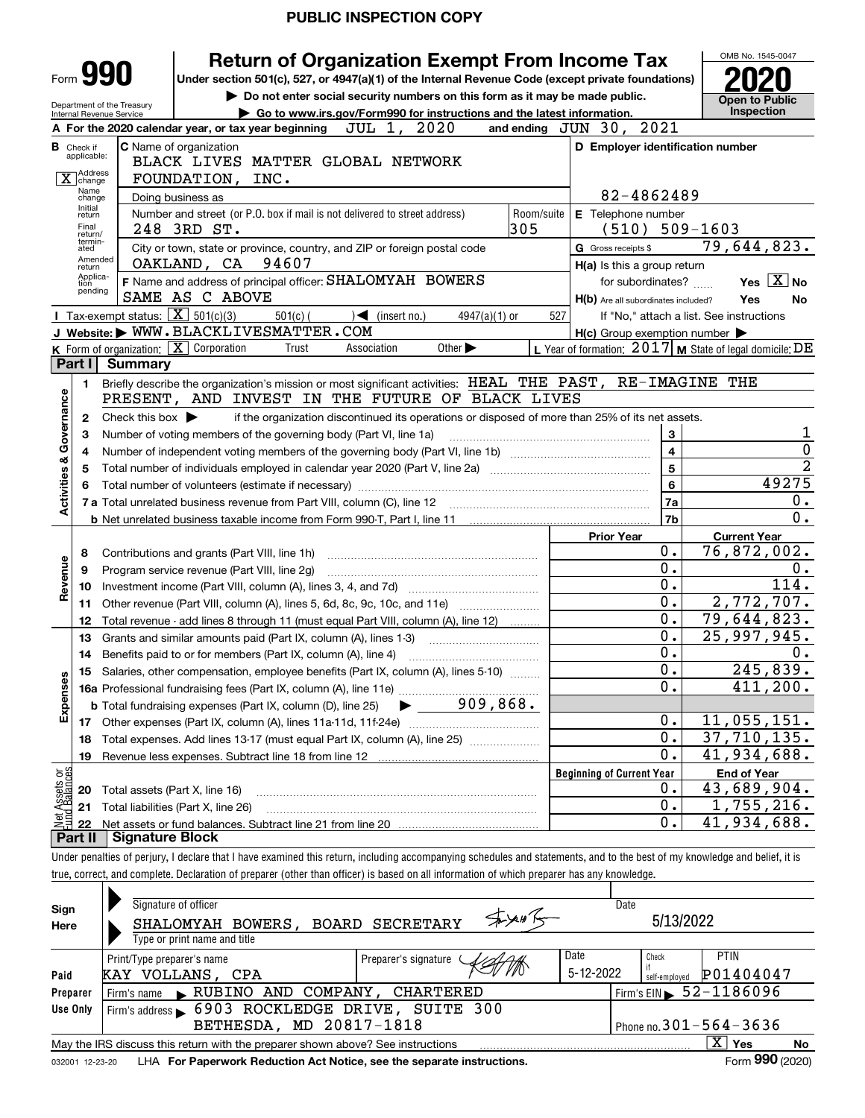|                           |                                          | <b>Return of Organization Exempt From Income Tax</b>                                                                                                                     |                                                                                        | OMB No. 1545-0047           |  |  |  |  |  |
|---------------------------|------------------------------------------|--------------------------------------------------------------------------------------------------------------------------------------------------------------------------|----------------------------------------------------------------------------------------|-----------------------------|--|--|--|--|--|
|                           |                                          | Form <b>990</b><br>Under section 501(c), 527, or 4947(a)(1) of the Internal Revenue Code (except private foundations)                                                    |                                                                                        |                             |  |  |  |  |  |
|                           |                                          | Do not enter social security numbers on this form as it may be made public.<br>Department of the Treasury                                                                |                                                                                        | <b>Open to Public</b>       |  |  |  |  |  |
|                           |                                          | Go to www.irs.gov/Form990 for instructions and the latest information.<br>Internal Revenue Service<br>JUL 1, 2020<br>A For the 2020 calendar year, or tax year beginning | and ending JUN 30, 2021                                                                | <b>Inspection</b>           |  |  |  |  |  |
|                           | <b>B</b> Check if                        | <b>C</b> Name of organization                                                                                                                                            | D Employer identification number                                                       |                             |  |  |  |  |  |
|                           | applicable:                              | BLACK LIVES MATTER GLOBAL NETWORK                                                                                                                                        |                                                                                        |                             |  |  |  |  |  |
|                           | Address<br>$\overline{X}$ change<br>Name | FOUNDATION, INC.                                                                                                                                                         |                                                                                        |                             |  |  |  |  |  |
|                           | 82-4862489                               |                                                                                                                                                                          |                                                                                        |                             |  |  |  |  |  |
|                           | Initial<br>return                        | Room/suite<br>Number and street (or P.O. box if mail is not delivered to street address)                                                                                 | E Telephone number                                                                     |                             |  |  |  |  |  |
|                           | Final<br>return/<br>termin-              | 305<br>248 3RD ST.                                                                                                                                                       | $(510) 509 - 1603$                                                                     |                             |  |  |  |  |  |
|                           | ated<br>Amended                          | City or town, state or province, country, and ZIP or foreign postal code                                                                                                 | G Gross receipts \$                                                                    | 79,644,823.                 |  |  |  |  |  |
|                           | return<br>Applica-                       | 94607<br>OAKLAND, CA<br>F Name and address of principal officer: SHALOMYAH BOWERS                                                                                        | $H(a)$ is this a group return                                                          | Yes $X$ No                  |  |  |  |  |  |
|                           | tion<br>pending                          | SAME AS C ABOVE                                                                                                                                                          | for subordinates?                                                                      | Yes<br>No                   |  |  |  |  |  |
|                           |                                          | Tax-exempt status: $\boxed{\mathbf{X}}$ 501(c)(3)<br>$501(c)$ (<br>$4947(a)(1)$ or<br>$\sqrt{\phantom{a}}$ (insert no.)                                                  | H(b) Are all subordinates included?<br>527<br>If "No," attach a list. See instructions |                             |  |  |  |  |  |
|                           |                                          | J Website: WWW.BLACKLIVESMATTER.COM                                                                                                                                      | $H(c)$ Group exemption number $\blacktriangleright$                                    |                             |  |  |  |  |  |
|                           |                                          | <b>K</b> Form of organization: $\boxed{\mathbf{X}}$ Corporation<br>Other $\blacktriangleright$<br>Trust<br>Association                                                   | L Year of formation: $2017$ M State of legal domicile: DE                              |                             |  |  |  |  |  |
|                           | Part I                                   | <b>Summary</b>                                                                                                                                                           |                                                                                        |                             |  |  |  |  |  |
|                           | 1.                                       | Briefly describe the organization's mission or most significant activities: HEAL THE PAST, RE-IMAGINE THE                                                                |                                                                                        |                             |  |  |  |  |  |
| Governance                |                                          | PRESENT, AND INVEST IN THE FUTURE OF BLACK LIVES                                                                                                                         |                                                                                        |                             |  |  |  |  |  |
|                           | 2                                        | if the organization discontinued its operations or disposed of more than 25% of its net assets.<br>Check this box $\blacktriangleright$                                  |                                                                                        | 1                           |  |  |  |  |  |
|                           | 3                                        | 3<br>Number of voting members of the governing body (Part VI, line 1a)                                                                                                   |                                                                                        |                             |  |  |  |  |  |
|                           | 4                                        |                                                                                                                                                                          | 4                                                                                      | 0                           |  |  |  |  |  |
| <b>Activities &amp;</b>   | 5                                        |                                                                                                                                                                          | 5                                                                                      | $\overline{2}$<br>49275     |  |  |  |  |  |
|                           | 6                                        |                                                                                                                                                                          | 6                                                                                      | 0.                          |  |  |  |  |  |
|                           |                                          | 7 a Total unrelated business revenue from Part VIII, column (C), line 12                                                                                                 | 7a<br>7b                                                                               | 0.                          |  |  |  |  |  |
|                           |                                          |                                                                                                                                                                          | <b>Prior Year</b>                                                                      | <b>Current Year</b>         |  |  |  |  |  |
|                           | 8                                        | Contributions and grants (Part VIII, line 1h)                                                                                                                            | 0.                                                                                     | 76,872,002.                 |  |  |  |  |  |
|                           | 9                                        | Program service revenue (Part VIII, line 2g)                                                                                                                             | 0.                                                                                     | 0.                          |  |  |  |  |  |
| evenue                    | 10                                       |                                                                                                                                                                          | 0.                                                                                     | 114.                        |  |  |  |  |  |
| œ                         | 11                                       | Other revenue (Part VIII, column (A), lines 5, 6d, 8c, 9c, 10c, and 11e)                                                                                                 | 0.                                                                                     | 2,772,707.                  |  |  |  |  |  |
|                           | 12                                       | Total revenue - add lines 8 through 11 (must equal Part VIII, column (A), line 12)                                                                                       | 0.                                                                                     | $\overline{79,644,823}$ .   |  |  |  |  |  |
|                           | 13                                       | Grants and similar amounts paid (Part IX, column (A), lines 1-3)                                                                                                         | 0.                                                                                     | 25,997,945.                 |  |  |  |  |  |
|                           | 14                                       | Benefits paid to or for members (Part IX, column (A), line 4)                                                                                                            | 0.                                                                                     | $0 \cdot$                   |  |  |  |  |  |
|                           |                                          | 15 Salaries, other compensation, employee benefits (Part IX, column (A), lines 5-10)                                                                                     | 0                                                                                      | 245,839.                    |  |  |  |  |  |
|                           |                                          |                                                                                                                                                                          | 0.                                                                                     | 411,200.                    |  |  |  |  |  |
| Expenses                  |                                          | $909,868$ .<br><b>b</b> Total fundraising expenses (Part IX, column (D), line 25)                                                                                        | 0.                                                                                     | 11,055,151.                 |  |  |  |  |  |
|                           |                                          |                                                                                                                                                                          | 0.                                                                                     | $\overline{37}$ , 710, 135. |  |  |  |  |  |
|                           | 18<br>19                                 | Total expenses. Add lines 13-17 (must equal Part IX, column (A), line 25)                                                                                                | 0.                                                                                     | $\overline{41}$ , 934, 688. |  |  |  |  |  |
|                           |                                          |                                                                                                                                                                          | <b>Beginning of Current Year</b>                                                       | <b>End of Year</b>          |  |  |  |  |  |
| t Assets or<br>d Balances | 20                                       | Total assets (Part X, line 16)                                                                                                                                           | υ.                                                                                     | 43,689,904.                 |  |  |  |  |  |
|                           | 21                                       | Total liabilities (Part X, line 26)                                                                                                                                      | 0.                                                                                     | 1,755,216.                  |  |  |  |  |  |
| 혏                         | 22                                       |                                                                                                                                                                          | 0.                                                                                     | $\overline{41}$ , 934, 688. |  |  |  |  |  |
|                           | Part II                                  | <b>Signature Block</b>                                                                                                                                                   |                                                                                        |                             |  |  |  |  |  |
|                           |                                          |                                                                                                                                                                          |                                                                                        |                             |  |  |  |  |  |

Under penalties of perjury, I declare that I have examined this return, including accompanying schedules and statements, and to the best of my knowledge and belief, it is true, correct, and complete. Declaration of preparer (other than officer) is based on all information of which preparer has any knowledge.

| Sign<br>Here                                                                                                 | Signature of officer<br>SHALOMYAH BOWERS, BOARD SECRETARY<br>Type or print name and title                |                      | Date                    | 5/13/2022                                   |  |  |  |  |  |  |
|--------------------------------------------------------------------------------------------------------------|----------------------------------------------------------------------------------------------------------|----------------------|-------------------------|---------------------------------------------|--|--|--|--|--|--|
| Paid                                                                                                         | Print/Type preparer's name<br>KAY VOLLANS, CPA                                                           | Preparer's signature | Date<br>$5 - 12 - 2022$ | PTIN<br>Check<br>P01404047<br>self-employed |  |  |  |  |  |  |
| Preparer                                                                                                     | $\blacktriangleright$ RUBINO<br>AND COMPANY,<br>Firm's name                                              | CHARTERED            | $\sqrt{52-1186096}$     |                                             |  |  |  |  |  |  |
| Use Only                                                                                                     | Firm's address 6903 ROCKLEDGE DRIVE, SUITE 300                                                           |                      |                         |                                             |  |  |  |  |  |  |
|                                                                                                              | BETHESDA, MD 20817-1818                                                                                  |                      |                         | Phone no. $301 - 564 - 3636$                |  |  |  |  |  |  |
|                                                                                                              | x<br>Yes<br><b>No</b><br>May the IRS discuss this return with the preparer shown above? See instructions |                      |                         |                                             |  |  |  |  |  |  |
| Form 990 (2020)<br>LHA For Paperwork Reduction Act Notice, see the separate instructions.<br>032001 12-23-20 |                                                                                                          |                      |                         |                                             |  |  |  |  |  |  |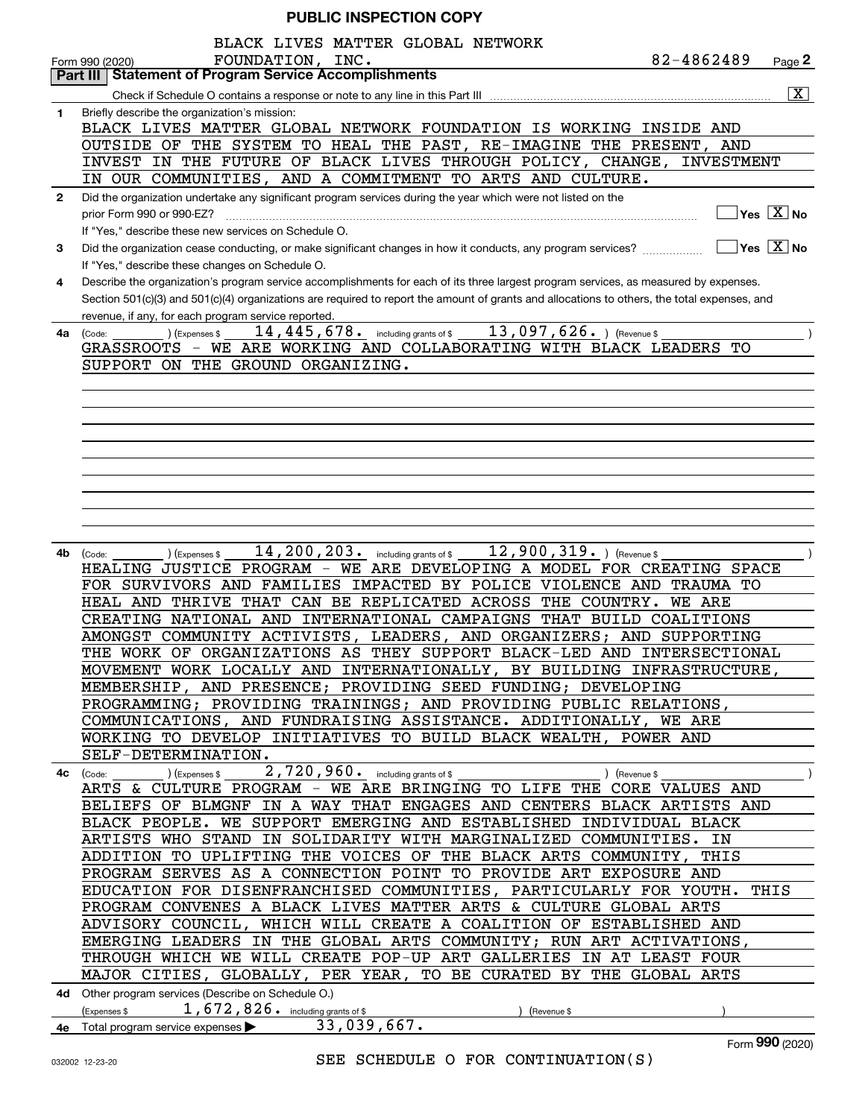|  |  | <b>PUBLIC INSPECTION COPY</b> |  |
|--|--|-------------------------------|--|
|--|--|-------------------------------|--|

|              | BLACK LIVES MATTER GLOBAL NETWORK<br>82-4862489<br>FOUNDATION, INC.                                                                            |
|--------------|------------------------------------------------------------------------------------------------------------------------------------------------|
|              | Page $2$<br>Form 990 (2020)<br><b>Part III   Statement of Program Service Accomplishments</b>                                                  |
|              | $\overline{\mathbf{X}}$                                                                                                                        |
| 1.           | Briefly describe the organization's mission:                                                                                                   |
|              | BLACK LIVES MATTER GLOBAL NETWORK FOUNDATION IS WORKING INSIDE AND                                                                             |
|              | OUTSIDE OF THE SYSTEM TO HEAL THE PAST, RE-IMAGINE THE PRESENT, AND                                                                            |
|              | INVEST IN THE FUTURE OF BLACK LIVES THROUGH POLICY, CHANGE, INVESTMENT                                                                         |
|              | IN OUR COMMUNITIES, AND A COMMITMENT TO ARTS AND CULTURE.                                                                                      |
| $\mathbf{2}$ | Did the organization undertake any significant program services during the year which were not listed on the                                   |
|              | $\sqrt{}$ Yes $\sqrt{}$ X $\sqrt{}$ No<br>prior Form 990 or 990-EZ?                                                                            |
|              | If "Yes," describe these new services on Schedule O.                                                                                           |
| 3            | $ Yes X $ No<br>Did the organization cease conducting, or make significant changes in how it conducts, any program services?                   |
|              | If "Yes," describe these changes on Schedule O.                                                                                                |
| 4            | Describe the organization's program service accomplishments for each of its three largest program services, as measured by expenses.           |
|              | Section 501(c)(3) and 501(c)(4) organizations are required to report the amount of grants and allocations to others, the total expenses, and   |
|              | revenue, if any, for each program service reported.<br>14, 445, 678. including grants of \$ 13, 097, 626. ) (Revenue \$                        |
| 4a           | (Expenses \$<br>(Code:<br>GRASSROOTS - WE ARE WORKING AND COLLABORATING WITH BLACK LEADERS TO                                                  |
|              | SUPPORT ON THE GROUND ORGANIZING.                                                                                                              |
|              |                                                                                                                                                |
|              |                                                                                                                                                |
|              |                                                                                                                                                |
|              |                                                                                                                                                |
|              |                                                                                                                                                |
|              |                                                                                                                                                |
|              |                                                                                                                                                |
|              |                                                                                                                                                |
|              |                                                                                                                                                |
|              |                                                                                                                                                |
| 4b           | 14, 200, 203. including grants of \$ 12, 900, 319. ) (Revenue \$<br>(Expenses \$<br>(Code:                                                     |
|              | HEALING JUSTICE PROGRAM - WE ARE DEVELOPING A MODEL FOR CREATING SPACE                                                                         |
|              | FOR SURVIVORS AND FAMILIES<br>IMPACTED BY POLICE VIOLENCE AND TRAUMA TO                                                                        |
|              | HEAL AND THRIVE THAT CAN BE REPLICATED ACROSS<br>THE COUNTRY.<br><b>WE ARE</b>                                                                 |
|              | CREATING NATIONAL AND INTERNATIONAL CAMPAIGNS THAT BUILD COALITIONS                                                                            |
|              | AMONGST COMMUNITY ACTIVISTS, LEADERS, AND ORGANIZERS; AND SUPPORTING<br>THE WORK OF ORGANIZATIONS AS THEY SUPPORT BLACK-LED AND INTERSECTIONAL |
|              | MOVEMENT WORK LOCALLY AND INTERNATIONALLY, BY BUILDING INFRASTRUCTURE,                                                                         |
|              | MEMBERSHIP, AND PRESENCE; PROVIDING SEED FUNDING; DEVELOPING                                                                                   |
|              | PROGRAMMING; PROVIDING TRAININGS; AND PROVIDING PUBLIC RELATIONS,                                                                              |
|              | COMMUNICATIONS, AND FUNDRAISING ASSISTANCE. ADDITIONALLY, WE ARE                                                                               |
|              | WORKING TO DEVELOP INITIATIVES TO BUILD BLACK WEALTH, POWER AND                                                                                |
|              | SELF-DETERMINATION.                                                                                                                            |
|              | ) (Revenue \$                                                                                                                                  |
|              | ARTS & CULTURE PROGRAM - WE ARE BRINGING TO LIFE THE CORE VALUES AND                                                                           |
|              | BELIEFS OF BLMGNF IN A WAY THAT ENGAGES AND CENTERS BLACK ARTISTS AND                                                                          |
|              | BLACK PEOPLE. WE SUPPORT EMERGING AND ESTABLISHED INDIVIDUAL BLACK                                                                             |
|              | ARTISTS WHO STAND IN SOLIDARITY WITH MARGINALIZED COMMUNITIES. IN                                                                              |
|              | ADDITION TO UPLIFTING THE VOICES OF THE BLACK ARTS COMMUNITY, THIS                                                                             |
|              | PROGRAM SERVES AS A CONNECTION POINT TO PROVIDE ART EXPOSURE AND                                                                               |
|              | EDUCATION FOR DISENFRANCHISED COMMUNITIES, PARTICULARLY FOR YOUTH. THIS                                                                        |
|              | PROGRAM CONVENES A BLACK LIVES MATTER ARTS & CULTURE GLOBAL ARTS                                                                               |
|              | ADVISORY COUNCIL, WHICH WILL CREATE A COALITION OF ESTABLISHED AND                                                                             |
|              | EMERGING LEADERS IN THE GLOBAL ARTS COMMUNITY; RUN ART ACTIVATIONS,                                                                            |
|              | THROUGH WHICH WE WILL CREATE POP-UP ART GALLERIES IN AT LEAST FOUR                                                                             |
|              | MAJOR CITIES, GLOBALLY, PER YEAR, TO BE CURATED BY THE GLOBAL ARTS                                                                             |
|              | 4d Other program services (Describe on Schedule O.)<br>(Expenses \$ $1,672,826$ including grants of \$                                         |
|              | (Revenue \$<br>33,039,667.                                                                                                                     |
|              | 4e Total program service expenses<br>$\overline{\phantom{a}}$                                                                                  |

Form (2020) **990**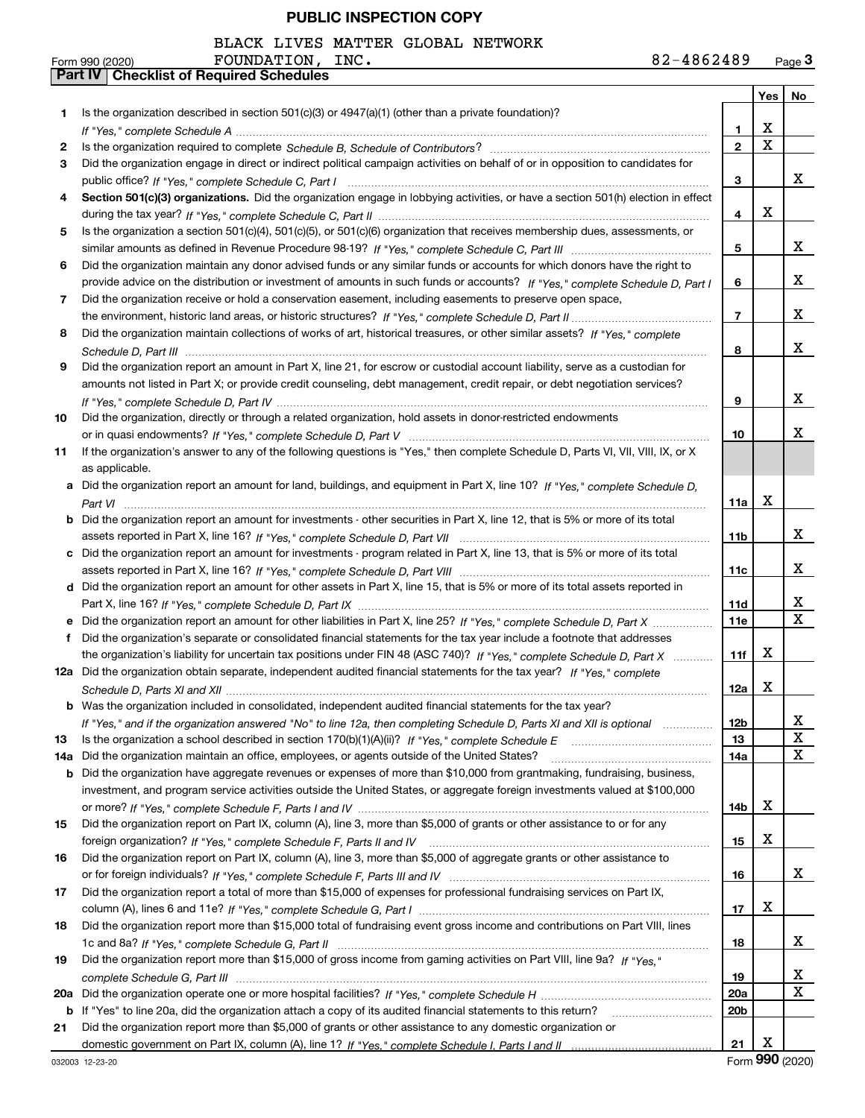BLACK LIVES MATTER GLOBAL NETWORK

|     | 82-4862489<br>FOUNDATION, INC.<br>Form 990 (2020)                                                                                     |                |             | Page <sub>3</sub>       |
|-----|---------------------------------------------------------------------------------------------------------------------------------------|----------------|-------------|-------------------------|
|     | <b>Checklist of Required Schedules</b><br>Part IV                                                                                     |                |             |                         |
|     |                                                                                                                                       |                | Yes $ $     | No                      |
| 1.  | Is the organization described in section $501(c)(3)$ or $4947(a)(1)$ (other than a private foundation)?                               |                |             |                         |
|     |                                                                                                                                       | 1              | X           |                         |
| 2   |                                                                                                                                       | $\mathbf{2}$   | $\mathbf X$ |                         |
| 3   | Did the organization engage in direct or indirect political campaign activities on behalf of or in opposition to candidates for       |                |             |                         |
|     |                                                                                                                                       | 3              |             | x                       |
| 4   | Section 501(c)(3) organizations. Did the organization engage in lobbying activities, or have a section 501(h) election in effect      |                |             |                         |
|     |                                                                                                                                       | 4              | Х           |                         |
| 5   | Is the organization a section 501(c)(4), 501(c)(5), or 501(c)(6) organization that receives membership dues, assessments, or          |                |             |                         |
|     |                                                                                                                                       | 5              |             | x                       |
| 6   | Did the organization maintain any donor advised funds or any similar funds or accounts for which donors have the right to             |                |             |                         |
|     | provide advice on the distribution or investment of amounts in such funds or accounts? If "Yes," complete Schedule D, Part I          | 6              |             | х                       |
| 7   | Did the organization receive or hold a conservation easement, including easements to preserve open space,                             |                |             |                         |
|     |                                                                                                                                       | $\overline{7}$ |             | х                       |
| 8   | Did the organization maintain collections of works of art, historical treasures, or other similar assets? If "Yes," complete          |                |             |                         |
|     |                                                                                                                                       | 8              |             | x                       |
| 9   | Did the organization report an amount in Part X, line 21, for escrow or custodial account liability, serve as a custodian for         |                |             |                         |
|     | amounts not listed in Part X; or provide credit counseling, debt management, credit repair, or debt negotiation services?             |                |             |                         |
|     |                                                                                                                                       | 9              |             | x                       |
| 10  | Did the organization, directly or through a related organization, hold assets in donor-restricted endowments                          |                |             |                         |
|     |                                                                                                                                       | 10             |             | x                       |
| 11  | If the organization's answer to any of the following questions is "Yes," then complete Schedule D, Parts VI, VII, VIII, IX, or X      |                |             |                         |
|     | as applicable.                                                                                                                        |                |             |                         |
|     | a Did the organization report an amount for land, buildings, and equipment in Part X, line 10? If "Yes," complete Schedule D,         |                |             |                         |
|     |                                                                                                                                       | 11a            | х           |                         |
|     | <b>b</b> Did the organization report an amount for investments - other securities in Part X, line 12, that is 5% or more of its total |                |             |                         |
|     |                                                                                                                                       | 11b            |             | x                       |
|     | c Did the organization report an amount for investments - program related in Part X, line 13, that is 5% or more of its total         |                |             |                         |
|     |                                                                                                                                       | 11c            |             | х                       |
|     | d Did the organization report an amount for other assets in Part X, line 15, that is 5% or more of its total assets reported in       |                |             |                         |
|     |                                                                                                                                       | 11d            |             | x                       |
|     | e Did the organization report an amount for other liabilities in Part X, line 25? If "Yes," complete Schedule D, Part X               | <b>11e</b>     |             | $\overline{\mathbf{x}}$ |
| f   | Did the organization's separate or consolidated financial statements for the tax year include a footnote that addresses               |                |             |                         |
|     | the organization's liability for uncertain tax positions under FIN 48 (ASC 740)? If "Yes," complete Schedule D, Part X                | 11f            | х           |                         |
|     | 12a Did the organization obtain separate, independent audited financial statements for the tax year? If "Yes." complete               |                |             |                         |
|     |                                                                                                                                       | 12a            | X           |                         |
|     | <b>b</b> Was the organization included in consolidated, independent audited financial statements for the tax year?                    |                |             |                         |
|     | If "Yes," and if the organization answered "No" to line 12a, then completing Schedule D, Parts XI and XII is optional                 | 12b            |             | x                       |
| 13  |                                                                                                                                       | 13             |             | $\overline{\mathbf{x}}$ |
| 14a | Did the organization maintain an office, employees, or agents outside of the United States?                                           | 14a            |             | $\mathbf X$             |
| b   | Did the organization have aggregate revenues or expenses of more than \$10,000 from grantmaking, fundraising, business,               |                |             |                         |
|     | investment, and program service activities outside the United States, or aggregate foreign investments valued at \$100,000            |                |             |                         |
|     |                                                                                                                                       | 14b            | х           |                         |
| 15  | Did the organization report on Part IX, column (A), line 3, more than \$5,000 of grants or other assistance to or for any             |                |             |                         |
|     |                                                                                                                                       | 15             | х           |                         |
| 16  | Did the organization report on Part IX, column (A), line 3, more than \$5,000 of aggregate grants or other assistance to              |                |             |                         |
|     |                                                                                                                                       | 16             |             | x                       |
| 17  | Did the organization report a total of more than \$15,000 of expenses for professional fundraising services on Part IX,               |                |             |                         |
|     |                                                                                                                                       | 17             | х           |                         |
| 18  | Did the organization report more than \$15,000 total of fundraising event gross income and contributions on Part VIII, lines          |                |             |                         |
|     |                                                                                                                                       | 18             |             | x                       |
|     |                                                                                                                                       |                |             |                         |
| 19  | Did the organization report more than \$15,000 of gross income from gaming activities on Part VIII, line 9a? If "Yes."                |                |             | х                       |
|     |                                                                                                                                       | 19             |             | $\mathbf X$             |
| 20a |                                                                                                                                       | 20a            |             |                         |
| b   |                                                                                                                                       | 20b            |             |                         |
| 21  | Did the organization report more than \$5,000 of grants or other assistance to any domestic organization or                           |                |             |                         |
|     |                                                                                                                                       | 21             | х           |                         |

032003 12-23-20

Form (2020) **990**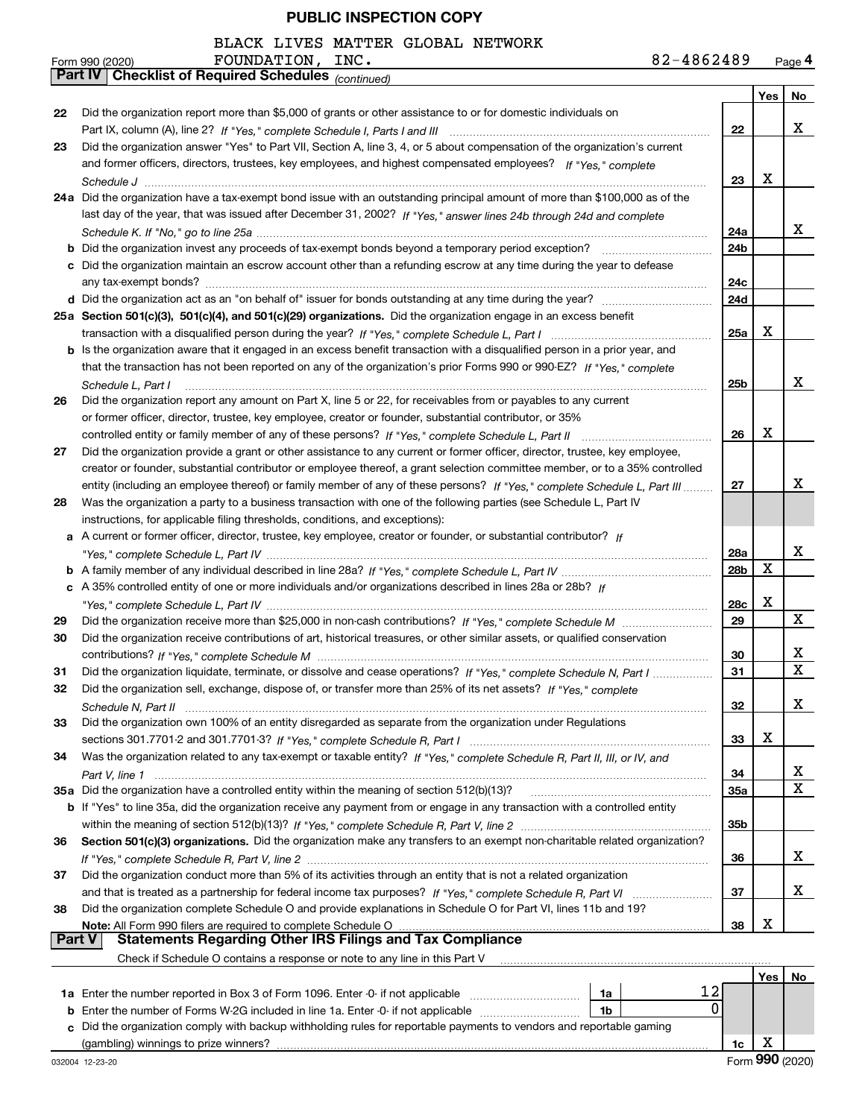BLACK LIVES MATTER GLOBAL NETWORK

|               | 82-4862489<br>FOUNDATION, INC.<br>Form 990 (2020)                                                                            |                 |     | Page 4      |
|---------------|------------------------------------------------------------------------------------------------------------------------------|-----------------|-----|-------------|
|               | <b>Checklist of Required Schedules (continued)</b><br>Part IV                                                                |                 |     |             |
|               |                                                                                                                              |                 | Yes | No          |
| 22            | Did the organization report more than \$5,000 of grants or other assistance to or for domestic individuals on                |                 |     |             |
|               |                                                                                                                              | 22              |     | х           |
| 23            | Did the organization answer "Yes" to Part VII, Section A, line 3, 4, or 5 about compensation of the organization's current   |                 |     |             |
|               | and former officers, directors, trustees, key employees, and highest compensated employees? If "Yes," complete               |                 |     |             |
|               |                                                                                                                              | 23              | Х   |             |
|               | 24a Did the organization have a tax-exempt bond issue with an outstanding principal amount of more than \$100,000 as of the  |                 |     |             |
|               | last day of the year, that was issued after December 31, 2002? If "Yes," answer lines 24b through 24d and complete           |                 |     |             |
|               |                                                                                                                              | 24a             |     | x           |
|               | <b>b</b> Did the organization invest any proceeds of tax-exempt bonds beyond a temporary period exception?                   | 24b             |     |             |
|               | c Did the organization maintain an escrow account other than a refunding escrow at any time during the year to defease       |                 |     |             |
|               |                                                                                                                              | 24c             |     |             |
|               |                                                                                                                              | 24d             |     |             |
|               | 25a Section 501(c)(3), 501(c)(4), and 501(c)(29) organizations. Did the organization engage in an excess benefit             |                 |     |             |
|               |                                                                                                                              | 25a             | Х   |             |
|               | b Is the organization aware that it engaged in an excess benefit transaction with a disqualified person in a prior year, and |                 |     |             |
|               | that the transaction has not been reported on any of the organization's prior Forms 990 or 990-EZ? If "Yes," complete        |                 |     |             |
|               | Schedule L, Part I                                                                                                           | 25 <sub>b</sub> |     | x           |
| 26            | Did the organization report any amount on Part X, line 5 or 22, for receivables from or payables to any current              |                 |     |             |
|               | or former officer, director, trustee, key employee, creator or founder, substantial contributor, or 35%                      |                 |     |             |
|               | controlled entity or family member of any of these persons? If "Yes," complete Schedule L, Part II                           | 26              | X   |             |
| 27            | Did the organization provide a grant or other assistance to any current or former officer, director, trustee, key employee,  |                 |     |             |
|               | creator or founder, substantial contributor or employee thereof, a grant selection committee member, or to a 35% controlled  |                 |     |             |
|               | entity (including an employee thereof) or family member of any of these persons? If "Yes," complete Schedule L, Part III     | 27              |     | x           |
| 28            | Was the organization a party to a business transaction with one of the following parties (see Schedule L, Part IV            |                 |     |             |
|               | instructions, for applicable filing thresholds, conditions, and exceptions):                                                 |                 |     |             |
|               | a A current or former officer, director, trustee, key employee, creator or founder, or substantial contributor? If           |                 |     |             |
|               |                                                                                                                              | 28a             |     | x           |
|               |                                                                                                                              | 28b             | X   |             |
|               | c A 35% controlled entity of one or more individuals and/or organizations described in lines 28a or 28b? If                  |                 |     |             |
|               |                                                                                                                              | 28c             | X   |             |
| 29            |                                                                                                                              | 29              |     | x           |
| 30            | Did the organization receive contributions of art, historical treasures, or other similar assets, or qualified conservation  |                 |     |             |
|               |                                                                                                                              | 30              |     | х           |
| 31            | Did the organization liquidate, terminate, or dissolve and cease operations? If "Yes," complete Schedule N, Part I           | 31              |     | $\mathbf X$ |
| 32            | Did the organization sell, exchange, dispose of, or transfer more than 25% of its net assets? If "Yes," complete             |                 |     |             |
|               |                                                                                                                              | 32              |     | x           |
| 33            | Did the organization own 100% of an entity disregarded as separate from the organization under Regulations                   |                 |     |             |
|               |                                                                                                                              | 33              | x   |             |
| 34            | Was the organization related to any tax-exempt or taxable entity? If "Yes," complete Schedule R, Part II, III, or IV, and    |                 |     |             |
|               |                                                                                                                              | 34              |     | х           |
|               | 35a Did the organization have a controlled entity within the meaning of section 512(b)(13)?                                  | 35a             |     | X           |
|               | b If "Yes" to line 35a, did the organization receive any payment from or engage in any transaction with a controlled entity  |                 |     |             |
|               |                                                                                                                              | 35b             |     |             |
| 36            | Section 501(c)(3) organizations. Did the organization make any transfers to an exempt non-charitable related organization?   |                 |     |             |
|               |                                                                                                                              | 36              |     | x           |
| 37            | Did the organization conduct more than 5% of its activities through an entity that is not a related organization             |                 |     |             |
|               |                                                                                                                              | 37              |     | x           |
| 38            | Did the organization complete Schedule O and provide explanations in Schedule O for Part VI, lines 11b and 19?               |                 |     |             |
|               | Note: All Form 990 filers are required to complete Schedule O                                                                | 38              | x   |             |
| <b>Part V</b> | <b>Statements Regarding Other IRS Filings and Tax Compliance</b>                                                             |                 |     |             |
|               | Check if Schedule O contains a response or note to any line in this Part V                                                   |                 |     |             |
|               |                                                                                                                              |                 |     | Yes   No    |
|               | the number reported in Pey 2 of Ferm 1006, Enter 0 if not enpliceble                                                         | 1 2 I           |     |             |

| <b>1a</b> Enter the number reported in Box 3 of Form 1096. Enter -0- if not applicable                               | 1a |  |  |  |  |  |  |
|----------------------------------------------------------------------------------------------------------------------|----|--|--|--|--|--|--|
| <b>b</b> Enter the number of Forms W-2G included in line 1a. Enter -0- if not applicable                             | 1b |  |  |  |  |  |  |
| c Did the organization comply with backup withholding rules for reportable payments to vendors and reportable gaming |    |  |  |  |  |  |  |
| (gambling) winnings to prize winners?                                                                                |    |  |  |  |  |  |  |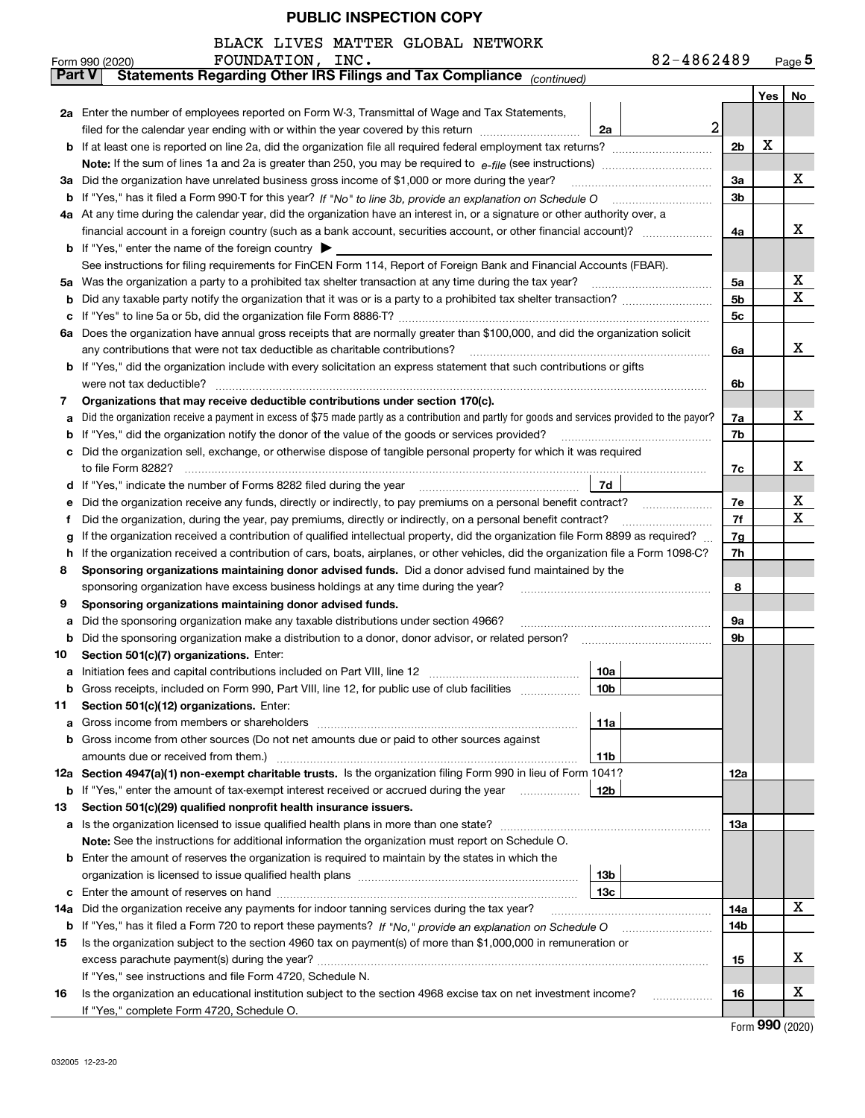| BLACK LIVES MATTER GLOBAL NETWORK |  |  |  |  |  |
|-----------------------------------|--|--|--|--|--|
|-----------------------------------|--|--|--|--|--|

|               | 82-4862489<br>FOUNDATION, INC.<br>Form 990 (2020)                                                                                                                                                                                     |                |     | $Page$ 5 |  |  |  |  |
|---------------|---------------------------------------------------------------------------------------------------------------------------------------------------------------------------------------------------------------------------------------|----------------|-----|----------|--|--|--|--|
| <b>Part V</b> | Statements Regarding Other IRS Filings and Tax Compliance (continued)                                                                                                                                                                 |                |     |          |  |  |  |  |
|               |                                                                                                                                                                                                                                       |                | Yes | No       |  |  |  |  |
|               | 2a Enter the number of employees reported on Form W-3, Transmittal of Wage and Tax Statements,                                                                                                                                        |                |     |          |  |  |  |  |
|               | $\overline{a}$<br>filed for the calendar year ending with or within the year covered by this return <i>manumumumum</i><br>2a                                                                                                          |                |     |          |  |  |  |  |
|               |                                                                                                                                                                                                                                       | 2 <sub>b</sub> | X   |          |  |  |  |  |
|               |                                                                                                                                                                                                                                       |                |     |          |  |  |  |  |
|               | 3a Did the organization have unrelated business gross income of \$1,000 or more during the year?                                                                                                                                      | За             |     | х        |  |  |  |  |
|               |                                                                                                                                                                                                                                       | 3 <sub>b</sub> |     |          |  |  |  |  |
|               | 4a At any time during the calendar year, did the organization have an interest in, or a signature or other authority over, a                                                                                                          |                |     |          |  |  |  |  |
|               | financial account in a foreign country (such as a bank account, securities account, or other financial account)?                                                                                                                      | 4a             |     | х        |  |  |  |  |
|               | <b>b</b> If "Yes," enter the name of the foreign country $\blacktriangleright$                                                                                                                                                        |                |     |          |  |  |  |  |
|               | See instructions for filing requirements for FinCEN Form 114, Report of Foreign Bank and Financial Accounts (FBAR).                                                                                                                   |                |     |          |  |  |  |  |
|               | 5a Was the organization a party to a prohibited tax shelter transaction at any time during the tax year?                                                                                                                              | 5a             |     | х        |  |  |  |  |
| b             |                                                                                                                                                                                                                                       | 5 <sub>b</sub> |     | X        |  |  |  |  |
| с             |                                                                                                                                                                                                                                       | 5c             |     |          |  |  |  |  |
| ба            | Does the organization have annual gross receipts that are normally greater than \$100,000, and did the organization solicit                                                                                                           |                |     |          |  |  |  |  |
|               | any contributions that were not tax deductible as charitable contributions?                                                                                                                                                           | 6a             |     | х        |  |  |  |  |
|               | b If "Yes," did the organization include with every solicitation an express statement that such contributions or gifts                                                                                                                |                |     |          |  |  |  |  |
|               |                                                                                                                                                                                                                                       | 6b             |     |          |  |  |  |  |
| 7             | Organizations that may receive deductible contributions under section 170(c).                                                                                                                                                         |                |     |          |  |  |  |  |
| а             | Did the organization receive a payment in excess of \$75 made partly as a contribution and partly for goods and services provided to the payor?                                                                                       | 7a             |     | х        |  |  |  |  |
| b             | If "Yes," did the organization notify the donor of the value of the goods or services provided?                                                                                                                                       | 7b             |     |          |  |  |  |  |
|               | c Did the organization sell, exchange, or otherwise dispose of tangible personal property for which it was required                                                                                                                   |                |     | х        |  |  |  |  |
|               |                                                                                                                                                                                                                                       |                |     |          |  |  |  |  |
|               | 7d<br>d If "Yes," indicate the number of Forms 8282 filed during the year manufactured in the second of the New York                                                                                                                  |                |     |          |  |  |  |  |
| е             |                                                                                                                                                                                                                                       |                |     |          |  |  |  |  |
|               | Did the organization, during the year, pay premiums, directly or indirectly, on a personal benefit contract?                                                                                                                          |                |     |          |  |  |  |  |
|               | If the organization received a contribution of qualified intellectual property, did the organization file Form 8899 as required?                                                                                                      |                |     |          |  |  |  |  |
| h             | If the organization received a contribution of cars, boats, airplanes, or other vehicles, did the organization file a Form 1098-C?                                                                                                    | 7h             |     |          |  |  |  |  |
| 8             | Sponsoring organizations maintaining donor advised funds. Did a donor advised fund maintained by the                                                                                                                                  |                |     |          |  |  |  |  |
|               | sponsoring organization have excess business holdings at any time during the year?                                                                                                                                                    | 8              |     |          |  |  |  |  |
| 9             | Sponsoring organizations maintaining donor advised funds.                                                                                                                                                                             |                |     |          |  |  |  |  |
| а             | Did the sponsoring organization make any taxable distributions under section 4966?                                                                                                                                                    | 9а             |     |          |  |  |  |  |
| b             | Did the sponsoring organization make a distribution to a donor, donor advisor, or related person? [[[[[[[[[[[                                                                                                                         | 9b             |     |          |  |  |  |  |
| 10            | Section 501(c)(7) organizations. Enter:                                                                                                                                                                                               |                |     |          |  |  |  |  |
| а             | 10a<br>Initiation fees and capital contributions included on Part VIII, line 12 [100] [100] [100] [100] [100] [100] [100] [100] [100] [100] [100] [100] [100] [100] [100] [100] [100] [100] [100] [100] [100] [100] [100] [100] [100] |                |     |          |  |  |  |  |
| b             | 10b <br>Gross receipts, included on Form 990, Part VIII, line 12, for public use of club facilities                                                                                                                                   |                |     |          |  |  |  |  |
| 11            | Section 501(c)(12) organizations. Enter:                                                                                                                                                                                              |                |     |          |  |  |  |  |
| a             | 11a<br>Gross income from members or shareholders                                                                                                                                                                                      |                |     |          |  |  |  |  |
|               | <b>b</b> Gross income from other sources (Do not net amounts due or paid to other sources against                                                                                                                                     |                |     |          |  |  |  |  |
|               | amounts due or received from them.)<br>11b<br>12a Section 4947(a)(1) non-exempt charitable trusts. Is the organization filing Form 990 in lieu of Form 1041?                                                                          |                |     |          |  |  |  |  |
|               | 12 <sub>b</sub>                                                                                                                                                                                                                       | 12a            |     |          |  |  |  |  |
|               | <b>b</b> If "Yes," enter the amount of tax-exempt interest received or accrued during the year<br>Section 501(c)(29) qualified nonprofit health insurance issuers.                                                                    |                |     |          |  |  |  |  |
| 13            |                                                                                                                                                                                                                                       | 13a            |     |          |  |  |  |  |
|               | a Is the organization licensed to issue qualified health plans in more than one state?<br>Note: See the instructions for additional information the organization must report on Schedule O.                                           |                |     |          |  |  |  |  |
|               |                                                                                                                                                                                                                                       |                |     |          |  |  |  |  |
|               | <b>b</b> Enter the amount of reserves the organization is required to maintain by the states in which the<br>13 <sub>b</sub>                                                                                                          |                |     |          |  |  |  |  |
|               | 13 <sub>c</sub>                                                                                                                                                                                                                       |                |     |          |  |  |  |  |
| 14a           | Did the organization receive any payments for indoor tanning services during the tax year?                                                                                                                                            |                |     |          |  |  |  |  |
|               | <b>b</b> If "Yes," has it filed a Form 720 to report these payments? If "No," provide an explanation on Schedule O                                                                                                                    | 14a<br>14b     |     | X        |  |  |  |  |
| 15            | Is the organization subject to the section 4960 tax on payment(s) of more than \$1,000,000 in remuneration or                                                                                                                         |                |     |          |  |  |  |  |
|               |                                                                                                                                                                                                                                       | 15             |     | х        |  |  |  |  |
|               | If "Yes," see instructions and file Form 4720, Schedule N.                                                                                                                                                                            |                |     |          |  |  |  |  |
| 16            | Is the organization an educational institution subject to the section 4968 excise tax on net investment income?                                                                                                                       | 16             |     | X        |  |  |  |  |
|               | If "Yes," complete Form 4720, Schedule O.                                                                                                                                                                                             |                |     |          |  |  |  |  |

Form (2020) **990**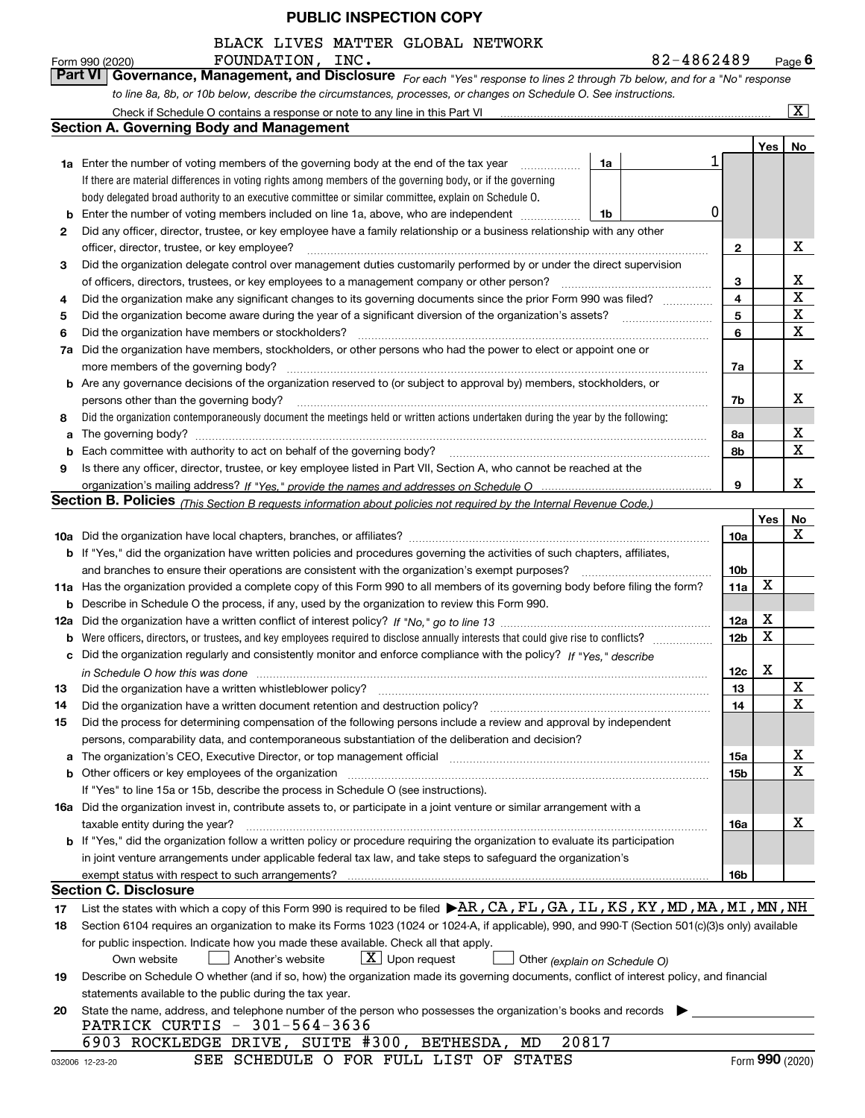|  |  | BLACK LIVES MATTER GLOBAL NETWORK |
|--|--|-----------------------------------|
|  |  |                                   |

|          | 82-4862489<br>FOUNDATION, INC.<br>Form 990 (2020)                                                                                                                                                                                                                                                                                                    |                 |     | <u>Page</u> 6           |
|----------|------------------------------------------------------------------------------------------------------------------------------------------------------------------------------------------------------------------------------------------------------------------------------------------------------------------------------------------------------|-----------------|-----|-------------------------|
|          | Governance, Management, and Disclosure For each "Yes" response to lines 2 through 7b below, and for a "No" response<br>Part VI                                                                                                                                                                                                                       |                 |     |                         |
|          | to line 8a, 8b, or 10b below, describe the circumstances, processes, or changes on Schedule O. See instructions.                                                                                                                                                                                                                                     |                 |     |                         |
|          |                                                                                                                                                                                                                                                                                                                                                      |                 |     | $\overline{\mathbf{x}}$ |
|          | <b>Section A. Governing Body and Management</b>                                                                                                                                                                                                                                                                                                      |                 |     |                         |
|          |                                                                                                                                                                                                                                                                                                                                                      |                 | Yes | No                      |
|          | <b>1a</b> Enter the number of voting members of the governing body at the end of the tax year<br>1a<br>.                                                                                                                                                                                                                                             |                 |     |                         |
|          | If there are material differences in voting rights among members of the governing body, or if the governing                                                                                                                                                                                                                                          |                 |     |                         |
|          | body delegated broad authority to an executive committee or similar committee, explain on Schedule O.                                                                                                                                                                                                                                                |                 |     |                         |
| b        | Enter the number of voting members included on line 1a, above, who are independent<br>1b                                                                                                                                                                                                                                                             | 0               |     |                         |
| 2        | Did any officer, director, trustee, or key employee have a family relationship or a business relationship with any other                                                                                                                                                                                                                             |                 |     |                         |
|          | officer, director, trustee, or key employee?                                                                                                                                                                                                                                                                                                         | $\mathbf{2}$    |     | X                       |
| 3        | Did the organization delegate control over management duties customarily performed by or under the direct supervision                                                                                                                                                                                                                                |                 |     |                         |
|          | of officers, directors, trustees, or key employees to a management company or other person?                                                                                                                                                                                                                                                          | 3               |     | х<br>$\mathbf X$        |
| 4        | Did the organization make any significant changes to its governing documents since the prior Form 990 was filed?                                                                                                                                                                                                                                     | 4               |     | х                       |
| 5        | Did the organization become aware during the year of a significant diversion of the organization's assets?                                                                                                                                                                                                                                           | 5               |     | X                       |
| 6        | Did the organization have members or stockholders?<br>Did the organization have members, stockholders, or other persons who had the power to elect or appoint one or                                                                                                                                                                                 | 6               |     |                         |
| 7a       | more members of the governing body?                                                                                                                                                                                                                                                                                                                  |                 |     | x                       |
|          | <b>b</b> Are any governance decisions of the organization reserved to (or subject to approval by) members, stockholders, or                                                                                                                                                                                                                          | 7a              |     |                         |
|          | persons other than the governing body?                                                                                                                                                                                                                                                                                                               | 7b              |     | x                       |
| 8        | Did the organization contemporaneously document the meetings held or written actions undertaken during the year by the following:                                                                                                                                                                                                                    |                 |     |                         |
| a        |                                                                                                                                                                                                                                                                                                                                                      | 8а              |     | х                       |
| b        | Each committee with authority to act on behalf of the governing body?                                                                                                                                                                                                                                                                                | 8b              |     | X                       |
| 9        | Is there any officer, director, trustee, or key employee listed in Part VII, Section A, who cannot be reached at the                                                                                                                                                                                                                                 |                 |     |                         |
|          |                                                                                                                                                                                                                                                                                                                                                      | 9               |     | x                       |
|          | Section B. Policies <sub>(This Section B requests information about policies not required by the Internal Revenue Code.)</sub>                                                                                                                                                                                                                       |                 |     |                         |
|          |                                                                                                                                                                                                                                                                                                                                                      |                 | Yes | No                      |
|          |                                                                                                                                                                                                                                                                                                                                                      | 10a             |     | x                       |
|          | <b>b</b> If "Yes," did the organization have written policies and procedures governing the activities of such chapters, affiliates,                                                                                                                                                                                                                  |                 |     |                         |
|          | and branches to ensure their operations are consistent with the organization's exempt purposes?                                                                                                                                                                                                                                                      | 10 <sub>b</sub> |     |                         |
|          | 11a Has the organization provided a complete copy of this Form 990 to all members of its governing body before filing the form?                                                                                                                                                                                                                      | 11a             | X   |                         |
|          | <b>b</b> Describe in Schedule O the process, if any, used by the organization to review this Form 990.                                                                                                                                                                                                                                               |                 |     |                         |
| 12a      |                                                                                                                                                                                                                                                                                                                                                      | 12a             | х   |                         |
|          | <b>b</b> Were officers, directors, or trustees, and key employees required to disclose annually interests that could give rise to conflicts?                                                                                                                                                                                                         | 12 <sub>b</sub> | X   |                         |
|          | c Did the organization regularly and consistently monitor and enforce compliance with the policy? If "Yes." describe                                                                                                                                                                                                                                 |                 | X   |                         |
|          | in Schedule O how this was done manufactured and contain an according to the state of the state of the state o                                                                                                                                                                                                                                       | 12c             |     |                         |
| 13       | Did the organization have a written whistleblower policy?                                                                                                                                                                                                                                                                                            | 13              |     | x<br>$\mathbf X$        |
| 14<br>15 | Did the organization have a written document retention and destruction policy? [11] manufacture contraction policy? [11] manufacture contraction policy? [11] manufacture contraction policy? [11] manufacture contraction pol<br>Did the process for determining compensation of the following persons include a review and approval by independent | 14              |     |                         |
|          | persons, comparability data, and contemporaneous substantiation of the deliberation and decision?                                                                                                                                                                                                                                                    |                 |     |                         |
| а        | The organization's CEO, Executive Director, or top management official manufactured contains and contained a support of the organization's CEO, Executive Director, or top management official                                                                                                                                                       | 15a             |     | х                       |
| b        | Other officers or key employees of the organization                                                                                                                                                                                                                                                                                                  | 15b             |     | $\mathbf X$             |
|          | If "Yes" to line 15a or 15b, describe the process in Schedule O (see instructions).                                                                                                                                                                                                                                                                  |                 |     |                         |
|          | 16a Did the organization invest in, contribute assets to, or participate in a joint venture or similar arrangement with a                                                                                                                                                                                                                            |                 |     |                         |
|          | taxable entity during the year?                                                                                                                                                                                                                                                                                                                      | 16a             |     | х                       |
|          | <b>b</b> If "Yes," did the organization follow a written policy or procedure requiring the organization to evaluate its participation                                                                                                                                                                                                                |                 |     |                         |
|          | in joint venture arrangements under applicable federal tax law, and take steps to safeguard the organization's                                                                                                                                                                                                                                       |                 |     |                         |
|          |                                                                                                                                                                                                                                                                                                                                                      | 16b             |     |                         |
|          | <b>Section C. Disclosure</b>                                                                                                                                                                                                                                                                                                                         |                 |     |                         |
| 17       | List the states with which a copy of this Form 990 is required to be filed $\blacktriangleright$ AR, CA, FL, GA, IL, KS, KY, MD, MA, MI, MN, NH                                                                                                                                                                                                      |                 |     |                         |
| 18       | Section 6104 requires an organization to make its Forms 1023 (1024 or 1024-A, if applicable), 990, and 990-T (Section 501(c)(3)s only) available                                                                                                                                                                                                     |                 |     |                         |
|          | for public inspection. Indicate how you made these available. Check all that apply.                                                                                                                                                                                                                                                                  |                 |     |                         |
|          | $X$ Upon request<br>Another's website<br>Own website<br>Other (explain on Schedule O)                                                                                                                                                                                                                                                                |                 |     |                         |
| 19       | Describe on Schedule O whether (and if so, how) the organization made its governing documents, conflict of interest policy, and financial                                                                                                                                                                                                            |                 |     |                         |
|          | statements available to the public during the tax year.                                                                                                                                                                                                                                                                                              |                 |     |                         |
| 20       | State the name, address, and telephone number of the person who possesses the organization's books and records                                                                                                                                                                                                                                       |                 |     |                         |
|          | PATRICK CURTIS - 301-564-3636<br>6903 ROCKLEDGE DRIVE, SUITE #300, BETHESDA, MD<br>20817                                                                                                                                                                                                                                                             |                 |     |                         |
|          |                                                                                                                                                                                                                                                                                                                                                      |                 |     |                         |

SEE SCHEDULE O FOR FULL LIST OF STATES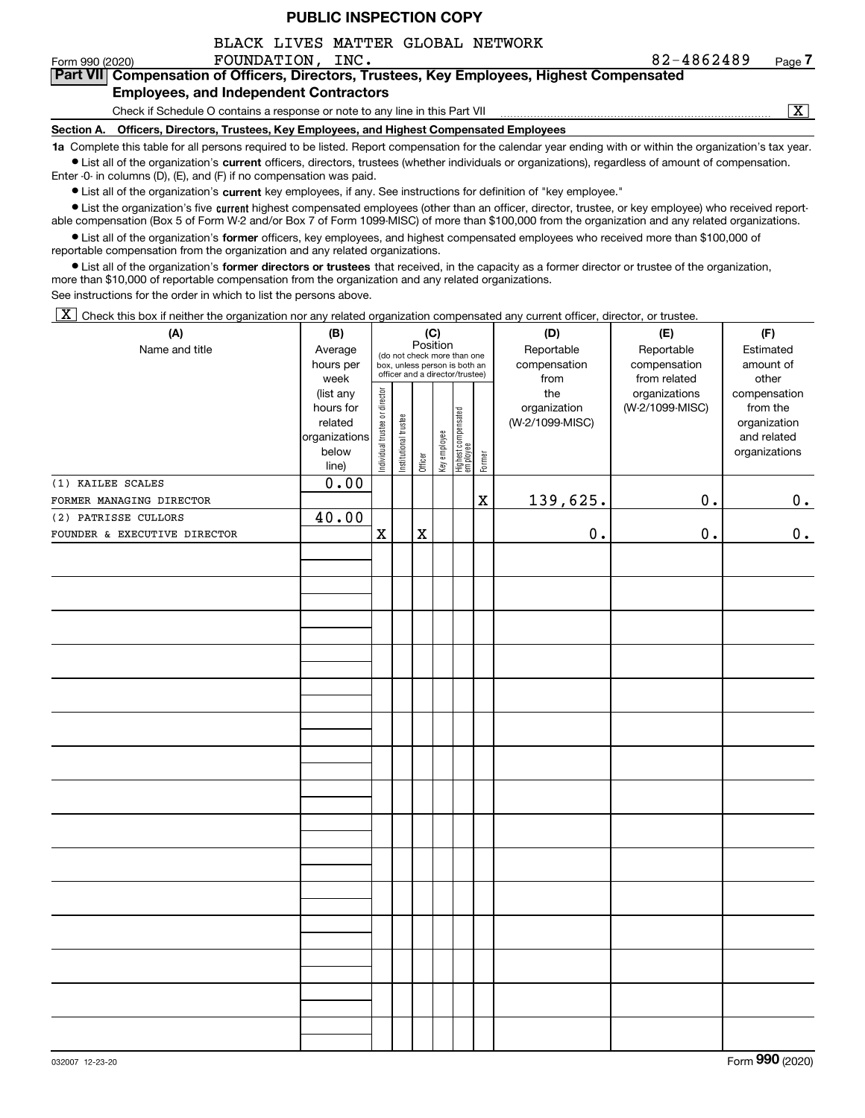BLACK LIVES MATTER GLOBAL NETWORK

Form 990 (2020) **FOUNDATION, INC.** 8 2-4 8 6 2 4 8 9 <sub>Page</sub>

# **7Part VII Compensation of Officers, Directors, Trustees, Key Employees, Highest Compensated Employees, and Independent Contractors**

Check if Schedule O contains a response or note to any line in this Part VII

 $\boxed{\text{X}}$ 

**Section A. Officers, Directors, Trustees, Key Employees, and Highest Compensated Employees**

**1a**  Complete this table for all persons required to be listed. Report compensation for the calendar year ending with or within the organization's tax year. **•** List all of the organization's current officers, directors, trustees (whether individuals or organizations), regardless of amount of compensation.

Enter -0- in columns (D), (E), and (F) if no compensation was paid.

● List all of the organization's **current** key employees, if any. See instructions for definition of "key employee."<br>● List the organization's five current bighest compensated employees (other than an officer, director, t

• List the organization's five current highest compensated employees (other than an officer, director, trustee, or key employee) who received report-■ List the organization's five current highest compensated employees (other than an officer, director, trustee, or key employee) who received report-<br>able compensation (Box 5 of Form W-2 and/or Box 7 of Form 1099-MISC) of

**•** List all of the organization's former officers, key employees, and highest compensated employees who received more than \$100,000 of reportable compensation from the organization and any related organizations.

**former directors or trustees**  ¥ List all of the organization's that received, in the capacity as a former director or trustee of the organization, more than \$10,000 of reportable compensation from the organization and any related organizations.

See instructions for the order in which to list the persons above.

 $\boxed{\textbf{X}}$  Check this box if neither the organization nor any related organization compensated any current officer, director, or trustee.

| (A)                          | (B)                                                                  |                                |                                                                                                             |             | (C)          |                                 |             | (D)                                    | (E)                                        | (F)                                                                      |
|------------------------------|----------------------------------------------------------------------|--------------------------------|-------------------------------------------------------------------------------------------------------------|-------------|--------------|---------------------------------|-------------|----------------------------------------|--------------------------------------------|--------------------------------------------------------------------------|
| Name and title               | Average<br>hours per<br>week                                         |                                | Position<br>(do not check more than one<br>box, unless person is both an<br>officer and a director/trustee) |             |              |                                 |             | Reportable<br>compensation<br>from     | Reportable<br>compensation<br>from related | Estimated<br>amount of<br>other                                          |
|                              | (list any<br>hours for<br>related<br>organizations<br>below<br>line) | Individual trustee or director | Institutional trustee                                                                                       | Officer     | Key employee | Highest compensated<br>employee | Former      | the<br>organization<br>(W-2/1099-MISC) | organizations<br>(W-2/1099-MISC)           | compensation<br>from the<br>organization<br>and related<br>organizations |
| (1) KAILEE SCALES            | 0.00                                                                 |                                |                                                                                                             |             |              |                                 |             |                                        |                                            |                                                                          |
| FORMER MANAGING DIRECTOR     |                                                                      |                                |                                                                                                             |             |              |                                 | $\mathbf X$ | 139,625.                               | 0.                                         | 0.                                                                       |
| (2) PATRISSE CULLORS         | 40.00                                                                |                                |                                                                                                             |             |              |                                 |             |                                        |                                            |                                                                          |
| FOUNDER & EXECUTIVE DIRECTOR |                                                                      | $\mathbf X$                    |                                                                                                             | $\mathbf X$ |              |                                 |             | $\mathbf 0$ .                          | $0$ .                                      | 0.                                                                       |
|                              |                                                                      |                                |                                                                                                             |             |              |                                 |             |                                        |                                            |                                                                          |
|                              |                                                                      |                                |                                                                                                             |             |              |                                 |             |                                        |                                            |                                                                          |
|                              |                                                                      |                                |                                                                                                             |             |              |                                 |             |                                        |                                            |                                                                          |
|                              |                                                                      |                                |                                                                                                             |             |              |                                 |             |                                        |                                            |                                                                          |
|                              |                                                                      |                                |                                                                                                             |             |              |                                 |             |                                        |                                            |                                                                          |
|                              |                                                                      |                                |                                                                                                             |             |              |                                 |             |                                        |                                            |                                                                          |
|                              |                                                                      |                                |                                                                                                             |             |              |                                 |             |                                        |                                            |                                                                          |
|                              |                                                                      |                                |                                                                                                             |             |              |                                 |             |                                        |                                            |                                                                          |
|                              |                                                                      |                                |                                                                                                             |             |              |                                 |             |                                        |                                            |                                                                          |
|                              |                                                                      |                                |                                                                                                             |             |              |                                 |             |                                        |                                            |                                                                          |
|                              |                                                                      |                                |                                                                                                             |             |              |                                 |             |                                        |                                            |                                                                          |
|                              |                                                                      |                                |                                                                                                             |             |              |                                 |             |                                        |                                            |                                                                          |
|                              |                                                                      |                                |                                                                                                             |             |              |                                 |             |                                        |                                            |                                                                          |
|                              |                                                                      |                                |                                                                                                             |             |              |                                 |             |                                        |                                            |                                                                          |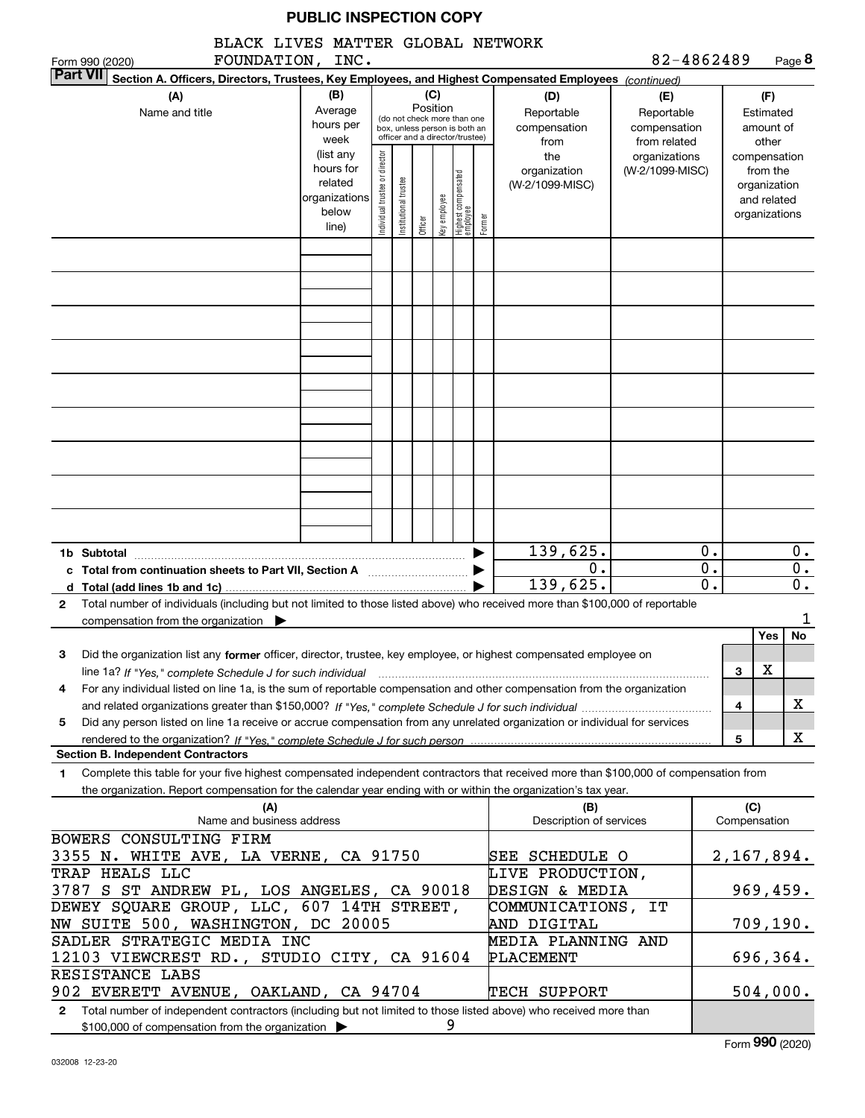BLACK LIVES MATTER GLOBAL NETWORK

| FOUNDATION, INC.<br>Form 990 (2020)<br><b>Part VII</b>                                                                                                                                                                                                                         |                                                                              |                               |                      |                 |              |                                                                                                 |        |                                                | 82-4862489                                       |          |                                                                                   |                               | Page 8           |
|--------------------------------------------------------------------------------------------------------------------------------------------------------------------------------------------------------------------------------------------------------------------------------|------------------------------------------------------------------------------|-------------------------------|----------------------|-----------------|--------------|-------------------------------------------------------------------------------------------------|--------|------------------------------------------------|--------------------------------------------------|----------|-----------------------------------------------------------------------------------|-------------------------------|------------------|
| Section A. Officers, Directors, Trustees, Key Employees, and Highest Compensated Employees (continued)<br>(A)<br>Name and title                                                                                                                                                | (B)<br>Average<br>hours per                                                  |                               |                      | (C)<br>Position |              | (do not check more than one<br>box, unless person is both an<br>officer and a director/trustee) |        | (D)<br>Reportable<br>compensation              | (E)<br>Reportable<br>compensation                |          |                                                                                   | (F)<br>Estimated<br>amount of |                  |
|                                                                                                                                                                                                                                                                                | week<br>(list any<br>hours for<br>related<br>organizations<br>below<br>line) | ndividual trustee or director | nstitutional trustee | Officer         | key employee | Highest compensated<br>employee                                                                 | Former | from<br>the<br>organization<br>(W-2/1099-MISC) | from related<br>organizations<br>(W-2/1099-MISC) |          | other<br>compensation<br>from the<br>organization<br>and related<br>organizations |                               |                  |
|                                                                                                                                                                                                                                                                                |                                                                              |                               |                      |                 |              |                                                                                                 |        |                                                |                                                  |          |                                                                                   |                               |                  |
|                                                                                                                                                                                                                                                                                |                                                                              |                               |                      |                 |              |                                                                                                 |        |                                                |                                                  |          |                                                                                   |                               |                  |
|                                                                                                                                                                                                                                                                                |                                                                              |                               |                      |                 |              |                                                                                                 |        |                                                |                                                  |          |                                                                                   |                               |                  |
|                                                                                                                                                                                                                                                                                |                                                                              |                               |                      |                 |              |                                                                                                 |        |                                                |                                                  |          |                                                                                   |                               |                  |
|                                                                                                                                                                                                                                                                                |                                                                              |                               |                      |                 |              |                                                                                                 |        |                                                |                                                  |          |                                                                                   |                               |                  |
|                                                                                                                                                                                                                                                                                |                                                                              |                               |                      |                 |              |                                                                                                 |        |                                                |                                                  |          |                                                                                   |                               |                  |
|                                                                                                                                                                                                                                                                                |                                                                              |                               |                      |                 |              |                                                                                                 |        |                                                |                                                  |          |                                                                                   |                               |                  |
|                                                                                                                                                                                                                                                                                |                                                                              |                               |                      |                 |              |                                                                                                 |        |                                                |                                                  |          |                                                                                   |                               |                  |
|                                                                                                                                                                                                                                                                                |                                                                              |                               |                      |                 |              |                                                                                                 |        |                                                |                                                  |          |                                                                                   |                               |                  |
| 1b Subtotal<br>Total from continuation sheets to Part VII, Section A [ [ [ [ [ [ [ ] ] ] [ ] Total from continuation sheets to Part VII, Section A                                                                                                                             |                                                                              |                               |                      |                 |              |                                                                                                 | ▶      | 139,625.<br>Ο.                                 |                                                  | 0.<br>0. |                                                                                   |                               | 0.<br>0.         |
| d Total (add lines 1b and 1c)<br>Total number of individuals (including but not limited to those listed above) who received more than \$100,000 of reportable<br>2                                                                                                             |                                                                              |                               |                      |                 |              |                                                                                                 |        | 139,625.                                       |                                                  | 0.       |                                                                                   |                               | $\overline{0}$ . |
| compensation from the organization $\blacktriangleright$                                                                                                                                                                                                                       |                                                                              |                               |                      |                 |              |                                                                                                 |        |                                                |                                                  |          |                                                                                   | Yes                           | 1<br>No          |
| Did the organization list any former officer, director, trustee, key employee, or highest compensated employee on<br>з<br>line 1a? If "Yes," complete Schedule J for such individual manufactured contained and the line 1a? If "Yes," complete Schedule J for such individual |                                                                              |                               |                      |                 |              |                                                                                                 |        |                                                |                                                  |          | З                                                                                 | х                             |                  |
| For any individual listed on line 1a, is the sum of reportable compensation and other compensation from the organization<br>4                                                                                                                                                  |                                                                              |                               |                      |                 |              |                                                                                                 |        |                                                |                                                  |          | 4                                                                                 |                               | x                |
| Did any person listed on line 1a receive or accrue compensation from any unrelated organization or individual for services<br>5                                                                                                                                                |                                                                              |                               |                      |                 |              |                                                                                                 |        |                                                |                                                  |          | 5                                                                                 |                               | X                |
| <b>Section B. Independent Contractors</b>                                                                                                                                                                                                                                      |                                                                              |                               |                      |                 |              |                                                                                                 |        |                                                |                                                  |          |                                                                                   |                               |                  |
| Complete this table for your five highest compensated independent contractors that received more than \$100,000 of compensation from<br>1<br>the organization. Report compensation for the calendar year ending with or within the organization's tax year.                    |                                                                              |                               |                      |                 |              |                                                                                                 |        |                                                |                                                  |          |                                                                                   |                               |                  |
| (A)<br>Name and business address                                                                                                                                                                                                                                               |                                                                              |                               |                      |                 |              |                                                                                                 |        | (B)<br>Description of services                 |                                                  |          | (C)<br>Compensation                                                               |                               |                  |
| BOWERS CONSULTING FIRM<br>3355 N. WHITE AVE, LA VERNE, CA 91750                                                                                                                                                                                                                |                                                                              |                               |                      |                 |              |                                                                                                 |        | <b>SEE SCHEDULE O</b>                          |                                                  |          | 2, 167, 894.                                                                      |                               |                  |
| TRAP HEALS LLC<br>3787 S ST ANDREW PL, LOS ANGELES, CA 90018                                                                                                                                                                                                                   |                                                                              |                               |                      |                 |              |                                                                                                 |        | LIVE PRODUCTION,<br>DESIGN & MEDIA             |                                                  |          | 969,459.                                                                          |                               |                  |
| DEWEY SQUARE GROUP, LLC, 607 14TH STREET,<br>NW SUITE 500, WASHINGTON, DC 20005                                                                                                                                                                                                |                                                                              |                               |                      |                 |              |                                                                                                 |        | COMMUNICATIONS, IT<br>AND DIGITAL              |                                                  |          |                                                                                   | 709,190.                      |                  |
| SADLER STRATEGIC MEDIA INC<br>MEDIA PLANNING AND<br>12103 VIEWCREST RD., STUDIO CITY, CA 91604<br>PLACEMENT                                                                                                                                                                    |                                                                              |                               |                      |                 |              |                                                                                                 |        |                                                |                                                  |          |                                                                                   |                               |                  |
| 696,364.<br>RESISTANCE LABS<br>504,000.<br>902 EVERETT AVENUE, OAKLAND, CA 94704<br>TECH SUPPORT                                                                                                                                                                               |                                                                              |                               |                      |                 |              |                                                                                                 |        |                                                |                                                  |          |                                                                                   |                               |                  |

**2**Total number of independent contractors (including but not limited to those listed above) who received more than \$100,000 of compensation from the organization 9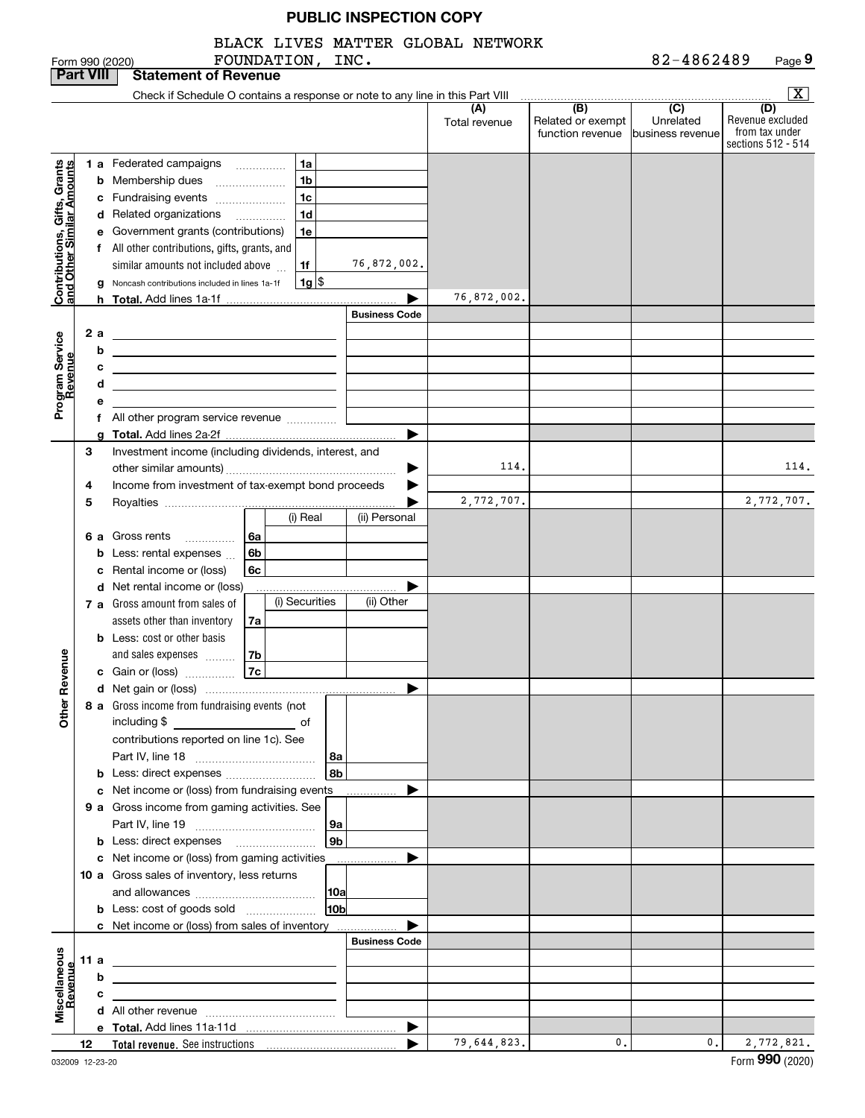|                                                           |                                                  |   | FOUNDATION, INC.<br>Form 990 (2020)                                                                                   |                    |                      | BLACK LIVES MATTER GLOBAL NETWORK |                                                                                              | 82-4862489                    | Page 9                                                          |
|-----------------------------------------------------------|--------------------------------------------------|---|-----------------------------------------------------------------------------------------------------------------------|--------------------|----------------------|-----------------------------------|----------------------------------------------------------------------------------------------|-------------------------------|-----------------------------------------------------------------|
| <b>Part VIII</b>                                          |                                                  |   | <b>Statement of Revenue</b>                                                                                           |                    |                      |                                   |                                                                                              |                               |                                                                 |
|                                                           |                                                  |   | Check if Schedule O contains a response or note to any line in this Part VIII                                         |                    |                      |                                   |                                                                                              |                               | $\overline{\mathbf{x}}$                                         |
|                                                           |                                                  |   |                                                                                                                       |                    |                      | (A)<br>Total revenue              | $\overline{(\mathsf{B})}$ $\overline{(\mathsf{C})}$<br>Related or exempt<br>function revenue | Unrelated<br>business revenue | (D)<br>Revenue excluded<br>from tax under<br>sections 512 - 514 |
|                                                           |                                                  |   | 1 a Federated campaigns                                                                                               | 1a                 |                      |                                   |                                                                                              |                               |                                                                 |
| Contributions, Gifts, Grants<br>and Other Similar Amounts |                                                  |   | <b>b</b> Membership dues                                                                                              | 1 <sub>b</sub>     |                      |                                   |                                                                                              |                               |                                                                 |
|                                                           |                                                  |   | c Fundraising events                                                                                                  | 1c                 |                      |                                   |                                                                                              |                               |                                                                 |
|                                                           |                                                  |   | d Related organizations                                                                                               | 1d                 |                      |                                   |                                                                                              |                               |                                                                 |
|                                                           |                                                  |   | e Government grants (contributions)                                                                                   | 1e                 |                      |                                   |                                                                                              |                               |                                                                 |
|                                                           |                                                  |   | f All other contributions, gifts, grants, and                                                                         |                    |                      |                                   |                                                                                              |                               |                                                                 |
|                                                           |                                                  |   | similar amounts not included above                                                                                    | 1f                 | 76,872,002.          |                                   |                                                                                              |                               |                                                                 |
|                                                           |                                                  |   |                                                                                                                       |                    |                      |                                   |                                                                                              |                               |                                                                 |
|                                                           |                                                  | g | Noncash contributions included in lines 1a-1f                                                                         | $1g$ $\frac{1}{3}$ | ▶                    | 76,872,002.                       |                                                                                              |                               |                                                                 |
|                                                           |                                                  |   |                                                                                                                       |                    | <b>Business Code</b> |                                   |                                                                                              |                               |                                                                 |
|                                                           |                                                  |   |                                                                                                                       |                    |                      |                                   |                                                                                              |                               |                                                                 |
| Program Service<br>Revenue                                | 2a                                               |   | <u> 1980 - Johann Barn, amerikansk politiker (</u>                                                                    |                    |                      |                                   |                                                                                              |                               |                                                                 |
|                                                           |                                                  | b | <u> 1989 - Johann Stein, mars an de Frankrik (f. 1989)</u>                                                            |                    |                      |                                   |                                                                                              |                               |                                                                 |
|                                                           |                                                  | c | <u> 1989 - Johann Stein, mars an deus Amerikaansk kommunister (</u>                                                   |                    |                      |                                   |                                                                                              |                               |                                                                 |
|                                                           |                                                  | d | <u> 1989 - Johann Barn, mars ann an t-Amhair an t-Amhair an t-Amhair an t-Amhair an t-Amhair an t-Amhair an t-Amh</u> |                    |                      |                                   |                                                                                              |                               |                                                                 |
|                                                           |                                                  | е |                                                                                                                       |                    |                      |                                   |                                                                                              |                               |                                                                 |
|                                                           |                                                  |   | f All other program service revenue                                                                                   |                    |                      |                                   |                                                                                              |                               |                                                                 |
|                                                           |                                                  |   |                                                                                                                       |                    |                      |                                   |                                                                                              |                               |                                                                 |
|                                                           | 3                                                |   | Investment income (including dividends, interest, and                                                                 |                    |                      |                                   |                                                                                              |                               |                                                                 |
|                                                           |                                                  |   |                                                                                                                       |                    | ▶                    | 114.                              |                                                                                              |                               | 114.                                                            |
|                                                           | 4                                                |   | Income from investment of tax-exempt bond proceeds                                                                    |                    |                      |                                   |                                                                                              |                               |                                                                 |
|                                                           | 5                                                |   |                                                                                                                       |                    |                      | 2,772,707.                        |                                                                                              |                               | 2,772,707.                                                      |
|                                                           |                                                  |   |                                                                                                                       | (i) Real           | (ii) Personal        |                                   |                                                                                              |                               |                                                                 |
|                                                           |                                                  |   | <b>6 a</b> Gross rents<br>6а                                                                                          |                    |                      |                                   |                                                                                              |                               |                                                                 |
|                                                           | 6 <sub>b</sub><br><b>b</b> Less: rental expenses |   |                                                                                                                       |                    |                      |                                   |                                                                                              |                               |                                                                 |
|                                                           |                                                  | с | Rental income or (loss)<br>6с                                                                                         |                    |                      |                                   |                                                                                              |                               |                                                                 |
|                                                           |                                                  |   | <b>d</b> Net rental income or (loss)                                                                                  |                    |                      |                                   |                                                                                              |                               |                                                                 |
|                                                           |                                                  |   | 7 a Gross amount from sales of                                                                                        | (i) Securities     | (ii) Other           |                                   |                                                                                              |                               |                                                                 |
|                                                           |                                                  |   | assets other than inventory<br>7a                                                                                     |                    |                      |                                   |                                                                                              |                               |                                                                 |
|                                                           |                                                  |   | <b>b</b> Less: cost or other basis                                                                                    |                    |                      |                                   |                                                                                              |                               |                                                                 |
|                                                           |                                                  |   | 7b<br>and sales expenses                                                                                              |                    |                      |                                   |                                                                                              |                               |                                                                 |
|                                                           |                                                  |   | $\overline{z}$                                                                                                        |                    |                      |                                   |                                                                                              |                               |                                                                 |
|                                                           |                                                  |   |                                                                                                                       |                    |                      |                                   |                                                                                              |                               |                                                                 |
|                                                           |                                                  |   | 8 a Gross income from fundraising events (not                                                                         |                    |                      |                                   |                                                                                              |                               |                                                                 |
| Other Revenue                                             |                                                  |   | $\overline{\phantom{a}}$ of<br>including \$                                                                           |                    |                      |                                   |                                                                                              |                               |                                                                 |
|                                                           |                                                  |   | contributions reported on line 1c). See                                                                               |                    |                      |                                   |                                                                                              |                               |                                                                 |
|                                                           |                                                  |   |                                                                                                                       | 8a                 |                      |                                   |                                                                                              |                               |                                                                 |
|                                                           |                                                  |   |                                                                                                                       | l 8b               |                      |                                   |                                                                                              |                               |                                                                 |
|                                                           |                                                  |   | c Net income or (loss) from fundraising events                                                                        |                    | .                    |                                   |                                                                                              |                               |                                                                 |
|                                                           |                                                  |   | 9 a Gross income from gaming activities. See                                                                          |                    |                      |                                   |                                                                                              |                               |                                                                 |
|                                                           |                                                  |   |                                                                                                                       | 9а                 |                      |                                   |                                                                                              |                               |                                                                 |
|                                                           |                                                  |   | <b>b</b> Less: direct expenses                                                                                        | 9b                 |                      |                                   |                                                                                              |                               |                                                                 |
|                                                           |                                                  |   | c Net income or (loss) from gaming activities                                                                         |                    |                      |                                   |                                                                                              |                               |                                                                 |
|                                                           |                                                  |   | 10 a Gross sales of inventory, less returns                                                                           |                    | .                    |                                   |                                                                                              |                               |                                                                 |
|                                                           |                                                  |   |                                                                                                                       | 10a                |                      |                                   |                                                                                              |                               |                                                                 |
|                                                           |                                                  |   | <b>b</b> Less: cost of goods sold                                                                                     | 10 <sub>b</sub>    |                      |                                   |                                                                                              |                               |                                                                 |
|                                                           |                                                  |   | c Net income or (loss) from sales of inventory                                                                        |                    |                      |                                   |                                                                                              |                               |                                                                 |
|                                                           |                                                  |   |                                                                                                                       |                    | <b>Business Code</b> |                                   |                                                                                              |                               |                                                                 |
|                                                           |                                                  |   |                                                                                                                       |                    |                      |                                   |                                                                                              |                               |                                                                 |
|                                                           | 11 a                                             |   |                                                                                                                       |                    |                      |                                   |                                                                                              |                               |                                                                 |
| Revenue                                                   |                                                  | b |                                                                                                                       |                    |                      |                                   |                                                                                              |                               |                                                                 |
| Miscellaneous                                             |                                                  | c |                                                                                                                       |                    |                      |                                   |                                                                                              |                               |                                                                 |
|                                                           |                                                  |   |                                                                                                                       |                    |                      |                                   |                                                                                              |                               |                                                                 |
|                                                           |                                                  |   |                                                                                                                       |                    | ▶                    | 79,644,823.                       | $\mathbf{0}$ .                                                                               | 0.                            |                                                                 |
|                                                           | 12                                               |   |                                                                                                                       |                    |                      |                                   |                                                                                              |                               | 2,772,821.<br>$000 \; \text{const}$                             |

032009 12-23-20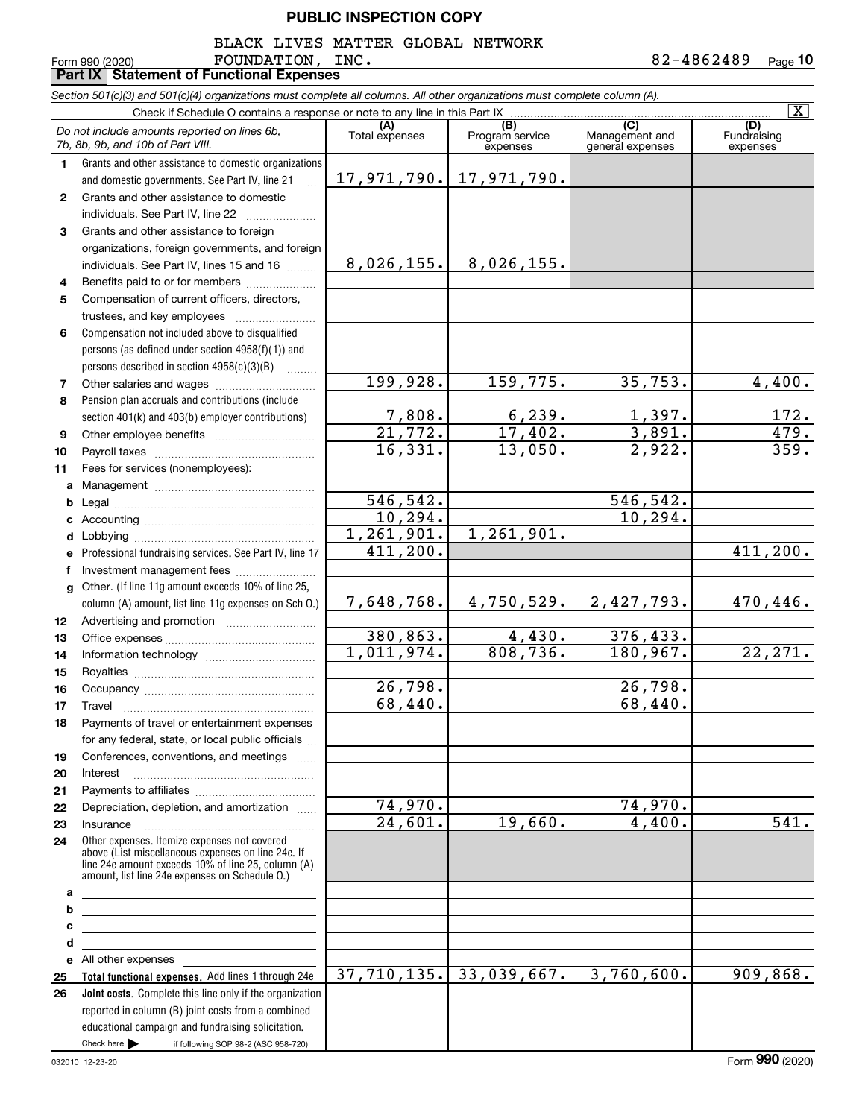BLACK LIVES MATTER GLOBAL NETWORK

**10**  ${\tt FOUNDATION}$ ,  ${\tt INC.}$  82-4862489

|                | Form 990 (2020)<br>FOUNDATION,<br><b>Part IX Statement of Functional Expenses</b>                                                                                                                          | TMC.                                |                                    |                                           | 82-4862489<br>Page 10   |
|----------------|------------------------------------------------------------------------------------------------------------------------------------------------------------------------------------------------------------|-------------------------------------|------------------------------------|-------------------------------------------|-------------------------|
|                | Section 501(c)(3) and 501(c)(4) organizations must complete all columns. All other organizations must complete column (A).                                                                                 |                                     |                                    |                                           |                         |
|                | Check if Schedule O contains a response or note to any line in this Part IX                                                                                                                                |                                     |                                    |                                           | $\overline{\mathbf{x}}$ |
|                | Do not include amounts reported on lines 6b,<br>7b, 8b, 9b, and 10b of Part VIII.                                                                                                                          | (A)<br>Total expenses               | (B)<br>Program service<br>expenses | (C)<br>Management and<br>general expenses | Fundraising<br>expenses |
| 1.             | Grants and other assistance to domestic organizations                                                                                                                                                      |                                     |                                    |                                           |                         |
|                | and domestic governments. See Part IV, line 21                                                                                                                                                             | 17,971,790.                         | 17,971,790.                        |                                           |                         |
| $\mathbf{2}^-$ | Grants and other assistance to domestic                                                                                                                                                                    |                                     |                                    |                                           |                         |
|                | individuals. See Part IV, line 22                                                                                                                                                                          |                                     |                                    |                                           |                         |
| 3              | Grants and other assistance to foreign                                                                                                                                                                     |                                     |                                    |                                           |                         |
|                | organizations, foreign governments, and foreign                                                                                                                                                            |                                     |                                    |                                           |                         |
|                | individuals. See Part IV, lines 15 and 16                                                                                                                                                                  | 8,026,155.                          | 8,026,155.                         |                                           |                         |
| 4              | Benefits paid to or for members                                                                                                                                                                            |                                     |                                    |                                           |                         |
| 5              | Compensation of current officers, directors,                                                                                                                                                               |                                     |                                    |                                           |                         |
|                | trustees, and key employees                                                                                                                                                                                |                                     |                                    |                                           |                         |
| 6              | Compensation not included above to disqualified                                                                                                                                                            |                                     |                                    |                                           |                         |
|                | persons (as defined under section 4958(f)(1)) and                                                                                                                                                          |                                     |                                    |                                           |                         |
|                | persons described in section 4958(c)(3)(B)                                                                                                                                                                 |                                     |                                    |                                           |                         |
| 7              |                                                                                                                                                                                                            | 199,928.                            | 159,775.                           | 35,753.                                   | 4,400.                  |
| 8              | Pension plan accruals and contributions (include                                                                                                                                                           |                                     |                                    |                                           |                         |
|                | section 401(k) and 403(b) employer contributions)                                                                                                                                                          | 7,808.                              | 6, 239.                            | 1,397.                                    | 172.                    |
| 9              |                                                                                                                                                                                                            | $\overline{21}$ , 772.              | 17,402.                            | 3,891.                                    | $\overline{479}$ .      |
| 10             |                                                                                                                                                                                                            | $\overline{16,331}$ .               | 13,050.                            | 2,922.                                    | 359.                    |
| 11             | Fees for services (nonemployees):                                                                                                                                                                          |                                     |                                    |                                           |                         |
|                |                                                                                                                                                                                                            |                                     |                                    |                                           |                         |
| b              |                                                                                                                                                                                                            | 546,542.                            |                                    | 546,542.<br>10,294.                       |                         |
|                |                                                                                                                                                                                                            | 10, 294.<br>$\overline{1,261},901.$ | 1,261,901.                         |                                           |                         |
| d              |                                                                                                                                                                                                            | 411,200.                            |                                    |                                           | 411,200.                |
| е              | Professional fundraising services. See Part IV, line 17                                                                                                                                                    |                                     |                                    |                                           |                         |
| f              | Investment management fees                                                                                                                                                                                 |                                     |                                    |                                           |                         |
|                | g Other. (If line 11g amount exceeds 10% of line 25,<br>column (A) amount, list line 11g expenses on Sch 0.)                                                                                               | 7,648,768.                          | 4,750,529.                         | 2,427,793.                                | 470,446.                |
| 12             |                                                                                                                                                                                                            |                                     |                                    |                                           |                         |
| 13             |                                                                                                                                                                                                            | 380,863.                            | 4,430.                             | 376,433.                                  |                         |
| 14             |                                                                                                                                                                                                            | 1,011,974.                          | 808,736.                           | 180,967.                                  | 22, 271.                |
| 15             |                                                                                                                                                                                                            |                                     |                                    |                                           |                         |
| 16             | Occupancy                                                                                                                                                                                                  | 26,798.                             |                                    | 26,798.                                   |                         |
| 17             | Travel                                                                                                                                                                                                     | 68,440.                             |                                    | 68,440.                                   |                         |
| 18             | Payments of travel or entertainment expenses                                                                                                                                                               |                                     |                                    |                                           |                         |
|                | for any federal, state, or local public officials                                                                                                                                                          |                                     |                                    |                                           |                         |
| 19             | Conferences, conventions, and meetings                                                                                                                                                                     |                                     |                                    |                                           |                         |
| 20             | Interest                                                                                                                                                                                                   |                                     |                                    |                                           |                         |
| 21             |                                                                                                                                                                                                            |                                     |                                    |                                           |                         |
| 22             | Depreciation, depletion, and amortization                                                                                                                                                                  | 74,970.                             |                                    | 74,970.                                   |                         |
| 23             |                                                                                                                                                                                                            | 24,601.                             | 19,660.                            | 4,400.                                    | 541.                    |
| 24             | Other expenses. Itemize expenses not covered<br>above (List miscellaneous expenses on line 24e. If<br>line 24e amount exceeds 10% of line 25, column (A)<br>amount, list line 24e expenses on Schedule O.) |                                     |                                    |                                           |                         |
| а<br>b         | the control of the control of the control of the control of the control of                                                                                                                                 |                                     |                                    |                                           |                         |
| с              | <u> 1989 - Johann Stein, marwolaethau a bhann an t-Amhair an t-Amhair an t-Amhair an t-Amhair an t-Amhair an t-A</u>                                                                                       |                                     |                                    |                                           |                         |
| d              |                                                                                                                                                                                                            |                                     |                                    |                                           |                         |
|                |                                                                                                                                                                                                            |                                     |                                    |                                           |                         |
| 25             | Total functional expenses. Add lines 1 through 24e                                                                                                                                                         | 37,710,135.                         | 33,039,667.                        | 3,760,600.                                | 909,868.                |
| 26             | Joint costs. Complete this line only if the organization                                                                                                                                                   |                                     |                                    |                                           |                         |
|                | reported in column (B) joint costs from a combined                                                                                                                                                         |                                     |                                    |                                           |                         |
|                | educational campaign and fundraising solicitation.                                                                                                                                                         |                                     |                                    |                                           |                         |
|                | Check here<br>if following SOP 98-2 (ASC 958-720)                                                                                                                                                          |                                     |                                    |                                           |                         |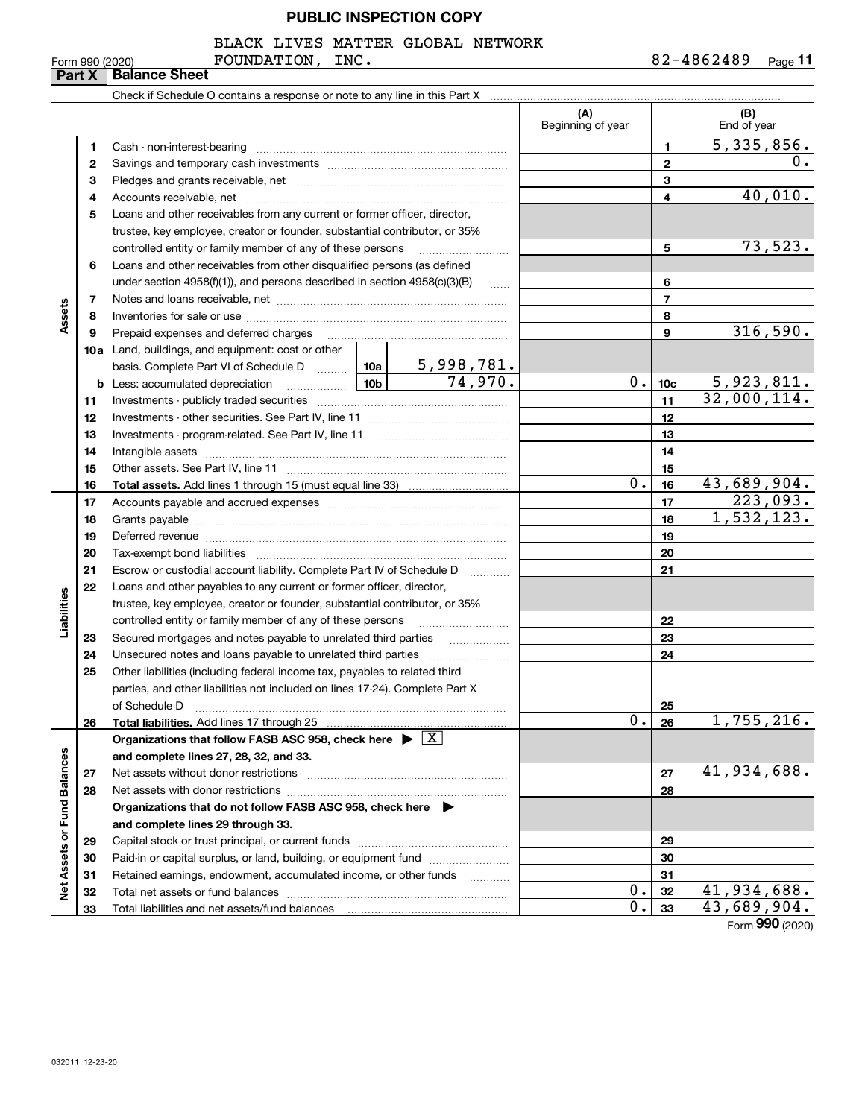BLACK LIVES MATTER GLOBAL NETWORK

# Check if Schedule O contains a response or note to any line in this Part X **Part X Balance Sheet**

|                             |    |                                                                                                                                                                                                                                |  |                   | (A)<br>Beginning of year |                 | (B)<br>End of year              |
|-----------------------------|----|--------------------------------------------------------------------------------------------------------------------------------------------------------------------------------------------------------------------------------|--|-------------------|--------------------------|-----------------|---------------------------------|
|                             | 1. |                                                                                                                                                                                                                                |  |                   |                          | 1               | 5,335,856.                      |
|                             | 2  |                                                                                                                                                                                                                                |  |                   |                          | 2               | 0.                              |
|                             | З  |                                                                                                                                                                                                                                |  |                   |                          | з               |                                 |
|                             | 4  |                                                                                                                                                                                                                                |  |                   |                          | 4               | 40,010.                         |
|                             | 5  | Loans and other receivables from any current or former officer, director,                                                                                                                                                      |  |                   |                          |                 |                                 |
|                             |    |                                                                                                                                                                                                                                |  |                   |                          |                 |                                 |
|                             |    | trustee, key employee, creator or founder, substantial contributor, or 35%                                                                                                                                                     |  |                   |                          |                 | 73,523.                         |
|                             |    | controlled entity or family member of any of these persons                                                                                                                                                                     |  |                   |                          | 5               |                                 |
|                             | 6  | Loans and other receivables from other disqualified persons (as defined                                                                                                                                                        |  |                   |                          |                 |                                 |
|                             |    | under section $4958(f)(1)$ , and persons described in section $4958(c)(3)(B)$                                                                                                                                                  |  | 6                 |                          |                 |                                 |
|                             | 7  |                                                                                                                                                                                                                                |  |                   |                          | 7               |                                 |
| Assets                      | 8  |                                                                                                                                                                                                                                |  |                   |                          | 8               | 316,590.                        |
|                             | 9  | Prepaid expenses and deferred charges                                                                                                                                                                                          |  |                   |                          | 9               |                                 |
|                             |    | <b>10a</b> Land, buildings, and equipment: cost or other                                                                                                                                                                       |  |                   |                          |                 |                                 |
|                             |    | basis. Complete Part VI of Schedule D  10a   5,998,781.                                                                                                                                                                        |  | $\frac{74,970.}{$ |                          |                 |                                 |
|                             |    |                                                                                                                                                                                                                                |  |                   | 0.1                      | 10 <sub>c</sub> | 5,923,811.                      |
|                             | 11 |                                                                                                                                                                                                                                |  |                   | 11                       | 32,000,114.     |                                 |
|                             | 12 |                                                                                                                                                                                                                                |  |                   |                          | 12              |                                 |
|                             | 13 | Investments - program-related. See Part IV, line 11                                                                                                                                                                            |  |                   |                          | 13              |                                 |
|                             | 14 |                                                                                                                                                                                                                                |  |                   | 14                       |                 |                                 |
|                             | 15 |                                                                                                                                                                                                                                |  |                   |                          | 15              |                                 |
|                             | 16 |                                                                                                                                                                                                                                |  |                   | 0.                       | 16              | 43,689,904.                     |
|                             | 17 |                                                                                                                                                                                                                                |  |                   |                          | 17              | 223,093.                        |
|                             | 18 |                                                                                                                                                                                                                                |  |                   | 18                       | 1,532,123.      |                                 |
|                             | 19 | Deferred revenue manual contracts and contracts are contracted and contract and contract are contracted and contract are contracted and contract are contracted and contract are contracted and contract are contracted and co |  | 19                |                          |                 |                                 |
|                             | 20 |                                                                                                                                                                                                                                |  | 20                |                          |                 |                                 |
|                             | 21 | Escrow or custodial account liability. Complete Part IV of Schedule D                                                                                                                                                          |  | 21                |                          |                 |                                 |
|                             | 22 | Loans and other payables to any current or former officer, director,                                                                                                                                                           |  |                   |                          |                 |                                 |
| Liabilities                 |    | trustee, key employee, creator or founder, substantial contributor, or 35%                                                                                                                                                     |  |                   |                          |                 |                                 |
|                             |    | controlled entity or family member of any of these persons                                                                                                                                                                     |  |                   |                          | 22              |                                 |
|                             | 23 | Secured mortgages and notes payable to unrelated third parties                                                                                                                                                                 |  | .                 |                          | 23              |                                 |
|                             | 24 |                                                                                                                                                                                                                                |  |                   |                          | 24              |                                 |
|                             | 25 | Other liabilities (including federal income tax, payables to related third                                                                                                                                                     |  |                   |                          |                 |                                 |
|                             |    | parties, and other liabilities not included on lines 17-24). Complete Part X                                                                                                                                                   |  |                   |                          |                 |                                 |
|                             |    | of Schedule D                                                                                                                                                                                                                  |  |                   |                          | 25              |                                 |
|                             | 26 |                                                                                                                                                                                                                                |  |                   | 0.                       | 26              | 1,755,216.                      |
|                             |    | Organizations that follow FASB ASC 958, check here $\triangleright \lfloor X \rfloor$                                                                                                                                          |  |                   |                          |                 |                                 |
|                             |    | and complete lines 27, 28, 32, and 33.                                                                                                                                                                                         |  |                   |                          |                 |                                 |
|                             | 27 |                                                                                                                                                                                                                                |  |                   |                          | 27              | 41,934,688.                     |
|                             | 28 |                                                                                                                                                                                                                                |  |                   |                          | 28              |                                 |
|                             |    | Organizations that do not follow FASB ASC 958, check here ▶                                                                                                                                                                    |  |                   |                          |                 |                                 |
|                             |    | and complete lines 29 through 33.                                                                                                                                                                                              |  |                   |                          |                 |                                 |
|                             | 29 |                                                                                                                                                                                                                                |  |                   |                          | 29              |                                 |
|                             | 30 | Paid-in or capital surplus, or land, building, or equipment fund                                                                                                                                                               |  |                   |                          | 30              |                                 |
| Net Assets or Fund Balances | 31 | Retained earnings, endowment, accumulated income, or other funds                                                                                                                                                               |  |                   |                          | 31              |                                 |
|                             | 32 |                                                                                                                                                                                                                                |  |                   | 0.                       | 32              | 41,934,688.                     |
|                             | 33 |                                                                                                                                                                                                                                |  |                   | 0.                       | 33              | 43,689,904.<br>Form $990(2020)$ |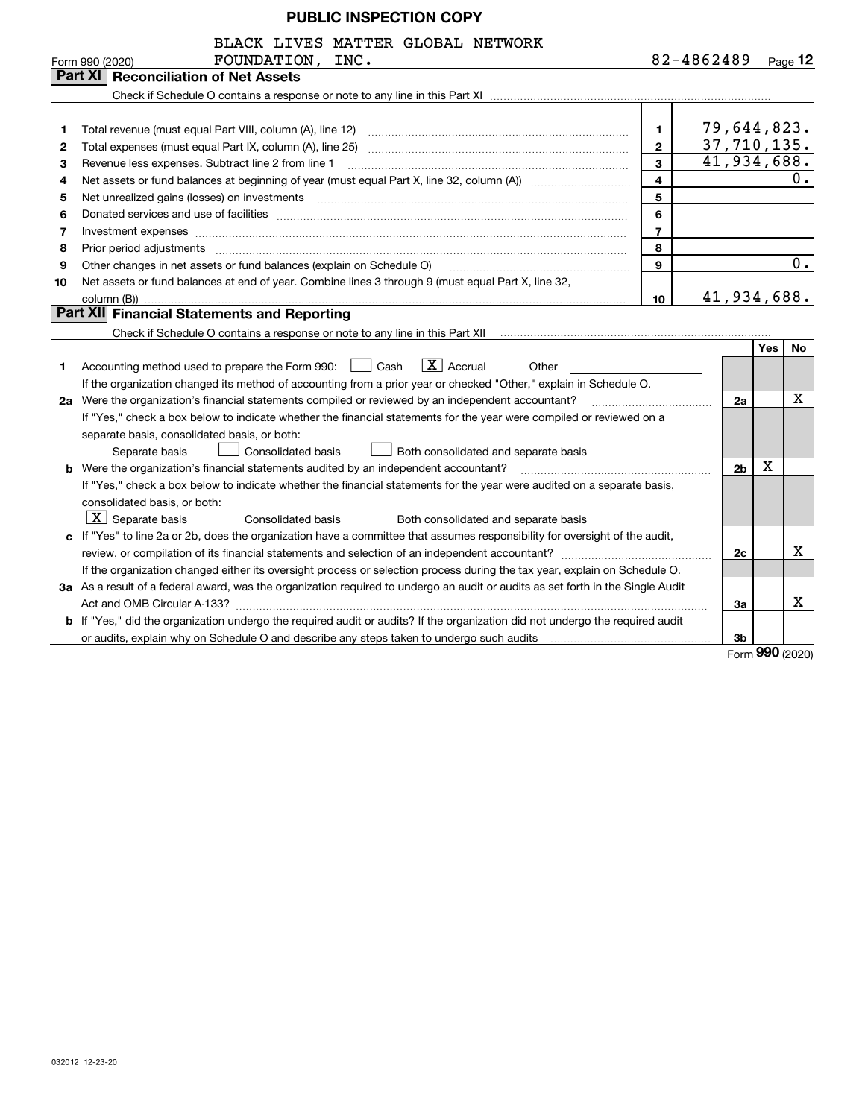BLACK LIVES MATTER GLOBAL NETWORK

|                | BLACK LIVES MATTER GLOBAL NETWORK                                                                                                                                                                                              |   |             |                     |
|----------------|--------------------------------------------------------------------------------------------------------------------------------------------------------------------------------------------------------------------------------|---|-------------|---------------------|
|                | FOUNDATION, INC.<br>Form 990 (2020)                                                                                                                                                                                            |   | 82-4862489  | $_{\text{Page}}$ 12 |
|                | <b>Part XI   Reconciliation of Net Assets</b>                                                                                                                                                                                  |   |             |                     |
|                |                                                                                                                                                                                                                                |   |             |                     |
|                |                                                                                                                                                                                                                                |   |             |                     |
|                | Total revenue (must equal Part VIII, column (A), line 12)                                                                                                                                                                      |   | 79,644,823. |                     |
| $\overline{2}$ | Total expenses (must equal Part IX, column (A), line 25)                                                                                                                                                                       | 2 | 37,710,135. |                     |
| 3              | Revenue less expenses. Subtract line 2 from line 1                                                                                                                                                                             | 3 | 41,934,688. |                     |
| 4              |                                                                                                                                                                                                                                | 4 |             |                     |
| 5.             | Net unrealized gains (losses) on investments                                                                                                                                                                                   | 5 |             |                     |
| 6.             | Donated services and use of facilities                                                                                                                                                                                         | 6 |             |                     |
|                | Investment expenses www.communication.communication.com/newstment expenses www.communication.com                                                                                                                               |   |             |                     |
| 8              | Prior period adjustments [11] prior period adjustments [11] prior period adjustments [11] prior period adjustments [11] prior period and prior period and prior period and prior period and period and period and period and p | 8 |             |                     |
| 9              | Other changes in net assets or fund balances (explain on Schedule O)                                                                                                                                                           | 9 |             |                     |
|                | in a contract of the contract and the contract of the contract of the contract of the contract of the contract                                                                                                                 |   |             |                     |

| 10 Net assets or fund balances at end of year. Combine lines 3 through 9 (must equal Part X, line 32, |
|-------------------------------------------------------------------------------------------------------|
| $\text{colium}(R)$                                                                                    |

# column (B)) **Part XII Financial Statements and Reporting**

**Part XI** 

Check if Schedule O contains a response or note to any line in this Part XII **Constitution and Contain and Conta** 

|                                                                                                           |                                                                                                                                      |    | Yes | No. |  |  |  |
|-----------------------------------------------------------------------------------------------------------|--------------------------------------------------------------------------------------------------------------------------------------|----|-----|-----|--|--|--|
| 1.                                                                                                        | $X$   Accrual<br>Accounting method used to prepare the Form 990:<br>Cash<br>Other                                                    |    |     |     |  |  |  |
|                                                                                                           | If the organization changed its method of accounting from a prior year or checked "Other," explain in Schedule O.                    |    |     |     |  |  |  |
| 2a                                                                                                        | Were the organization's financial statements compiled or reviewed by an independent accountant?                                      | 2a |     | х   |  |  |  |
|                                                                                                           | If "Yes," check a box below to indicate whether the financial statements for the year were compiled or reviewed on a                 |    |     |     |  |  |  |
|                                                                                                           | separate basis, consolidated basis, or both:                                                                                         |    |     |     |  |  |  |
|                                                                                                           | Consolidated basis<br>Both consolidated and separate basis<br>Separate basis                                                         |    |     |     |  |  |  |
| 2 <sub>b</sub><br>Were the organization's financial statements audited by an independent accountant?<br>b |                                                                                                                                      |    |     |     |  |  |  |
|                                                                                                           | If "Yes," check a box below to indicate whether the financial statements for the year were audited on a separate basis,              |    |     |     |  |  |  |
|                                                                                                           | consolidated basis, or both:                                                                                                         |    |     |     |  |  |  |
|                                                                                                           | $\overline{\mathbf{X}}$ Separate basis<br>Consolidated basis<br>Both consolidated and separate basis                                 |    |     |     |  |  |  |
|                                                                                                           | c If "Yes" to line 2a or 2b, does the organization have a committee that assumes responsibility for oversight of the audit,          |    |     |     |  |  |  |
|                                                                                                           | review, or compilation of its financial statements and selection of an independent accountant?                                       | 2c |     | x   |  |  |  |
|                                                                                                           | If the organization changed either its oversight process or selection process during the tax year, explain on Schedule O.            |    |     |     |  |  |  |
|                                                                                                           | 3a As a result of a federal award, was the organization required to undergo an audit or audits as set forth in the Single Audit      |    |     |     |  |  |  |
|                                                                                                           | Act and OMB Circular A-133?                                                                                                          |    |     |     |  |  |  |
|                                                                                                           | <b>b</b> If "Yes," did the organization undergo the required audit or audits? If the organization did not undergo the required audit |    |     |     |  |  |  |
|                                                                                                           | or audits, explain why on Schedule O and describe any steps taken to undergo such audits                                             | 3b |     |     |  |  |  |

Form (2020) **990**

41,934,688.

**10**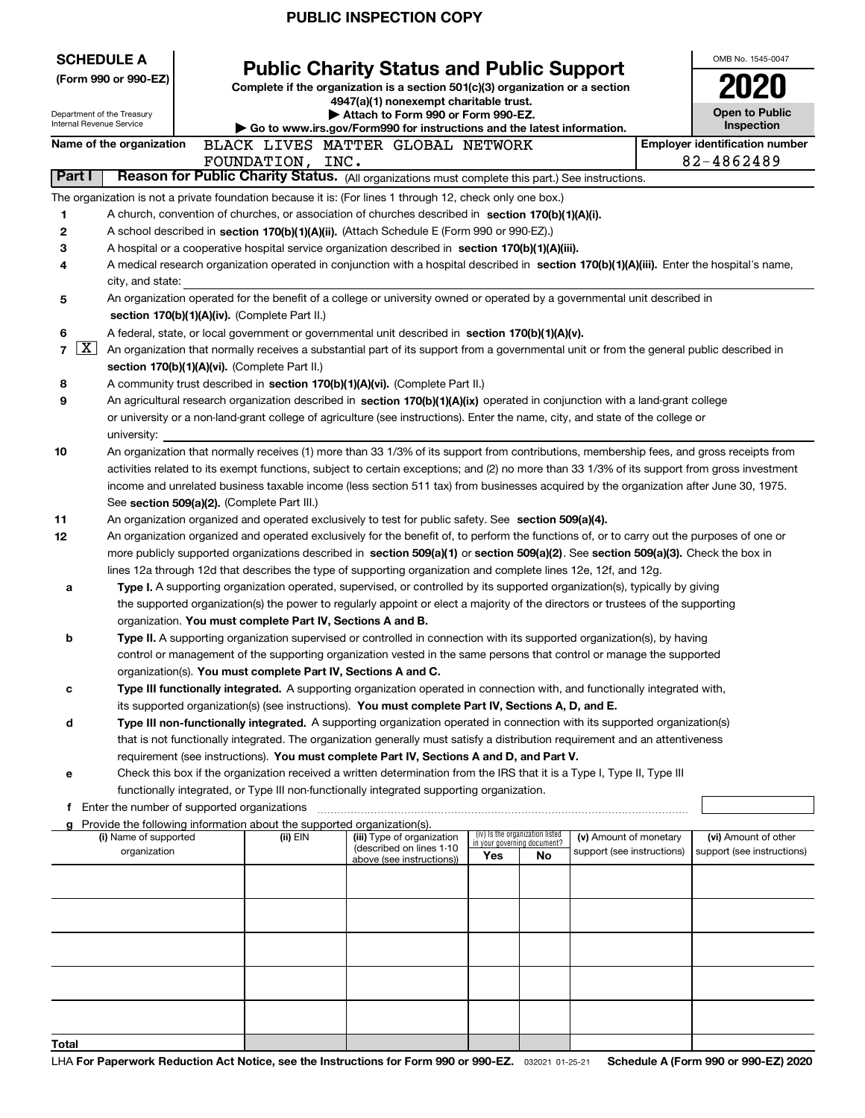| <b>SCHEDULE A</b> |                                                                                                                                                                                                                                                    |  |                                               |                                                                                                                                                                                                                                                      |  |     |                                                                |                            |  | OMB No. 1545-0047                                                                                                                            |
|-------------------|----------------------------------------------------------------------------------------------------------------------------------------------------------------------------------------------------------------------------------------------------|--|-----------------------------------------------|------------------------------------------------------------------------------------------------------------------------------------------------------------------------------------------------------------------------------------------------------|--|-----|----------------------------------------------------------------|----------------------------|--|----------------------------------------------------------------------------------------------------------------------------------------------|
|                   | (Form 990 or 990-EZ)                                                                                                                                                                                                                               |  |                                               | <b>Public Charity Status and Public Support</b><br>Complete if the organization is a section 501(c)(3) organization or a section                                                                                                                     |  |     |                                                                |                            |  |                                                                                                                                              |
|                   |                                                                                                                                                                                                                                                    |  |                                               | 4947(a)(1) nonexempt charitable trust.                                                                                                                                                                                                               |  |     |                                                                |                            |  |                                                                                                                                              |
|                   | Department of the Treasury<br>Internal Revenue Service                                                                                                                                                                                             |  |                                               | Attach to Form 990 or Form 990-EZ.<br>Go to www.irs.gov/Form990 for instructions and the latest information.                                                                                                                                         |  |     |                                                                |                            |  | <b>Open to Public</b><br>Inspection                                                                                                          |
|                   | Name of the organization                                                                                                                                                                                                                           |  |                                               | BLACK LIVES MATTER GLOBAL NETWORK                                                                                                                                                                                                                    |  |     |                                                                |                            |  | <b>Emplover identification number</b>                                                                                                        |
|                   |                                                                                                                                                                                                                                                    |  | FOUNDATION, INC.                              |                                                                                                                                                                                                                                                      |  |     |                                                                |                            |  | 82-4862489                                                                                                                                   |
| Part I            |                                                                                                                                                                                                                                                    |  |                                               | Reason for Public Charity Status. (All organizations must complete this part.) See instructions.                                                                                                                                                     |  |     |                                                                |                            |  |                                                                                                                                              |
|                   | The organization is not a private foundation because it is: (For lines 1 through 12, check only one box.)                                                                                                                                          |  |                                               |                                                                                                                                                                                                                                                      |  |     |                                                                |                            |  |                                                                                                                                              |
| 1                 |                                                                                                                                                                                                                                                    |  |                                               | A church, convention of churches, or association of churches described in section 170(b)(1)(A)(i).                                                                                                                                                   |  |     |                                                                |                            |  |                                                                                                                                              |
| 2                 |                                                                                                                                                                                                                                                    |  |                                               | A school described in section 170(b)(1)(A)(ii). (Attach Schedule E (Form 990 or 990-EZ).)                                                                                                                                                            |  |     |                                                                |                            |  |                                                                                                                                              |
| 3                 | A hospital or a cooperative hospital service organization described in section $170(b)(1)(A)(iii)$ .<br>A medical research organization operated in conjunction with a hospital described in section 170(b)(1)(A)(iii). Enter the hospital's name, |  |                                               |                                                                                                                                                                                                                                                      |  |     |                                                                |                            |  |                                                                                                                                              |
| 4                 | city, and state:                                                                                                                                                                                                                                   |  |                                               |                                                                                                                                                                                                                                                      |  |     |                                                                |                            |  |                                                                                                                                              |
| 5                 |                                                                                                                                                                                                                                                    |  |                                               | An organization operated for the benefit of a college or university owned or operated by a governmental unit described in                                                                                                                            |  |     |                                                                |                            |  |                                                                                                                                              |
|                   |                                                                                                                                                                                                                                                    |  | section 170(b)(1)(A)(iv). (Complete Part II.) |                                                                                                                                                                                                                                                      |  |     |                                                                |                            |  |                                                                                                                                              |
| 6                 |                                                                                                                                                                                                                                                    |  |                                               | A federal, state, or local government or governmental unit described in section 170(b)(1)(A)(v).                                                                                                                                                     |  |     |                                                                |                            |  |                                                                                                                                              |
| 7                 | $\lfloor x \rfloor$                                                                                                                                                                                                                                |  |                                               |                                                                                                                                                                                                                                                      |  |     |                                                                |                            |  | An organization that normally receives a substantial part of its support from a governmental unit or from the general public described in    |
|                   |                                                                                                                                                                                                                                                    |  | section 170(b)(1)(A)(vi). (Complete Part II.) |                                                                                                                                                                                                                                                      |  |     |                                                                |                            |  |                                                                                                                                              |
| 8                 |                                                                                                                                                                                                                                                    |  |                                               | A community trust described in section 170(b)(1)(A)(vi). (Complete Part II.)                                                                                                                                                                         |  |     |                                                                |                            |  |                                                                                                                                              |
| 9                 |                                                                                                                                                                                                                                                    |  |                                               | An agricultural research organization described in section 170(b)(1)(A)(ix) operated in conjunction with a land-grant college                                                                                                                        |  |     |                                                                |                            |  |                                                                                                                                              |
|                   | university:                                                                                                                                                                                                                                        |  |                                               | or university or a non-land-grant college of agriculture (see instructions). Enter the name, city, and state of the college or                                                                                                                       |  |     |                                                                |                            |  |                                                                                                                                              |
| 10                |                                                                                                                                                                                                                                                    |  |                                               |                                                                                                                                                                                                                                                      |  |     |                                                                |                            |  | An organization that normally receives (1) more than 33 1/3% of its support from contributions, membership fees, and gross receipts from     |
|                   |                                                                                                                                                                                                                                                    |  |                                               |                                                                                                                                                                                                                                                      |  |     |                                                                |                            |  | activities related to its exempt functions, subject to certain exceptions; and (2) no more than 33 1/3% of its support from gross investment |
|                   |                                                                                                                                                                                                                                                    |  |                                               |                                                                                                                                                                                                                                                      |  |     |                                                                |                            |  | income and unrelated business taxable income (less section 511 tax) from businesses acquired by the organization after June 30, 1975.        |
|                   |                                                                                                                                                                                                                                                    |  | See section 509(a)(2). (Complete Part III.)   |                                                                                                                                                                                                                                                      |  |     |                                                                |                            |  |                                                                                                                                              |
| 11                |                                                                                                                                                                                                                                                    |  |                                               | An organization organized and operated exclusively to test for public safety. See section 509(a)(4).                                                                                                                                                 |  |     |                                                                |                            |  |                                                                                                                                              |
| 12                |                                                                                                                                                                                                                                                    |  |                                               |                                                                                                                                                                                                                                                      |  |     |                                                                |                            |  | An organization organized and operated exclusively for the benefit of, to perform the functions of, or to carry out the purposes of one or   |
|                   |                                                                                                                                                                                                                                                    |  |                                               | more publicly supported organizations described in section 509(a)(1) or section 509(a)(2). See section 509(a)(3). Check the box in<br>lines 12a through 12d that describes the type of supporting organization and complete lines 12e, 12f, and 12g. |  |     |                                                                |                            |  |                                                                                                                                              |
| а                 |                                                                                                                                                                                                                                                    |  |                                               | Type I. A supporting organization operated, supervised, or controlled by its supported organization(s), typically by giving                                                                                                                          |  |     |                                                                |                            |  |                                                                                                                                              |
|                   |                                                                                                                                                                                                                                                    |  |                                               | the supported organization(s) the power to regularly appoint or elect a majority of the directors or trustees of the supporting                                                                                                                      |  |     |                                                                |                            |  |                                                                                                                                              |
|                   |                                                                                                                                                                                                                                                    |  |                                               | organization. You must complete Part IV, Sections A and B.                                                                                                                                                                                           |  |     |                                                                |                            |  |                                                                                                                                              |
| b                 |                                                                                                                                                                                                                                                    |  |                                               | Type II. A supporting organization supervised or controlled in connection with its supported organization(s), by having                                                                                                                              |  |     |                                                                |                            |  |                                                                                                                                              |
|                   |                                                                                                                                                                                                                                                    |  |                                               | control or management of the supporting organization vested in the same persons that control or manage the supported                                                                                                                                 |  |     |                                                                |                            |  |                                                                                                                                              |
|                   |                                                                                                                                                                                                                                                    |  |                                               | organization(s). You must complete Part IV, Sections A and C.                                                                                                                                                                                        |  |     |                                                                |                            |  |                                                                                                                                              |
| с                 |                                                                                                                                                                                                                                                    |  |                                               | Type III functionally integrated. A supporting organization operated in connection with, and functionally integrated with,                                                                                                                           |  |     |                                                                |                            |  |                                                                                                                                              |
|                   |                                                                                                                                                                                                                                                    |  |                                               | its supported organization(s) (see instructions). You must complete Part IV, Sections A, D, and E.                                                                                                                                                   |  |     |                                                                |                            |  |                                                                                                                                              |
| d                 |                                                                                                                                                                                                                                                    |  |                                               | Type III non-functionally integrated. A supporting organization operated in connection with its supported organization(s)                                                                                                                            |  |     |                                                                |                            |  |                                                                                                                                              |
|                   |                                                                                                                                                                                                                                                    |  |                                               | that is not functionally integrated. The organization generally must satisfy a distribution requirement and an attentiveness                                                                                                                         |  |     |                                                                |                            |  |                                                                                                                                              |
| е                 |                                                                                                                                                                                                                                                    |  |                                               | requirement (see instructions). You must complete Part IV, Sections A and D, and Part V.<br>Check this box if the organization received a written determination from the IRS that it is a Type I, Type II, Type III                                  |  |     |                                                                |                            |  |                                                                                                                                              |
|                   |                                                                                                                                                                                                                                                    |  |                                               | functionally integrated, or Type III non-functionally integrated supporting organization.                                                                                                                                                            |  |     |                                                                |                            |  |                                                                                                                                              |
| f                 | Enter the number of supported organizations                                                                                                                                                                                                        |  |                                               |                                                                                                                                                                                                                                                      |  |     |                                                                |                            |  |                                                                                                                                              |
| g                 | Provide the following information about the supported organization(s).                                                                                                                                                                             |  |                                               |                                                                                                                                                                                                                                                      |  |     |                                                                |                            |  |                                                                                                                                              |
|                   | (i) Name of supported                                                                                                                                                                                                                              |  | (ii) EIN                                      | (iii) Type of organization<br>(described on lines 1-10                                                                                                                                                                                               |  |     | (iv) Is the organization listed<br>in your governing document? | (v) Amount of monetary     |  | (vi) Amount of other                                                                                                                         |
|                   | organization                                                                                                                                                                                                                                       |  |                                               | above (see instructions))                                                                                                                                                                                                                            |  | Yes | No                                                             | support (see instructions) |  | support (see instructions)                                                                                                                   |
|                   |                                                                                                                                                                                                                                                    |  |                                               |                                                                                                                                                                                                                                                      |  |     |                                                                |                            |  |                                                                                                                                              |
|                   |                                                                                                                                                                                                                                                    |  |                                               |                                                                                                                                                                                                                                                      |  |     |                                                                |                            |  |                                                                                                                                              |
|                   |                                                                                                                                                                                                                                                    |  |                                               |                                                                                                                                                                                                                                                      |  |     |                                                                |                            |  |                                                                                                                                              |
|                   |                                                                                                                                                                                                                                                    |  |                                               |                                                                                                                                                                                                                                                      |  |     |                                                                |                            |  |                                                                                                                                              |
|                   |                                                                                                                                                                                                                                                    |  |                                               |                                                                                                                                                                                                                                                      |  |     |                                                                |                            |  |                                                                                                                                              |
|                   |                                                                                                                                                                                                                                                    |  |                                               |                                                                                                                                                                                                                                                      |  |     |                                                                |                            |  |                                                                                                                                              |
|                   |                                                                                                                                                                                                                                                    |  |                                               |                                                                                                                                                                                                                                                      |  |     |                                                                |                            |  |                                                                                                                                              |
|                   |                                                                                                                                                                                                                                                    |  |                                               |                                                                                                                                                                                                                                                      |  |     |                                                                |                            |  |                                                                                                                                              |
|                   |                                                                                                                                                                                                                                                    |  |                                               |                                                                                                                                                                                                                                                      |  |     |                                                                |                            |  |                                                                                                                                              |
| Total             |                                                                                                                                                                                                                                                    |  |                                               |                                                                                                                                                                                                                                                      |  |     |                                                                |                            |  |                                                                                                                                              |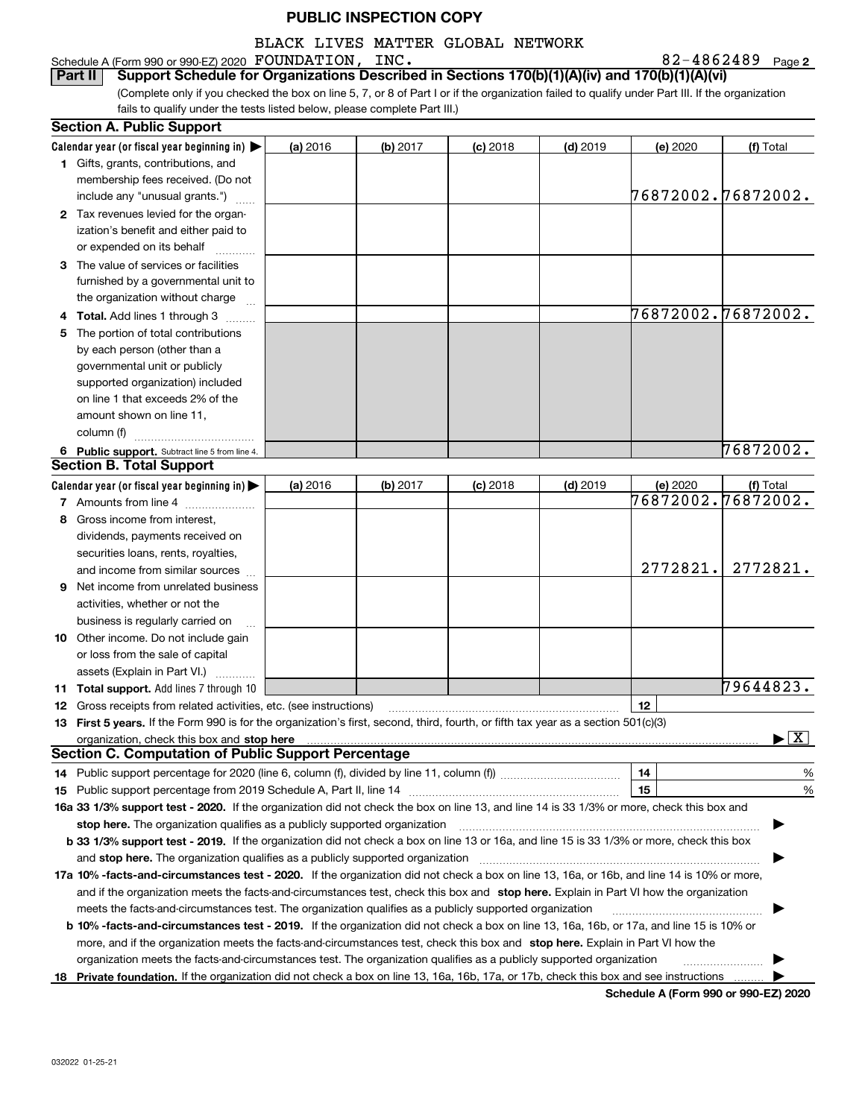## BLACK LIVES MATTER GLOBAL NETWORK

Schedule A (Form 990 or 990-EZ) 2020 Page FOUNDATION, INC. 82-4862489

**2**

(Complete only if you checked the box on line 5, 7, or 8 of Part I or if the organization failed to qualify under Part III. If the organization fails to qualify under the tests listed below, please complete Part III.) **Part II Support Schedule for Organizations Described in Sections 170(b)(1)(A)(iv) and 170(b)(1)(A)(vi)** 

| Calendar year (or fiscal year beginning in)<br>(a) 2016<br>(b) 2017<br>$(c)$ 2018<br>$(d)$ 2019<br>(e) 2020<br>(f) Total<br>1 Gifts, grants, contributions, and<br>membership fees received. (Do not<br>76872002.76872002.<br>include any "unusual grants.")<br>2 Tax revenues levied for the organ-<br>ization's benefit and either paid to<br>or expended on its behalf<br>3 The value of services or facilities<br>furnished by a governmental unit to<br>the organization without charge<br>76872002.76872002.<br>4 Total. Add lines 1 through 3<br>5 The portion of total contributions<br>by each person (other than a<br>governmental unit or publicly<br>supported organization) included<br>on line 1 that exceeds 2% of the<br>amount shown on line 11,<br>column (f)<br>76872002.<br>6 Public support. Subtract line 5 from line 4.<br><b>Section B. Total Support</b><br>Calendar year (or fiscal year beginning in)<br>(a) 2016<br>(b) 2017<br>$(c)$ 2018<br>$(d)$ 2019<br>(e) 2020<br>(f) Total<br>76872002.76872002.<br>7 Amounts from line 4<br>Gross income from interest,<br>8<br>dividends, payments received on<br>securities loans, rents, royalties,<br>2772821.<br>2772821.<br>and income from similar sources<br>Net income from unrelated business<br>9<br>activities, whether or not the<br>business is regularly carried on<br><b>10</b> Other income. Do not include gain<br>or loss from the sale of capital<br>assets (Explain in Part VI.)<br>79644823.<br>11 Total support. Add lines 7 through 10<br>12<br><b>12</b> Gross receipts from related activities, etc. (see instructions)<br>13 First 5 years. If the Form 990 is for the organization's first, second, third, fourth, or fifth tax year as a section 501(c)(3)<br>$\blacktriangleright$ $\boxed{\text{X}}$<br><b>Section C. Computation of Public Support Percentage</b><br>14<br>14 Public support percentage for 2020 (line 6, column (f), divided by line 11, column (f) <i>marroummaname</i><br>%<br>15<br>%<br>16a 33 1/3% support test - 2020. If the organization did not check the box on line 13, and line 14 is 33 1/3% or more, check this box and<br>stop here. The organization qualifies as a publicly supported organization<br>b 33 1/3% support test - 2019. If the organization did not check a box on line 13 or 16a, and line 15 is 33 1/3% or more, check this box<br>and stop here. The organization qualifies as a publicly supported organization<br>17a 10% -facts-and-circumstances test - 2020. If the organization did not check a box on line 13, 16a, or 16b, and line 14 is 10% or more,<br>and if the organization meets the facts-and-circumstances test, check this box and stop here. Explain in Part VI how the organization<br>meets the facts-and-circumstances test. The organization qualifies as a publicly supported organization<br><b>b 10% -facts-and-circumstances test - 2019.</b> If the organization did not check a box on line 13, 16a, 16b, or 17a, and line 15 is 10% or<br>more, and if the organization meets the facts-and-circumstances test, check this box and stop here. Explain in Part VI how the<br>organization meets the facts-and-circumstances test. The organization qualifies as a publicly supported organization<br>18 Private foundation. If the organization did not check a box on line 13, 16a, 16b, 17a, or 17b, check this box and see instructions | <b>Section A. Public Support</b> |  |  |  |  |  |  |  |  |  |
|-------------------------------------------------------------------------------------------------------------------------------------------------------------------------------------------------------------------------------------------------------------------------------------------------------------------------------------------------------------------------------------------------------------------------------------------------------------------------------------------------------------------------------------------------------------------------------------------------------------------------------------------------------------------------------------------------------------------------------------------------------------------------------------------------------------------------------------------------------------------------------------------------------------------------------------------------------------------------------------------------------------------------------------------------------------------------------------------------------------------------------------------------------------------------------------------------------------------------------------------------------------------------------------------------------------------------------------------------------------------------------------------------------------------------------------------------------------------------------------------------------------------------------------------------------------------------------------------------------------------------------------------------------------------------------------------------------------------------------------------------------------------------------------------------------------------------------------------------------------------------------------------------------------------------------------------------------------------------------------------------------------------------------------------------------------------------------------------------------------------------------------------------------------------------------------------------------------------------------------------------------------------------------------------------------------------------------------------------------------------------------------------------------------------------------------------------------------------------------------------------------------------------------------------------------------------------------------------------------------------------------------------------------------------------------------------------------------------------------------------------------------------------------------------------------------------------------------------------------------------------------------------------------------------------------------------------------------------------------------------------------------------------------------------------------------------------------------------------------------------------------------------------------------------------------------------------------------------------------------------------------------------------------------------------------------------------------------------------------------------------------------------------------------------------------|----------------------------------|--|--|--|--|--|--|--|--|--|
|                                                                                                                                                                                                                                                                                                                                                                                                                                                                                                                                                                                                                                                                                                                                                                                                                                                                                                                                                                                                                                                                                                                                                                                                                                                                                                                                                                                                                                                                                                                                                                                                                                                                                                                                                                                                                                                                                                                                                                                                                                                                                                                                                                                                                                                                                                                                                                                                                                                                                                                                                                                                                                                                                                                                                                                                                                                                                                                                                                                                                                                                                                                                                                                                                                                                                                                                                                                                                               |                                  |  |  |  |  |  |  |  |  |  |
|                                                                                                                                                                                                                                                                                                                                                                                                                                                                                                                                                                                                                                                                                                                                                                                                                                                                                                                                                                                                                                                                                                                                                                                                                                                                                                                                                                                                                                                                                                                                                                                                                                                                                                                                                                                                                                                                                                                                                                                                                                                                                                                                                                                                                                                                                                                                                                                                                                                                                                                                                                                                                                                                                                                                                                                                                                                                                                                                                                                                                                                                                                                                                                                                                                                                                                                                                                                                                               |                                  |  |  |  |  |  |  |  |  |  |
|                                                                                                                                                                                                                                                                                                                                                                                                                                                                                                                                                                                                                                                                                                                                                                                                                                                                                                                                                                                                                                                                                                                                                                                                                                                                                                                                                                                                                                                                                                                                                                                                                                                                                                                                                                                                                                                                                                                                                                                                                                                                                                                                                                                                                                                                                                                                                                                                                                                                                                                                                                                                                                                                                                                                                                                                                                                                                                                                                                                                                                                                                                                                                                                                                                                                                                                                                                                                                               |                                  |  |  |  |  |  |  |  |  |  |
|                                                                                                                                                                                                                                                                                                                                                                                                                                                                                                                                                                                                                                                                                                                                                                                                                                                                                                                                                                                                                                                                                                                                                                                                                                                                                                                                                                                                                                                                                                                                                                                                                                                                                                                                                                                                                                                                                                                                                                                                                                                                                                                                                                                                                                                                                                                                                                                                                                                                                                                                                                                                                                                                                                                                                                                                                                                                                                                                                                                                                                                                                                                                                                                                                                                                                                                                                                                                                               |                                  |  |  |  |  |  |  |  |  |  |
|                                                                                                                                                                                                                                                                                                                                                                                                                                                                                                                                                                                                                                                                                                                                                                                                                                                                                                                                                                                                                                                                                                                                                                                                                                                                                                                                                                                                                                                                                                                                                                                                                                                                                                                                                                                                                                                                                                                                                                                                                                                                                                                                                                                                                                                                                                                                                                                                                                                                                                                                                                                                                                                                                                                                                                                                                                                                                                                                                                                                                                                                                                                                                                                                                                                                                                                                                                                                                               |                                  |  |  |  |  |  |  |  |  |  |
|                                                                                                                                                                                                                                                                                                                                                                                                                                                                                                                                                                                                                                                                                                                                                                                                                                                                                                                                                                                                                                                                                                                                                                                                                                                                                                                                                                                                                                                                                                                                                                                                                                                                                                                                                                                                                                                                                                                                                                                                                                                                                                                                                                                                                                                                                                                                                                                                                                                                                                                                                                                                                                                                                                                                                                                                                                                                                                                                                                                                                                                                                                                                                                                                                                                                                                                                                                                                                               |                                  |  |  |  |  |  |  |  |  |  |
|                                                                                                                                                                                                                                                                                                                                                                                                                                                                                                                                                                                                                                                                                                                                                                                                                                                                                                                                                                                                                                                                                                                                                                                                                                                                                                                                                                                                                                                                                                                                                                                                                                                                                                                                                                                                                                                                                                                                                                                                                                                                                                                                                                                                                                                                                                                                                                                                                                                                                                                                                                                                                                                                                                                                                                                                                                                                                                                                                                                                                                                                                                                                                                                                                                                                                                                                                                                                                               |                                  |  |  |  |  |  |  |  |  |  |
|                                                                                                                                                                                                                                                                                                                                                                                                                                                                                                                                                                                                                                                                                                                                                                                                                                                                                                                                                                                                                                                                                                                                                                                                                                                                                                                                                                                                                                                                                                                                                                                                                                                                                                                                                                                                                                                                                                                                                                                                                                                                                                                                                                                                                                                                                                                                                                                                                                                                                                                                                                                                                                                                                                                                                                                                                                                                                                                                                                                                                                                                                                                                                                                                                                                                                                                                                                                                                               |                                  |  |  |  |  |  |  |  |  |  |
|                                                                                                                                                                                                                                                                                                                                                                                                                                                                                                                                                                                                                                                                                                                                                                                                                                                                                                                                                                                                                                                                                                                                                                                                                                                                                                                                                                                                                                                                                                                                                                                                                                                                                                                                                                                                                                                                                                                                                                                                                                                                                                                                                                                                                                                                                                                                                                                                                                                                                                                                                                                                                                                                                                                                                                                                                                                                                                                                                                                                                                                                                                                                                                                                                                                                                                                                                                                                                               |                                  |  |  |  |  |  |  |  |  |  |
|                                                                                                                                                                                                                                                                                                                                                                                                                                                                                                                                                                                                                                                                                                                                                                                                                                                                                                                                                                                                                                                                                                                                                                                                                                                                                                                                                                                                                                                                                                                                                                                                                                                                                                                                                                                                                                                                                                                                                                                                                                                                                                                                                                                                                                                                                                                                                                                                                                                                                                                                                                                                                                                                                                                                                                                                                                                                                                                                                                                                                                                                                                                                                                                                                                                                                                                                                                                                                               |                                  |  |  |  |  |  |  |  |  |  |
|                                                                                                                                                                                                                                                                                                                                                                                                                                                                                                                                                                                                                                                                                                                                                                                                                                                                                                                                                                                                                                                                                                                                                                                                                                                                                                                                                                                                                                                                                                                                                                                                                                                                                                                                                                                                                                                                                                                                                                                                                                                                                                                                                                                                                                                                                                                                                                                                                                                                                                                                                                                                                                                                                                                                                                                                                                                                                                                                                                                                                                                                                                                                                                                                                                                                                                                                                                                                                               |                                  |  |  |  |  |  |  |  |  |  |
|                                                                                                                                                                                                                                                                                                                                                                                                                                                                                                                                                                                                                                                                                                                                                                                                                                                                                                                                                                                                                                                                                                                                                                                                                                                                                                                                                                                                                                                                                                                                                                                                                                                                                                                                                                                                                                                                                                                                                                                                                                                                                                                                                                                                                                                                                                                                                                                                                                                                                                                                                                                                                                                                                                                                                                                                                                                                                                                                                                                                                                                                                                                                                                                                                                                                                                                                                                                                                               |                                  |  |  |  |  |  |  |  |  |  |
|                                                                                                                                                                                                                                                                                                                                                                                                                                                                                                                                                                                                                                                                                                                                                                                                                                                                                                                                                                                                                                                                                                                                                                                                                                                                                                                                                                                                                                                                                                                                                                                                                                                                                                                                                                                                                                                                                                                                                                                                                                                                                                                                                                                                                                                                                                                                                                                                                                                                                                                                                                                                                                                                                                                                                                                                                                                                                                                                                                                                                                                                                                                                                                                                                                                                                                                                                                                                                               |                                  |  |  |  |  |  |  |  |  |  |
|                                                                                                                                                                                                                                                                                                                                                                                                                                                                                                                                                                                                                                                                                                                                                                                                                                                                                                                                                                                                                                                                                                                                                                                                                                                                                                                                                                                                                                                                                                                                                                                                                                                                                                                                                                                                                                                                                                                                                                                                                                                                                                                                                                                                                                                                                                                                                                                                                                                                                                                                                                                                                                                                                                                                                                                                                                                                                                                                                                                                                                                                                                                                                                                                                                                                                                                                                                                                                               |                                  |  |  |  |  |  |  |  |  |  |
|                                                                                                                                                                                                                                                                                                                                                                                                                                                                                                                                                                                                                                                                                                                                                                                                                                                                                                                                                                                                                                                                                                                                                                                                                                                                                                                                                                                                                                                                                                                                                                                                                                                                                                                                                                                                                                                                                                                                                                                                                                                                                                                                                                                                                                                                                                                                                                                                                                                                                                                                                                                                                                                                                                                                                                                                                                                                                                                                                                                                                                                                                                                                                                                                                                                                                                                                                                                                                               |                                  |  |  |  |  |  |  |  |  |  |
|                                                                                                                                                                                                                                                                                                                                                                                                                                                                                                                                                                                                                                                                                                                                                                                                                                                                                                                                                                                                                                                                                                                                                                                                                                                                                                                                                                                                                                                                                                                                                                                                                                                                                                                                                                                                                                                                                                                                                                                                                                                                                                                                                                                                                                                                                                                                                                                                                                                                                                                                                                                                                                                                                                                                                                                                                                                                                                                                                                                                                                                                                                                                                                                                                                                                                                                                                                                                                               |                                  |  |  |  |  |  |  |  |  |  |
|                                                                                                                                                                                                                                                                                                                                                                                                                                                                                                                                                                                                                                                                                                                                                                                                                                                                                                                                                                                                                                                                                                                                                                                                                                                                                                                                                                                                                                                                                                                                                                                                                                                                                                                                                                                                                                                                                                                                                                                                                                                                                                                                                                                                                                                                                                                                                                                                                                                                                                                                                                                                                                                                                                                                                                                                                                                                                                                                                                                                                                                                                                                                                                                                                                                                                                                                                                                                                               |                                  |  |  |  |  |  |  |  |  |  |
|                                                                                                                                                                                                                                                                                                                                                                                                                                                                                                                                                                                                                                                                                                                                                                                                                                                                                                                                                                                                                                                                                                                                                                                                                                                                                                                                                                                                                                                                                                                                                                                                                                                                                                                                                                                                                                                                                                                                                                                                                                                                                                                                                                                                                                                                                                                                                                                                                                                                                                                                                                                                                                                                                                                                                                                                                                                                                                                                                                                                                                                                                                                                                                                                                                                                                                                                                                                                                               |                                  |  |  |  |  |  |  |  |  |  |
|                                                                                                                                                                                                                                                                                                                                                                                                                                                                                                                                                                                                                                                                                                                                                                                                                                                                                                                                                                                                                                                                                                                                                                                                                                                                                                                                                                                                                                                                                                                                                                                                                                                                                                                                                                                                                                                                                                                                                                                                                                                                                                                                                                                                                                                                                                                                                                                                                                                                                                                                                                                                                                                                                                                                                                                                                                                                                                                                                                                                                                                                                                                                                                                                                                                                                                                                                                                                                               |                                  |  |  |  |  |  |  |  |  |  |
|                                                                                                                                                                                                                                                                                                                                                                                                                                                                                                                                                                                                                                                                                                                                                                                                                                                                                                                                                                                                                                                                                                                                                                                                                                                                                                                                                                                                                                                                                                                                                                                                                                                                                                                                                                                                                                                                                                                                                                                                                                                                                                                                                                                                                                                                                                                                                                                                                                                                                                                                                                                                                                                                                                                                                                                                                                                                                                                                                                                                                                                                                                                                                                                                                                                                                                                                                                                                                               |                                  |  |  |  |  |  |  |  |  |  |
|                                                                                                                                                                                                                                                                                                                                                                                                                                                                                                                                                                                                                                                                                                                                                                                                                                                                                                                                                                                                                                                                                                                                                                                                                                                                                                                                                                                                                                                                                                                                                                                                                                                                                                                                                                                                                                                                                                                                                                                                                                                                                                                                                                                                                                                                                                                                                                                                                                                                                                                                                                                                                                                                                                                                                                                                                                                                                                                                                                                                                                                                                                                                                                                                                                                                                                                                                                                                                               |                                  |  |  |  |  |  |  |  |  |  |
|                                                                                                                                                                                                                                                                                                                                                                                                                                                                                                                                                                                                                                                                                                                                                                                                                                                                                                                                                                                                                                                                                                                                                                                                                                                                                                                                                                                                                                                                                                                                                                                                                                                                                                                                                                                                                                                                                                                                                                                                                                                                                                                                                                                                                                                                                                                                                                                                                                                                                                                                                                                                                                                                                                                                                                                                                                                                                                                                                                                                                                                                                                                                                                                                                                                                                                                                                                                                                               |                                  |  |  |  |  |  |  |  |  |  |
|                                                                                                                                                                                                                                                                                                                                                                                                                                                                                                                                                                                                                                                                                                                                                                                                                                                                                                                                                                                                                                                                                                                                                                                                                                                                                                                                                                                                                                                                                                                                                                                                                                                                                                                                                                                                                                                                                                                                                                                                                                                                                                                                                                                                                                                                                                                                                                                                                                                                                                                                                                                                                                                                                                                                                                                                                                                                                                                                                                                                                                                                                                                                                                                                                                                                                                                                                                                                                               |                                  |  |  |  |  |  |  |  |  |  |
|                                                                                                                                                                                                                                                                                                                                                                                                                                                                                                                                                                                                                                                                                                                                                                                                                                                                                                                                                                                                                                                                                                                                                                                                                                                                                                                                                                                                                                                                                                                                                                                                                                                                                                                                                                                                                                                                                                                                                                                                                                                                                                                                                                                                                                                                                                                                                                                                                                                                                                                                                                                                                                                                                                                                                                                                                                                                                                                                                                                                                                                                                                                                                                                                                                                                                                                                                                                                                               |                                  |  |  |  |  |  |  |  |  |  |
|                                                                                                                                                                                                                                                                                                                                                                                                                                                                                                                                                                                                                                                                                                                                                                                                                                                                                                                                                                                                                                                                                                                                                                                                                                                                                                                                                                                                                                                                                                                                                                                                                                                                                                                                                                                                                                                                                                                                                                                                                                                                                                                                                                                                                                                                                                                                                                                                                                                                                                                                                                                                                                                                                                                                                                                                                                                                                                                                                                                                                                                                                                                                                                                                                                                                                                                                                                                                                               |                                  |  |  |  |  |  |  |  |  |  |
|                                                                                                                                                                                                                                                                                                                                                                                                                                                                                                                                                                                                                                                                                                                                                                                                                                                                                                                                                                                                                                                                                                                                                                                                                                                                                                                                                                                                                                                                                                                                                                                                                                                                                                                                                                                                                                                                                                                                                                                                                                                                                                                                                                                                                                                                                                                                                                                                                                                                                                                                                                                                                                                                                                                                                                                                                                                                                                                                                                                                                                                                                                                                                                                                                                                                                                                                                                                                                               |                                  |  |  |  |  |  |  |  |  |  |
|                                                                                                                                                                                                                                                                                                                                                                                                                                                                                                                                                                                                                                                                                                                                                                                                                                                                                                                                                                                                                                                                                                                                                                                                                                                                                                                                                                                                                                                                                                                                                                                                                                                                                                                                                                                                                                                                                                                                                                                                                                                                                                                                                                                                                                                                                                                                                                                                                                                                                                                                                                                                                                                                                                                                                                                                                                                                                                                                                                                                                                                                                                                                                                                                                                                                                                                                                                                                                               |                                  |  |  |  |  |  |  |  |  |  |
|                                                                                                                                                                                                                                                                                                                                                                                                                                                                                                                                                                                                                                                                                                                                                                                                                                                                                                                                                                                                                                                                                                                                                                                                                                                                                                                                                                                                                                                                                                                                                                                                                                                                                                                                                                                                                                                                                                                                                                                                                                                                                                                                                                                                                                                                                                                                                                                                                                                                                                                                                                                                                                                                                                                                                                                                                                                                                                                                                                                                                                                                                                                                                                                                                                                                                                                                                                                                                               |                                  |  |  |  |  |  |  |  |  |  |
|                                                                                                                                                                                                                                                                                                                                                                                                                                                                                                                                                                                                                                                                                                                                                                                                                                                                                                                                                                                                                                                                                                                                                                                                                                                                                                                                                                                                                                                                                                                                                                                                                                                                                                                                                                                                                                                                                                                                                                                                                                                                                                                                                                                                                                                                                                                                                                                                                                                                                                                                                                                                                                                                                                                                                                                                                                                                                                                                                                                                                                                                                                                                                                                                                                                                                                                                                                                                                               |                                  |  |  |  |  |  |  |  |  |  |
|                                                                                                                                                                                                                                                                                                                                                                                                                                                                                                                                                                                                                                                                                                                                                                                                                                                                                                                                                                                                                                                                                                                                                                                                                                                                                                                                                                                                                                                                                                                                                                                                                                                                                                                                                                                                                                                                                                                                                                                                                                                                                                                                                                                                                                                                                                                                                                                                                                                                                                                                                                                                                                                                                                                                                                                                                                                                                                                                                                                                                                                                                                                                                                                                                                                                                                                                                                                                                               |                                  |  |  |  |  |  |  |  |  |  |
|                                                                                                                                                                                                                                                                                                                                                                                                                                                                                                                                                                                                                                                                                                                                                                                                                                                                                                                                                                                                                                                                                                                                                                                                                                                                                                                                                                                                                                                                                                                                                                                                                                                                                                                                                                                                                                                                                                                                                                                                                                                                                                                                                                                                                                                                                                                                                                                                                                                                                                                                                                                                                                                                                                                                                                                                                                                                                                                                                                                                                                                                                                                                                                                                                                                                                                                                                                                                                               |                                  |  |  |  |  |  |  |  |  |  |
|                                                                                                                                                                                                                                                                                                                                                                                                                                                                                                                                                                                                                                                                                                                                                                                                                                                                                                                                                                                                                                                                                                                                                                                                                                                                                                                                                                                                                                                                                                                                                                                                                                                                                                                                                                                                                                                                                                                                                                                                                                                                                                                                                                                                                                                                                                                                                                                                                                                                                                                                                                                                                                                                                                                                                                                                                                                                                                                                                                                                                                                                                                                                                                                                                                                                                                                                                                                                                               |                                  |  |  |  |  |  |  |  |  |  |
|                                                                                                                                                                                                                                                                                                                                                                                                                                                                                                                                                                                                                                                                                                                                                                                                                                                                                                                                                                                                                                                                                                                                                                                                                                                                                                                                                                                                                                                                                                                                                                                                                                                                                                                                                                                                                                                                                                                                                                                                                                                                                                                                                                                                                                                                                                                                                                                                                                                                                                                                                                                                                                                                                                                                                                                                                                                                                                                                                                                                                                                                                                                                                                                                                                                                                                                                                                                                                               |                                  |  |  |  |  |  |  |  |  |  |
|                                                                                                                                                                                                                                                                                                                                                                                                                                                                                                                                                                                                                                                                                                                                                                                                                                                                                                                                                                                                                                                                                                                                                                                                                                                                                                                                                                                                                                                                                                                                                                                                                                                                                                                                                                                                                                                                                                                                                                                                                                                                                                                                                                                                                                                                                                                                                                                                                                                                                                                                                                                                                                                                                                                                                                                                                                                                                                                                                                                                                                                                                                                                                                                                                                                                                                                                                                                                                               |                                  |  |  |  |  |  |  |  |  |  |
|                                                                                                                                                                                                                                                                                                                                                                                                                                                                                                                                                                                                                                                                                                                                                                                                                                                                                                                                                                                                                                                                                                                                                                                                                                                                                                                                                                                                                                                                                                                                                                                                                                                                                                                                                                                                                                                                                                                                                                                                                                                                                                                                                                                                                                                                                                                                                                                                                                                                                                                                                                                                                                                                                                                                                                                                                                                                                                                                                                                                                                                                                                                                                                                                                                                                                                                                                                                                                               |                                  |  |  |  |  |  |  |  |  |  |
|                                                                                                                                                                                                                                                                                                                                                                                                                                                                                                                                                                                                                                                                                                                                                                                                                                                                                                                                                                                                                                                                                                                                                                                                                                                                                                                                                                                                                                                                                                                                                                                                                                                                                                                                                                                                                                                                                                                                                                                                                                                                                                                                                                                                                                                                                                                                                                                                                                                                                                                                                                                                                                                                                                                                                                                                                                                                                                                                                                                                                                                                                                                                                                                                                                                                                                                                                                                                                               |                                  |  |  |  |  |  |  |  |  |  |
|                                                                                                                                                                                                                                                                                                                                                                                                                                                                                                                                                                                                                                                                                                                                                                                                                                                                                                                                                                                                                                                                                                                                                                                                                                                                                                                                                                                                                                                                                                                                                                                                                                                                                                                                                                                                                                                                                                                                                                                                                                                                                                                                                                                                                                                                                                                                                                                                                                                                                                                                                                                                                                                                                                                                                                                                                                                                                                                                                                                                                                                                                                                                                                                                                                                                                                                                                                                                                               |                                  |  |  |  |  |  |  |  |  |  |
|                                                                                                                                                                                                                                                                                                                                                                                                                                                                                                                                                                                                                                                                                                                                                                                                                                                                                                                                                                                                                                                                                                                                                                                                                                                                                                                                                                                                                                                                                                                                                                                                                                                                                                                                                                                                                                                                                                                                                                                                                                                                                                                                                                                                                                                                                                                                                                                                                                                                                                                                                                                                                                                                                                                                                                                                                                                                                                                                                                                                                                                                                                                                                                                                                                                                                                                                                                                                                               |                                  |  |  |  |  |  |  |  |  |  |
|                                                                                                                                                                                                                                                                                                                                                                                                                                                                                                                                                                                                                                                                                                                                                                                                                                                                                                                                                                                                                                                                                                                                                                                                                                                                                                                                                                                                                                                                                                                                                                                                                                                                                                                                                                                                                                                                                                                                                                                                                                                                                                                                                                                                                                                                                                                                                                                                                                                                                                                                                                                                                                                                                                                                                                                                                                                                                                                                                                                                                                                                                                                                                                                                                                                                                                                                                                                                                               |                                  |  |  |  |  |  |  |  |  |  |
|                                                                                                                                                                                                                                                                                                                                                                                                                                                                                                                                                                                                                                                                                                                                                                                                                                                                                                                                                                                                                                                                                                                                                                                                                                                                                                                                                                                                                                                                                                                                                                                                                                                                                                                                                                                                                                                                                                                                                                                                                                                                                                                                                                                                                                                                                                                                                                                                                                                                                                                                                                                                                                                                                                                                                                                                                                                                                                                                                                                                                                                                                                                                                                                                                                                                                                                                                                                                                               |                                  |  |  |  |  |  |  |  |  |  |
|                                                                                                                                                                                                                                                                                                                                                                                                                                                                                                                                                                                                                                                                                                                                                                                                                                                                                                                                                                                                                                                                                                                                                                                                                                                                                                                                                                                                                                                                                                                                                                                                                                                                                                                                                                                                                                                                                                                                                                                                                                                                                                                                                                                                                                                                                                                                                                                                                                                                                                                                                                                                                                                                                                                                                                                                                                                                                                                                                                                                                                                                                                                                                                                                                                                                                                                                                                                                                               |                                  |  |  |  |  |  |  |  |  |  |
|                                                                                                                                                                                                                                                                                                                                                                                                                                                                                                                                                                                                                                                                                                                                                                                                                                                                                                                                                                                                                                                                                                                                                                                                                                                                                                                                                                                                                                                                                                                                                                                                                                                                                                                                                                                                                                                                                                                                                                                                                                                                                                                                                                                                                                                                                                                                                                                                                                                                                                                                                                                                                                                                                                                                                                                                                                                                                                                                                                                                                                                                                                                                                                                                                                                                                                                                                                                                                               |                                  |  |  |  |  |  |  |  |  |  |
|                                                                                                                                                                                                                                                                                                                                                                                                                                                                                                                                                                                                                                                                                                                                                                                                                                                                                                                                                                                                                                                                                                                                                                                                                                                                                                                                                                                                                                                                                                                                                                                                                                                                                                                                                                                                                                                                                                                                                                                                                                                                                                                                                                                                                                                                                                                                                                                                                                                                                                                                                                                                                                                                                                                                                                                                                                                                                                                                                                                                                                                                                                                                                                                                                                                                                                                                                                                                                               |                                  |  |  |  |  |  |  |  |  |  |
|                                                                                                                                                                                                                                                                                                                                                                                                                                                                                                                                                                                                                                                                                                                                                                                                                                                                                                                                                                                                                                                                                                                                                                                                                                                                                                                                                                                                                                                                                                                                                                                                                                                                                                                                                                                                                                                                                                                                                                                                                                                                                                                                                                                                                                                                                                                                                                                                                                                                                                                                                                                                                                                                                                                                                                                                                                                                                                                                                                                                                                                                                                                                                                                                                                                                                                                                                                                                                               |                                  |  |  |  |  |  |  |  |  |  |
|                                                                                                                                                                                                                                                                                                                                                                                                                                                                                                                                                                                                                                                                                                                                                                                                                                                                                                                                                                                                                                                                                                                                                                                                                                                                                                                                                                                                                                                                                                                                                                                                                                                                                                                                                                                                                                                                                                                                                                                                                                                                                                                                                                                                                                                                                                                                                                                                                                                                                                                                                                                                                                                                                                                                                                                                                                                                                                                                                                                                                                                                                                                                                                                                                                                                                                                                                                                                                               |                                  |  |  |  |  |  |  |  |  |  |
|                                                                                                                                                                                                                                                                                                                                                                                                                                                                                                                                                                                                                                                                                                                                                                                                                                                                                                                                                                                                                                                                                                                                                                                                                                                                                                                                                                                                                                                                                                                                                                                                                                                                                                                                                                                                                                                                                                                                                                                                                                                                                                                                                                                                                                                                                                                                                                                                                                                                                                                                                                                                                                                                                                                                                                                                                                                                                                                                                                                                                                                                                                                                                                                                                                                                                                                                                                                                                               |                                  |  |  |  |  |  |  |  |  |  |
|                                                                                                                                                                                                                                                                                                                                                                                                                                                                                                                                                                                                                                                                                                                                                                                                                                                                                                                                                                                                                                                                                                                                                                                                                                                                                                                                                                                                                                                                                                                                                                                                                                                                                                                                                                                                                                                                                                                                                                                                                                                                                                                                                                                                                                                                                                                                                                                                                                                                                                                                                                                                                                                                                                                                                                                                                                                                                                                                                                                                                                                                                                                                                                                                                                                                                                                                                                                                                               |                                  |  |  |  |  |  |  |  |  |  |
|                                                                                                                                                                                                                                                                                                                                                                                                                                                                                                                                                                                                                                                                                                                                                                                                                                                                                                                                                                                                                                                                                                                                                                                                                                                                                                                                                                                                                                                                                                                                                                                                                                                                                                                                                                                                                                                                                                                                                                                                                                                                                                                                                                                                                                                                                                                                                                                                                                                                                                                                                                                                                                                                                                                                                                                                                                                                                                                                                                                                                                                                                                                                                                                                                                                                                                                                                                                                                               |                                  |  |  |  |  |  |  |  |  |  |
|                                                                                                                                                                                                                                                                                                                                                                                                                                                                                                                                                                                                                                                                                                                                                                                                                                                                                                                                                                                                                                                                                                                                                                                                                                                                                                                                                                                                                                                                                                                                                                                                                                                                                                                                                                                                                                                                                                                                                                                                                                                                                                                                                                                                                                                                                                                                                                                                                                                                                                                                                                                                                                                                                                                                                                                                                                                                                                                                                                                                                                                                                                                                                                                                                                                                                                                                                                                                                               |                                  |  |  |  |  |  |  |  |  |  |
|                                                                                                                                                                                                                                                                                                                                                                                                                                                                                                                                                                                                                                                                                                                                                                                                                                                                                                                                                                                                                                                                                                                                                                                                                                                                                                                                                                                                                                                                                                                                                                                                                                                                                                                                                                                                                                                                                                                                                                                                                                                                                                                                                                                                                                                                                                                                                                                                                                                                                                                                                                                                                                                                                                                                                                                                                                                                                                                                                                                                                                                                                                                                                                                                                                                                                                                                                                                                                               |                                  |  |  |  |  |  |  |  |  |  |
| Schodule A (Form 000 or 000 EZ) 2020                                                                                                                                                                                                                                                                                                                                                                                                                                                                                                                                                                                                                                                                                                                                                                                                                                                                                                                                                                                                                                                                                                                                                                                                                                                                                                                                                                                                                                                                                                                                                                                                                                                                                                                                                                                                                                                                                                                                                                                                                                                                                                                                                                                                                                                                                                                                                                                                                                                                                                                                                                                                                                                                                                                                                                                                                                                                                                                                                                                                                                                                                                                                                                                                                                                                                                                                                                                          |                                  |  |  |  |  |  |  |  |  |  |

**Schedule A (Form 990 or 990-EZ) 2020**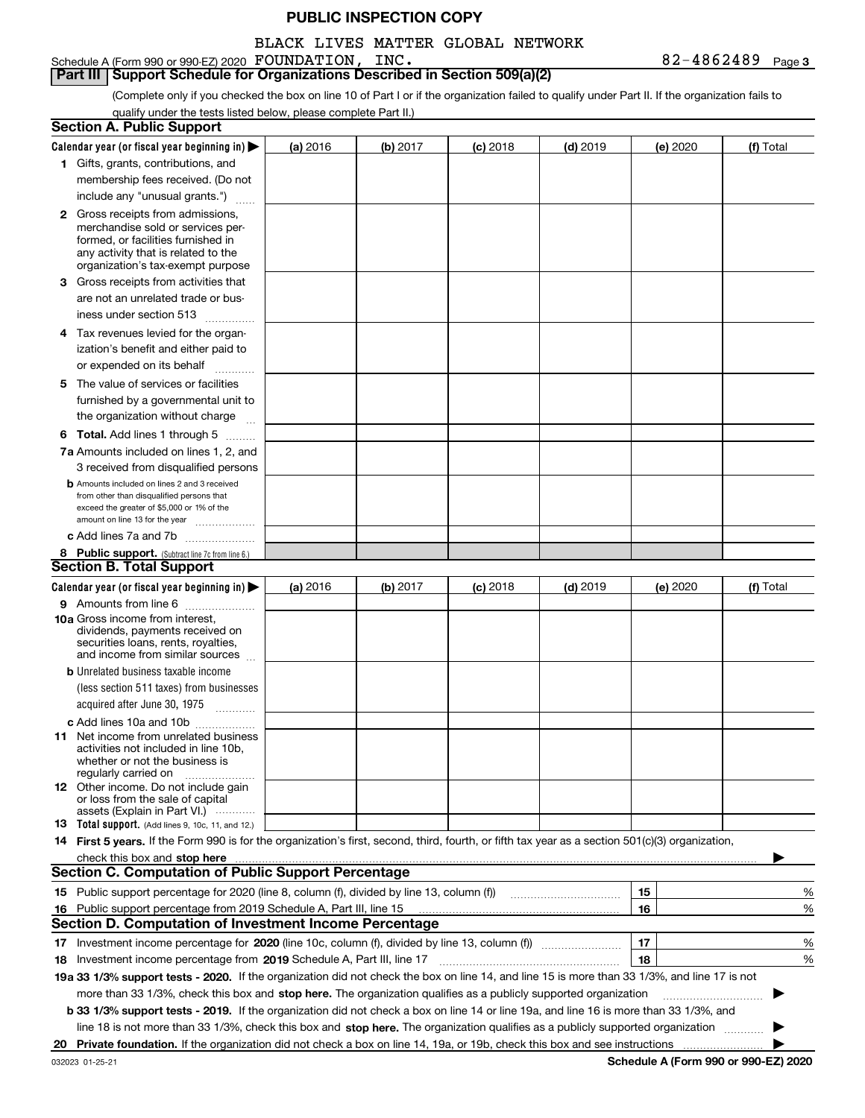#### BLACK LIVES MATTER GLOBAL NETWORK

Schedule A (Form 990 or 990-EZ) 2020 Page FOUNDATION, INC. 82-4862489 **Part III | Support Schedule for Organizations Described in Section 509(a)(2)** 

**3**

(Complete only if you checked the box on line 10 of Part I or if the organization failed to qualify under Part II. If the organization fails to qualify under the tests listed below, please complete Part II.)

| <b>Section A. Public Support</b>                                                                                                                                                                                                                                         |          |          |                 |            |          |                                             |
|--------------------------------------------------------------------------------------------------------------------------------------------------------------------------------------------------------------------------------------------------------------------------|----------|----------|-----------------|------------|----------|---------------------------------------------|
| Calendar year (or fiscal year beginning in) $\blacktriangleright$                                                                                                                                                                                                        | (a) 2016 | (b) 2017 | <b>(c)</b> 2018 | $(d)$ 2019 | (e) 2020 | (f) Total                                   |
| 1 Gifts, grants, contributions, and                                                                                                                                                                                                                                      |          |          |                 |            |          |                                             |
| membership fees received. (Do not                                                                                                                                                                                                                                        |          |          |                 |            |          |                                             |
| include any "unusual grants.")                                                                                                                                                                                                                                           |          |          |                 |            |          |                                             |
| <b>2</b> Gross receipts from admissions,<br>merchandise sold or services per-<br>formed, or facilities furnished in<br>any activity that is related to the<br>organization's tax-exempt purpose                                                                          |          |          |                 |            |          |                                             |
| 3 Gross receipts from activities that<br>are not an unrelated trade or bus-                                                                                                                                                                                              |          |          |                 |            |          |                                             |
| iness under section 513                                                                                                                                                                                                                                                  |          |          |                 |            |          |                                             |
| 4 Tax revenues levied for the organ-<br>ization's benefit and either paid to                                                                                                                                                                                             |          |          |                 |            |          |                                             |
| or expended on its behalf<br>.                                                                                                                                                                                                                                           |          |          |                 |            |          |                                             |
| 5 The value of services or facilities                                                                                                                                                                                                                                    |          |          |                 |            |          |                                             |
| furnished by a governmental unit to<br>the organization without charge                                                                                                                                                                                                   |          |          |                 |            |          |                                             |
| <b>6 Total.</b> Add lines 1 through 5                                                                                                                                                                                                                                    |          |          |                 |            |          |                                             |
| 7a Amounts included on lines 1, 2, and                                                                                                                                                                                                                                   |          |          |                 |            |          |                                             |
| 3 received from disqualified persons                                                                                                                                                                                                                                     |          |          |                 |            |          |                                             |
| <b>b</b> Amounts included on lines 2 and 3 received<br>from other than disqualified persons that<br>exceed the greater of \$5,000 or 1% of the<br>amount on line 13 for the year                                                                                         |          |          |                 |            |          |                                             |
| c Add lines 7a and 7b                                                                                                                                                                                                                                                    |          |          |                 |            |          |                                             |
| 8 Public support. (Subtract line 7c from line 6.)                                                                                                                                                                                                                        |          |          |                 |            |          |                                             |
| <b>Section B. Total Support</b>                                                                                                                                                                                                                                          |          |          |                 |            |          |                                             |
| Calendar year (or fiscal year beginning in) $\blacktriangleright$                                                                                                                                                                                                        | (a) 2016 | (b) 2017 | $(c)$ 2018      | $(d)$ 2019 | (e) 2020 | (f) Total                                   |
| 9 Amounts from line 6<br>10a Gross income from interest,<br>dividends, payments received on<br>securities loans, rents, royalties,<br>and income from similar sources                                                                                                    |          |          |                 |            |          |                                             |
| <b>b</b> Unrelated business taxable income<br>(less section 511 taxes) from businesses                                                                                                                                                                                   |          |          |                 |            |          |                                             |
| acquired after June 30, 1975                                                                                                                                                                                                                                             |          |          |                 |            |          |                                             |
| c Add lines 10a and 10b<br>11 Net income from unrelated business<br>activities not included in line 10b.<br>whether or not the business is<br>regularly carried on                                                                                                       |          |          |                 |            |          |                                             |
| 12 Other income. Do not include gain<br>or loss from the sale of capital<br>assets (Explain in Part VI.)                                                                                                                                                                 |          |          |                 |            |          |                                             |
| <b>13</b> Total support. (Add lines 9, 10c, 11, and 12.)                                                                                                                                                                                                                 |          |          |                 |            |          |                                             |
| 14 First 5 years. If the Form 990 is for the organization's first, second, third, fourth, or fifth tax year as a section 501(c)(3) organization,                                                                                                                         |          |          |                 |            |          |                                             |
| <b>Section C. Computation of Public Support Percentage</b>                                                                                                                                                                                                               |          |          |                 |            |          |                                             |
| 15 Public support percentage for 2020 (line 8, column (f), divided by line 13, column (f))                                                                                                                                                                               |          |          |                 |            | 15       | %                                           |
| 16 Public support percentage from 2019 Schedule A, Part III, line 15                                                                                                                                                                                                     |          |          |                 |            | 16       | %                                           |
| <b>Section D. Computation of Investment Income Percentage</b>                                                                                                                                                                                                            |          |          |                 |            |          |                                             |
|                                                                                                                                                                                                                                                                          |          |          |                 |            | 17       | %                                           |
| <b>18</b> Investment income percentage from <b>2019</b> Schedule A, Part III, line 17                                                                                                                                                                                    |          |          |                 |            | 18       | %                                           |
| 19a 33 1/3% support tests - 2020. If the organization did not check the box on line 14, and line 15 is more than 33 1/3%, and line 17 is not                                                                                                                             |          |          |                 |            |          |                                             |
| more than 33 1/3%, check this box and stop here. The organization qualifies as a publicly supported organization                                                                                                                                                         |          |          |                 |            |          |                                             |
| b 33 1/3% support tests - 2019. If the organization did not check a box on line 14 or line 19a, and line 16 is more than 33 1/3%, and<br>line 18 is not more than 33 1/3%, check this box and stop here. The organization qualifies as a publicly supported organization |          |          |                 |            |          |                                             |
| 20 Private foundation. If the organization did not check a box on line 14, 19a, or 19b, check this box and see instructions                                                                                                                                              |          |          |                 |            |          |                                             |
|                                                                                                                                                                                                                                                                          |          |          |                 |            |          | <b>Cohodulo A (Form 000 or 000 EZ) 2020</b> |

**Schedule A (Form 990 or 990-EZ) 2020**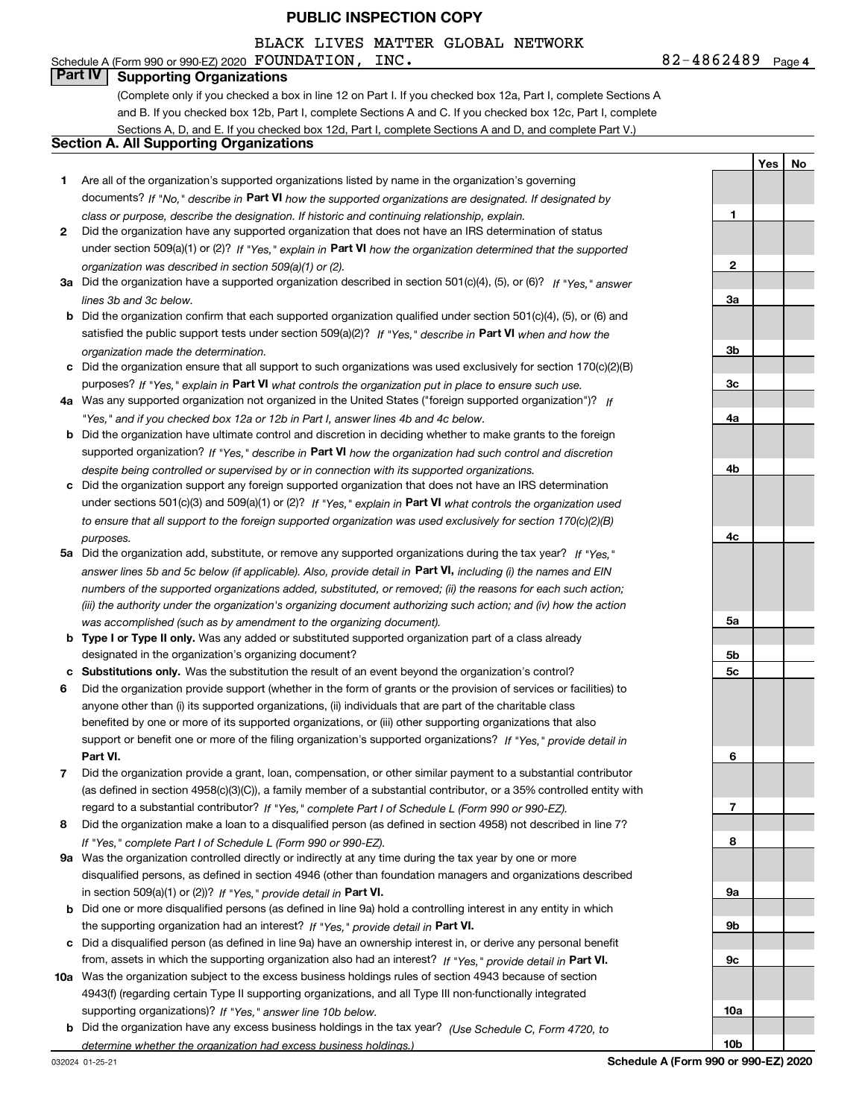## BLACK LIVES MATTER GLOBAL NETWORK

# Schedule A (Form 990 or 990-EZ) 2020 Page FOUNDATION, INC. 82-4862489

**Part IV Supporting Organizations**

(Complete only if you checked a box in line 12 on Part I. If you checked box 12a, Part I, complete Sections A and B. If you checked box 12b, Part I, complete Sections A and C. If you checked box 12c, Part I, complete Sections A, D, and E. If you checked box 12d, Part I, complete Sections A and D, and complete Part V.)

#### **Section A. All Supporting Organizations**

- **1** Are all of the organization's supported organizations listed by name in the organization's governing documents? If "No," describe in **Part VI** how the supported organizations are designated. If designated by *class or purpose, describe the designation. If historic and continuing relationship, explain.*
- **2** Did the organization have any supported organization that does not have an IRS determination of status under section 509(a)(1) or (2)? If "Yes," explain in Part VI how the organization determined that the supported *organization was described in section 509(a)(1) or (2).*
- **3a** Did the organization have a supported organization described in section 501(c)(4), (5), or (6)? If "Yes," answer *lines 3b and 3c below.*
- **b** Did the organization confirm that each supported organization qualified under section 501(c)(4), (5), or (6) and satisfied the public support tests under section 509(a)(2)? If "Yes," describe in **Part VI** when and how the *organization made the determination.*
- **c**Did the organization ensure that all support to such organizations was used exclusively for section 170(c)(2)(B) purposes? If "Yes," explain in **Part VI** what controls the organization put in place to ensure such use.
- **4a***If* Was any supported organization not organized in the United States ("foreign supported organization")? *"Yes," and if you checked box 12a or 12b in Part I, answer lines 4b and 4c below.*
- **b** Did the organization have ultimate control and discretion in deciding whether to make grants to the foreign supported organization? If "Yes," describe in **Part VI** how the organization had such control and discretion *despite being controlled or supervised by or in connection with its supported organizations.*
- **c** Did the organization support any foreign supported organization that does not have an IRS determination under sections 501(c)(3) and 509(a)(1) or (2)? If "Yes," explain in **Part VI** what controls the organization used *to ensure that all support to the foreign supported organization was used exclusively for section 170(c)(2)(B) purposes.*
- **5a***If "Yes,"* Did the organization add, substitute, or remove any supported organizations during the tax year? answer lines 5b and 5c below (if applicable). Also, provide detail in **Part VI,** including (i) the names and EIN *numbers of the supported organizations added, substituted, or removed; (ii) the reasons for each such action; (iii) the authority under the organization's organizing document authorizing such action; and (iv) how the action was accomplished (such as by amendment to the organizing document).*
- **b** Type I or Type II only. Was any added or substituted supported organization part of a class already designated in the organization's organizing document?
- **cSubstitutions only.**  Was the substitution the result of an event beyond the organization's control?
- **6** Did the organization provide support (whether in the form of grants or the provision of services or facilities) to **Part VI.** *If "Yes," provide detail in* support or benefit one or more of the filing organization's supported organizations? anyone other than (i) its supported organizations, (ii) individuals that are part of the charitable class benefited by one or more of its supported organizations, or (iii) other supporting organizations that also
- **7**Did the organization provide a grant, loan, compensation, or other similar payment to a substantial contributor *If "Yes," complete Part I of Schedule L (Form 990 or 990-EZ).* regard to a substantial contributor? (as defined in section 4958(c)(3)(C)), a family member of a substantial contributor, or a 35% controlled entity with
- **8** Did the organization make a loan to a disqualified person (as defined in section 4958) not described in line 7? *If "Yes," complete Part I of Schedule L (Form 990 or 990-EZ).*
- **9a** Was the organization controlled directly or indirectly at any time during the tax year by one or more in section 509(a)(1) or (2))? If "Yes," *provide detail in* <code>Part VI.</code> disqualified persons, as defined in section 4946 (other than foundation managers and organizations described
- **b** Did one or more disqualified persons (as defined in line 9a) hold a controlling interest in any entity in which the supporting organization had an interest? If "Yes," provide detail in P**art VI**.
- **c**Did a disqualified person (as defined in line 9a) have an ownership interest in, or derive any personal benefit from, assets in which the supporting organization also had an interest? If "Yes," provide detail in P**art VI.**
- **10a** Was the organization subject to the excess business holdings rules of section 4943 because of section supporting organizations)? If "Yes," answer line 10b below. 4943(f) (regarding certain Type II supporting organizations, and all Type III non-functionally integrated
- **b** Did the organization have any excess business holdings in the tax year? (Use Schedule C, Form 4720, to *determine whether the organization had excess business holdings.)*

032024 01-25-21

**1**

**2**

**3a**

**3b**

**3c**

**4a**

**4b**

**4c**

**5a**

**5b5c**

**6**

**7**

**8**

**9a**

**9b**

**9c**

**10a**

**10b**

**Yes No**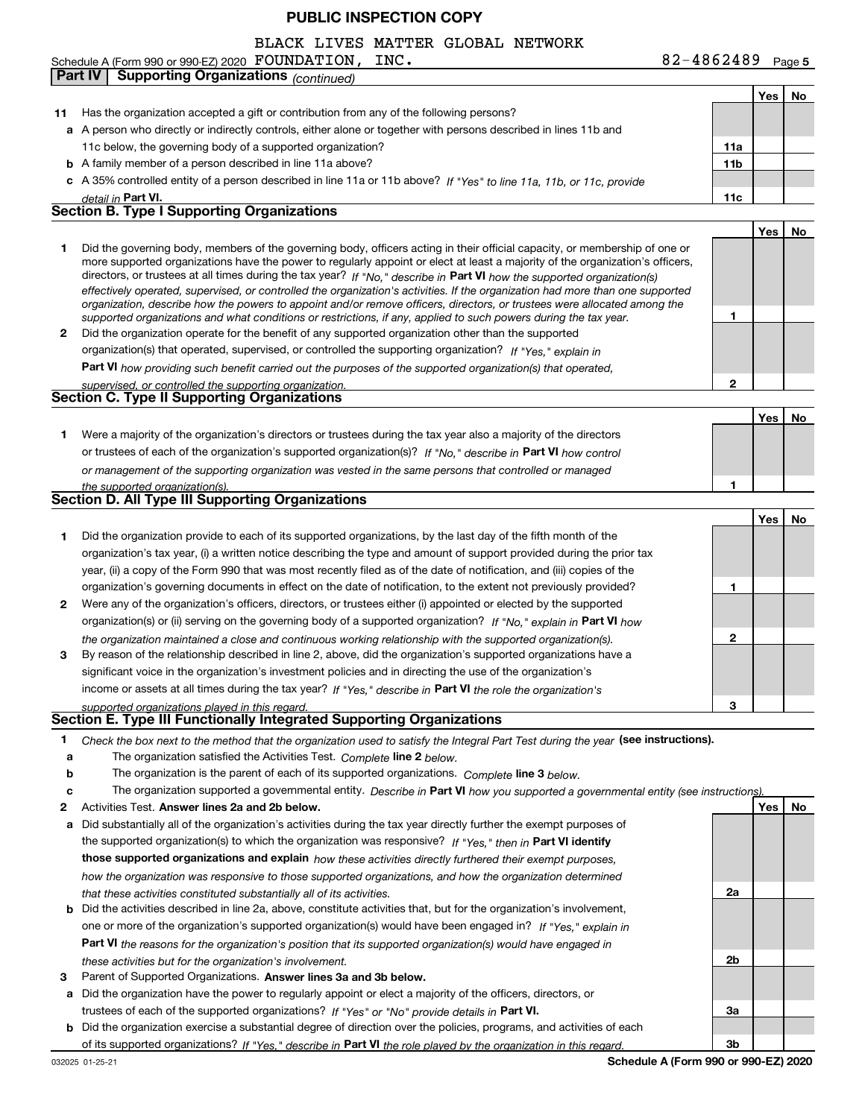#### Schedule A (Form 990 or 990-EZ) 2020 Page FOUNDATION, INC. 82-4862489 BLACK LIVES MATTER GLOBAL NETWORK

|    | <b>Supporting Organizations (continued)</b><br>Part IV                                                                                                                                                                                       |                 |     |    |
|----|----------------------------------------------------------------------------------------------------------------------------------------------------------------------------------------------------------------------------------------------|-----------------|-----|----|
|    |                                                                                                                                                                                                                                              |                 | Yes | No |
| 11 | Has the organization accepted a gift or contribution from any of the following persons?                                                                                                                                                      |                 |     |    |
|    | a A person who directly or indirectly controls, either alone or together with persons described in lines 11b and                                                                                                                             |                 |     |    |
|    | 11c below, the governing body of a supported organization?                                                                                                                                                                                   | 11a             |     |    |
|    | <b>b</b> A family member of a person described in line 11a above?                                                                                                                                                                            | 11 <sub>b</sub> |     |    |
|    | c A 35% controlled entity of a person described in line 11a or 11b above? If "Yes" to line 11a, 11b, or 11c, provide                                                                                                                         |                 |     |    |
|    | detail in Part VI.                                                                                                                                                                                                                           | 11c             |     |    |
|    | <b>Section B. Type I Supporting Organizations</b>                                                                                                                                                                                            |                 |     |    |
|    |                                                                                                                                                                                                                                              |                 | Yes | No |
| 1  | Did the governing body, members of the governing body, officers acting in their official capacity, or membership of one or                                                                                                                   |                 |     |    |
|    | more supported organizations have the power to regularly appoint or elect at least a majority of the organization's officers,                                                                                                                |                 |     |    |
|    | directors, or trustees at all times during the tax year? If "No," describe in Part VI how the supported organization(s)                                                                                                                      |                 |     |    |
|    | effectively operated, supervised, or controlled the organization's activities. If the organization had more than one supported                                                                                                               |                 |     |    |
|    | organization, describe how the powers to appoint and/or remove officers, directors, or trustees were allocated among the<br>supported organizations and what conditions or restrictions, if any, applied to such powers during the tax year. | 1               |     |    |
| 2  | Did the organization operate for the benefit of any supported organization other than the supported                                                                                                                                          |                 |     |    |
|    | organization(s) that operated, supervised, or controlled the supporting organization? If "Yes," explain in                                                                                                                                   |                 |     |    |
|    |                                                                                                                                                                                                                                              |                 |     |    |
|    | Part VI how providing such benefit carried out the purposes of the supported organization(s) that operated,                                                                                                                                  | $\mathbf{2}$    |     |    |
|    | supervised, or controlled the supporting organization.<br><b>Section C. Type II Supporting Organizations</b>                                                                                                                                 |                 |     |    |
|    |                                                                                                                                                                                                                                              |                 | Yes | No |
| 1  | Were a majority of the organization's directors or trustees during the tax year also a majority of the directors                                                                                                                             |                 |     |    |
|    | or trustees of each of the organization's supported organization(s)? If "No," describe in Part VI how control                                                                                                                                |                 |     |    |
|    |                                                                                                                                                                                                                                              |                 |     |    |
|    | or management of the supporting organization was vested in the same persons that controlled or managed                                                                                                                                       |                 |     |    |
|    | the supported organization(s).<br>Section D. All Type III Supporting Organizations                                                                                                                                                           |                 |     |    |
|    |                                                                                                                                                                                                                                              |                 |     |    |
|    |                                                                                                                                                                                                                                              |                 | Yes | No |
| 1  | Did the organization provide to each of its supported organizations, by the last day of the fifth month of the                                                                                                                               |                 |     |    |
|    | organization's tax year, (i) a written notice describing the type and amount of support provided during the prior tax                                                                                                                        |                 |     |    |
|    | year, (ii) a copy of the Form 990 that was most recently filed as of the date of notification, and (iii) copies of the                                                                                                                       |                 |     |    |
|    | organization's governing documents in effect on the date of notification, to the extent not previously provided?                                                                                                                             | 1               |     |    |
| 2  | Were any of the organization's officers, directors, or trustees either (i) appointed or elected by the supported                                                                                                                             |                 |     |    |
|    | organization(s) or (ii) serving on the governing body of a supported organization? If "No," explain in Part VI how                                                                                                                           |                 |     |    |
|    | the organization maintained a close and continuous working relationship with the supported organization(s).                                                                                                                                  | 2               |     |    |
| 3  | By reason of the relationship described in line 2, above, did the organization's supported organizations have a                                                                                                                              |                 |     |    |
|    | significant voice in the organization's investment policies and in directing the use of the organization's                                                                                                                                   |                 |     |    |
|    | income or assets at all times during the tax year? If "Yes," describe in Part VI the role the organization's                                                                                                                                 |                 |     |    |
|    | supported organizations played in this regard.<br>Section E. Type III Functionally Integrated Supporting Organizations                                                                                                                       |                 |     |    |
|    |                                                                                                                                                                                                                                              |                 |     |    |
| 1  | Check the box next to the method that the organization used to satisfy the Integral Part Test during the year (see instructions).                                                                                                            |                 |     |    |
| a  | The organization satisfied the Activities Test. Complete line 2 below.                                                                                                                                                                       |                 |     |    |
| b  | The organization is the parent of each of its supported organizations. Complete line 3 below.                                                                                                                                                |                 |     |    |
| с  | The organization supported a governmental entity. Describe in Part VI how you supported a governmental entity (see instructions).                                                                                                            |                 |     |    |
| 2  | Activities Test. Answer lines 2a and 2b below.                                                                                                                                                                                               |                 | Yes | No |
| a  | Did substantially all of the organization's activities during the tax year directly further the exempt purposes of                                                                                                                           |                 |     |    |
|    | the supported organization(s) to which the organization was responsive? If "Yes," then in Part VI identify                                                                                                                                   |                 |     |    |
|    | those supported organizations and explain how these activities directly furthered their exempt purposes,                                                                                                                                     |                 |     |    |
|    | how the organization was responsive to those supported organizations, and how the organization determined                                                                                                                                    |                 |     |    |
|    | that these activities constituted substantially all of its activities.                                                                                                                                                                       | 2a              |     |    |
| b  | Did the activities described in line 2a, above, constitute activities that, but for the organization's involvement,                                                                                                                          |                 |     |    |
|    | one or more of the organization's supported organization(s) would have been engaged in? If "Yes," explain in                                                                                                                                 |                 |     |    |
|    | <b>Part VI</b> the reasons for the organization's position that its supported organization(s) would have engaged in                                                                                                                          |                 |     |    |
|    | these activities but for the organization's involvement.                                                                                                                                                                                     | 2b              |     |    |
| з  | Parent of Supported Organizations. Answer lines 3a and 3b below.                                                                                                                                                                             |                 |     |    |
| a  | Did the organization have the power to regularly appoint or elect a majority of the officers, directors, or                                                                                                                                  |                 |     |    |
|    | trustees of each of the supported organizations? If "Yes" or "No" provide details in Part VI.                                                                                                                                                | За              |     |    |
| b  | Did the organization exercise a substantial degree of direction over the policies, programs, and activities of each                                                                                                                          |                 |     |    |
|    | of its supported organizations? If "Yes." describe in Part VI the role played by the organization in this regard.                                                                                                                            | 3b              |     |    |

**Schedule A (Form 990 or 990-EZ) 2020**

**5**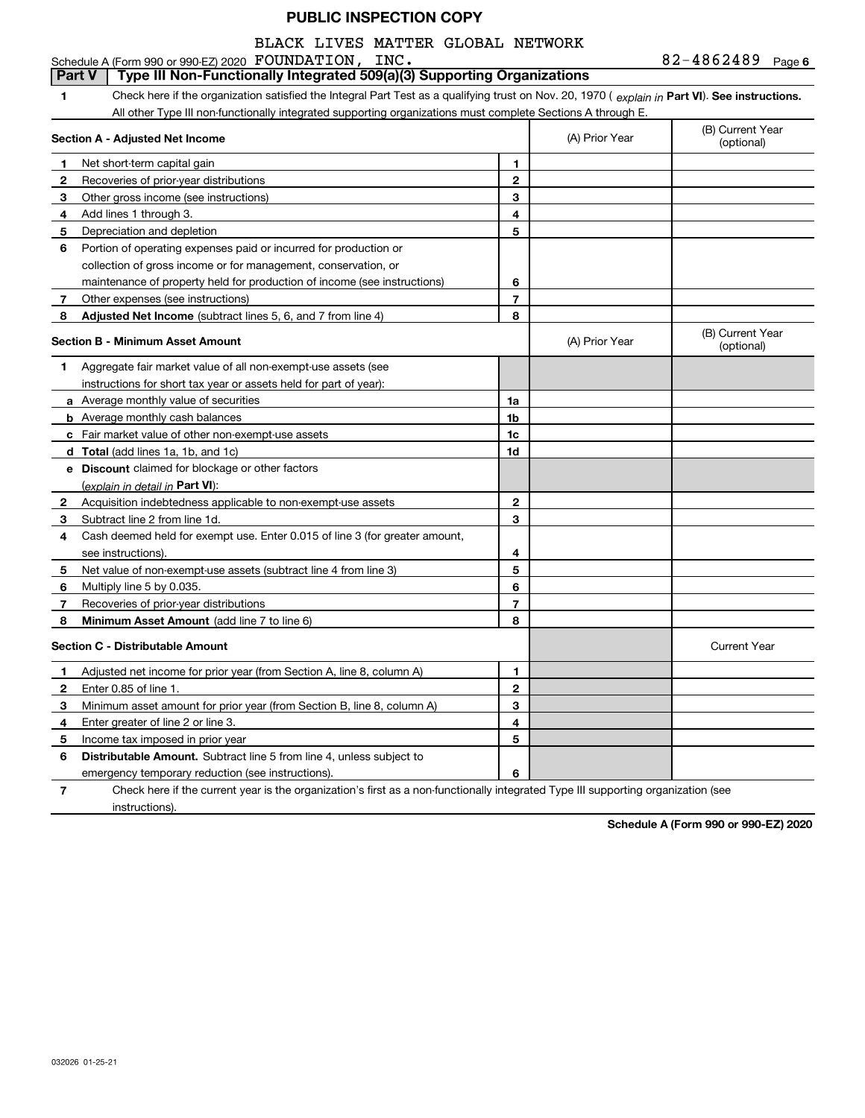# BLACK LIVES MATTER GLOBAL NETWORK

82-4862489 Page 6 Schedule A (Form 990 or 990-EZ) 2020 Page FOUNDATION, INC. 82-4862489

|   | Part V<br>Type III Non-Functionally Integrated 509(a)(3) Supporting Organizations                                                              |                |                |                                |
|---|------------------------------------------------------------------------------------------------------------------------------------------------|----------------|----------------|--------------------------------|
| 1 | Check here if the organization satisfied the Integral Part Test as a qualifying trust on Nov. 20, 1970 (explain in Part VI). See instructions. |                |                |                                |
|   | All other Type III non-functionally integrated supporting organizations must complete Sections A through E.                                    |                |                |                                |
|   | Section A - Adjusted Net Income                                                                                                                |                | (A) Prior Year | (B) Current Year<br>(optional) |
| 1 | Net short-term capital gain                                                                                                                    | $\mathbf{1}$   |                |                                |
| 2 | Recoveries of prior-year distributions                                                                                                         | $\mathbf 2$    |                |                                |
| 3 | Other gross income (see instructions)                                                                                                          | 3              |                |                                |
| 4 | Add lines 1 through 3.                                                                                                                         | 4              |                |                                |
| 5 | Depreciation and depletion                                                                                                                     | 5              |                |                                |
| 6 | Portion of operating expenses paid or incurred for production or                                                                               |                |                |                                |
|   | collection of gross income or for management, conservation, or                                                                                 |                |                |                                |
|   | maintenance of property held for production of income (see instructions)                                                                       | 6              |                |                                |
| 7 | Other expenses (see instructions)                                                                                                              | $\overline{7}$ |                |                                |
| 8 | Adjusted Net Income (subtract lines 5, 6, and 7 from line 4)                                                                                   | 8              |                |                                |
|   | <b>Section B - Minimum Asset Amount</b>                                                                                                        |                | (A) Prior Year | (B) Current Year<br>(optional) |
| 1 | Aggregate fair market value of all non-exempt-use assets (see                                                                                  |                |                |                                |
|   | instructions for short tax year or assets held for part of year):                                                                              |                |                |                                |
|   | a Average monthly value of securities                                                                                                          | 1a             |                |                                |
|   | <b>b</b> Average monthly cash balances                                                                                                         | 1b             |                |                                |
|   | c Fair market value of other non-exempt-use assets                                                                                             | 1c             |                |                                |
|   | <b>d</b> Total (add lines 1a, 1b, and 1c)                                                                                                      | 1d             |                |                                |
|   | e Discount claimed for blockage or other factors                                                                                               |                |                |                                |
|   | (explain in detail in Part VI):                                                                                                                |                |                |                                |
| 2 | Acquisition indebtedness applicable to non-exempt-use assets                                                                                   | 2              |                |                                |
| 3 | Subtract line 2 from line 1d.                                                                                                                  | 3              |                |                                |
| 4 | Cash deemed held for exempt use. Enter 0.015 of line 3 (for greater amount,                                                                    |                |                |                                |
|   | see instructions).                                                                                                                             | 4              |                |                                |
| 5 | Net value of non-exempt-use assets (subtract line 4 from line 3)                                                                               | 5              |                |                                |
| 6 | Multiply line 5 by 0.035.                                                                                                                      | 6              |                |                                |
| 7 | Recoveries of prior-year distributions                                                                                                         | $\overline{7}$ |                |                                |
| 8 | Minimum Asset Amount (add line 7 to line 6)                                                                                                    | 8              |                |                                |
|   | <b>Section C - Distributable Amount</b>                                                                                                        |                |                | <b>Current Year</b>            |
| 1 | Adjusted net income for prior year (from Section A, line 8, column A)                                                                          | 1              |                |                                |
| 2 | Enter 0.85 of line 1.                                                                                                                          | $\mathbf 2$    |                |                                |
| 3 | Minimum asset amount for prior year (from Section B, line 8, column A)                                                                         | 3              |                |                                |
| 4 | Enter greater of line 2 or line 3.                                                                                                             | 4              |                |                                |
| 5 | Income tax imposed in prior year                                                                                                               | 5              |                |                                |
| 6 | <b>Distributable Amount.</b> Subtract line 5 from line 4, unless subject to                                                                    |                |                |                                |
|   | emergency temporary reduction (see instructions).                                                                                              | 6              |                |                                |

**7**Check here if the current year is the organization's first as a non-functionally integrated Type III supporting organization (see instructions).

**Schedule A (Form 990 or 990-EZ) 2020**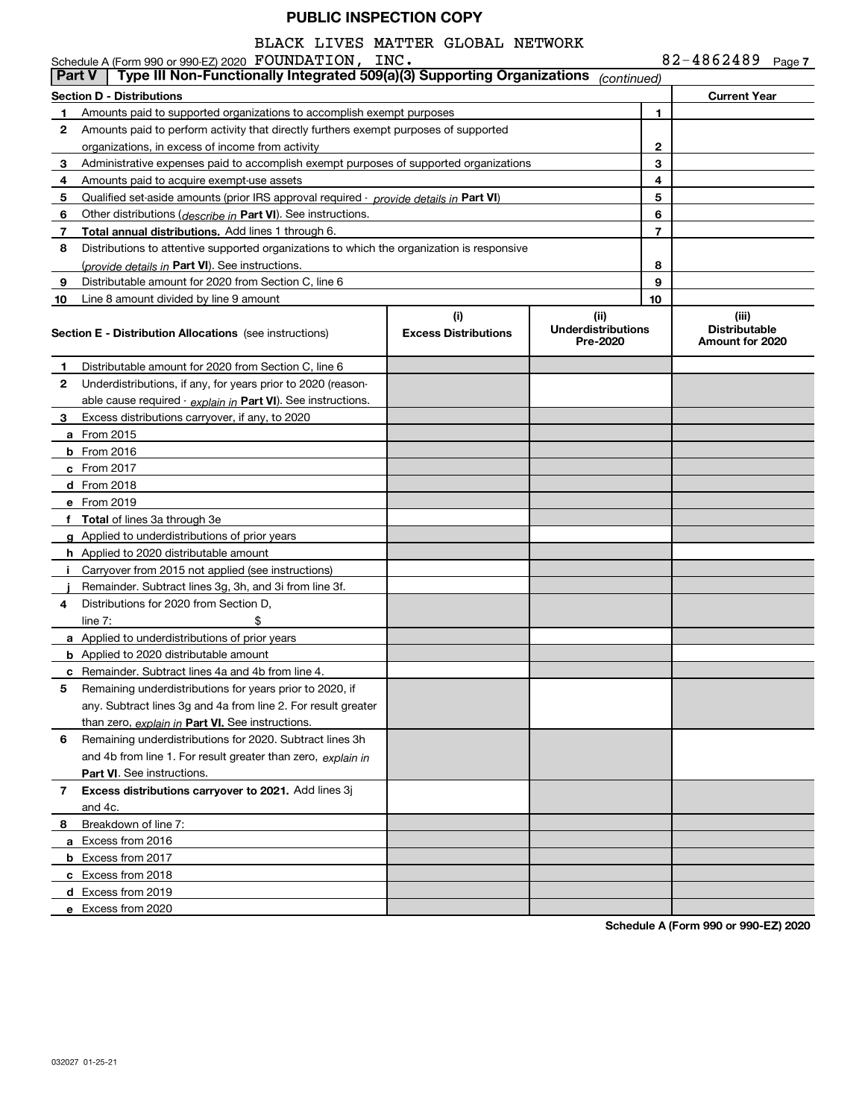## BLACK LIVES MATTER GLOBAL NETWORK

|               | Schedule A (Form 990 or 990-EZ) 2020 FOUNDATION, INC.                                      |                                    |                                               |    | 82-4862489 Page 7                                |
|---------------|--------------------------------------------------------------------------------------------|------------------------------------|-----------------------------------------------|----|--------------------------------------------------|
| <b>Part V</b> | Type III Non-Functionally Integrated 509(a)(3) Supporting Organizations                    |                                    | (continued)                                   |    |                                                  |
|               | <b>Section D - Distributions</b>                                                           |                                    |                                               |    | <b>Current Year</b>                              |
| 1             | Amounts paid to supported organizations to accomplish exempt purposes                      |                                    |                                               | 1  |                                                  |
| $\mathbf{2}$  | Amounts paid to perform activity that directly furthers exempt purposes of supported       |                                    |                                               |    |                                                  |
|               | organizations, in excess of income from activity                                           |                                    |                                               | 2  |                                                  |
| 3             | Administrative expenses paid to accomplish exempt purposes of supported organizations      |                                    |                                               | 3  |                                                  |
| 4             | Amounts paid to acquire exempt-use assets                                                  |                                    |                                               | 4  |                                                  |
| 5             | Qualified set-aside amounts (prior IRS approval required - provide details in Part VI)     |                                    |                                               | 5  |                                                  |
| 6             | Other distributions ( <i>describe in</i> Part VI). See instructions.                       |                                    |                                               | 6  |                                                  |
| 7             | <b>Total annual distributions.</b> Add lines 1 through 6.                                  |                                    |                                               | 7  |                                                  |
| 8             | Distributions to attentive supported organizations to which the organization is responsive |                                    |                                               |    |                                                  |
|               | (provide details in Part VI). See instructions.                                            |                                    |                                               | 8  |                                                  |
| 9             | Distributable amount for 2020 from Section C, line 6                                       |                                    |                                               | 9  |                                                  |
| 10            | Line 8 amount divided by line 9 amount                                                     |                                    |                                               | 10 |                                                  |
|               | Section E - Distribution Allocations (see instructions)                                    | (i)<br><b>Excess Distributions</b> | (ii)<br><b>Underdistributions</b><br>Pre-2020 |    | (iii)<br><b>Distributable</b><br>Amount for 2020 |
| 1.            | Distributable amount for 2020 from Section C, line 6                                       |                                    |                                               |    |                                                  |
| 2             | Underdistributions, if any, for years prior to 2020 (reason-                               |                                    |                                               |    |                                                  |
|               | able cause required - explain in Part VI). See instructions.                               |                                    |                                               |    |                                                  |
| 3             | Excess distributions carryover, if any, to 2020                                            |                                    |                                               |    |                                                  |
|               | <b>a</b> From 2015                                                                         |                                    |                                               |    |                                                  |
|               | <b>b</b> From $2016$                                                                       |                                    |                                               |    |                                                  |
|               | c From $2017$                                                                              |                                    |                                               |    |                                                  |
|               | <b>d</b> From 2018                                                                         |                                    |                                               |    |                                                  |
|               | e From 2019                                                                                |                                    |                                               |    |                                                  |
|               | f Total of lines 3a through 3e                                                             |                                    |                                               |    |                                                  |
|               | <b>g</b> Applied to underdistributions of prior years                                      |                                    |                                               |    |                                                  |
|               | <b>h</b> Applied to 2020 distributable amount                                              |                                    |                                               |    |                                                  |
|               | Carryover from 2015 not applied (see instructions)                                         |                                    |                                               |    |                                                  |
|               | Remainder. Subtract lines 3g, 3h, and 3i from line 3f.                                     |                                    |                                               |    |                                                  |
| 4             | Distributions for 2020 from Section D,                                                     |                                    |                                               |    |                                                  |
|               | line $7:$                                                                                  |                                    |                                               |    |                                                  |
|               | a Applied to underdistributions of prior years                                             |                                    |                                               |    |                                                  |
|               | <b>b</b> Applied to 2020 distributable amount                                              |                                    |                                               |    |                                                  |
|               | c Remainder. Subtract lines 4a and 4b from line 4.                                         |                                    |                                               |    |                                                  |
| 5             | Remaining underdistributions for years prior to 2020, if                                   |                                    |                                               |    |                                                  |
|               | any. Subtract lines 3g and 4a from line 2. For result greater                              |                                    |                                               |    |                                                  |
|               | than zero, explain in Part VI. See instructions.                                           |                                    |                                               |    |                                                  |
| 6             | Remaining underdistributions for 2020. Subtract lines 3h                                   |                                    |                                               |    |                                                  |
|               | and 4b from line 1. For result greater than zero, explain in                               |                                    |                                               |    |                                                  |
|               | Part VI. See instructions.                                                                 |                                    |                                               |    |                                                  |
| 7             | Excess distributions carryover to 2021. Add lines 3j                                       |                                    |                                               |    |                                                  |
|               | and 4c.                                                                                    |                                    |                                               |    |                                                  |
| 8.            | Breakdown of line 7:                                                                       |                                    |                                               |    |                                                  |
|               | a Excess from 2016                                                                         |                                    |                                               |    |                                                  |
|               | <b>b</b> Excess from 2017                                                                  |                                    |                                               |    |                                                  |
|               | c Excess from 2018                                                                         |                                    |                                               |    |                                                  |
|               | d Excess from 2019                                                                         |                                    |                                               |    |                                                  |
|               | e Excess from 2020                                                                         |                                    |                                               |    |                                                  |

**Schedule A (Form 990 or 990-EZ) 2020**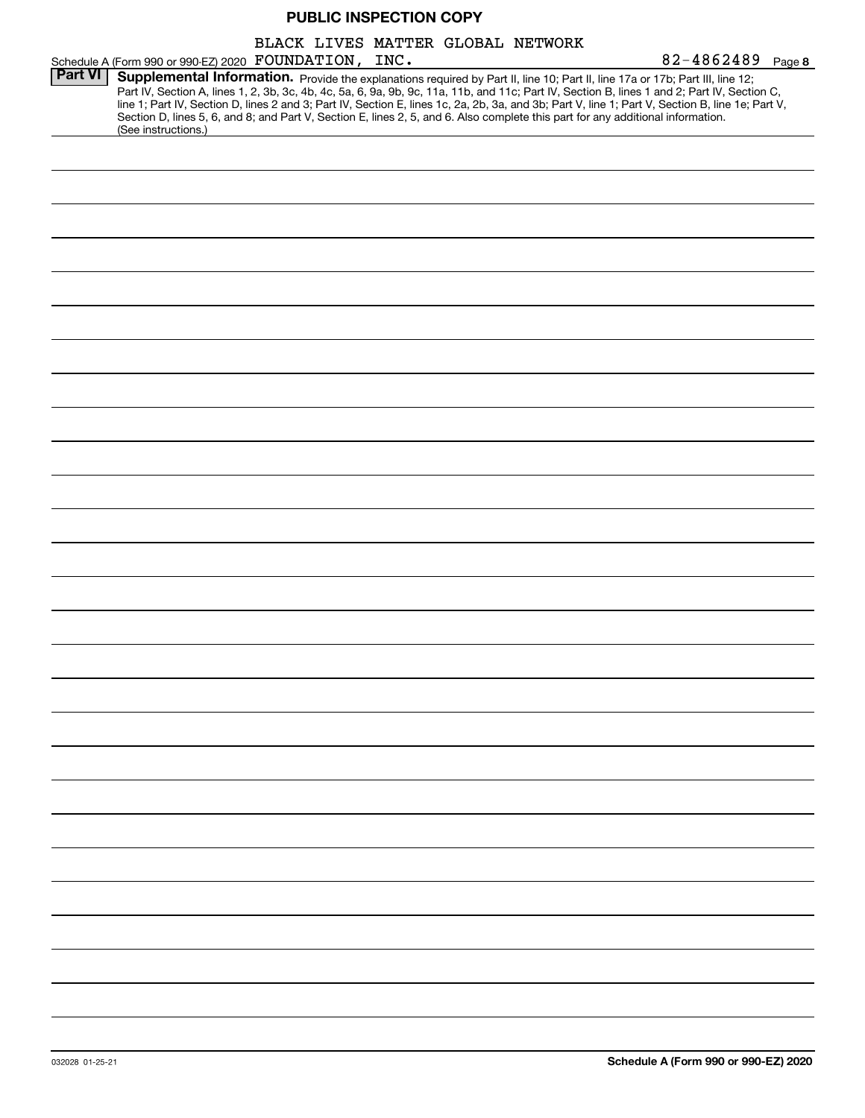|                |                                                                                                                                                        |  |  | BLACK LIVES MATTER GLOBAL NETWORK |                                                                                                                                                                                                                                                                                                                                                                                                                                   |
|----------------|--------------------------------------------------------------------------------------------------------------------------------------------------------|--|--|-----------------------------------|-----------------------------------------------------------------------------------------------------------------------------------------------------------------------------------------------------------------------------------------------------------------------------------------------------------------------------------------------------------------------------------------------------------------------------------|
| <b>Part VI</b> | Schedule A (Form 990 or 990-EZ) 2020 FOUNDATION, INC.                                                                                                  |  |  |                                   | $82 - 4862489$ Page 8                                                                                                                                                                                                                                                                                                                                                                                                             |
|                | Section D, lines 5, 6, and 8; and Part V, Section E, lines 2, 5, and 6. Also complete this part for any additional information.<br>(See instructions.) |  |  |                                   | Supplemental Information. Provide the explanations required by Part II, line 10; Part II, line 17a or 17b; Part III, line 12;<br>Part IV, Section A, lines 1, 2, 3b, 3c, 4b, 4c, 5a, 6, 9a, 9b, 9c, 11a, 11b, and 11c; Part IV, Section B, lines 1 and 2; Part IV, Section C,<br>line 1; Part IV, Section D, lines 2 and 3; Part IV, Section E, lines 1c, 2a, 2b, 3a, and 3b; Part V, line 1; Part V, Section B, line 1e; Part V, |
|                |                                                                                                                                                        |  |  |                                   |                                                                                                                                                                                                                                                                                                                                                                                                                                   |
|                |                                                                                                                                                        |  |  |                                   |                                                                                                                                                                                                                                                                                                                                                                                                                                   |
|                |                                                                                                                                                        |  |  |                                   |                                                                                                                                                                                                                                                                                                                                                                                                                                   |
|                |                                                                                                                                                        |  |  |                                   |                                                                                                                                                                                                                                                                                                                                                                                                                                   |
|                |                                                                                                                                                        |  |  |                                   |                                                                                                                                                                                                                                                                                                                                                                                                                                   |
|                |                                                                                                                                                        |  |  |                                   |                                                                                                                                                                                                                                                                                                                                                                                                                                   |
|                |                                                                                                                                                        |  |  |                                   |                                                                                                                                                                                                                                                                                                                                                                                                                                   |
|                |                                                                                                                                                        |  |  |                                   |                                                                                                                                                                                                                                                                                                                                                                                                                                   |
|                |                                                                                                                                                        |  |  |                                   |                                                                                                                                                                                                                                                                                                                                                                                                                                   |
|                |                                                                                                                                                        |  |  |                                   |                                                                                                                                                                                                                                                                                                                                                                                                                                   |
|                |                                                                                                                                                        |  |  |                                   |                                                                                                                                                                                                                                                                                                                                                                                                                                   |
|                |                                                                                                                                                        |  |  |                                   |                                                                                                                                                                                                                                                                                                                                                                                                                                   |
|                |                                                                                                                                                        |  |  |                                   |                                                                                                                                                                                                                                                                                                                                                                                                                                   |
|                |                                                                                                                                                        |  |  |                                   |                                                                                                                                                                                                                                                                                                                                                                                                                                   |
|                |                                                                                                                                                        |  |  |                                   |                                                                                                                                                                                                                                                                                                                                                                                                                                   |
|                |                                                                                                                                                        |  |  |                                   |                                                                                                                                                                                                                                                                                                                                                                                                                                   |
|                |                                                                                                                                                        |  |  |                                   |                                                                                                                                                                                                                                                                                                                                                                                                                                   |
|                |                                                                                                                                                        |  |  |                                   |                                                                                                                                                                                                                                                                                                                                                                                                                                   |
|                |                                                                                                                                                        |  |  |                                   |                                                                                                                                                                                                                                                                                                                                                                                                                                   |
|                |                                                                                                                                                        |  |  |                                   |                                                                                                                                                                                                                                                                                                                                                                                                                                   |
|                |                                                                                                                                                        |  |  |                                   |                                                                                                                                                                                                                                                                                                                                                                                                                                   |
|                |                                                                                                                                                        |  |  |                                   |                                                                                                                                                                                                                                                                                                                                                                                                                                   |
|                |                                                                                                                                                        |  |  |                                   |                                                                                                                                                                                                                                                                                                                                                                                                                                   |
|                |                                                                                                                                                        |  |  |                                   |                                                                                                                                                                                                                                                                                                                                                                                                                                   |
|                |                                                                                                                                                        |  |  |                                   |                                                                                                                                                                                                                                                                                                                                                                                                                                   |
|                |                                                                                                                                                        |  |  |                                   |                                                                                                                                                                                                                                                                                                                                                                                                                                   |
|                |                                                                                                                                                        |  |  |                                   |                                                                                                                                                                                                                                                                                                                                                                                                                                   |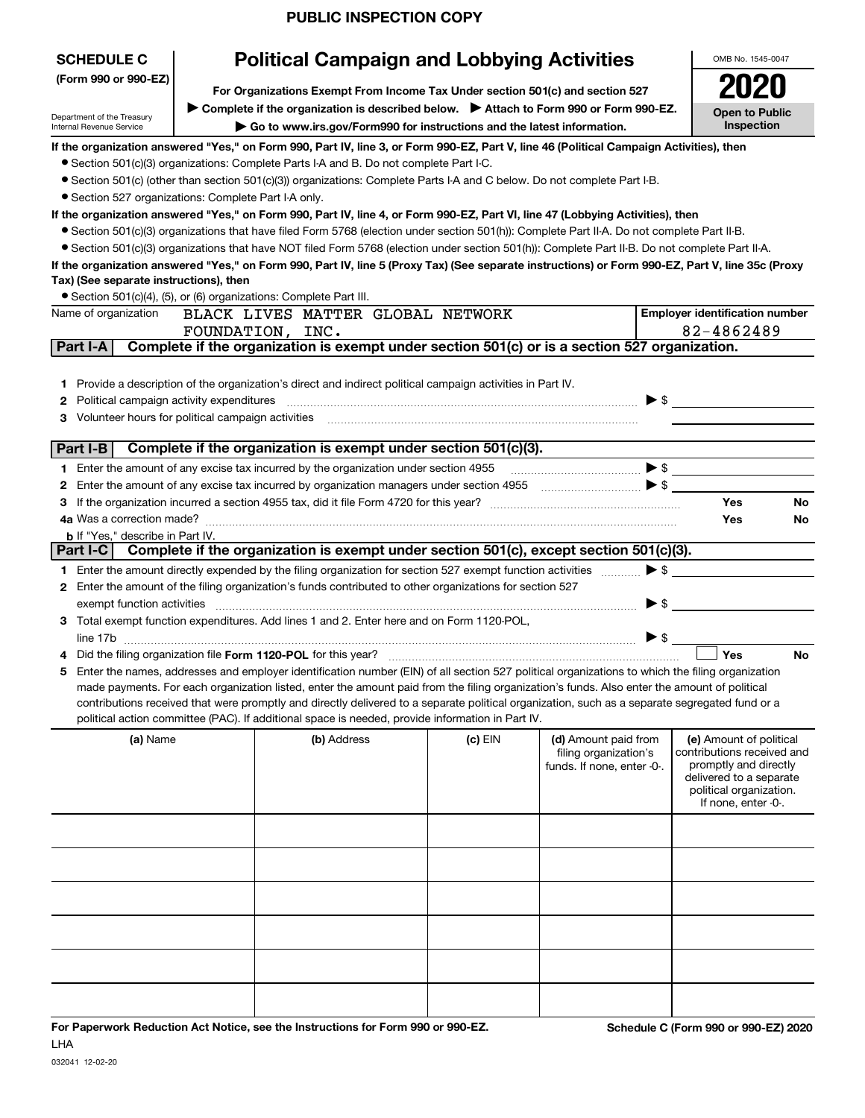| <b>SCHEDULE C</b><br>(Form 990 or 990-EZ)<br>Department of the Treasury<br>Internal Revenue Service                                                                                                                                                                                                                                                                                                                                                                                                                                                                                                                                                                                                                                                                                                                                                                                                                                                                                                                                                             |  | <b>Political Campaign and Lobbying Activities</b><br>For Organizations Exempt From Income Tax Under section 501(c) and section 527<br>▶ Complete if the organization is described below. ▶ Attach to Form 990 or Form 990-EZ.<br>Go to www.irs.gov/Form990 for instructions and the latest information.                                                                                                                                                                                                                                                                                                                                                                                                                                                                                                                                                                                                                                               |         |                                                                             |                          | OMB No. 1545-0047<br><b>Open to Public</b><br>Inspection                                                                                                    |
|-----------------------------------------------------------------------------------------------------------------------------------------------------------------------------------------------------------------------------------------------------------------------------------------------------------------------------------------------------------------------------------------------------------------------------------------------------------------------------------------------------------------------------------------------------------------------------------------------------------------------------------------------------------------------------------------------------------------------------------------------------------------------------------------------------------------------------------------------------------------------------------------------------------------------------------------------------------------------------------------------------------------------------------------------------------------|--|-------------------------------------------------------------------------------------------------------------------------------------------------------------------------------------------------------------------------------------------------------------------------------------------------------------------------------------------------------------------------------------------------------------------------------------------------------------------------------------------------------------------------------------------------------------------------------------------------------------------------------------------------------------------------------------------------------------------------------------------------------------------------------------------------------------------------------------------------------------------------------------------------------------------------------------------------------|---------|-----------------------------------------------------------------------------|--------------------------|-------------------------------------------------------------------------------------------------------------------------------------------------------------|
| • Section 527 organizations: Complete Part I-A only.<br>Tax) (See separate instructions), then<br>• Section 501(c)(4), (5), or (6) organizations: Complete Part III.                                                                                                                                                                                                                                                                                                                                                                                                                                                                                                                                                                                                                                                                                                                                                                                                                                                                                            |  | If the organization answered "Yes," on Form 990, Part IV, line 3, or Form 990-EZ, Part V, line 46 (Political Campaign Activities), then<br>• Section 501(c)(3) organizations: Complete Parts I-A and B. Do not complete Part I-C.<br>• Section 501(c) (other than section 501(c)(3)) organizations: Complete Parts I-A and C below. Do not complete Part I-B.<br>If the organization answered "Yes," on Form 990, Part IV, line 4, or Form 990-EZ, Part VI, line 47 (Lobbying Activities), then<br>• Section 501(c)(3) organizations that have filed Form 5768 (election under section 501(h)): Complete Part II-A. Do not complete Part II-B.<br>• Section 501(c)(3) organizations that have NOT filed Form 5768 (election under section 501(h)): Complete Part II-B. Do not complete Part II-A.<br>If the organization answered "Yes," on Form 990, Part IV, line 5 (Proxy Tax) (See separate instructions) or Form 990-EZ, Part V, line 35c (Proxy |         |                                                                             |                          |                                                                                                                                                             |
| Name of organization<br>Part I-A                                                                                                                                                                                                                                                                                                                                                                                                                                                                                                                                                                                                                                                                                                                                                                                                                                                                                                                                                                                                                                |  | BLACK LIVES MATTER GLOBAL NETWORK<br>FOUNDATION, INC.<br>Complete if the organization is exempt under section 501(c) or is a section 527 organization.                                                                                                                                                                                                                                                                                                                                                                                                                                                                                                                                                                                                                                                                                                                                                                                                |         |                                                                             |                          | <b>Employer identification number</b><br>82-4862489                                                                                                         |
| <b>2</b> Political campaign activity expenditures<br>3 Volunteer hours for political campaign activities<br>Part I-B                                                                                                                                                                                                                                                                                                                                                                                                                                                                                                                                                                                                                                                                                                                                                                                                                                                                                                                                            |  | 1 Provide a description of the organization's direct and indirect political campaign activities in Part IV.<br>Complete if the organization is exempt under section 501(c)(3).<br>1 Enter the amount of any excise tax incurred by the organization under section 4955<br><b>2</b> Enter the amount of any excise tax incurred by organization managers under section 4955                                                                                                                                                                                                                                                                                                                                                                                                                                                                                                                                                                            |         | $\bullet$ $\bullet$ $\bullet$ $\bullet$                                     | $\blacktriangleright$ \$ | Yes<br>No                                                                                                                                                   |
| 4a Was a correction made?<br><b>b</b> If "Yes," describe in Part IV.<br>Part I-C                                                                                                                                                                                                                                                                                                                                                                                                                                                                                                                                                                                                                                                                                                                                                                                                                                                                                                                                                                                |  | Complete if the organization is exempt under section 501(c), except section 501(c)(3).                                                                                                                                                                                                                                                                                                                                                                                                                                                                                                                                                                                                                                                                                                                                                                                                                                                                |         |                                                                             |                          | Yes<br><b>No</b>                                                                                                                                            |
| $\blacktriangleright$ \$<br>1 Enter the amount directly expended by the filing organization for section 527 exempt function activities<br>2 Enter the amount of the filing organization's funds contributed to other organizations for section 527<br>▶ \$<br>exempt function activities<br>3 Total exempt function expenditures. Add lines 1 and 2. Enter here and on Form 1120-POL,<br>$\blacktriangleright$ \$<br>Yes<br>4 Did the filing organization file Form 1120-POL for this year?<br>No<br>Enter the names, addresses and employer identification number (EIN) of all section 527 political organizations to which the filing organization<br>5.<br>made payments. For each organization listed, enter the amount paid from the filing organization's funds. Also enter the amount of political<br>contributions received that were promptly and directly delivered to a separate political organization, such as a separate segregated fund or a<br>political action committee (PAC). If additional space is needed, provide information in Part IV. |  |                                                                                                                                                                                                                                                                                                                                                                                                                                                                                                                                                                                                                                                                                                                                                                                                                                                                                                                                                       |         |                                                                             |                          |                                                                                                                                                             |
| (a) Name                                                                                                                                                                                                                                                                                                                                                                                                                                                                                                                                                                                                                                                                                                                                                                                                                                                                                                                                                                                                                                                        |  | (b) Address                                                                                                                                                                                                                                                                                                                                                                                                                                                                                                                                                                                                                                                                                                                                                                                                                                                                                                                                           | (c) EIN | (d) Amount paid from<br>filing organization's<br>funds. If none, enter -0-. |                          | (e) Amount of political<br>contributions received and<br>promptly and directly<br>delivered to a separate<br>political organization.<br>If none, enter -0-. |
|                                                                                                                                                                                                                                                                                                                                                                                                                                                                                                                                                                                                                                                                                                                                                                                                                                                                                                                                                                                                                                                                 |  |                                                                                                                                                                                                                                                                                                                                                                                                                                                                                                                                                                                                                                                                                                                                                                                                                                                                                                                                                       |         |                                                                             |                          |                                                                                                                                                             |
|                                                                                                                                                                                                                                                                                                                                                                                                                                                                                                                                                                                                                                                                                                                                                                                                                                                                                                                                                                                                                                                                 |  |                                                                                                                                                                                                                                                                                                                                                                                                                                                                                                                                                                                                                                                                                                                                                                                                                                                                                                                                                       |         |                                                                             |                          |                                                                                                                                                             |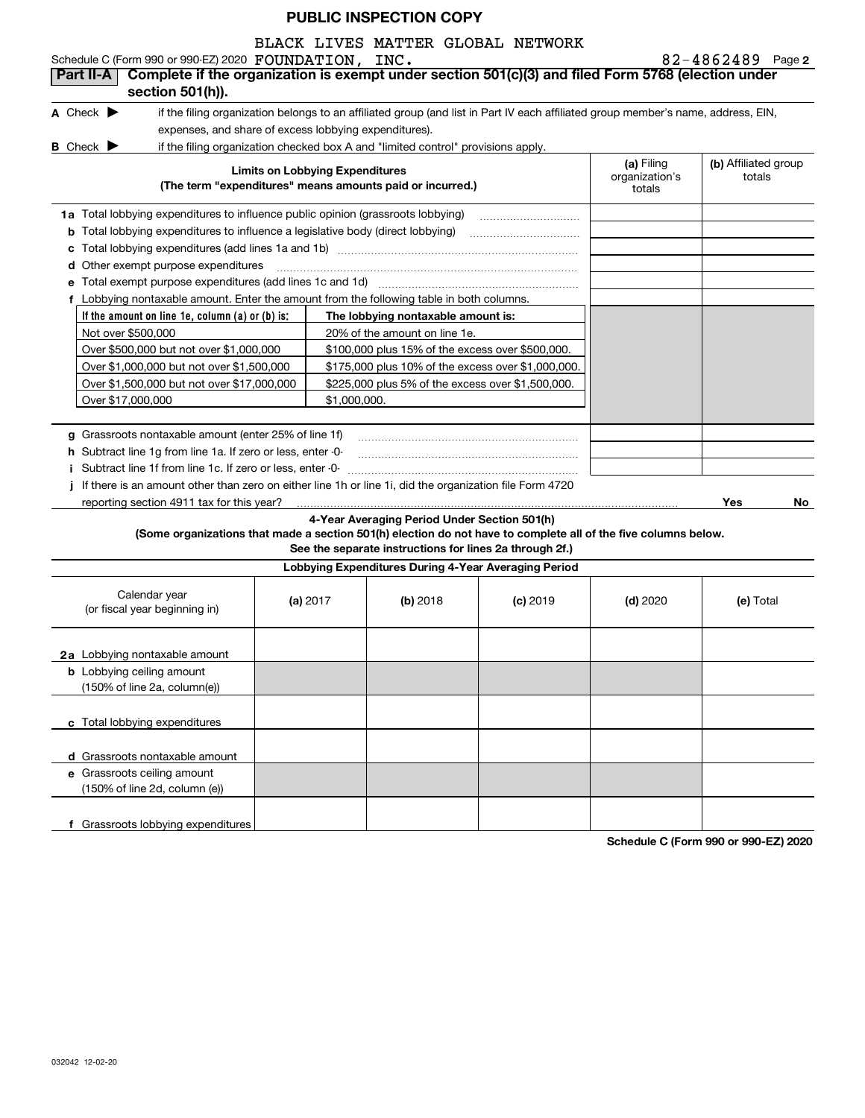BLACK LIVES MATTER GLOBAL NETWORK

**If the amount on line 1e, column (a) or (b) is: 2 A** Check  $\blacktriangleright$ **B** Check  $\blacktriangleright$ **Limits on Lobbying Expenditures (The term "expenditures" means amounts paid or incurred.) (a) (b)**  Filing **1a**Total lobbying expenditures to influence public opinion (grassroots lobbying) **b** Total lobbying expenditures to influence a legislative body (direct lobbying) \_\_\_\_\_\_\_\_\_\_\_\_\_\_\_\_\_\_\_\_\_\_ **c**Total lobbying expenditures (add lines 1a and 1b) ~~~~~~~~~~~~~~~~~~~~~~~~**d**Other exempt purpose expenditures ~~~~~~~~~~~~~~~~~~~~~~~~~~~~~~**efThe lobbying nontaxable amount is: g**Grassroots nontaxable amount (enter 25% of line 1f) **h** Subtract line 1g from line 1a. If zero or less, enter -0**ij**If there is an amount other than zero on either line 1h or line 1i, did the organization file Form 4720 **Yes No 4-Year Averaging Period Under Section 501(h) (Some organizations that made a section 501(h) election do not have to complete all of the five columns below. See the separate instructions for lines 2a through 2f.) Lobbying Expenditures During 4-Year Averaging Period (a)** 2017 **(b)** 2018 (c) 2019 (d) 2020 (e) **2a**Lobbying nontaxable amount **b** Lobbying ceiling amount Schedule C (Form 990 or 990-EZ) 2020 Page FOUNDATION, INC. 82-4862489 if the filing organization belongs to an affiliated group (and list in Part IV each affiliated group member's name, address, EIN, expenses, and share of excess lobbying expenditures). if the filing organization checked box A and "limited control" provisions apply. organization's totals(b) Affiliated group totalsTotal exempt purpose expenditures (add lines 1c and 1d) ~~~~~~~~~~~~~~~~~~~~Lobbying nontaxable amount. Enter the amount from the following table in both columns. Not over \$500,000 Over \$500,000 but not over \$1,000,000 Over \$1,000,000 but not over \$1,500,000 Over \$1,500,000 but not over \$17,000,000 Over \$17,000,000 20% of the amount on line 1e. \$100,000 plus 15% of the excess over \$500,000. \$175,000 plus 10% of the excess over \$1,000,000. \$225,000 plus 5% of the excess over \$1,500,000. \$1,000,000.Subtract line 1f from line 1c. If zero or less, enter -0- ~~~~~~~~~~~~~~~~~~~~~~~reporting section 4911 tax for this year? Calendar year (or fiscal year beginning in) (a) 2017 2018 2019 2020 Total (150% of line 2a, column(e)) **Part II-A Complete if the organization is exempt under section 501(c)(3) and filed Form 5768 (election under section 501(h)).**

**c**Total lobbying expenditures **d** Grassroots nontaxable amount **e** Grassroots ceiling amount **f** Grassroots lobbying expenditures (150% of line 2d, column (e))

**Schedule C (Form 990 or 990-EZ) 2020**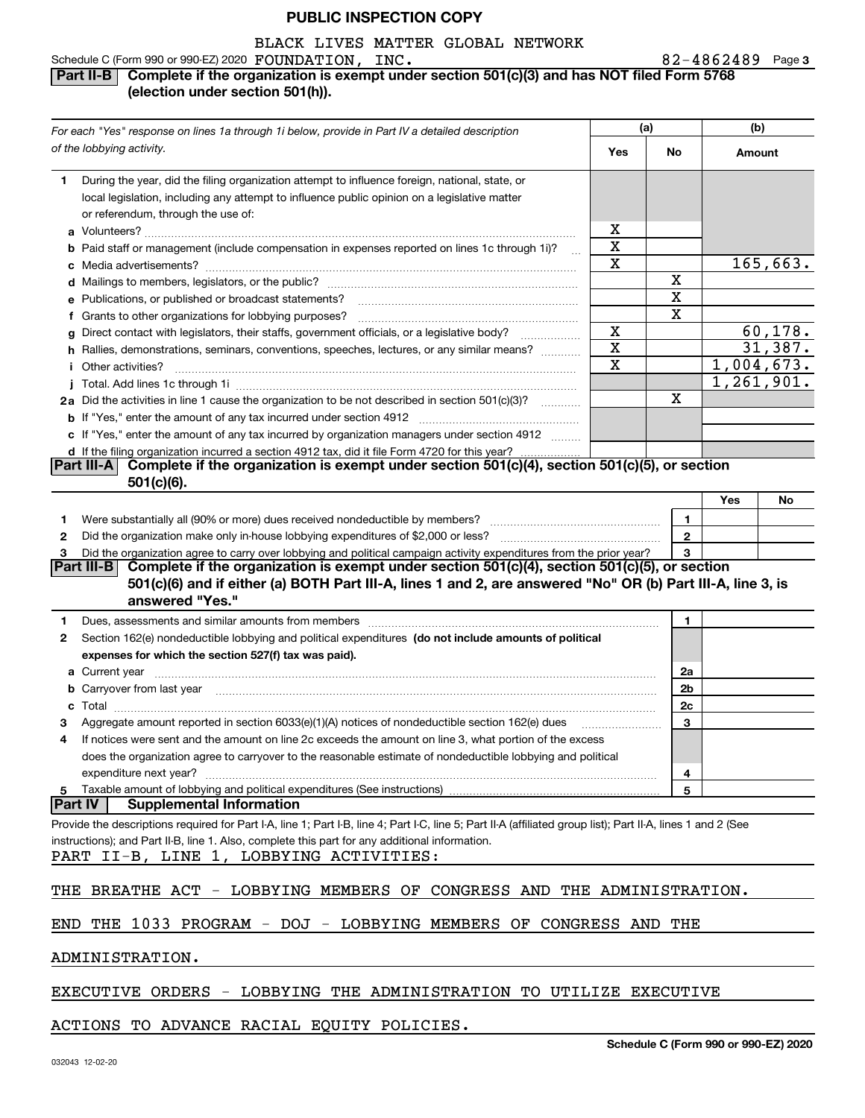## BLACK LIVES MATTER GLOBAL NETWORK

#### Schedule C (Form 990 or 990-EZ) 2020 Page FOUNDATION, INC. 82-4862489

#### **3**

#### **Part II-B** Complete if the organization is exempt under section 501(c)(3) and has NOT filed Form 5768 **(election under section 501(h)).**

| For each "Yes" response on lines 1a through 1i below, provide in Part IV a detailed description                                                                                                                                      |                         | (a)          | (b)    |            |
|--------------------------------------------------------------------------------------------------------------------------------------------------------------------------------------------------------------------------------------|-------------------------|--------------|--------|------------|
| of the lobbying activity.                                                                                                                                                                                                            | Yes                     | <b>No</b>    | Amount |            |
| During the year, did the filing organization attempt to influence foreign, national, state, or<br>1.                                                                                                                                 |                         |              |        |            |
| local legislation, including any attempt to influence public opinion on a legislative matter                                                                                                                                         |                         |              |        |            |
| or referendum, through the use of:                                                                                                                                                                                                   |                         |              |        |            |
|                                                                                                                                                                                                                                      | x                       |              |        |            |
| b Paid staff or management (include compensation in expenses reported on lines 1c through 1i)?<br>$\sim$                                                                                                                             | X                       |              |        |            |
|                                                                                                                                                                                                                                      | X                       |              |        | 165,663.   |
|                                                                                                                                                                                                                                      |                         | х            |        |            |
| e Publications, or published or broadcast statements?                                                                                                                                                                                |                         | $\mathbf X$  |        |            |
| f Grants to other organizations for lobbying purposes?                                                                                                                                                                               |                         | х            |        |            |
| Direct contact with legislators, their staffs, government officials, or a legislative body?<br>g                                                                                                                                     | X                       |              |        | 60, 178.   |
| h Rallies, demonstrations, seminars, conventions, speeches, lectures, or any similar means?                                                                                                                                          | X                       |              |        | 31,387.    |
| <i>i</i> Other activities?                                                                                                                                                                                                           | $\overline{\mathbf{X}}$ |              |        | 1,004,673. |
|                                                                                                                                                                                                                                      |                         |              |        | 1,261,901. |
| 2a Did the activities in line 1 cause the organization to be not described in section 501(c)(3)?                                                                                                                                     |                         | Х            |        |            |
|                                                                                                                                                                                                                                      |                         |              |        |            |
| c If "Yes," enter the amount of any tax incurred by organization managers under section 4912                                                                                                                                         |                         |              |        |            |
| d If the filing organization incurred a section 4912 tax, did it file Form 4720 for this year?<br>Complete if the organization is exempt under section $501(c)(4)$ , section $501(c)(5)$ , or section                                |                         |              |        |            |
| Part III-A<br>$501(c)(6)$ .                                                                                                                                                                                                          |                         |              |        |            |
|                                                                                                                                                                                                                                      |                         |              | Yes    | No         |
| 1                                                                                                                                                                                                                                    |                         | 1            |        |            |
| 2                                                                                                                                                                                                                                    |                         | $\mathbf{2}$ |        |            |
| Did the organization agree to carry over lobbying and political campaign activity expenditures from the prior year?<br>З                                                                                                             |                         | 3            |        |            |
| <b>Part III-B</b><br>Complete if the organization is exempt under section $501(c)(4)$ , section $501(c)(5)$ , or section                                                                                                             |                         |              |        |            |
| 501(c)(6) and if either (a) BOTH Part III-A, lines 1 and 2, are answered "No" OR (b) Part III-A, line 3, is<br>answered "Yes."                                                                                                       |                         |              |        |            |
| Dues, assessments and similar amounts from members [11] matter contracts and similar amounts from members [11] matter and similar amounts from members [11] matter and similar amounts from members [11] matter and similar am<br>1. |                         | 1            |        |            |
| Section 162(e) nondeductible lobbying and political expenditures (do not include amounts of political<br>2                                                                                                                           |                         |              |        |            |
| expenses for which the section 527(f) tax was paid).                                                                                                                                                                                 |                         |              |        |            |
| <b>a</b> Current year                                                                                                                                                                                                                |                         | 2a           |        |            |
| Carryover from last year manufactured and content to the state of the content of the content of the content of<br>b                                                                                                                  |                         | 2b           |        |            |
| c                                                                                                                                                                                                                                    |                         | 2c           |        |            |
| Aggregate amount reported in section 6033(e)(1)(A) notices of nondeductible section 162(e) dues<br>з                                                                                                                                 |                         | 3            |        |            |
| If notices were sent and the amount on line 2c exceeds the amount on line 3, what portion of the excess<br>4                                                                                                                         |                         |              |        |            |
| does the organization agree to carryover to the reasonable estimate of nondeductible lobbying and political                                                                                                                          |                         |              |        |            |
| expenditure next year?                                                                                                                                                                                                               |                         | 4            |        |            |
| Taxable amount of lobbying and political expenditures (See instructions)<br>5                                                                                                                                                        |                         | 5            |        |            |
| <b>Part IV</b><br><b>Supplemental Information</b>                                                                                                                                                                                    |                         |              |        |            |
| Provide the descriptions required for Part I-A, line 1; Part I-B, line 4; Part I-C, line 5; Part II-A (affiliated group list); Part II-A, lines 1 and 2 (See                                                                         |                         |              |        |            |
| instructions); and Part II-B, line 1. Also, complete this part for any additional information.                                                                                                                                       |                         |              |        |            |
| PART II-B, LINE 1, LOBBYING ACTIVITIES:                                                                                                                                                                                              |                         |              |        |            |
| BREATHE ACT - LOBBYING MEMBERS OF CONGRESS AND THE ADMINISTRATION.<br>THE                                                                                                                                                            |                         |              |        |            |
| THE 1033 PROGRAM - DOJ - LOBBYING MEMBERS OF CONGRESS AND<br>END                                                                                                                                                                     |                         | THE          |        |            |
| ADMINISTRATION.                                                                                                                                                                                                                      |                         |              |        |            |
| EXECUTIVE ORDERS - LOBBYING THE ADMINISTRATION TO UTILIZE EXECUTIVE                                                                                                                                                                  |                         |              |        |            |

## ACTIONS TO ADVANCE RACIAL EQUITY POLICIES.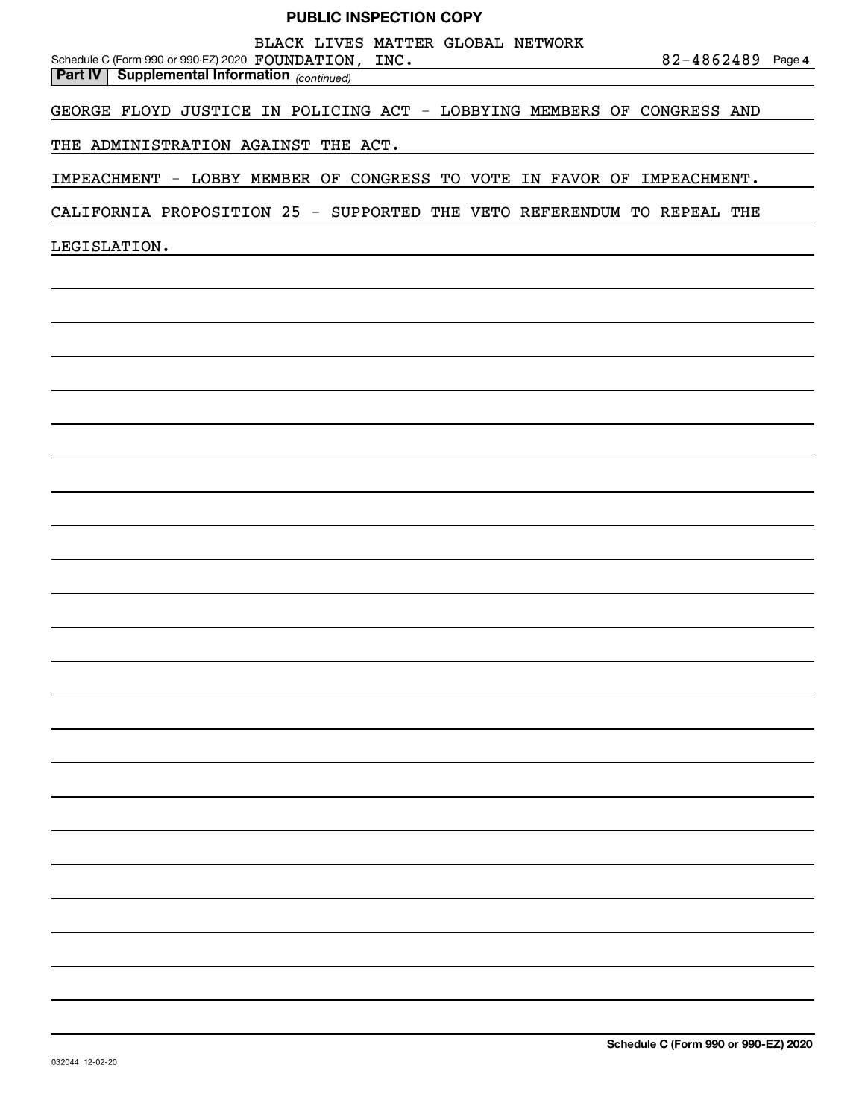BLACK LIVES MATTER GLOBAL NETWORK

**4** Schedule C (Form 990 or 990-EZ) 2020 Page FOUNDATION, INC. 82-4862489

GEORGE FLOYD JUSTICE IN POLICING ACT - LOBBYING MEMBERS OF CONGRESS AND

THE ADMINISTRATION AGAINST THE ACT.

*(continued)* **Part IV Supplemental Information** 

IMPEACHMENT - LOBBY MEMBER OF CONGRESS TO VOTE IN FAVOR OF IMPEACHMENT.

CALIFORNIA PROPOSITION 25 - SUPPORTED THE VETO REFERENDUM TO REPEAL THE

LEGISLATION.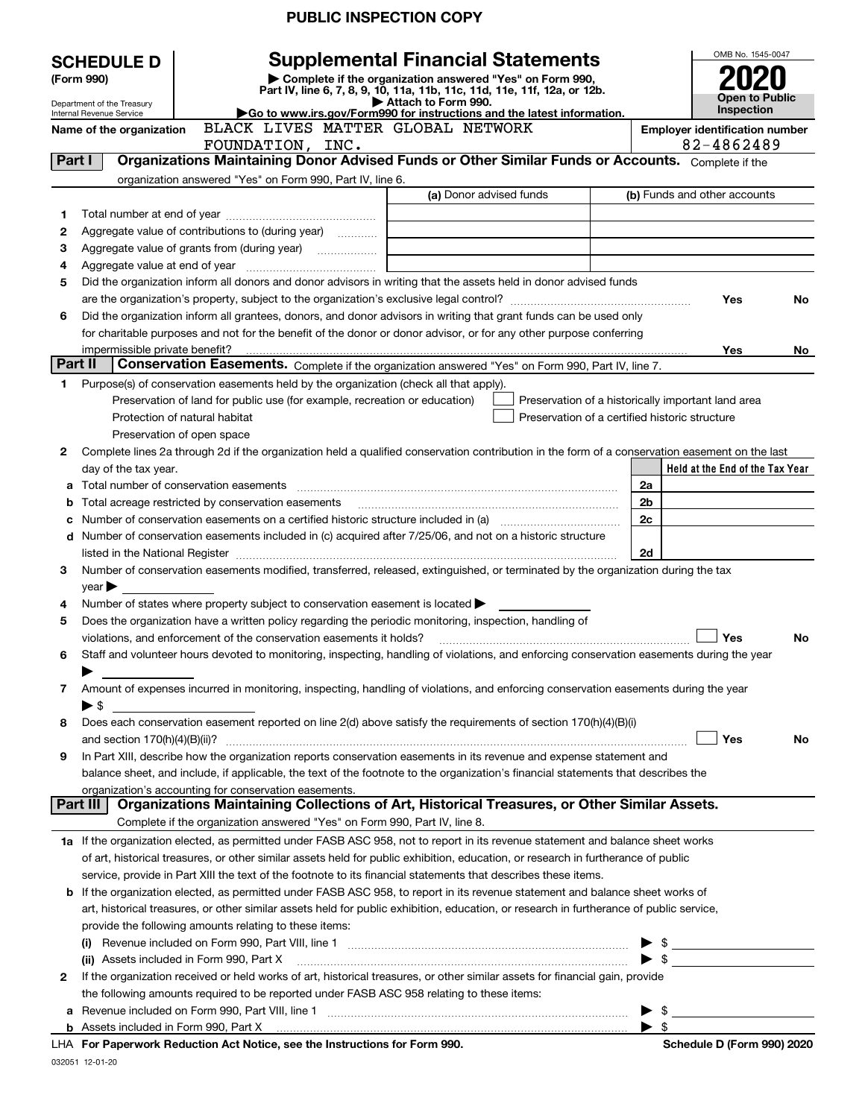| OMB No. 1545-0047<br><b>Supplemental Financial Statements</b><br><b>SCHEDULE D</b><br>Complete if the organization answered "Yes" on Form 990,<br>(Form 990)<br>Part IV, line 6, 7, 8, 9, 10, 11a, 11b, 11c, 11d, 11e, 11f, 12a, or 12b.<br><b>Open to Public</b><br>Attach to Form 990.<br>Department of the Treasury<br>Inspection<br>Go to www.irs.gov/Form990 for instructions and the latest information.<br>Internal Revenue Service<br>BLACK LIVES MATTER GLOBAL NETWORK<br>Name of the organization<br><b>Employer identification number</b><br>82-4862489<br>FOUNDATION, INC.<br>Organizations Maintaining Donor Advised Funds or Other Similar Funds or Accounts. Complete if the<br>Part I<br>organization answered "Yes" on Form 990, Part IV, line 6.<br>(a) Donor advised funds<br>(b) Funds and other accounts<br>1<br>2<br>Aggregate value of contributions to (during year)<br>3<br>4<br>Did the organization inform all donors and donor advisors in writing that the assets held in donor advised funds<br>5<br>Yes<br>No<br>Did the organization inform all grantees, donors, and donor advisors in writing that grant funds can be used only<br>6<br>for charitable purposes and not for the benefit of the donor or donor advisor, or for any other purpose conferring<br>Yes<br>No<br>Part II<br>Conservation Easements. Complete if the organization answered "Yes" on Form 990, Part IV, line 7.<br>Purpose(s) of conservation easements held by the organization (check all that apply).<br>1<br>Preservation of land for public use (for example, recreation or education)<br>Preservation of a historically important land area<br>Protection of natural habitat<br>Preservation of a certified historic structure<br>Preservation of open space<br>Complete lines 2a through 2d if the organization held a qualified conservation contribution in the form of a conservation easement on the last<br>2<br>Held at the End of the Tax Year<br>day of the tax year.<br>a Total number of conservation easements [11] matter construction contracts and number of conservation easements<br>2a<br>Total acreage restricted by conservation easements<br>2b<br>b<br>2c<br>с<br>d Number of conservation easements included in (c) acquired after 7/25/06, and not on a historic structure<br>2d<br>Number of conservation easements modified, transferred, released, extinguished, or terminated by the organization during the tax<br>3<br>$year \blacktriangleright$<br>Number of states where property subject to conservation easement is located $\blacktriangleright$<br>4<br>Does the organization have a written policy regarding the periodic monitoring, inspection, handling of<br>5<br>Yes<br>violations, and enforcement of the conservation easements it holds?<br>No<br>Staff and volunteer hours devoted to monitoring, inspecting, handling of violations, and enforcing conservation easements during the year<br>6<br>Amount of expenses incurred in monitoring, inspecting, handling of violations, and enforcing conservation easements during the year<br>7<br>$\blacktriangleright$ \$<br>Does each conservation easement reported on line 2(d) above satisfy the requirements of section 170(h)(4)(B)(i)<br>8<br>Yes<br>No<br>In Part XIII, describe how the organization reports conservation easements in its revenue and expense statement and<br>9<br>balance sheet, and include, if applicable, the text of the footnote to the organization's financial statements that describes the<br>organization's accounting for conservation easements.<br>Organizations Maintaining Collections of Art, Historical Treasures, or Other Similar Assets.<br>Part III<br>Complete if the organization answered "Yes" on Form 990, Part IV, line 8.<br>1a If the organization elected, as permitted under FASB ASC 958, not to report in its revenue statement and balance sheet works<br>of art, historical treasures, or other similar assets held for public exhibition, education, or research in furtherance of public<br>service, provide in Part XIII the text of the footnote to its financial statements that describes these items.<br>If the organization elected, as permitted under FASB ASC 958, to report in its revenue statement and balance sheet works of<br>b<br>art, historical treasures, or other similar assets held for public exhibition, education, or research in furtherance of public service,<br>provide the following amounts relating to these items:<br>$\mathfrak{S}$ and $\mathfrak{S}$<br>$\blacktriangleright$ \$<br>(ii) Assets included in Form 990, Part X<br>If the organization received or held works of art, historical treasures, or other similar assets for financial gain, provide<br>2<br>the following amounts required to be reported under FASB ASC 958 relating to these items:<br>$\blacktriangleright$ \$<br>$\blacktriangleright$ \$<br><b>LHA</b> For Departually Reduction Act Notice, see the Instructions for Form 000<br>Schodule D (Form 000) 2020 |  | <b>PUBLIC INSPECTION COPY</b> |  |  |
|--------------------------------------------------------------------------------------------------------------------------------------------------------------------------------------------------------------------------------------------------------------------------------------------------------------------------------------------------------------------------------------------------------------------------------------------------------------------------------------------------------------------------------------------------------------------------------------------------------------------------------------------------------------------------------------------------------------------------------------------------------------------------------------------------------------------------------------------------------------------------------------------------------------------------------------------------------------------------------------------------------------------------------------------------------------------------------------------------------------------------------------------------------------------------------------------------------------------------------------------------------------------------------------------------------------------------------------------------------------------------------------------------------------------------------------------------------------------------------------------------------------------------------------------------------------------------------------------------------------------------------------------------------------------------------------------------------------------------------------------------------------------------------------------------------------------------------------------------------------------------------------------------------------------------------------------------------------------------------------------------------------------------------------------------------------------------------------------------------------------------------------------------------------------------------------------------------------------------------------------------------------------------------------------------------------------------------------------------------------------------------------------------------------------------------------------------------------------------------------------------------------------------------------------------------------------------------------------------------------------------------------------------------------------------------------------------------------------------------------------------------------------------------------------------------------------------------------------------------------------------------------------------------------------------------------------------------------------------------------------------------------------------------------------------------------------------------------------------------------------------------------------------------------------------------------------------------------------------------------------------------------------------------------------------------------------------------------------------------------------------------------------------------------------------------------------------------------------------------------------------------------------------------------------------------------------------------------------------------------------------------------------------------------------------------------------------------------------------------------------------------------------------------------------------------------------------------------------------------------------------------------------------------------------------------------------------------------------------------------------------------------------------------------------------------------------------------------------------------------------------------------------------------------------------------------------------------------------------------------------------------------------------------------------------------------------------------------------------------------------------------------------------------------------------------------------------------------------------------------------------------------------------------------------------------------------------------------------------------------------------------------------------------------------------------------------------------------------------------------------------------------------------------------------------------------------------------------------------------------------------------------------------------------------------------------------------------------------------------------------------------------------------------------------------------------|--|-------------------------------|--|--|
|                                                                                                                                                                                                                                                                                                                                                                                                                                                                                                                                                                                                                                                                                                                                                                                                                                                                                                                                                                                                                                                                                                                                                                                                                                                                                                                                                                                                                                                                                                                                                                                                                                                                                                                                                                                                                                                                                                                                                                                                                                                                                                                                                                                                                                                                                                                                                                                                                                                                                                                                                                                                                                                                                                                                                                                                                                                                                                                                                                                                                                                                                                                                                                                                                                                                                                                                                                                                                                                                                                                                                                                                                                                                                                                                                                                                                                                                                                                                                                                                                                                                                                                                                                                                                                                                                                                                                                                                                                                                                                                                                                                                                                                                                                                                                                                                                                                                                                                                                                                                                                                              |  |                               |  |  |
|                                                                                                                                                                                                                                                                                                                                                                                                                                                                                                                                                                                                                                                                                                                                                                                                                                                                                                                                                                                                                                                                                                                                                                                                                                                                                                                                                                                                                                                                                                                                                                                                                                                                                                                                                                                                                                                                                                                                                                                                                                                                                                                                                                                                                                                                                                                                                                                                                                                                                                                                                                                                                                                                                                                                                                                                                                                                                                                                                                                                                                                                                                                                                                                                                                                                                                                                                                                                                                                                                                                                                                                                                                                                                                                                                                                                                                                                                                                                                                                                                                                                                                                                                                                                                                                                                                                                                                                                                                                                                                                                                                                                                                                                                                                                                                                                                                                                                                                                                                                                                                                              |  |                               |  |  |
|                                                                                                                                                                                                                                                                                                                                                                                                                                                                                                                                                                                                                                                                                                                                                                                                                                                                                                                                                                                                                                                                                                                                                                                                                                                                                                                                                                                                                                                                                                                                                                                                                                                                                                                                                                                                                                                                                                                                                                                                                                                                                                                                                                                                                                                                                                                                                                                                                                                                                                                                                                                                                                                                                                                                                                                                                                                                                                                                                                                                                                                                                                                                                                                                                                                                                                                                                                                                                                                                                                                                                                                                                                                                                                                                                                                                                                                                                                                                                                                                                                                                                                                                                                                                                                                                                                                                                                                                                                                                                                                                                                                                                                                                                                                                                                                                                                                                                                                                                                                                                                                              |  |                               |  |  |
|                                                                                                                                                                                                                                                                                                                                                                                                                                                                                                                                                                                                                                                                                                                                                                                                                                                                                                                                                                                                                                                                                                                                                                                                                                                                                                                                                                                                                                                                                                                                                                                                                                                                                                                                                                                                                                                                                                                                                                                                                                                                                                                                                                                                                                                                                                                                                                                                                                                                                                                                                                                                                                                                                                                                                                                                                                                                                                                                                                                                                                                                                                                                                                                                                                                                                                                                                                                                                                                                                                                                                                                                                                                                                                                                                                                                                                                                                                                                                                                                                                                                                                                                                                                                                                                                                                                                                                                                                                                                                                                                                                                                                                                                                                                                                                                                                                                                                                                                                                                                                                                              |  |                               |  |  |
|                                                                                                                                                                                                                                                                                                                                                                                                                                                                                                                                                                                                                                                                                                                                                                                                                                                                                                                                                                                                                                                                                                                                                                                                                                                                                                                                                                                                                                                                                                                                                                                                                                                                                                                                                                                                                                                                                                                                                                                                                                                                                                                                                                                                                                                                                                                                                                                                                                                                                                                                                                                                                                                                                                                                                                                                                                                                                                                                                                                                                                                                                                                                                                                                                                                                                                                                                                                                                                                                                                                                                                                                                                                                                                                                                                                                                                                                                                                                                                                                                                                                                                                                                                                                                                                                                                                                                                                                                                                                                                                                                                                                                                                                                                                                                                                                                                                                                                                                                                                                                                                              |  |                               |  |  |
|                                                                                                                                                                                                                                                                                                                                                                                                                                                                                                                                                                                                                                                                                                                                                                                                                                                                                                                                                                                                                                                                                                                                                                                                                                                                                                                                                                                                                                                                                                                                                                                                                                                                                                                                                                                                                                                                                                                                                                                                                                                                                                                                                                                                                                                                                                                                                                                                                                                                                                                                                                                                                                                                                                                                                                                                                                                                                                                                                                                                                                                                                                                                                                                                                                                                                                                                                                                                                                                                                                                                                                                                                                                                                                                                                                                                                                                                                                                                                                                                                                                                                                                                                                                                                                                                                                                                                                                                                                                                                                                                                                                                                                                                                                                                                                                                                                                                                                                                                                                                                                                              |  |                               |  |  |
|                                                                                                                                                                                                                                                                                                                                                                                                                                                                                                                                                                                                                                                                                                                                                                                                                                                                                                                                                                                                                                                                                                                                                                                                                                                                                                                                                                                                                                                                                                                                                                                                                                                                                                                                                                                                                                                                                                                                                                                                                                                                                                                                                                                                                                                                                                                                                                                                                                                                                                                                                                                                                                                                                                                                                                                                                                                                                                                                                                                                                                                                                                                                                                                                                                                                                                                                                                                                                                                                                                                                                                                                                                                                                                                                                                                                                                                                                                                                                                                                                                                                                                                                                                                                                                                                                                                                                                                                                                                                                                                                                                                                                                                                                                                                                                                                                                                                                                                                                                                                                                                              |  |                               |  |  |
|                                                                                                                                                                                                                                                                                                                                                                                                                                                                                                                                                                                                                                                                                                                                                                                                                                                                                                                                                                                                                                                                                                                                                                                                                                                                                                                                                                                                                                                                                                                                                                                                                                                                                                                                                                                                                                                                                                                                                                                                                                                                                                                                                                                                                                                                                                                                                                                                                                                                                                                                                                                                                                                                                                                                                                                                                                                                                                                                                                                                                                                                                                                                                                                                                                                                                                                                                                                                                                                                                                                                                                                                                                                                                                                                                                                                                                                                                                                                                                                                                                                                                                                                                                                                                                                                                                                                                                                                                                                                                                                                                                                                                                                                                                                                                                                                                                                                                                                                                                                                                                                              |  |                               |  |  |
|                                                                                                                                                                                                                                                                                                                                                                                                                                                                                                                                                                                                                                                                                                                                                                                                                                                                                                                                                                                                                                                                                                                                                                                                                                                                                                                                                                                                                                                                                                                                                                                                                                                                                                                                                                                                                                                                                                                                                                                                                                                                                                                                                                                                                                                                                                                                                                                                                                                                                                                                                                                                                                                                                                                                                                                                                                                                                                                                                                                                                                                                                                                                                                                                                                                                                                                                                                                                                                                                                                                                                                                                                                                                                                                                                                                                                                                                                                                                                                                                                                                                                                                                                                                                                                                                                                                                                                                                                                                                                                                                                                                                                                                                                                                                                                                                                                                                                                                                                                                                                                                              |  |                               |  |  |
|                                                                                                                                                                                                                                                                                                                                                                                                                                                                                                                                                                                                                                                                                                                                                                                                                                                                                                                                                                                                                                                                                                                                                                                                                                                                                                                                                                                                                                                                                                                                                                                                                                                                                                                                                                                                                                                                                                                                                                                                                                                                                                                                                                                                                                                                                                                                                                                                                                                                                                                                                                                                                                                                                                                                                                                                                                                                                                                                                                                                                                                                                                                                                                                                                                                                                                                                                                                                                                                                                                                                                                                                                                                                                                                                                                                                                                                                                                                                                                                                                                                                                                                                                                                                                                                                                                                                                                                                                                                                                                                                                                                                                                                                                                                                                                                                                                                                                                                                                                                                                                                              |  |                               |  |  |
|                                                                                                                                                                                                                                                                                                                                                                                                                                                                                                                                                                                                                                                                                                                                                                                                                                                                                                                                                                                                                                                                                                                                                                                                                                                                                                                                                                                                                                                                                                                                                                                                                                                                                                                                                                                                                                                                                                                                                                                                                                                                                                                                                                                                                                                                                                                                                                                                                                                                                                                                                                                                                                                                                                                                                                                                                                                                                                                                                                                                                                                                                                                                                                                                                                                                                                                                                                                                                                                                                                                                                                                                                                                                                                                                                                                                                                                                                                                                                                                                                                                                                                                                                                                                                                                                                                                                                                                                                                                                                                                                                                                                                                                                                                                                                                                                                                                                                                                                                                                                                                                              |  |                               |  |  |
|                                                                                                                                                                                                                                                                                                                                                                                                                                                                                                                                                                                                                                                                                                                                                                                                                                                                                                                                                                                                                                                                                                                                                                                                                                                                                                                                                                                                                                                                                                                                                                                                                                                                                                                                                                                                                                                                                                                                                                                                                                                                                                                                                                                                                                                                                                                                                                                                                                                                                                                                                                                                                                                                                                                                                                                                                                                                                                                                                                                                                                                                                                                                                                                                                                                                                                                                                                                                                                                                                                                                                                                                                                                                                                                                                                                                                                                                                                                                                                                                                                                                                                                                                                                                                                                                                                                                                                                                                                                                                                                                                                                                                                                                                                                                                                                                                                                                                                                                                                                                                                                              |  |                               |  |  |
|                                                                                                                                                                                                                                                                                                                                                                                                                                                                                                                                                                                                                                                                                                                                                                                                                                                                                                                                                                                                                                                                                                                                                                                                                                                                                                                                                                                                                                                                                                                                                                                                                                                                                                                                                                                                                                                                                                                                                                                                                                                                                                                                                                                                                                                                                                                                                                                                                                                                                                                                                                                                                                                                                                                                                                                                                                                                                                                                                                                                                                                                                                                                                                                                                                                                                                                                                                                                                                                                                                                                                                                                                                                                                                                                                                                                                                                                                                                                                                                                                                                                                                                                                                                                                                                                                                                                                                                                                                                                                                                                                                                                                                                                                                                                                                                                                                                                                                                                                                                                                                                              |  |                               |  |  |
|                                                                                                                                                                                                                                                                                                                                                                                                                                                                                                                                                                                                                                                                                                                                                                                                                                                                                                                                                                                                                                                                                                                                                                                                                                                                                                                                                                                                                                                                                                                                                                                                                                                                                                                                                                                                                                                                                                                                                                                                                                                                                                                                                                                                                                                                                                                                                                                                                                                                                                                                                                                                                                                                                                                                                                                                                                                                                                                                                                                                                                                                                                                                                                                                                                                                                                                                                                                                                                                                                                                                                                                                                                                                                                                                                                                                                                                                                                                                                                                                                                                                                                                                                                                                                                                                                                                                                                                                                                                                                                                                                                                                                                                                                                                                                                                                                                                                                                                                                                                                                                                              |  |                               |  |  |
|                                                                                                                                                                                                                                                                                                                                                                                                                                                                                                                                                                                                                                                                                                                                                                                                                                                                                                                                                                                                                                                                                                                                                                                                                                                                                                                                                                                                                                                                                                                                                                                                                                                                                                                                                                                                                                                                                                                                                                                                                                                                                                                                                                                                                                                                                                                                                                                                                                                                                                                                                                                                                                                                                                                                                                                                                                                                                                                                                                                                                                                                                                                                                                                                                                                                                                                                                                                                                                                                                                                                                                                                                                                                                                                                                                                                                                                                                                                                                                                                                                                                                                                                                                                                                                                                                                                                                                                                                                                                                                                                                                                                                                                                                                                                                                                                                                                                                                                                                                                                                                                              |  |                               |  |  |
|                                                                                                                                                                                                                                                                                                                                                                                                                                                                                                                                                                                                                                                                                                                                                                                                                                                                                                                                                                                                                                                                                                                                                                                                                                                                                                                                                                                                                                                                                                                                                                                                                                                                                                                                                                                                                                                                                                                                                                                                                                                                                                                                                                                                                                                                                                                                                                                                                                                                                                                                                                                                                                                                                                                                                                                                                                                                                                                                                                                                                                                                                                                                                                                                                                                                                                                                                                                                                                                                                                                                                                                                                                                                                                                                                                                                                                                                                                                                                                                                                                                                                                                                                                                                                                                                                                                                                                                                                                                                                                                                                                                                                                                                                                                                                                                                                                                                                                                                                                                                                                                              |  |                               |  |  |
|                                                                                                                                                                                                                                                                                                                                                                                                                                                                                                                                                                                                                                                                                                                                                                                                                                                                                                                                                                                                                                                                                                                                                                                                                                                                                                                                                                                                                                                                                                                                                                                                                                                                                                                                                                                                                                                                                                                                                                                                                                                                                                                                                                                                                                                                                                                                                                                                                                                                                                                                                                                                                                                                                                                                                                                                                                                                                                                                                                                                                                                                                                                                                                                                                                                                                                                                                                                                                                                                                                                                                                                                                                                                                                                                                                                                                                                                                                                                                                                                                                                                                                                                                                                                                                                                                                                                                                                                                                                                                                                                                                                                                                                                                                                                                                                                                                                                                                                                                                                                                                                              |  |                               |  |  |
|                                                                                                                                                                                                                                                                                                                                                                                                                                                                                                                                                                                                                                                                                                                                                                                                                                                                                                                                                                                                                                                                                                                                                                                                                                                                                                                                                                                                                                                                                                                                                                                                                                                                                                                                                                                                                                                                                                                                                                                                                                                                                                                                                                                                                                                                                                                                                                                                                                                                                                                                                                                                                                                                                                                                                                                                                                                                                                                                                                                                                                                                                                                                                                                                                                                                                                                                                                                                                                                                                                                                                                                                                                                                                                                                                                                                                                                                                                                                                                                                                                                                                                                                                                                                                                                                                                                                                                                                                                                                                                                                                                                                                                                                                                                                                                                                                                                                                                                                                                                                                                                              |  |                               |  |  |
|                                                                                                                                                                                                                                                                                                                                                                                                                                                                                                                                                                                                                                                                                                                                                                                                                                                                                                                                                                                                                                                                                                                                                                                                                                                                                                                                                                                                                                                                                                                                                                                                                                                                                                                                                                                                                                                                                                                                                                                                                                                                                                                                                                                                                                                                                                                                                                                                                                                                                                                                                                                                                                                                                                                                                                                                                                                                                                                                                                                                                                                                                                                                                                                                                                                                                                                                                                                                                                                                                                                                                                                                                                                                                                                                                                                                                                                                                                                                                                                                                                                                                                                                                                                                                                                                                                                                                                                                                                                                                                                                                                                                                                                                                                                                                                                                                                                                                                                                                                                                                                                              |  |                               |  |  |
|                                                                                                                                                                                                                                                                                                                                                                                                                                                                                                                                                                                                                                                                                                                                                                                                                                                                                                                                                                                                                                                                                                                                                                                                                                                                                                                                                                                                                                                                                                                                                                                                                                                                                                                                                                                                                                                                                                                                                                                                                                                                                                                                                                                                                                                                                                                                                                                                                                                                                                                                                                                                                                                                                                                                                                                                                                                                                                                                                                                                                                                                                                                                                                                                                                                                                                                                                                                                                                                                                                                                                                                                                                                                                                                                                                                                                                                                                                                                                                                                                                                                                                                                                                                                                                                                                                                                                                                                                                                                                                                                                                                                                                                                                                                                                                                                                                                                                                                                                                                                                                                              |  |                               |  |  |
|                                                                                                                                                                                                                                                                                                                                                                                                                                                                                                                                                                                                                                                                                                                                                                                                                                                                                                                                                                                                                                                                                                                                                                                                                                                                                                                                                                                                                                                                                                                                                                                                                                                                                                                                                                                                                                                                                                                                                                                                                                                                                                                                                                                                                                                                                                                                                                                                                                                                                                                                                                                                                                                                                                                                                                                                                                                                                                                                                                                                                                                                                                                                                                                                                                                                                                                                                                                                                                                                                                                                                                                                                                                                                                                                                                                                                                                                                                                                                                                                                                                                                                                                                                                                                                                                                                                                                                                                                                                                                                                                                                                                                                                                                                                                                                                                                                                                                                                                                                                                                                                              |  |                               |  |  |
|                                                                                                                                                                                                                                                                                                                                                                                                                                                                                                                                                                                                                                                                                                                                                                                                                                                                                                                                                                                                                                                                                                                                                                                                                                                                                                                                                                                                                                                                                                                                                                                                                                                                                                                                                                                                                                                                                                                                                                                                                                                                                                                                                                                                                                                                                                                                                                                                                                                                                                                                                                                                                                                                                                                                                                                                                                                                                                                                                                                                                                                                                                                                                                                                                                                                                                                                                                                                                                                                                                                                                                                                                                                                                                                                                                                                                                                                                                                                                                                                                                                                                                                                                                                                                                                                                                                                                                                                                                                                                                                                                                                                                                                                                                                                                                                                                                                                                                                                                                                                                                                              |  |                               |  |  |
|                                                                                                                                                                                                                                                                                                                                                                                                                                                                                                                                                                                                                                                                                                                                                                                                                                                                                                                                                                                                                                                                                                                                                                                                                                                                                                                                                                                                                                                                                                                                                                                                                                                                                                                                                                                                                                                                                                                                                                                                                                                                                                                                                                                                                                                                                                                                                                                                                                                                                                                                                                                                                                                                                                                                                                                                                                                                                                                                                                                                                                                                                                                                                                                                                                                                                                                                                                                                                                                                                                                                                                                                                                                                                                                                                                                                                                                                                                                                                                                                                                                                                                                                                                                                                                                                                                                                                                                                                                                                                                                                                                                                                                                                                                                                                                                                                                                                                                                                                                                                                                                              |  |                               |  |  |
|                                                                                                                                                                                                                                                                                                                                                                                                                                                                                                                                                                                                                                                                                                                                                                                                                                                                                                                                                                                                                                                                                                                                                                                                                                                                                                                                                                                                                                                                                                                                                                                                                                                                                                                                                                                                                                                                                                                                                                                                                                                                                                                                                                                                                                                                                                                                                                                                                                                                                                                                                                                                                                                                                                                                                                                                                                                                                                                                                                                                                                                                                                                                                                                                                                                                                                                                                                                                                                                                                                                                                                                                                                                                                                                                                                                                                                                                                                                                                                                                                                                                                                                                                                                                                                                                                                                                                                                                                                                                                                                                                                                                                                                                                                                                                                                                                                                                                                                                                                                                                                                              |  |                               |  |  |
|                                                                                                                                                                                                                                                                                                                                                                                                                                                                                                                                                                                                                                                                                                                                                                                                                                                                                                                                                                                                                                                                                                                                                                                                                                                                                                                                                                                                                                                                                                                                                                                                                                                                                                                                                                                                                                                                                                                                                                                                                                                                                                                                                                                                                                                                                                                                                                                                                                                                                                                                                                                                                                                                                                                                                                                                                                                                                                                                                                                                                                                                                                                                                                                                                                                                                                                                                                                                                                                                                                                                                                                                                                                                                                                                                                                                                                                                                                                                                                                                                                                                                                                                                                                                                                                                                                                                                                                                                                                                                                                                                                                                                                                                                                                                                                                                                                                                                                                                                                                                                                                              |  |                               |  |  |
|                                                                                                                                                                                                                                                                                                                                                                                                                                                                                                                                                                                                                                                                                                                                                                                                                                                                                                                                                                                                                                                                                                                                                                                                                                                                                                                                                                                                                                                                                                                                                                                                                                                                                                                                                                                                                                                                                                                                                                                                                                                                                                                                                                                                                                                                                                                                                                                                                                                                                                                                                                                                                                                                                                                                                                                                                                                                                                                                                                                                                                                                                                                                                                                                                                                                                                                                                                                                                                                                                                                                                                                                                                                                                                                                                                                                                                                                                                                                                                                                                                                                                                                                                                                                                                                                                                                                                                                                                                                                                                                                                                                                                                                                                                                                                                                                                                                                                                                                                                                                                                                              |  |                               |  |  |
|                                                                                                                                                                                                                                                                                                                                                                                                                                                                                                                                                                                                                                                                                                                                                                                                                                                                                                                                                                                                                                                                                                                                                                                                                                                                                                                                                                                                                                                                                                                                                                                                                                                                                                                                                                                                                                                                                                                                                                                                                                                                                                                                                                                                                                                                                                                                                                                                                                                                                                                                                                                                                                                                                                                                                                                                                                                                                                                                                                                                                                                                                                                                                                                                                                                                                                                                                                                                                                                                                                                                                                                                                                                                                                                                                                                                                                                                                                                                                                                                                                                                                                                                                                                                                                                                                                                                                                                                                                                                                                                                                                                                                                                                                                                                                                                                                                                                                                                                                                                                                                                              |  |                               |  |  |
|                                                                                                                                                                                                                                                                                                                                                                                                                                                                                                                                                                                                                                                                                                                                                                                                                                                                                                                                                                                                                                                                                                                                                                                                                                                                                                                                                                                                                                                                                                                                                                                                                                                                                                                                                                                                                                                                                                                                                                                                                                                                                                                                                                                                                                                                                                                                                                                                                                                                                                                                                                                                                                                                                                                                                                                                                                                                                                                                                                                                                                                                                                                                                                                                                                                                                                                                                                                                                                                                                                                                                                                                                                                                                                                                                                                                                                                                                                                                                                                                                                                                                                                                                                                                                                                                                                                                                                                                                                                                                                                                                                                                                                                                                                                                                                                                                                                                                                                                                                                                                                                              |  |                               |  |  |
|                                                                                                                                                                                                                                                                                                                                                                                                                                                                                                                                                                                                                                                                                                                                                                                                                                                                                                                                                                                                                                                                                                                                                                                                                                                                                                                                                                                                                                                                                                                                                                                                                                                                                                                                                                                                                                                                                                                                                                                                                                                                                                                                                                                                                                                                                                                                                                                                                                                                                                                                                                                                                                                                                                                                                                                                                                                                                                                                                                                                                                                                                                                                                                                                                                                                                                                                                                                                                                                                                                                                                                                                                                                                                                                                                                                                                                                                                                                                                                                                                                                                                                                                                                                                                                                                                                                                                                                                                                                                                                                                                                                                                                                                                                                                                                                                                                                                                                                                                                                                                                                              |  |                               |  |  |
|                                                                                                                                                                                                                                                                                                                                                                                                                                                                                                                                                                                                                                                                                                                                                                                                                                                                                                                                                                                                                                                                                                                                                                                                                                                                                                                                                                                                                                                                                                                                                                                                                                                                                                                                                                                                                                                                                                                                                                                                                                                                                                                                                                                                                                                                                                                                                                                                                                                                                                                                                                                                                                                                                                                                                                                                                                                                                                                                                                                                                                                                                                                                                                                                                                                                                                                                                                                                                                                                                                                                                                                                                                                                                                                                                                                                                                                                                                                                                                                                                                                                                                                                                                                                                                                                                                                                                                                                                                                                                                                                                                                                                                                                                                                                                                                                                                                                                                                                                                                                                                                              |  |                               |  |  |
|                                                                                                                                                                                                                                                                                                                                                                                                                                                                                                                                                                                                                                                                                                                                                                                                                                                                                                                                                                                                                                                                                                                                                                                                                                                                                                                                                                                                                                                                                                                                                                                                                                                                                                                                                                                                                                                                                                                                                                                                                                                                                                                                                                                                                                                                                                                                                                                                                                                                                                                                                                                                                                                                                                                                                                                                                                                                                                                                                                                                                                                                                                                                                                                                                                                                                                                                                                                                                                                                                                                                                                                                                                                                                                                                                                                                                                                                                                                                                                                                                                                                                                                                                                                                                                                                                                                                                                                                                                                                                                                                                                                                                                                                                                                                                                                                                                                                                                                                                                                                                                                              |  |                               |  |  |
|                                                                                                                                                                                                                                                                                                                                                                                                                                                                                                                                                                                                                                                                                                                                                                                                                                                                                                                                                                                                                                                                                                                                                                                                                                                                                                                                                                                                                                                                                                                                                                                                                                                                                                                                                                                                                                                                                                                                                                                                                                                                                                                                                                                                                                                                                                                                                                                                                                                                                                                                                                                                                                                                                                                                                                                                                                                                                                                                                                                                                                                                                                                                                                                                                                                                                                                                                                                                                                                                                                                                                                                                                                                                                                                                                                                                                                                                                                                                                                                                                                                                                                                                                                                                                                                                                                                                                                                                                                                                                                                                                                                                                                                                                                                                                                                                                                                                                                                                                                                                                                                              |  |                               |  |  |
|                                                                                                                                                                                                                                                                                                                                                                                                                                                                                                                                                                                                                                                                                                                                                                                                                                                                                                                                                                                                                                                                                                                                                                                                                                                                                                                                                                                                                                                                                                                                                                                                                                                                                                                                                                                                                                                                                                                                                                                                                                                                                                                                                                                                                                                                                                                                                                                                                                                                                                                                                                                                                                                                                                                                                                                                                                                                                                                                                                                                                                                                                                                                                                                                                                                                                                                                                                                                                                                                                                                                                                                                                                                                                                                                                                                                                                                                                                                                                                                                                                                                                                                                                                                                                                                                                                                                                                                                                                                                                                                                                                                                                                                                                                                                                                                                                                                                                                                                                                                                                                                              |  |                               |  |  |
|                                                                                                                                                                                                                                                                                                                                                                                                                                                                                                                                                                                                                                                                                                                                                                                                                                                                                                                                                                                                                                                                                                                                                                                                                                                                                                                                                                                                                                                                                                                                                                                                                                                                                                                                                                                                                                                                                                                                                                                                                                                                                                                                                                                                                                                                                                                                                                                                                                                                                                                                                                                                                                                                                                                                                                                                                                                                                                                                                                                                                                                                                                                                                                                                                                                                                                                                                                                                                                                                                                                                                                                                                                                                                                                                                                                                                                                                                                                                                                                                                                                                                                                                                                                                                                                                                                                                                                                                                                                                                                                                                                                                                                                                                                                                                                                                                                                                                                                                                                                                                                                              |  |                               |  |  |
|                                                                                                                                                                                                                                                                                                                                                                                                                                                                                                                                                                                                                                                                                                                                                                                                                                                                                                                                                                                                                                                                                                                                                                                                                                                                                                                                                                                                                                                                                                                                                                                                                                                                                                                                                                                                                                                                                                                                                                                                                                                                                                                                                                                                                                                                                                                                                                                                                                                                                                                                                                                                                                                                                                                                                                                                                                                                                                                                                                                                                                                                                                                                                                                                                                                                                                                                                                                                                                                                                                                                                                                                                                                                                                                                                                                                                                                                                                                                                                                                                                                                                                                                                                                                                                                                                                                                                                                                                                                                                                                                                                                                                                                                                                                                                                                                                                                                                                                                                                                                                                                              |  |                               |  |  |
|                                                                                                                                                                                                                                                                                                                                                                                                                                                                                                                                                                                                                                                                                                                                                                                                                                                                                                                                                                                                                                                                                                                                                                                                                                                                                                                                                                                                                                                                                                                                                                                                                                                                                                                                                                                                                                                                                                                                                                                                                                                                                                                                                                                                                                                                                                                                                                                                                                                                                                                                                                                                                                                                                                                                                                                                                                                                                                                                                                                                                                                                                                                                                                                                                                                                                                                                                                                                                                                                                                                                                                                                                                                                                                                                                                                                                                                                                                                                                                                                                                                                                                                                                                                                                                                                                                                                                                                                                                                                                                                                                                                                                                                                                                                                                                                                                                                                                                                                                                                                                                                              |  |                               |  |  |
|                                                                                                                                                                                                                                                                                                                                                                                                                                                                                                                                                                                                                                                                                                                                                                                                                                                                                                                                                                                                                                                                                                                                                                                                                                                                                                                                                                                                                                                                                                                                                                                                                                                                                                                                                                                                                                                                                                                                                                                                                                                                                                                                                                                                                                                                                                                                                                                                                                                                                                                                                                                                                                                                                                                                                                                                                                                                                                                                                                                                                                                                                                                                                                                                                                                                                                                                                                                                                                                                                                                                                                                                                                                                                                                                                                                                                                                                                                                                                                                                                                                                                                                                                                                                                                                                                                                                                                                                                                                                                                                                                                                                                                                                                                                                                                                                                                                                                                                                                                                                                                                              |  |                               |  |  |
|                                                                                                                                                                                                                                                                                                                                                                                                                                                                                                                                                                                                                                                                                                                                                                                                                                                                                                                                                                                                                                                                                                                                                                                                                                                                                                                                                                                                                                                                                                                                                                                                                                                                                                                                                                                                                                                                                                                                                                                                                                                                                                                                                                                                                                                                                                                                                                                                                                                                                                                                                                                                                                                                                                                                                                                                                                                                                                                                                                                                                                                                                                                                                                                                                                                                                                                                                                                                                                                                                                                                                                                                                                                                                                                                                                                                                                                                                                                                                                                                                                                                                                                                                                                                                                                                                                                                                                                                                                                                                                                                                                                                                                                                                                                                                                                                                                                                                                                                                                                                                                                              |  |                               |  |  |
|                                                                                                                                                                                                                                                                                                                                                                                                                                                                                                                                                                                                                                                                                                                                                                                                                                                                                                                                                                                                                                                                                                                                                                                                                                                                                                                                                                                                                                                                                                                                                                                                                                                                                                                                                                                                                                                                                                                                                                                                                                                                                                                                                                                                                                                                                                                                                                                                                                                                                                                                                                                                                                                                                                                                                                                                                                                                                                                                                                                                                                                                                                                                                                                                                                                                                                                                                                                                                                                                                                                                                                                                                                                                                                                                                                                                                                                                                                                                                                                                                                                                                                                                                                                                                                                                                                                                                                                                                                                                                                                                                                                                                                                                                                                                                                                                                                                                                                                                                                                                                                                              |  |                               |  |  |
|                                                                                                                                                                                                                                                                                                                                                                                                                                                                                                                                                                                                                                                                                                                                                                                                                                                                                                                                                                                                                                                                                                                                                                                                                                                                                                                                                                                                                                                                                                                                                                                                                                                                                                                                                                                                                                                                                                                                                                                                                                                                                                                                                                                                                                                                                                                                                                                                                                                                                                                                                                                                                                                                                                                                                                                                                                                                                                                                                                                                                                                                                                                                                                                                                                                                                                                                                                                                                                                                                                                                                                                                                                                                                                                                                                                                                                                                                                                                                                                                                                                                                                                                                                                                                                                                                                                                                                                                                                                                                                                                                                                                                                                                                                                                                                                                                                                                                                                                                                                                                                                              |  |                               |  |  |
|                                                                                                                                                                                                                                                                                                                                                                                                                                                                                                                                                                                                                                                                                                                                                                                                                                                                                                                                                                                                                                                                                                                                                                                                                                                                                                                                                                                                                                                                                                                                                                                                                                                                                                                                                                                                                                                                                                                                                                                                                                                                                                                                                                                                                                                                                                                                                                                                                                                                                                                                                                                                                                                                                                                                                                                                                                                                                                                                                                                                                                                                                                                                                                                                                                                                                                                                                                                                                                                                                                                                                                                                                                                                                                                                                                                                                                                                                                                                                                                                                                                                                                                                                                                                                                                                                                                                                                                                                                                                                                                                                                                                                                                                                                                                                                                                                                                                                                                                                                                                                                                              |  |                               |  |  |
|                                                                                                                                                                                                                                                                                                                                                                                                                                                                                                                                                                                                                                                                                                                                                                                                                                                                                                                                                                                                                                                                                                                                                                                                                                                                                                                                                                                                                                                                                                                                                                                                                                                                                                                                                                                                                                                                                                                                                                                                                                                                                                                                                                                                                                                                                                                                                                                                                                                                                                                                                                                                                                                                                                                                                                                                                                                                                                                                                                                                                                                                                                                                                                                                                                                                                                                                                                                                                                                                                                                                                                                                                                                                                                                                                                                                                                                                                                                                                                                                                                                                                                                                                                                                                                                                                                                                                                                                                                                                                                                                                                                                                                                                                                                                                                                                                                                                                                                                                                                                                                                              |  |                               |  |  |
|                                                                                                                                                                                                                                                                                                                                                                                                                                                                                                                                                                                                                                                                                                                                                                                                                                                                                                                                                                                                                                                                                                                                                                                                                                                                                                                                                                                                                                                                                                                                                                                                                                                                                                                                                                                                                                                                                                                                                                                                                                                                                                                                                                                                                                                                                                                                                                                                                                                                                                                                                                                                                                                                                                                                                                                                                                                                                                                                                                                                                                                                                                                                                                                                                                                                                                                                                                                                                                                                                                                                                                                                                                                                                                                                                                                                                                                                                                                                                                                                                                                                                                                                                                                                                                                                                                                                                                                                                                                                                                                                                                                                                                                                                                                                                                                                                                                                                                                                                                                                                                                              |  |                               |  |  |
|                                                                                                                                                                                                                                                                                                                                                                                                                                                                                                                                                                                                                                                                                                                                                                                                                                                                                                                                                                                                                                                                                                                                                                                                                                                                                                                                                                                                                                                                                                                                                                                                                                                                                                                                                                                                                                                                                                                                                                                                                                                                                                                                                                                                                                                                                                                                                                                                                                                                                                                                                                                                                                                                                                                                                                                                                                                                                                                                                                                                                                                                                                                                                                                                                                                                                                                                                                                                                                                                                                                                                                                                                                                                                                                                                                                                                                                                                                                                                                                                                                                                                                                                                                                                                                                                                                                                                                                                                                                                                                                                                                                                                                                                                                                                                                                                                                                                                                                                                                                                                                                              |  |                               |  |  |
|                                                                                                                                                                                                                                                                                                                                                                                                                                                                                                                                                                                                                                                                                                                                                                                                                                                                                                                                                                                                                                                                                                                                                                                                                                                                                                                                                                                                                                                                                                                                                                                                                                                                                                                                                                                                                                                                                                                                                                                                                                                                                                                                                                                                                                                                                                                                                                                                                                                                                                                                                                                                                                                                                                                                                                                                                                                                                                                                                                                                                                                                                                                                                                                                                                                                                                                                                                                                                                                                                                                                                                                                                                                                                                                                                                                                                                                                                                                                                                                                                                                                                                                                                                                                                                                                                                                                                                                                                                                                                                                                                                                                                                                                                                                                                                                                                                                                                                                                                                                                                                                              |  |                               |  |  |
|                                                                                                                                                                                                                                                                                                                                                                                                                                                                                                                                                                                                                                                                                                                                                                                                                                                                                                                                                                                                                                                                                                                                                                                                                                                                                                                                                                                                                                                                                                                                                                                                                                                                                                                                                                                                                                                                                                                                                                                                                                                                                                                                                                                                                                                                                                                                                                                                                                                                                                                                                                                                                                                                                                                                                                                                                                                                                                                                                                                                                                                                                                                                                                                                                                                                                                                                                                                                                                                                                                                                                                                                                                                                                                                                                                                                                                                                                                                                                                                                                                                                                                                                                                                                                                                                                                                                                                                                                                                                                                                                                                                                                                                                                                                                                                                                                                                                                                                                                                                                                                                              |  |                               |  |  |
|                                                                                                                                                                                                                                                                                                                                                                                                                                                                                                                                                                                                                                                                                                                                                                                                                                                                                                                                                                                                                                                                                                                                                                                                                                                                                                                                                                                                                                                                                                                                                                                                                                                                                                                                                                                                                                                                                                                                                                                                                                                                                                                                                                                                                                                                                                                                                                                                                                                                                                                                                                                                                                                                                                                                                                                                                                                                                                                                                                                                                                                                                                                                                                                                                                                                                                                                                                                                                                                                                                                                                                                                                                                                                                                                                                                                                                                                                                                                                                                                                                                                                                                                                                                                                                                                                                                                                                                                                                                                                                                                                                                                                                                                                                                                                                                                                                                                                                                                                                                                                                                              |  |                               |  |  |
|                                                                                                                                                                                                                                                                                                                                                                                                                                                                                                                                                                                                                                                                                                                                                                                                                                                                                                                                                                                                                                                                                                                                                                                                                                                                                                                                                                                                                                                                                                                                                                                                                                                                                                                                                                                                                                                                                                                                                                                                                                                                                                                                                                                                                                                                                                                                                                                                                                                                                                                                                                                                                                                                                                                                                                                                                                                                                                                                                                                                                                                                                                                                                                                                                                                                                                                                                                                                                                                                                                                                                                                                                                                                                                                                                                                                                                                                                                                                                                                                                                                                                                                                                                                                                                                                                                                                                                                                                                                                                                                                                                                                                                                                                                                                                                                                                                                                                                                                                                                                                                                              |  |                               |  |  |

**For Paperwork Reduction Act Notice, see the Instructions for Form 990. Schedule D (Form 990) 2020** LHA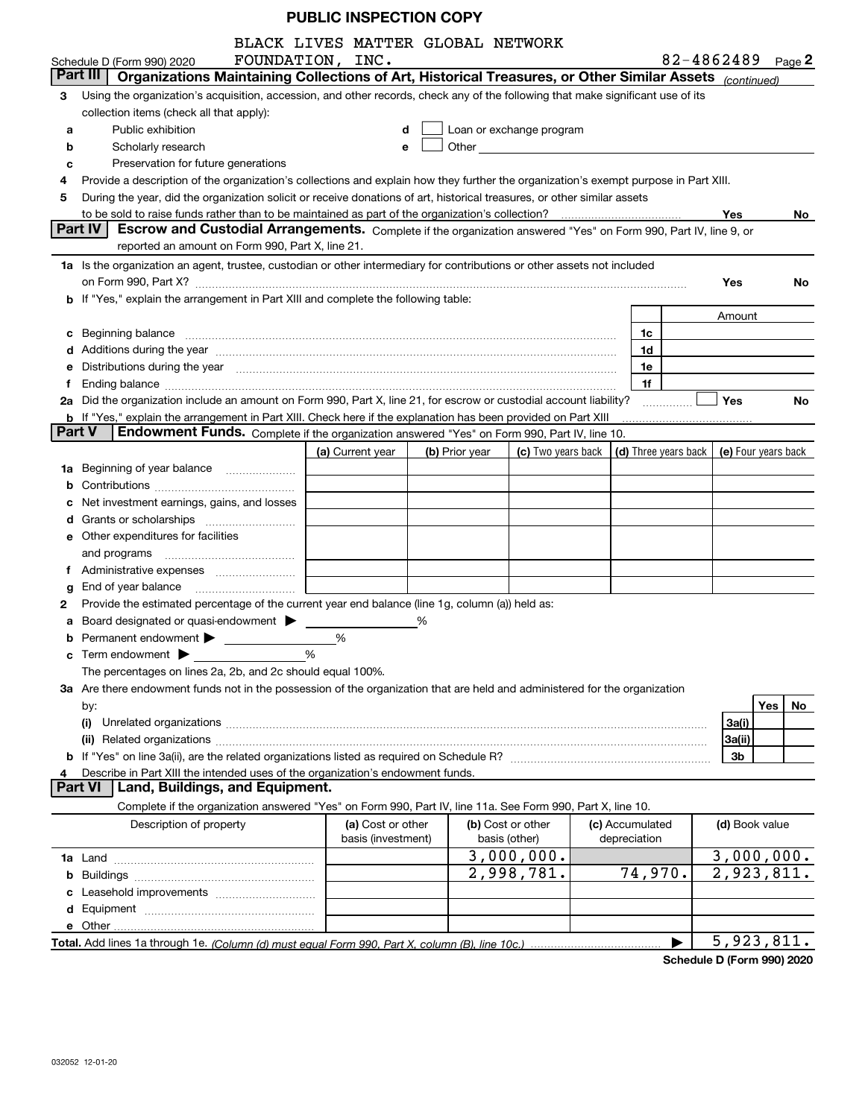|        |                                                                                                                                                                                                                      | BLACK LIVES MATTER GLOBAL NETWORK |                |                                                                                                                                                                                                                                |                 |                                            |                            |           |
|--------|----------------------------------------------------------------------------------------------------------------------------------------------------------------------------------------------------------------------|-----------------------------------|----------------|--------------------------------------------------------------------------------------------------------------------------------------------------------------------------------------------------------------------------------|-----------------|--------------------------------------------|----------------------------|-----------|
|        | Schedule D (Form 990) 2020                                                                                                                                                                                           | FOUNDATION, INC.                  |                |                                                                                                                                                                                                                                |                 |                                            | 82-4862489 $_{Page}$ 2     |           |
|        | Part III<br>Organizations Maintaining Collections of Art, Historical Treasures, or Other Similar Assets (continued)                                                                                                  |                                   |                |                                                                                                                                                                                                                                |                 |                                            |                            |           |
| з      | Using the organization's acquisition, accession, and other records, check any of the following that make significant use of its                                                                                      |                                   |                |                                                                                                                                                                                                                                |                 |                                            |                            |           |
|        | collection items (check all that apply):                                                                                                                                                                             |                                   |                |                                                                                                                                                                                                                                |                 |                                            |                            |           |
| a      | Public exhibition                                                                                                                                                                                                    |                                   | d              | Loan or exchange program                                                                                                                                                                                                       |                 |                                            |                            |           |
| b      | Scholarly research                                                                                                                                                                                                   |                                   | e              | Other experiences and the state of the state of the state of the state of the state of the state of the state of the state of the state of the state of the state of the state of the state of the state of the state of the s |                 |                                            |                            |           |
| c      | Preservation for future generations                                                                                                                                                                                  |                                   |                |                                                                                                                                                                                                                                |                 |                                            |                            |           |
| 4      | Provide a description of the organization's collections and explain how they further the organization's exempt purpose in Part XIII.                                                                                 |                                   |                |                                                                                                                                                                                                                                |                 |                                            |                            |           |
| 5      | During the year, did the organization solicit or receive donations of art, historical treasures, or other similar assets                                                                                             |                                   |                |                                                                                                                                                                                                                                |                 |                                            |                            |           |
|        | to be sold to raise funds rather than to be maintained as part of the organization's collection?                                                                                                                     |                                   |                |                                                                                                                                                                                                                                |                 |                                            | Yes                        | No.       |
|        | <b>Part IV</b><br>Escrow and Custodial Arrangements. Complete if the organization answered "Yes" on Form 990, Part IV, line 9, or                                                                                    |                                   |                |                                                                                                                                                                                                                                |                 |                                            |                            |           |
|        | reported an amount on Form 990, Part X, line 21.                                                                                                                                                                     |                                   |                |                                                                                                                                                                                                                                |                 |                                            |                            |           |
|        | 1a Is the organization an agent, trustee, custodian or other intermediary for contributions or other assets not included                                                                                             |                                   |                |                                                                                                                                                                                                                                |                 |                                            |                            |           |
|        |                                                                                                                                                                                                                      |                                   |                |                                                                                                                                                                                                                                |                 |                                            | Yes                        | No.       |
|        | b If "Yes," explain the arrangement in Part XIII and complete the following table:                                                                                                                                   |                                   |                |                                                                                                                                                                                                                                |                 |                                            |                            |           |
|        |                                                                                                                                                                                                                      |                                   |                |                                                                                                                                                                                                                                |                 |                                            | Amount                     |           |
| c      | Beginning balance <b>contract contract and contract contract a</b> beginning balance and contract and contract a beginning balance                                                                                   |                                   |                |                                                                                                                                                                                                                                |                 | 1c                                         |                            |           |
|        | d Additions during the year measurements are all an according to the year measurement of the year measurement                                                                                                        |                                   |                |                                                                                                                                                                                                                                |                 | 1d                                         |                            |           |
|        | e Distributions during the year manufactured and contain an account of the state of the state of the state of                                                                                                        |                                   |                |                                                                                                                                                                                                                                |                 | 1e                                         |                            |           |
| Ť.     |                                                                                                                                                                                                                      |                                   |                |                                                                                                                                                                                                                                |                 | 1f                                         |                            |           |
|        | 2a Did the organization include an amount on Form 990, Part X, line 21, for escrow or custodial account liability?                                                                                                   |                                   |                |                                                                                                                                                                                                                                |                 | .                                          | <b>Yes</b>                 | No        |
| Part V | <b>b</b> If "Yes," explain the arrangement in Part XIII. Check here if the explanation has been provided on Part XIII<br>Endowment Funds. Complete if the organization answered "Yes" on Form 990, Part IV, line 10. |                                   |                |                                                                                                                                                                                                                                |                 |                                            |                            |           |
|        |                                                                                                                                                                                                                      | (a) Current year                  | (b) Prior year | (c) Two years back                                                                                                                                                                                                             |                 | (d) Three years back   (e) Four years back |                            |           |
|        | Beginning of year balance                                                                                                                                                                                            |                                   |                |                                                                                                                                                                                                                                |                 |                                            |                            |           |
| 1a     |                                                                                                                                                                                                                      |                                   |                |                                                                                                                                                                                                                                |                 |                                            |                            |           |
|        |                                                                                                                                                                                                                      |                                   |                |                                                                                                                                                                                                                                |                 |                                            |                            |           |
|        | Net investment earnings, gains, and losses                                                                                                                                                                           |                                   |                |                                                                                                                                                                                                                                |                 |                                            |                            |           |
| d      |                                                                                                                                                                                                                      |                                   |                |                                                                                                                                                                                                                                |                 |                                            |                            |           |
|        | e Other expenditures for facilities                                                                                                                                                                                  |                                   |                |                                                                                                                                                                                                                                |                 |                                            |                            |           |
|        |                                                                                                                                                                                                                      |                                   |                |                                                                                                                                                                                                                                |                 |                                            |                            |           |
|        |                                                                                                                                                                                                                      |                                   |                |                                                                                                                                                                                                                                |                 |                                            |                            |           |
| g      | Provide the estimated percentage of the current year end balance (line 1g, column (a)) held as:                                                                                                                      |                                   |                |                                                                                                                                                                                                                                |                 |                                            |                            |           |
| 2      |                                                                                                                                                                                                                      |                                   | %              |                                                                                                                                                                                                                                |                 |                                            |                            |           |
| а      | Board designated or quasi-endowment<br>Permanent endowment > 1                                                                                                                                                       | %                                 |                |                                                                                                                                                                                                                                |                 |                                            |                            |           |
|        |                                                                                                                                                                                                                      | %                                 |                |                                                                                                                                                                                                                                |                 |                                            |                            |           |
|        | The percentages on lines 2a, 2b, and 2c should equal 100%.                                                                                                                                                           |                                   |                |                                                                                                                                                                                                                                |                 |                                            |                            |           |
|        | 3a Are there endowment funds not in the possession of the organization that are held and administered for the organization                                                                                           |                                   |                |                                                                                                                                                                                                                                |                 |                                            |                            |           |
|        |                                                                                                                                                                                                                      |                                   |                |                                                                                                                                                                                                                                |                 |                                            |                            | Yes<br>No |
|        | by:<br>(i)                                                                                                                                                                                                           |                                   |                |                                                                                                                                                                                                                                |                 |                                            | 3a(i)                      |           |
|        |                                                                                                                                                                                                                      |                                   |                |                                                                                                                                                                                                                                |                 |                                            | 3a(ii)                     |           |
|        |                                                                                                                                                                                                                      |                                   |                |                                                                                                                                                                                                                                |                 |                                            | 3b                         |           |
|        | Describe in Part XIII the intended uses of the organization's endowment funds.                                                                                                                                       |                                   |                |                                                                                                                                                                                                                                |                 |                                            |                            |           |
|        | Land, Buildings, and Equipment.<br>Part VI                                                                                                                                                                           |                                   |                |                                                                                                                                                                                                                                |                 |                                            |                            |           |
|        | Complete if the organization answered "Yes" on Form 990, Part IV, line 11a. See Form 990, Part X, line 10.                                                                                                           |                                   |                |                                                                                                                                                                                                                                |                 |                                            |                            |           |
|        | Description of property                                                                                                                                                                                              | (a) Cost or other                 |                | (b) Cost or other                                                                                                                                                                                                              | (c) Accumulated |                                            | (d) Book value             |           |
|        |                                                                                                                                                                                                                      | basis (investment)                |                | basis (other)                                                                                                                                                                                                                  | depreciation    |                                            |                            |           |
|        |                                                                                                                                                                                                                      |                                   |                | 3,000,000.                                                                                                                                                                                                                     |                 |                                            | 3,000,000.                 |           |
| b      |                                                                                                                                                                                                                      |                                   |                | 2,998,781.                                                                                                                                                                                                                     |                 | 74,970.                                    | $\overline{2}$ , 923, 811. |           |
|        |                                                                                                                                                                                                                      |                                   |                |                                                                                                                                                                                                                                |                 |                                            |                            |           |
|        |                                                                                                                                                                                                                      |                                   |                |                                                                                                                                                                                                                                |                 |                                            |                            |           |
|        |                                                                                                                                                                                                                      |                                   |                |                                                                                                                                                                                                                                |                 |                                            |                            |           |
|        |                                                                                                                                                                                                                      |                                   |                |                                                                                                                                                                                                                                |                 |                                            | 5,923,811.                 |           |
|        |                                                                                                                                                                                                                      |                                   |                |                                                                                                                                                                                                                                |                 |                                            |                            |           |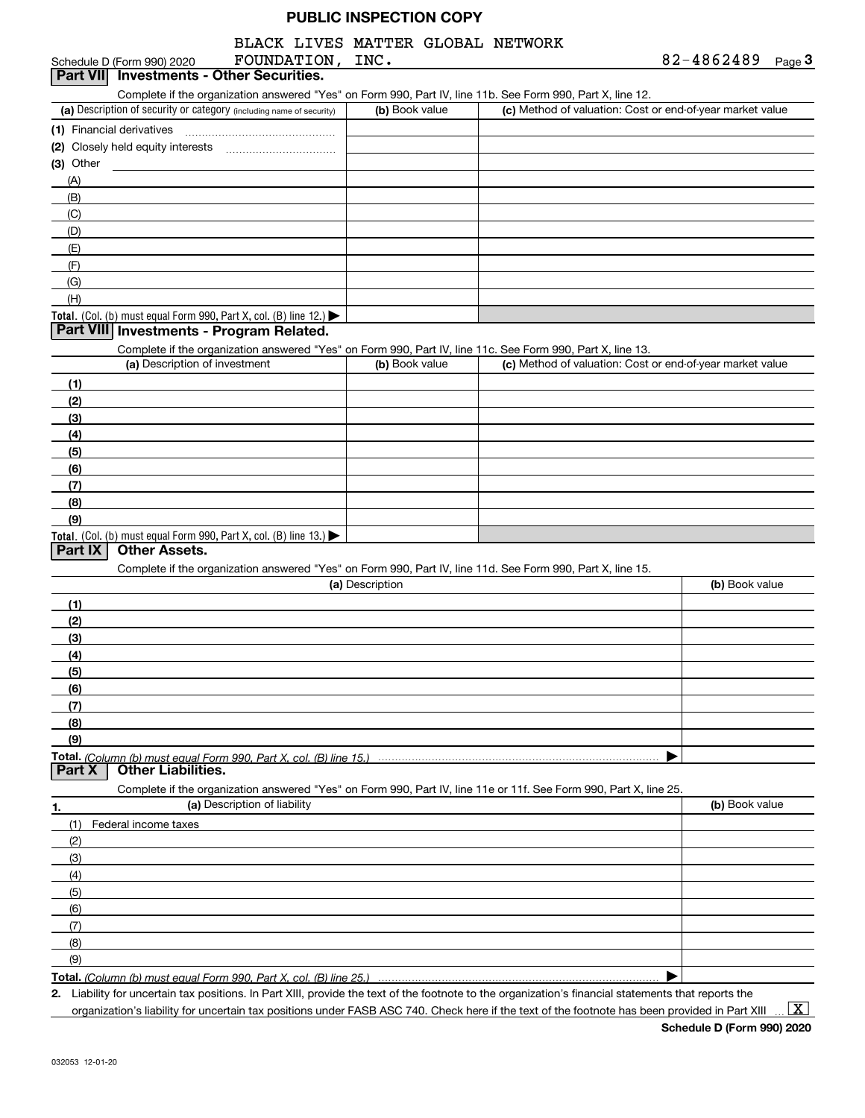## BLACK LIVES MATTER GLOBAL NETWORK

| 82-4862489 | Page $3$ |
|------------|----------|
|------------|----------|

|             | Schedule D (Form 990) 2020                                                             | FOUNDATION, INC.             |                 |                                                                                                                                                      | 82-4862489 Page 3 |
|-------------|----------------------------------------------------------------------------------------|------------------------------|-----------------|------------------------------------------------------------------------------------------------------------------------------------------------------|-------------------|
| Part VIII   | <b>Investments - Other Securities.</b>                                                 |                              |                 |                                                                                                                                                      |                   |
|             |                                                                                        |                              |                 | Complete if the organization answered "Yes" on Form 990, Part IV, line 11b. See Form 990, Part X, line 12.                                           |                   |
|             | (a) Description of security or category (including name of security)                   |                              | (b) Book value  | (c) Method of valuation: Cost or end-of-year market value                                                                                            |                   |
|             | (1) Financial derivatives                                                              |                              |                 |                                                                                                                                                      |                   |
|             |                                                                                        |                              |                 |                                                                                                                                                      |                   |
| $(3)$ Other |                                                                                        |                              |                 |                                                                                                                                                      |                   |
| (A)         |                                                                                        |                              |                 |                                                                                                                                                      |                   |
| (B)         |                                                                                        |                              |                 |                                                                                                                                                      |                   |
| (C)         |                                                                                        |                              |                 |                                                                                                                                                      |                   |
| (D)         |                                                                                        |                              |                 |                                                                                                                                                      |                   |
| (E)         |                                                                                        |                              |                 |                                                                                                                                                      |                   |
| (F)         |                                                                                        |                              |                 |                                                                                                                                                      |                   |
| (G)         |                                                                                        |                              |                 |                                                                                                                                                      |                   |
| (H)         |                                                                                        |                              |                 |                                                                                                                                                      |                   |
|             | Total. (Col. (b) must equal Form 990, Part X, col. (B) line 12.) $\blacktriangleright$ |                              |                 |                                                                                                                                                      |                   |
|             | Part VIII Investments - Program Related.                                               |                              |                 |                                                                                                                                                      |                   |
|             |                                                                                        |                              |                 | Complete if the organization answered "Yes" on Form 990, Part IV, line 11c. See Form 990, Part X, line 13.                                           |                   |
|             | (a) Description of investment                                                          |                              | (b) Book value  | (c) Method of valuation: Cost or end-of-year market value                                                                                            |                   |
| (1)         |                                                                                        |                              |                 |                                                                                                                                                      |                   |
| (2)         |                                                                                        |                              |                 |                                                                                                                                                      |                   |
| (3)         |                                                                                        |                              |                 |                                                                                                                                                      |                   |
| (4)         |                                                                                        |                              |                 |                                                                                                                                                      |                   |
| (5)         |                                                                                        |                              |                 |                                                                                                                                                      |                   |
| (6)         |                                                                                        |                              |                 |                                                                                                                                                      |                   |
| (7)         |                                                                                        |                              |                 |                                                                                                                                                      |                   |
| (8)         |                                                                                        |                              |                 |                                                                                                                                                      |                   |
| (9)         |                                                                                        |                              |                 |                                                                                                                                                      |                   |
|             | Total. (Col. (b) must equal Form 990, Part X, col. (B) line 13.)                       |                              |                 |                                                                                                                                                      |                   |
| Part IX     | <b>Other Assets.</b>                                                                   |                              |                 |                                                                                                                                                      |                   |
|             |                                                                                        |                              |                 | Complete if the organization answered "Yes" on Form 990, Part IV, line 11d. See Form 990, Part X, line 15.                                           |                   |
|             |                                                                                        |                              | (a) Description |                                                                                                                                                      | (b) Book value    |
| (1)         |                                                                                        |                              |                 |                                                                                                                                                      |                   |
| (2)         |                                                                                        |                              |                 |                                                                                                                                                      |                   |
| (3)         |                                                                                        |                              |                 |                                                                                                                                                      |                   |
| (4)         |                                                                                        |                              |                 |                                                                                                                                                      |                   |
| (5)         |                                                                                        |                              |                 |                                                                                                                                                      |                   |
| <u>(6)</u>  |                                                                                        |                              |                 |                                                                                                                                                      |                   |
| (7)         |                                                                                        |                              |                 |                                                                                                                                                      |                   |
| (8)         |                                                                                        |                              |                 |                                                                                                                                                      |                   |
| (9)         |                                                                                        |                              |                 |                                                                                                                                                      |                   |
|             |                                                                                        |                              |                 |                                                                                                                                                      |                   |
| Part X      | <b>Other Liabilities.</b>                                                              |                              |                 |                                                                                                                                                      |                   |
|             |                                                                                        |                              |                 | Complete if the organization answered "Yes" on Form 990, Part IV, line 11e or 11f. See Form 990, Part X, line 25.                                    |                   |
| 1.          |                                                                                        | (a) Description of liability |                 |                                                                                                                                                      | (b) Book value    |
| (1)         | Federal income taxes                                                                   |                              |                 |                                                                                                                                                      |                   |
| (2)         |                                                                                        |                              |                 |                                                                                                                                                      |                   |
| (3)         |                                                                                        |                              |                 |                                                                                                                                                      |                   |
| (4)         |                                                                                        |                              |                 |                                                                                                                                                      |                   |
| (5)         |                                                                                        |                              |                 |                                                                                                                                                      |                   |
| (6)         |                                                                                        |                              |                 |                                                                                                                                                      |                   |
| (7)         |                                                                                        |                              |                 |                                                                                                                                                      |                   |
| (8)         |                                                                                        |                              |                 |                                                                                                                                                      |                   |
| (9)         |                                                                                        |                              |                 |                                                                                                                                                      |                   |
|             |                                                                                        |                              |                 |                                                                                                                                                      |                   |
|             |                                                                                        |                              |                 | 2. Liability for uncertain tax positions. In Part XIII, provide the text of the footnote to the organization's financial statements that reports the |                   |
|             |                                                                                        |                              |                 |                                                                                                                                                      |                   |

organization's liability for uncertain tax positions under FASB ASC 740. Check here if the text of the footnote has been provided in Part XIII

**Schedule D (Form 990) 2020**  $\boxed{\text{X}}$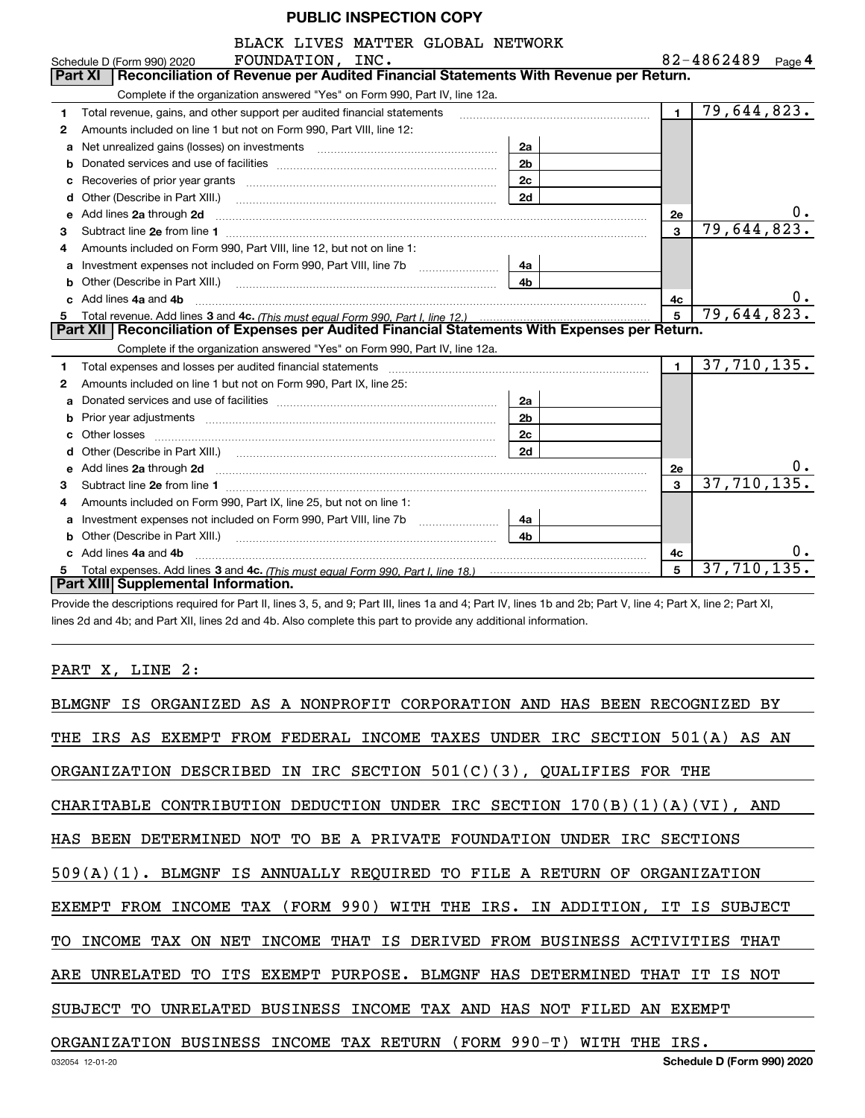|    | BLACK LIVES MATTER GLOBAL NETWORK                                                                                                                                                                                                    |                |                |                   |
|----|--------------------------------------------------------------------------------------------------------------------------------------------------------------------------------------------------------------------------------------|----------------|----------------|-------------------|
|    | FOUNDATION, INC.<br>Schedule D (Form 990) 2020                                                                                                                                                                                       |                |                | 82-4862489 Page 4 |
|    | Reconciliation of Revenue per Audited Financial Statements With Revenue per Return.<br>Part XI                                                                                                                                       |                |                |                   |
|    | Complete if the organization answered "Yes" on Form 990, Part IV, line 12a.                                                                                                                                                          |                |                |                   |
| 1. | Total revenue, gains, and other support per audited financial statements                                                                                                                                                             |                | $\blacksquare$ | 79,644,823.       |
| 2  | Amounts included on line 1 but not on Form 990, Part VIII, line 12:                                                                                                                                                                  |                |                |                   |
| a  |                                                                                                                                                                                                                                      | 2a             |                |                   |
| b  |                                                                                                                                                                                                                                      | 2 <sub>b</sub> |                |                   |
| c  |                                                                                                                                                                                                                                      | 2c             |                |                   |
| d  | Other (Describe in Part XIII.)                                                                                                                                                                                                       | 2d             |                |                   |
| е  | Add lines 2a through 2d                                                                                                                                                                                                              |                | <b>2e</b>      | υ.                |
| 3  |                                                                                                                                                                                                                                      |                | 3              | 79,644,823.       |
| 4  | Amounts included on Form 990, Part VIII, line 12, but not on line 1:                                                                                                                                                                 |                |                |                   |
|    |                                                                                                                                                                                                                                      | 4a             |                |                   |
|    |                                                                                                                                                                                                                                      | 4b             |                |                   |
|    | c Add lines 4a and 4b                                                                                                                                                                                                                |                | 4c             |                   |
|    |                                                                                                                                                                                                                                      |                | 5              | 79,644,823.       |
|    | Part XII   Reconciliation of Expenses per Audited Financial Statements With Expenses per Return.                                                                                                                                     |                |                |                   |
|    | Complete if the organization answered "Yes" on Form 990, Part IV, line 12a.                                                                                                                                                          |                |                |                   |
| 1  | Total expenses and losses per audited financial statements [11] [11] Total expenses and losses per audited financial statements [11] [11] Total expenses and losses per audited financial statements                                 |                | $\mathbf{1}$   | 37,710,135.       |
| 2  | Amounts included on line 1 but not on Form 990, Part IX, line 25:                                                                                                                                                                    |                |                |                   |
|    |                                                                                                                                                                                                                                      | 2a             |                |                   |
| b  |                                                                                                                                                                                                                                      | 2 <sub>b</sub> |                |                   |
| C. |                                                                                                                                                                                                                                      | 2c             |                |                   |
|    |                                                                                                                                                                                                                                      | 2d             |                |                   |
| е  | Add lines 2a through 2d <b>contained a contained a contained a contained a contained a contained a contained a contained a contact a contact a contact a contact a contact a contact a contact a contact a contact a contact a c</b> |                | 2e             |                   |
| з  |                                                                                                                                                                                                                                      |                | 3              | 37,710,135.       |
| 4  | Amounts included on Form 990, Part IX, line 25, but not on line 1:                                                                                                                                                                   |                |                |                   |
| a  | Investment expenses not included on Form 990, Part VIII, line 7b                                                                                                                                                                     | 4a             |                |                   |
|    | Other (Describe in Part XIII.)                                                                                                                                                                                                       | 4 <sub>h</sub> |                |                   |
|    | c Add lines 4a and 4b                                                                                                                                                                                                                |                | 4c             |                   |
|    |                                                                                                                                                                                                                                      |                | 5              | 37,710,135.       |
|    | Part XIII Supplemental Information.                                                                                                                                                                                                  |                |                |                   |

Provide the descriptions required for Part II, lines 3, 5, and 9; Part III, lines 1a and 4; Part IV, lines 1b and 2b; Part V, line 4; Part X, line 2; Part XI, lines 2d and 4b; and Part XII, lines 2d and 4b. Also complete this part to provide any additional information.

#### PART X, LINE 2:

| BLMGNF IS ORGANIZED AS A NONPROFIT CORPORATION AND HAS BEEN RECOGNIZED<br>BY |
|------------------------------------------------------------------------------|
| THE IRS AS EXEMPT FROM FEDERAL INCOME TAXES UNDER IRC SECTION 501(A) AS AN   |
| ORGANIZATION DESCRIBED IN IRC SECTION $501(C)(3)$ , QUALIFIES FOR THE        |
| CHARITABLE CONTRIBUTION DEDUCTION UNDER IRC SECTION $170(B)(1)(A)(VI)$ , AND |
| HAS BEEN DETERMINED NOT TO BE A PRIVATE FOUNDATION UNDER IRC SECTIONS        |
| 509(A)(1). BLMGNF IS ANNUALLY REQUIRED TO FILE A RETURN OF ORGANIZATION      |
| EXEMPT FROM INCOME TAX (FORM 990) WITH THE IRS. IN ADDITION, IT IS SUBJECT   |
| TO INCOME TAX ON NET INCOME THAT IS DERIVED FROM BUSINESS ACTIVITIES THAT    |
| ARE UNRELATED TO ITS EXEMPT PURPOSE. BLMGNF HAS DETERMINED<br>THAT IT IS NOT |
| SUBJECT TO UNRELATED BUSINESS INCOME TAX AND HAS NOT FILED AN EXEMPT         |
| ORGANIZATION BUSINESS INCOME TAX RETURN (FORM 990-T) WITH THE IRS.           |
| Schedule D (Form 990) 2020<br>032054 12-01-20                                |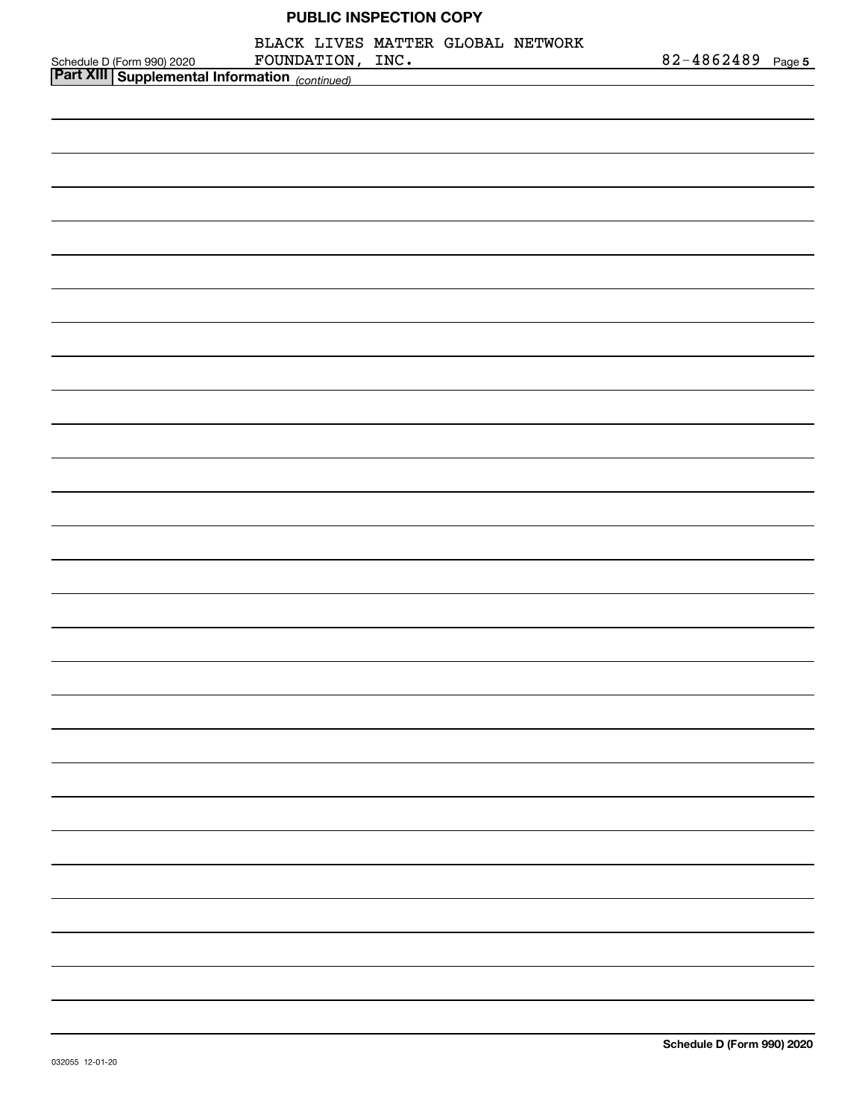| Schedule D (Form 990) 2020 FOUNDATION , INC .<br>Part XIII Supplemental Information <sub>(continued)</sub> | BLACK LIVES MATTER GLOBAL NETWORK |  | FOUNDATION, INC. | 82-4862489 Page 5 |  |
|------------------------------------------------------------------------------------------------------------|-----------------------------------|--|------------------|-------------------|--|
|                                                                                                            |                                   |  |                  |                   |  |
|                                                                                                            |                                   |  |                  |                   |  |
|                                                                                                            |                                   |  |                  |                   |  |
|                                                                                                            |                                   |  |                  |                   |  |
|                                                                                                            |                                   |  |                  |                   |  |
|                                                                                                            |                                   |  |                  |                   |  |
|                                                                                                            |                                   |  |                  |                   |  |
|                                                                                                            |                                   |  |                  |                   |  |
|                                                                                                            |                                   |  |                  |                   |  |
|                                                                                                            |                                   |  |                  |                   |  |
|                                                                                                            |                                   |  |                  |                   |  |
|                                                                                                            |                                   |  |                  |                   |  |
|                                                                                                            |                                   |  |                  |                   |  |
|                                                                                                            |                                   |  |                  |                   |  |
|                                                                                                            |                                   |  |                  |                   |  |
|                                                                                                            |                                   |  |                  |                   |  |
|                                                                                                            |                                   |  |                  |                   |  |
|                                                                                                            |                                   |  |                  |                   |  |
|                                                                                                            |                                   |  |                  |                   |  |
|                                                                                                            |                                   |  |                  |                   |  |
|                                                                                                            |                                   |  |                  |                   |  |
|                                                                                                            |                                   |  |                  |                   |  |
|                                                                                                            |                                   |  |                  |                   |  |
|                                                                                                            |                                   |  |                  |                   |  |
|                                                                                                            |                                   |  |                  |                   |  |
|                                                                                                            |                                   |  |                  |                   |  |
|                                                                                                            |                                   |  |                  |                   |  |
|                                                                                                            |                                   |  |                  |                   |  |
|                                                                                                            |                                   |  |                  |                   |  |
|                                                                                                            |                                   |  |                  |                   |  |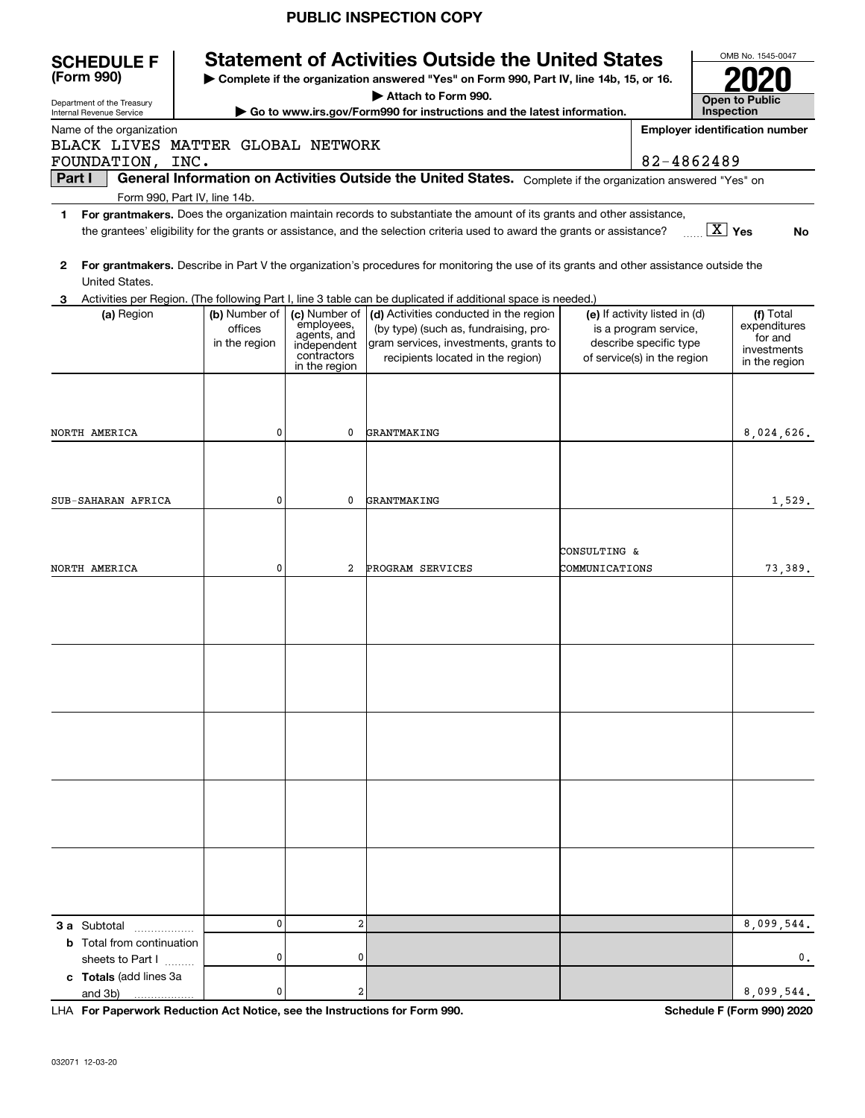|                                                        |               |                            | <b>PUBLIC INSPECTION COPY</b>                                                                                                                          |                |                               |                        |                                       |
|--------------------------------------------------------|---------------|----------------------------|--------------------------------------------------------------------------------------------------------------------------------------------------------|----------------|-------------------------------|------------------------|---------------------------------------|
| <b>SCHEDULE F</b><br>(Form 990)                        |               |                            | <b>Statement of Activities Outside the United States</b>                                                                                               |                |                               |                        | OMB No. 1545-0047                     |
|                                                        |               |                            | Complete if the organization answered "Yes" on Form 990, Part IV, line 14b, 15, or 16.                                                                 |                |                               |                        |                                       |
| Department of the Treasury<br>Internal Revenue Service |               |                            | Attach to Form 990.<br>Go to www.irs.gov/Form990 for instructions and the latest information.                                                          |                |                               | Inspection             | <b>Open to Public</b>                 |
| Name of the organization                               |               |                            |                                                                                                                                                        |                |                               |                        | <b>Employer identification number</b> |
| BLACK LIVES MATTER GLOBAL NETWORK                      |               |                            |                                                                                                                                                        |                |                               |                        |                                       |
| FOUNDATION, INC.                                       |               |                            |                                                                                                                                                        |                | 82-4862489                    |                        |                                       |
| Part I                                                 |               |                            | General Information on Activities Outside the United States. Complete if the organization answered "Yes" on                                            |                |                               |                        |                                       |
| Form 990, Part IV, line 14b.                           |               |                            |                                                                                                                                                        |                |                               |                        |                                       |
| $\mathbf{1}$                                           |               |                            | For grantmakers. Does the organization maintain records to substantiate the amount of its grants and other assistance,                                 |                |                               |                        |                                       |
|                                                        |               |                            | the grantees' eligibility for the grants or assistance, and the selection criteria used to award the grants or assistance?                             |                |                               | $\boxed{\text{X}}$ Yes | No                                    |
|                                                        |               |                            |                                                                                                                                                        |                |                               |                        |                                       |
| 2                                                      |               |                            | For grantmakers. Describe in Part V the organization's procedures for monitoring the use of its grants and other assistance outside the                |                |                               |                        |                                       |
| United States.                                         |               |                            |                                                                                                                                                        |                |                               |                        |                                       |
| 3.<br>(a) Region                                       | (b) Number of | (c) Number of              | Activities per Region. (The following Part I, line 3 table can be duplicated if additional space is needed.)<br>(d) Activities conducted in the region |                | (e) If activity listed in (d) |                        | (f) Total                             |
|                                                        | offices       | employees,                 | (by type) (such as, fundraising, pro-                                                                                                                  |                | is a program service,         |                        | expenditures                          |
|                                                        | in the region | agents, and<br>independent | gram services, investments, grants to                                                                                                                  |                | describe specific type        |                        | for and                               |
|                                                        |               | contractors                | recipients located in the region)                                                                                                                      |                | of service(s) in the region   |                        | investments<br>in the region          |
|                                                        |               | in the region              |                                                                                                                                                        |                |                               |                        |                                       |
|                                                        |               |                            |                                                                                                                                                        |                |                               |                        |                                       |
|                                                        |               |                            |                                                                                                                                                        |                |                               |                        |                                       |
|                                                        | 0             | 0                          |                                                                                                                                                        |                |                               |                        |                                       |
| NORTH AMERICA                                          |               |                            | GRANTMAKING                                                                                                                                            |                |                               |                        | 8,024,626.                            |
|                                                        |               |                            |                                                                                                                                                        |                |                               |                        |                                       |
|                                                        |               |                            |                                                                                                                                                        |                |                               |                        |                                       |
|                                                        | 0             | 0                          |                                                                                                                                                        |                |                               |                        |                                       |
| SUB-SAHARAN AFRICA                                     |               |                            | GRANTMAKING                                                                                                                                            |                |                               |                        | 1,529.                                |
|                                                        |               |                            |                                                                                                                                                        |                |                               |                        |                                       |
|                                                        |               |                            |                                                                                                                                                        |                |                               |                        |                                       |
|                                                        |               |                            |                                                                                                                                                        | CONSULTING &   |                               |                        |                                       |
| NORTH AMERICA                                          | 0             | 2                          | PROGRAM SERVICES                                                                                                                                       | COMMUNICATIONS |                               |                        | 73,389.                               |
|                                                        |               |                            |                                                                                                                                                        |                |                               |                        |                                       |
|                                                        |               |                            |                                                                                                                                                        |                |                               |                        |                                       |
|                                                        |               |                            |                                                                                                                                                        |                |                               |                        |                                       |
|                                                        |               |                            |                                                                                                                                                        |                |                               |                        |                                       |
|                                                        |               |                            |                                                                                                                                                        |                |                               |                        |                                       |
|                                                        |               |                            |                                                                                                                                                        |                |                               |                        |                                       |
|                                                        |               |                            |                                                                                                                                                        |                |                               |                        |                                       |
|                                                        |               |                            |                                                                                                                                                        |                |                               |                        |                                       |
|                                                        |               |                            |                                                                                                                                                        |                |                               |                        |                                       |
|                                                        |               |                            |                                                                                                                                                        |                |                               |                        |                                       |
|                                                        |               |                            |                                                                                                                                                        |                |                               |                        |                                       |
|                                                        |               |                            |                                                                                                                                                        |                |                               |                        |                                       |
|                                                        |               |                            |                                                                                                                                                        |                |                               |                        |                                       |
|                                                        |               |                            |                                                                                                                                                        |                |                               |                        |                                       |
|                                                        |               |                            |                                                                                                                                                        |                |                               |                        |                                       |
|                                                        |               |                            |                                                                                                                                                        |                |                               |                        |                                       |
|                                                        |               |                            |                                                                                                                                                        |                |                               |                        |                                       |
|                                                        |               |                            |                                                                                                                                                        |                |                               |                        |                                       |
|                                                        |               |                            |                                                                                                                                                        |                |                               |                        |                                       |
|                                                        | $\mathbf{0}$  | $\overline{2}$             |                                                                                                                                                        |                |                               |                        |                                       |
| <b>3 a</b> Subtotal                                    |               |                            |                                                                                                                                                        |                |                               |                        | 8,099,544.                            |
| <b>b</b> Total from continuation                       | 0             | 0                          |                                                                                                                                                        |                |                               |                        | 0.                                    |
| sheets to Part I                                       |               |                            |                                                                                                                                                        |                |                               |                        |                                       |
| c Totals (add lines 3a                                 | 0             | 2                          |                                                                                                                                                        |                |                               |                        | 8,099,544.                            |
| and 3b)                                                |               |                            |                                                                                                                                                        |                |                               |                        |                                       |

**For Paperwork Reduction Act Notice, see the Instructions for Form 990. Schedule F (Form 990) 2020** and 3b) LHA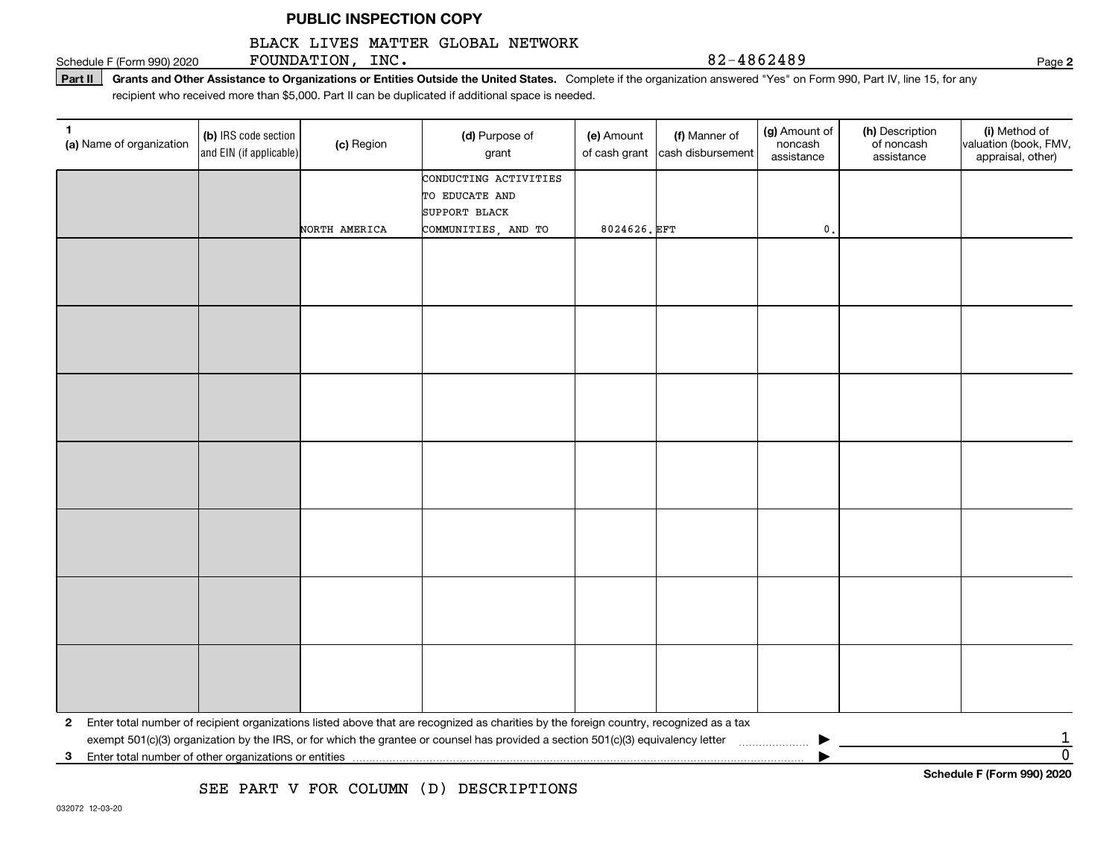#### BLACK LIVES MATTER GLOBAL NETWORK

Schedule F (Form 990) 2020  ${\bf F}$ OUNDATION, ${\bf inc.}$ 

**2**

**Part II** Grants and Other Assistance to Organizations or Entities Outside the United States. Complete if the organization answered "Yes" on Form 990, Part IV, line 15, for any<br>recisiont who received more than \$5,000. Part recipient who received more than \$5,000. Part II can be duplicated if additional space is needed.

| 1.<br>(a) Name of organization | (b) IRS code section<br>and EIN (if applicable) | (c) Region    | (d) Purpose of<br>grant                                                                                                                 | (e) Amount<br>of cash grant | (f) Manner of<br>cash disbursement | (g) Amount of<br>noncash<br>assistance | (h) Description<br>of noncash<br>assistance | (i) Method of<br>valuation (book, FMV,<br>appraisal, other) |
|--------------------------------|-------------------------------------------------|---------------|-----------------------------------------------------------------------------------------------------------------------------------------|-----------------------------|------------------------------------|----------------------------------------|---------------------------------------------|-------------------------------------------------------------|
|                                |                                                 |               | CONDUCTING ACTIVITIES                                                                                                                   |                             |                                    |                                        |                                             |                                                             |
|                                |                                                 |               | TO EDUCATE AND                                                                                                                          |                             |                                    |                                        |                                             |                                                             |
|                                |                                                 | NORTH AMERICA | SUPPORT BLACK                                                                                                                           | 8024626. EFT                |                                    | $\mathbf 0$ .                          |                                             |                                                             |
|                                |                                                 |               | COMMUNITIES, AND TO                                                                                                                     |                             |                                    |                                        |                                             |                                                             |
|                                |                                                 |               |                                                                                                                                         |                             |                                    |                                        |                                             |                                                             |
|                                |                                                 |               |                                                                                                                                         |                             |                                    |                                        |                                             |                                                             |
|                                |                                                 |               |                                                                                                                                         |                             |                                    |                                        |                                             |                                                             |
|                                |                                                 |               |                                                                                                                                         |                             |                                    |                                        |                                             |                                                             |
|                                |                                                 |               |                                                                                                                                         |                             |                                    |                                        |                                             |                                                             |
|                                |                                                 |               |                                                                                                                                         |                             |                                    |                                        |                                             |                                                             |
|                                |                                                 |               |                                                                                                                                         |                             |                                    |                                        |                                             |                                                             |
|                                |                                                 |               |                                                                                                                                         |                             |                                    |                                        |                                             |                                                             |
|                                |                                                 |               |                                                                                                                                         |                             |                                    |                                        |                                             |                                                             |
|                                |                                                 |               |                                                                                                                                         |                             |                                    |                                        |                                             |                                                             |
|                                |                                                 |               |                                                                                                                                         |                             |                                    |                                        |                                             |                                                             |
|                                |                                                 |               |                                                                                                                                         |                             |                                    |                                        |                                             |                                                             |
|                                |                                                 |               |                                                                                                                                         |                             |                                    |                                        |                                             |                                                             |
|                                |                                                 |               |                                                                                                                                         |                             |                                    |                                        |                                             |                                                             |
|                                |                                                 |               |                                                                                                                                         |                             |                                    |                                        |                                             |                                                             |
|                                |                                                 |               |                                                                                                                                         |                             |                                    |                                        |                                             |                                                             |
|                                |                                                 |               |                                                                                                                                         |                             |                                    |                                        |                                             |                                                             |
|                                |                                                 |               |                                                                                                                                         |                             |                                    |                                        |                                             |                                                             |
|                                |                                                 |               |                                                                                                                                         |                             |                                    |                                        |                                             |                                                             |
|                                |                                                 |               |                                                                                                                                         |                             |                                    |                                        |                                             |                                                             |
|                                |                                                 |               |                                                                                                                                         |                             |                                    |                                        |                                             |                                                             |
|                                |                                                 |               |                                                                                                                                         |                             |                                    |                                        |                                             |                                                             |
|                                |                                                 |               |                                                                                                                                         |                             |                                    |                                        |                                             |                                                             |
| $\mathbf{2}$                   |                                                 |               | Enter total number of recipient organizations listed above that are recognized as charities by the foreign country, recognized as a tax |                             |                                    |                                        |                                             |                                                             |
|                                |                                                 |               | exempt 501(c)(3) organization by the IRS, or for which the grantee or counsel has provided a section 501(c)(3) equivalency letter       |                             |                                    |                                        |                                             |                                                             |
| 3                              |                                                 |               |                                                                                                                                         |                             |                                    |                                        |                                             | $\overline{0}$                                              |
|                                |                                                 |               |                                                                                                                                         |                             |                                    |                                        |                                             | Schedule F (Form 990) 2020                                  |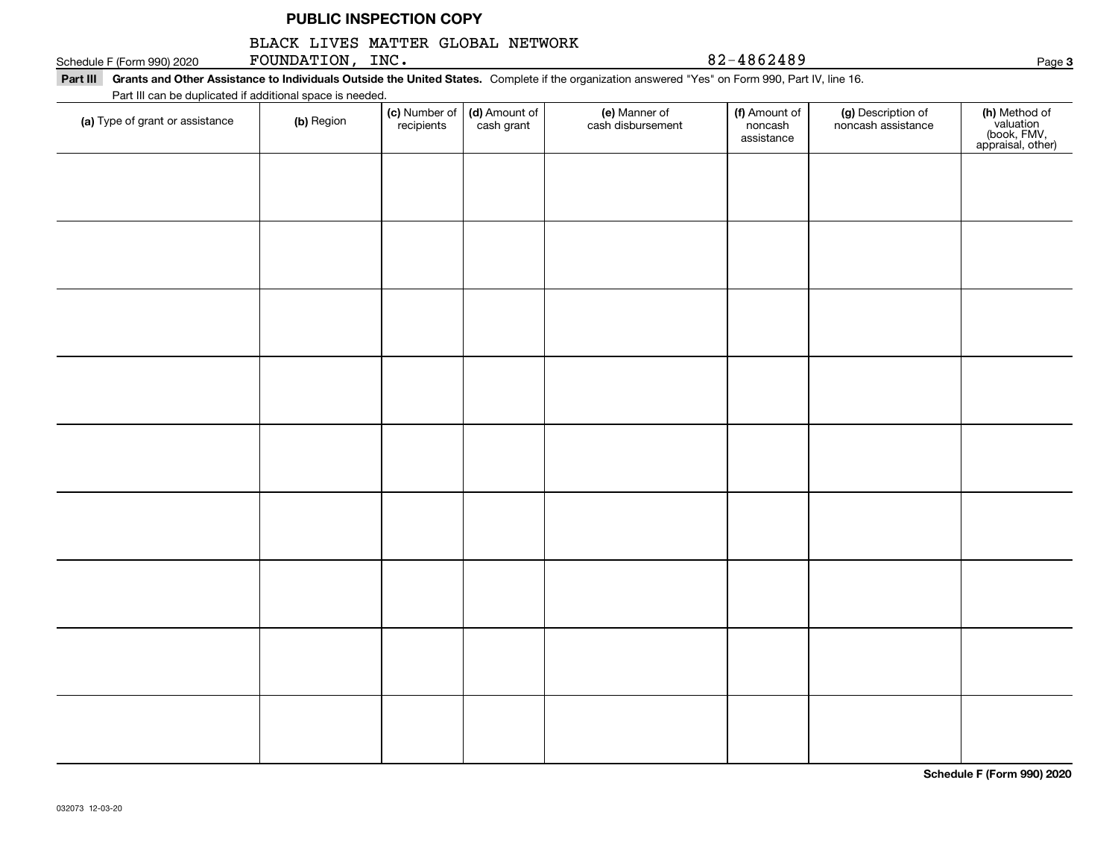#### BLACK LIVES MATTER GLOBAL NETWORK

Schedule F (Form 990) 2020  ${\bf F}$ OUNDATION, ${\bf inc.}$ 

**Part III Grants and Other Assistance to Individuals Outside the United States.**  Complete if the organization answered "Yes" on Form 990, Part IV, line 16. Part III can be duplicated if additional space is needed.

| Fait in car be duplicated if additional space is needed.<br>(a) Type of grant or assistance | (b) Region | (c) Number of<br>recipients | (d) Amount of<br>cash grant | (e) Manner of<br>cash disbursement | (f) Amount of<br>noncash<br>assistance | (g) Description of<br>noncash assistance | (h) Method of<br>valuation<br>(book, FMV,<br>appraisal, other) |
|---------------------------------------------------------------------------------------------|------------|-----------------------------|-----------------------------|------------------------------------|----------------------------------------|------------------------------------------|----------------------------------------------------------------|
|                                                                                             |            |                             |                             |                                    |                                        |                                          |                                                                |
|                                                                                             |            |                             |                             |                                    |                                        |                                          |                                                                |
|                                                                                             |            |                             |                             |                                    |                                        |                                          |                                                                |
|                                                                                             |            |                             |                             |                                    |                                        |                                          |                                                                |
|                                                                                             |            |                             |                             |                                    |                                        |                                          |                                                                |
|                                                                                             |            |                             |                             |                                    |                                        |                                          |                                                                |
|                                                                                             |            |                             |                             |                                    |                                        |                                          |                                                                |
|                                                                                             |            |                             |                             |                                    |                                        |                                          |                                                                |
|                                                                                             |            |                             |                             |                                    |                                        |                                          |                                                                |
|                                                                                             |            |                             |                             |                                    |                                        |                                          |                                                                |

**Schedule F (Form 990) 2020**

**3**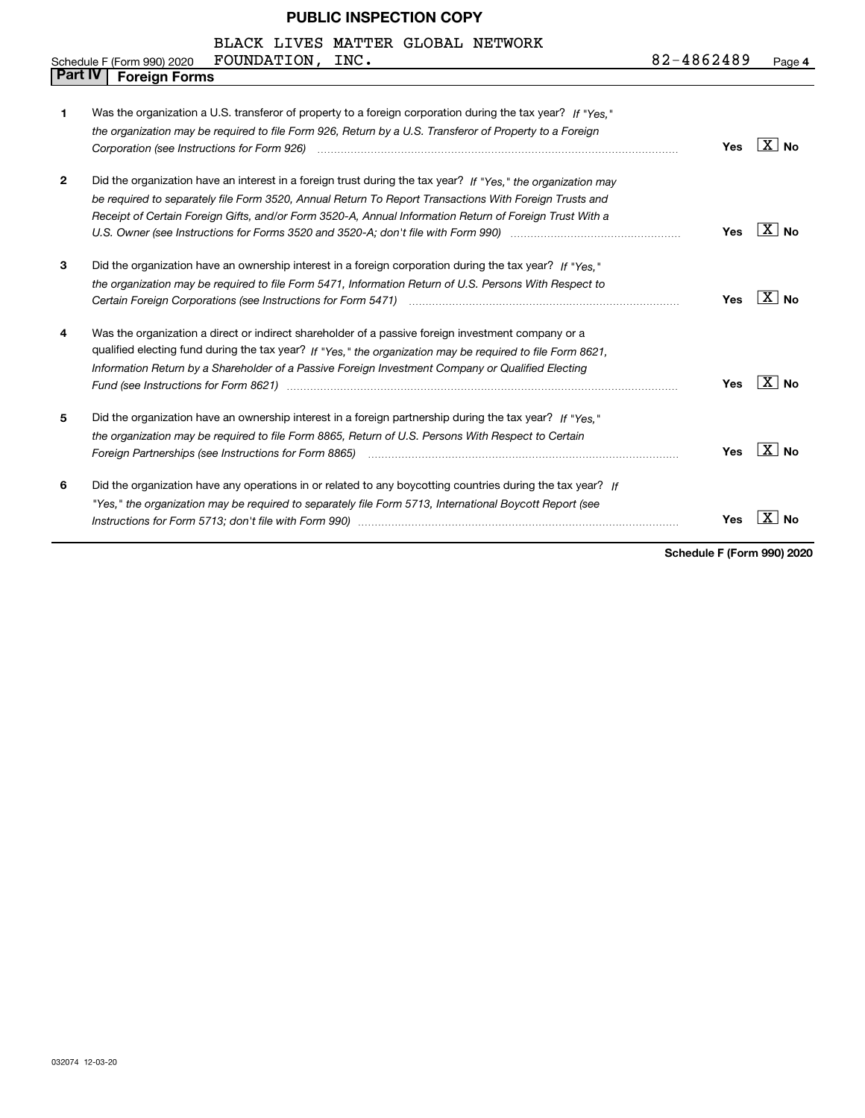|                | BLACK LIVES MATTER GLOBAL NETWORK                                                                                                                                                                                                                                                                                                                                                                                                                   |            |                       |
|----------------|-----------------------------------------------------------------------------------------------------------------------------------------------------------------------------------------------------------------------------------------------------------------------------------------------------------------------------------------------------------------------------------------------------------------------------------------------------|------------|-----------------------|
|                | FOUNDATION,<br>INC.<br>Schedule F (Form 990) 2020                                                                                                                                                                                                                                                                                                                                                                                                   | 82-4862489 | Page 4                |
| <b>Part IV</b> | <b>Foreign Forms</b>                                                                                                                                                                                                                                                                                                                                                                                                                                |            |                       |
| 1              | Was the organization a U.S. transferor of property to a foreign corporation during the tax year? If "Yes."<br>the organization may be required to file Form 926, Return by a U.S. Transferor of Property to a Foreign                                                                                                                                                                                                                               | Yes        | $\overline{X}$   No   |
| $\mathbf{2}$   | Did the organization have an interest in a foreign trust during the tax year? If "Yes." the organization may<br>be required to separately file Form 3520, Annual Return To Report Transactions With Foreign Trusts and<br>Receipt of Certain Foreign Gifts, and/or Form 3520-A, Annual Information Return of Foreign Trust With a<br>U.S. Owner (see Instructions for Forms 3520 and 3520-A; don't file with Form 990) manufactured uncontrolled to | Yes        | $\overline{X}$ No     |
| 3              | Did the organization have an ownership interest in a foreign corporation during the tax year? If "Yes."<br>the organization may be required to file Form 5471, Information Return of U.S. Persons With Respect to                                                                                                                                                                                                                                   | Yes        | $\overline{X}$ No     |
| 4              | Was the organization a direct or indirect shareholder of a passive foreign investment company or a<br>qualified electing fund during the tax year? If "Yes," the organization may be required to file Form 8621,<br>Information Return by a Shareholder of a Passive Foreign Investment Company or Qualified Electing                                                                                                                               | Yes        | $\overline{X}$ No     |
| 5              | Did the organization have an ownership interest in a foreign partnership during the tax year? If "Yes."<br>the organization may be required to file Form 8865, Return of U.S. Persons With Respect to Certain                                                                                                                                                                                                                                       | Yes        | $\boxed{\text{X}}$ No |
| 6              | Did the organization have any operations in or related to any boycotting countries during the tax year? If<br>"Yes," the organization may be required to separately file Form 5713, International Boycott Report (see<br>Instructions for Form 5713; don't file with Form 990) manufactured and the control of the control of the with                                                                                                              | Yes        | - X  <br>Nο           |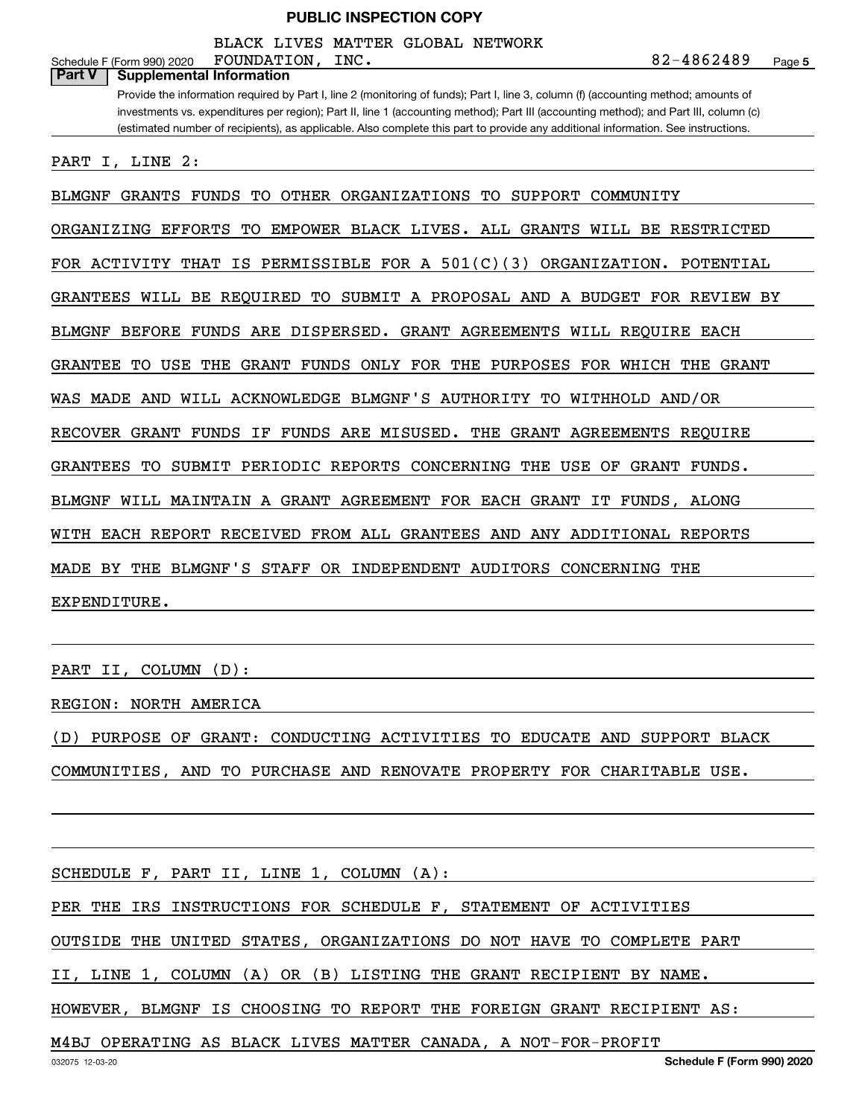BLACK LIVES MATTER GLOBAL NETWORK

| BLACK LIVES MATTER GLOBAL NETWORK                                                                                                                                                                                                                                                                                                                                                                                 |
|-------------------------------------------------------------------------------------------------------------------------------------------------------------------------------------------------------------------------------------------------------------------------------------------------------------------------------------------------------------------------------------------------------------------|
| 82-4862489<br>FOUNDATION,<br>INC.<br>Schedule F (Form 990) 2020<br>Page 5<br><b>Part V</b><br><b>Supplemental Information</b>                                                                                                                                                                                                                                                                                     |
| Provide the information required by Part I, line 2 (monitoring of funds); Part I, line 3, column (f) (accounting method; amounts of<br>investments vs. expenditures per region); Part II, line 1 (accounting method); Part III (accounting method); and Part III, column (c)<br>(estimated number of recipients), as applicable. Also complete this part to provide any additional information. See instructions. |
| PART<br>I, LINE 2:                                                                                                                                                                                                                                                                                                                                                                                                |
| BLMGNF GRANTS FUNDS TO OTHER ORGANIZATIONS TO SUPPORT COMMUNITY                                                                                                                                                                                                                                                                                                                                                   |
| ORGANIZING EFFORTS TO EMPOWER BLACK LIVES. ALL GRANTS WILL BE RESTRICTED                                                                                                                                                                                                                                                                                                                                          |
| FOR ACTIVITY THAT IS PERMISSIBLE FOR A $501(C)(3)$ ORGANIZATION. POTENTIAL                                                                                                                                                                                                                                                                                                                                        |
| GRANTEES WILL BE REQUIRED TO SUBMIT A PROPOSAL AND A BUDGET FOR REVIEW BY                                                                                                                                                                                                                                                                                                                                         |
| BLMGNF<br>BEFORE FUNDS ARE DISPERSED. GRANT AGREEMENTS WILL REQUIRE EACH                                                                                                                                                                                                                                                                                                                                          |
| GRANTEE<br>TO USE THE GRANT FUNDS ONLY FOR THE PURPOSES FOR WHICH THE GRANT                                                                                                                                                                                                                                                                                                                                       |
| WAS MADE AND WILL ACKNOWLEDGE BLMGNF'S AUTHORITY TO WITHHOLD AND/OR                                                                                                                                                                                                                                                                                                                                               |
| RECOVER GRANT FUNDS<br>IF FUNDS ARE MISUSED. THE GRANT AGREEMENTS REQUIRE                                                                                                                                                                                                                                                                                                                                         |
| GRANTEES<br>TO SUBMIT PERIODIC REPORTS CONCERNING THE USE OF GRANT<br>FUNDS.                                                                                                                                                                                                                                                                                                                                      |
| BLMGNF WILL MAINTAIN A GRANT AGREEMENT FOR EACH GRANT IT FUNDS, ALONG                                                                                                                                                                                                                                                                                                                                             |
| WITH EACH REPORT RECEIVED FROM ALL GRANTEES AND ANY ADDITIONAL REPORTS                                                                                                                                                                                                                                                                                                                                            |
| BY THE BLMGNF'S STAFF OR INDEPENDENT AUDITORS CONCERNING THE<br>MADE                                                                                                                                                                                                                                                                                                                                              |
| EXPENDITURE.                                                                                                                                                                                                                                                                                                                                                                                                      |
|                                                                                                                                                                                                                                                                                                                                                                                                                   |
| $(D)$ :<br>PART II,<br>COLUMN                                                                                                                                                                                                                                                                                                                                                                                     |
| <b>REGION: NORTH AMERICA</b>                                                                                                                                                                                                                                                                                                                                                                                      |
| (D) PURPOSE OF GRANT: CONDUCTING ACTIVITIES TO EDUCATE AND SUPPORT BLACK                                                                                                                                                                                                                                                                                                                                          |
| COMMUNITIES, AND TO PURCHASE AND RENOVATE PROPERTY FOR CHARITABLE USE.                                                                                                                                                                                                                                                                                                                                            |
|                                                                                                                                                                                                                                                                                                                                                                                                                   |

SCHEDULE F, PART II, LINE 1, COLUMN (A):

PER THE IRS INSTRUCTIONS FOR SCHEDULE F, STATEMENT OF ACTIVITIES

OUTSIDE THE UNITED STATES, ORGANIZATIONS DO NOT HAVE TO COMPLETE PART

II, LINE 1, COLUMN (A) OR (B) LISTING THE GRANT RECIPIENT BY NAME.

HOWEVER, BLMGNF IS CHOOSING TO REPORT THE FOREIGN GRANT RECIPIENT AS:

M4BJ OPERATING AS BLACK LIVES MATTER CANADA, A NOT-FOR-PROFIT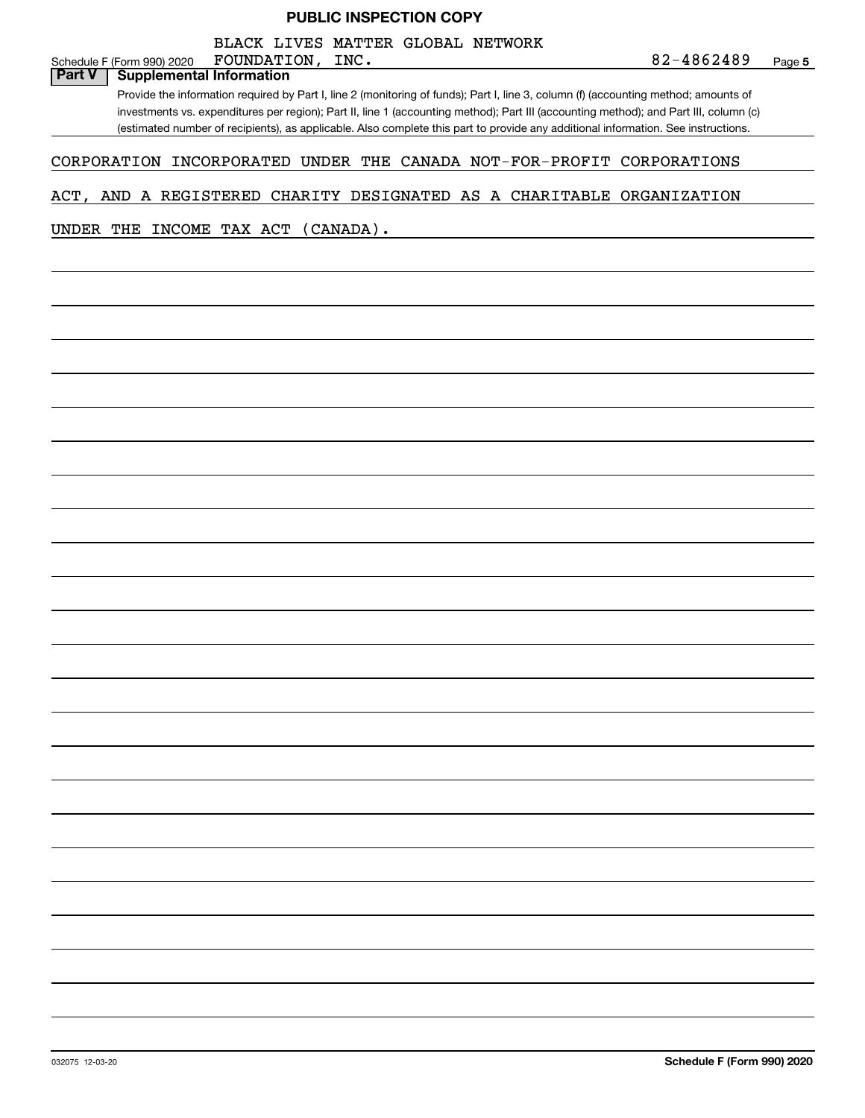# 032075 12-03-20 **Schedule F (Form 990) 2020** Schedule F (Form 990) 2020 FOUNDATION, INC.  $82-4862489$ Provide the information required by Part I, line 2 (monitoring of funds); Part I, line 3, column (f) (accounting method; amounts of investments vs. expenditures per region); Part II, line 1 (accounting method); Part III (accounting method); and Part III, column (c) (estimated number of recipients), as applicable. Also complete this part to provide any additional information. See instructions. **Part V Supplemental Information** CORPORATION INCORPORATED UNDER THE CANADA NOT-FOR-PROFIT CORPORATIONS ACT, AND A REGISTERED CHARITY DESIGNATED AS A CHARITABLE ORGANIZATION UNDER THE INCOME TAX ACT (CANADA). FOUNDATION, BLACK LIVES MATTER GLOBAL NETWORK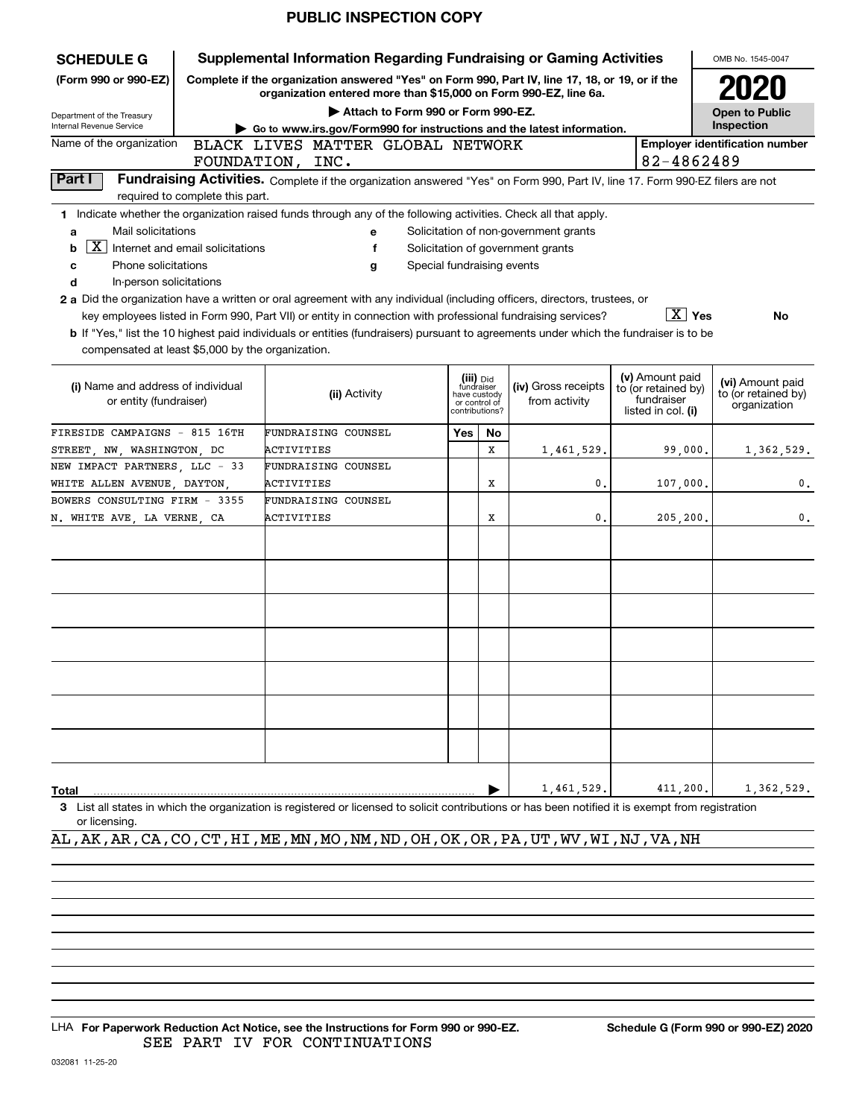| <b>SCHEDULE G</b>                                                                                                                                                  | <b>Supplemental Information Regarding Fundraising or Gaming Activities</b>                                                                                          |                            |                                                                                                                    |                                       |                                                                            |                                                         |  |  |  |
|--------------------------------------------------------------------------------------------------------------------------------------------------------------------|---------------------------------------------------------------------------------------------------------------------------------------------------------------------|----------------------------|--------------------------------------------------------------------------------------------------------------------|---------------------------------------|----------------------------------------------------------------------------|---------------------------------------------------------|--|--|--|
| (Form 990 or 990-EZ)                                                                                                                                               | Complete if the organization answered "Yes" on Form 990, Part IV, line 17, 18, or 19, or if the<br>organization entered more than \$15,000 on Form 990-EZ, line 6a. |                            |                                                                                                                    |                                       |                                                                            |                                                         |  |  |  |
| Department of the Treasury                                                                                                                                         | Attach to Form 990 or Form 990-EZ.                                                                                                                                  |                            |                                                                                                                    |                                       |                                                                            | <b>Open to Public</b>                                   |  |  |  |
| Internal Revenue Service                                                                                                                                           | $\triangleright$ Go to www.irs.gov/Form990 for instructions and the latest information.                                                                             |                            |                                                                                                                    |                                       |                                                                            | Inspection                                              |  |  |  |
| Name of the organization                                                                                                                                           | BLACK LIVES MATTER GLOBAL NETWORK                                                                                                                                   |                            |                                                                                                                    |                                       |                                                                            | <b>Employer identification number</b>                   |  |  |  |
|                                                                                                                                                                    | FOUNDATION, INC.                                                                                                                                                    |                            |                                                                                                                    |                                       | 82-4862489                                                                 |                                                         |  |  |  |
| Part I<br>required to complete this part.                                                                                                                          | Fundraising Activities. Complete if the organization answered "Yes" on Form 990, Part IV, line 17. Form 990-EZ filers are not                                       |                            |                                                                                                                    |                                       |                                                                            |                                                         |  |  |  |
| 1 Indicate whether the organization raised funds through any of the following activities. Check all that apply.                                                    |                                                                                                                                                                     |                            |                                                                                                                    |                                       |                                                                            |                                                         |  |  |  |
| Mail solicitations<br>a                                                                                                                                            | е                                                                                                                                                                   |                            |                                                                                                                    | Solicitation of non-government grants |                                                                            |                                                         |  |  |  |
| $\mathbf{X}$<br>Internet and email solicitations<br>b                                                                                                              | f                                                                                                                                                                   |                            |                                                                                                                    | Solicitation of government grants     |                                                                            |                                                         |  |  |  |
| Phone solicitations<br>c                                                                                                                                           | g                                                                                                                                                                   | Special fundraising events |                                                                                                                    |                                       |                                                                            |                                                         |  |  |  |
| d<br>In-person solicitations                                                                                                                                       |                                                                                                                                                                     |                            |                                                                                                                    |                                       |                                                                            |                                                         |  |  |  |
| 2 a Did the organization have a written or oral agreement with any individual (including officers, directors, trustees, or                                         |                                                                                                                                                                     |                            |                                                                                                                    |                                       |                                                                            |                                                         |  |  |  |
| key employees listed in Form 990, Part VII) or entity in connection with professional fundraising services?                                                        |                                                                                                                                                                     |                            |                                                                                                                    |                                       | $\boxed{\text{X}}$ Yes                                                     | No                                                      |  |  |  |
| b If "Yes," list the 10 highest paid individuals or entities (fundraisers) pursuant to agreements under which the fundraiser is to be                              |                                                                                                                                                                     |                            |                                                                                                                    |                                       |                                                                            |                                                         |  |  |  |
| compensated at least \$5,000 by the organization.                                                                                                                  |                                                                                                                                                                     |                            |                                                                                                                    |                                       |                                                                            |                                                         |  |  |  |
| (i) Name and address of individual<br>or entity (fundraiser)                                                                                                       | (ii) Activity                                                                                                                                                       |                            | (iii) Did<br>fundraiser<br>(iv) Gross receipts<br>have custody<br>from activity<br>or control of<br>contributions? |                                       | (v) Amount paid<br>to (or retained by)<br>fundraiser<br>listed in col. (i) | (vi) Amount paid<br>to (or retained by)<br>organization |  |  |  |
| FIRESIDE CAMPAIGNS - 815 16TH                                                                                                                                      | FUNDRAISING COUNSEL                                                                                                                                                 | Yes                        | No                                                                                                                 |                                       |                                                                            |                                                         |  |  |  |
| STREET, NW, WASHINGTON, DC                                                                                                                                         | ACTIVITIES                                                                                                                                                          |                            | х                                                                                                                  | 1,461,529.                            | 99,000.                                                                    | 1,362,529.                                              |  |  |  |
| NEW IMPACT PARTNERS, LLC - 33                                                                                                                                      | FUNDRAISING COUNSEL                                                                                                                                                 |                            |                                                                                                                    |                                       |                                                                            |                                                         |  |  |  |
| WHITE ALLEN AVENUE, DAYTON,                                                                                                                                        | ACTIVITIES                                                                                                                                                          |                            | х                                                                                                                  | 0.                                    | 107,000.                                                                   | 0.                                                      |  |  |  |
| BOWERS CONSULTING FIRM - 3355                                                                                                                                      | FUNDRAISING COUNSEL                                                                                                                                                 |                            |                                                                                                                    |                                       |                                                                            |                                                         |  |  |  |
| N. WHITE AVE, LA VERNE, CA                                                                                                                                         | ACTIVITIES                                                                                                                                                          |                            | Х                                                                                                                  | 0.                                    | 205,200.                                                                   | 0.                                                      |  |  |  |
|                                                                                                                                                                    |                                                                                                                                                                     |                            |                                                                                                                    |                                       |                                                                            |                                                         |  |  |  |
|                                                                                                                                                                    |                                                                                                                                                                     |                            |                                                                                                                    |                                       |                                                                            |                                                         |  |  |  |
| <b>Total</b><br>3 List all states in which the organization is registered or licensed to solicit contributions or has been notified it is exempt from registration |                                                                                                                                                                     |                            |                                                                                                                    | 1,461,529.                            | 411,200.                                                                   | 1,362,529.                                              |  |  |  |

or licensing.

## AL,AK,AR,CA,CO,CT,HI,ME,MN,MO,NM,ND,OH,OK,OR,PA,UT,WV,WI,NJ,VA,NH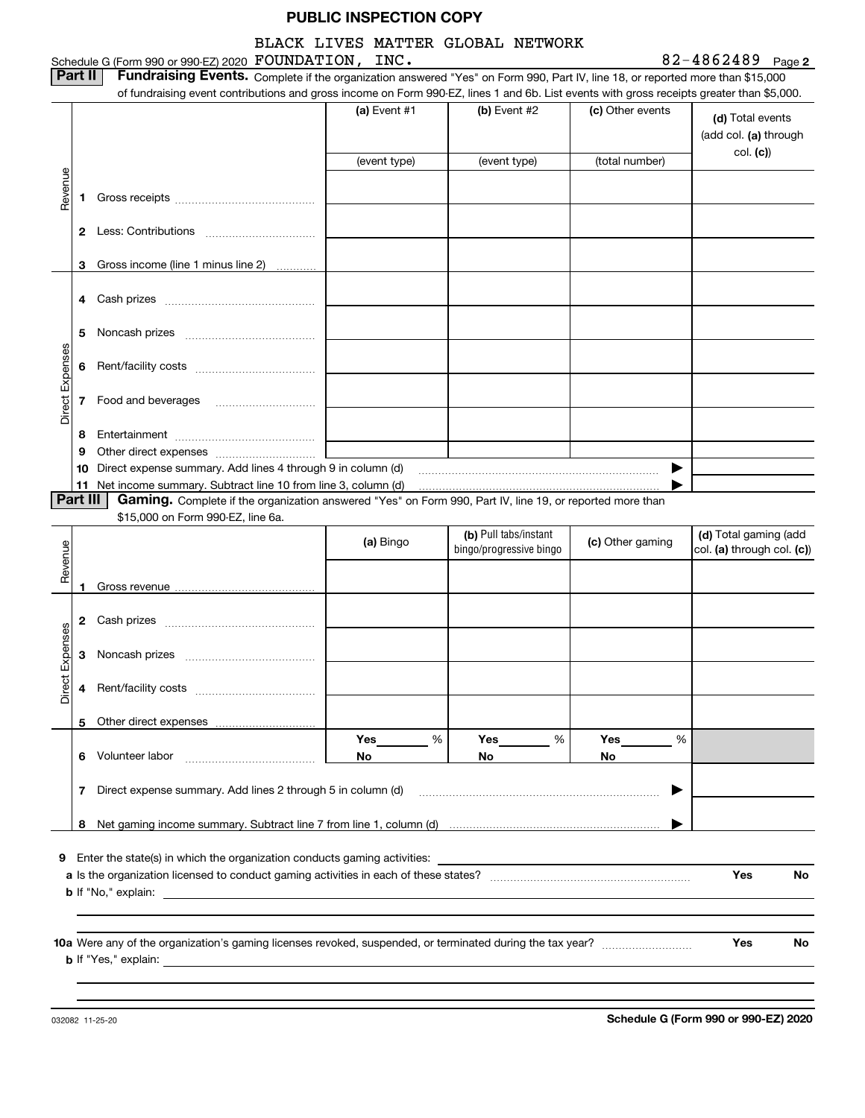BLACK LIVES MATTER GLOBAL NETWORK

Schedule G (Form 990 or 990-EZ) 2020 Page FOUNDATION, INC. 82-4862489

**2**

**Part II Fundraising Events.** Complete if the organization answered "Yes" on Form 990, Part IV, line 18, or reported more than \$15,000<br>15.000 of fundraising event contributions and gross income on Form 990-EZ. lines 1 an of fundraising event contributions and gross income on Form 990-EZ, lines 1 and 6b. List events with gross receipts greater than \$5,000.

|                 |          |                                                                                                                                | (a) Event $#1$ | (b) Event $#2$          | (c) Other events | (d) Total events<br>(add col. (a) through<br>col. (c) |
|-----------------|----------|--------------------------------------------------------------------------------------------------------------------------------|----------------|-------------------------|------------------|-------------------------------------------------------|
|                 |          |                                                                                                                                | (event type)   | (event type)            | (total number)   |                                                       |
| Revenue         |          |                                                                                                                                |                |                         |                  |                                                       |
|                 | 1.       |                                                                                                                                |                |                         |                  |                                                       |
|                 |          |                                                                                                                                |                |                         |                  |                                                       |
|                 |          |                                                                                                                                |                |                         |                  |                                                       |
|                 |          | 3 Gross income (line 1 minus line 2)<br>.                                                                                      |                |                         |                  |                                                       |
|                 |          |                                                                                                                                |                |                         |                  |                                                       |
|                 |          |                                                                                                                                |                |                         |                  |                                                       |
|                 |          |                                                                                                                                |                |                         |                  |                                                       |
|                 | 5        |                                                                                                                                |                |                         |                  |                                                       |
| Direct Expenses | 6        |                                                                                                                                |                |                         |                  |                                                       |
|                 |          |                                                                                                                                |                |                         |                  |                                                       |
|                 |          | <b>7</b> Food and beverages                                                                                                    |                |                         |                  |                                                       |
|                 |          |                                                                                                                                |                |                         |                  |                                                       |
|                 | 8        |                                                                                                                                |                |                         |                  |                                                       |
|                 | 9        |                                                                                                                                |                |                         |                  |                                                       |
|                 | 10       | Direct expense summary. Add lines 4 through 9 in column (d)<br>11 Net income summary. Subtract line 10 from line 3, column (d) |                |                         | ▶                |                                                       |
|                 | Part III | Gaming. Complete if the organization answered "Yes" on Form 990, Part IV, line 19, or reported more than                       |                |                         |                  |                                                       |
|                 |          | \$15,000 on Form 990-EZ, line 6a.                                                                                              |                |                         |                  |                                                       |
|                 |          |                                                                                                                                | (a) Bingo      | (b) Pull tabs/instant   | (c) Other gaming | (d) Total gaming (add                                 |
| Revenue         |          |                                                                                                                                |                | bingo/progressive bingo |                  | col. (a) through col. (c))                            |
|                 |          |                                                                                                                                |                |                         |                  |                                                       |
|                 |          |                                                                                                                                |                |                         |                  |                                                       |
|                 |          |                                                                                                                                |                |                         |                  |                                                       |
| Direct Expenses |          |                                                                                                                                |                |                         |                  |                                                       |
|                 |          |                                                                                                                                |                |                         |                  |                                                       |
|                 |          |                                                                                                                                |                |                         |                  |                                                       |
|                 |          |                                                                                                                                |                |                         |                  |                                                       |
|                 |          |                                                                                                                                |                |                         |                  |                                                       |
|                 |          | 5 Other direct expenses                                                                                                        | %              | Yes<br>%                | Yes<br>%         |                                                       |
|                 |          | 6 Volunteer labor                                                                                                              | Yes<br>No      | No                      | No               |                                                       |
|                 |          |                                                                                                                                |                |                         |                  |                                                       |
|                 | 7        | Direct expense summary. Add lines 2 through 5 in column (d)                                                                    |                |                         |                  |                                                       |
|                 |          |                                                                                                                                |                |                         |                  |                                                       |
|                 |          |                                                                                                                                |                |                         |                  |                                                       |
|                 |          |                                                                                                                                |                |                         |                  |                                                       |
|                 |          |                                                                                                                                |                |                         |                  |                                                       |
|                 |          | <b>9</b> Enter the state(s) in which the organization conducts gaming activities:                                              |                |                         |                  |                                                       |
|                 |          |                                                                                                                                |                |                         |                  | Yes<br>No                                             |
|                 |          | <b>b</b> If "No," explain:                                                                                                     |                |                         |                  |                                                       |
|                 |          |                                                                                                                                |                |                         |                  |                                                       |

032082 11-25-20

**b** If "Yes," explain:

**Schedule G (Form 990 or 990-EZ) 2020**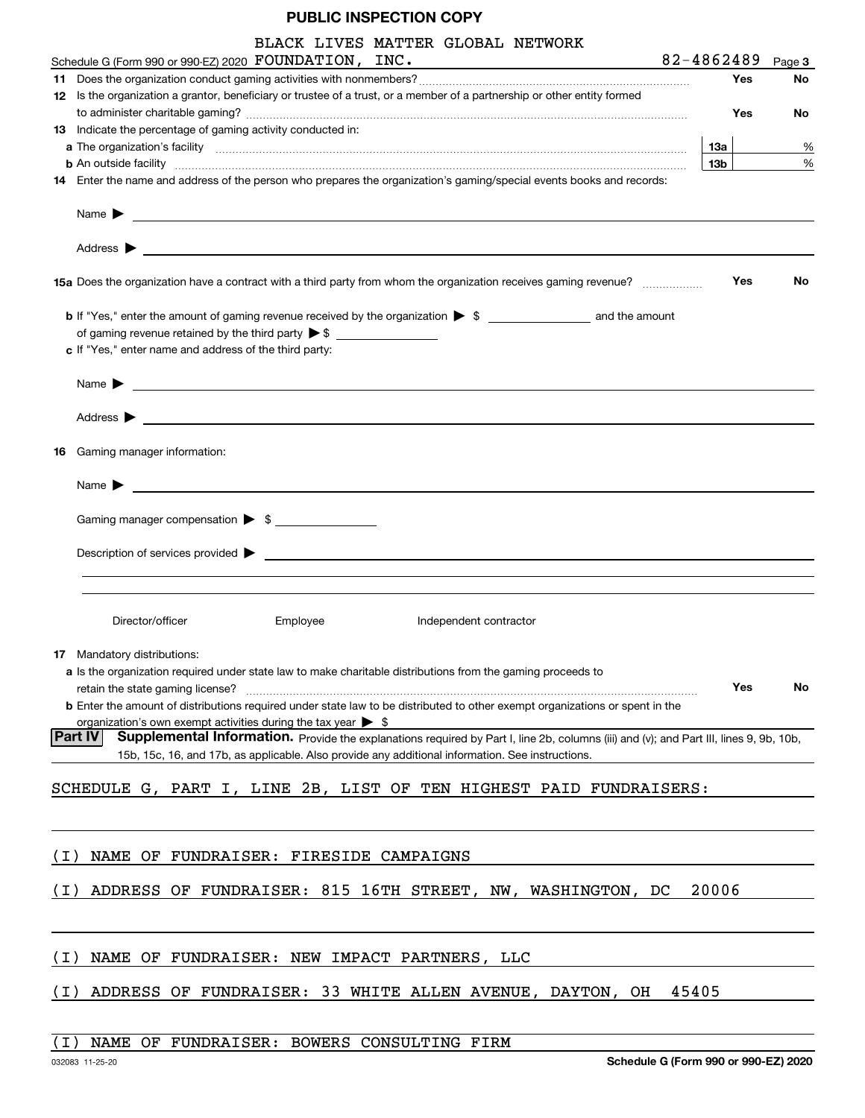| BLACK LIVES MATTER GLOBAL NETWORK<br>Schedule G (Form 990 or 990-EZ) 2020 FOUNDATION, INC.                                                                                                                                                | 82-4862489 |     | Page 3 |
|-------------------------------------------------------------------------------------------------------------------------------------------------------------------------------------------------------------------------------------------|------------|-----|--------|
|                                                                                                                                                                                                                                           |            | Yes | No     |
| 12 Is the organization a grantor, beneficiary or trustee of a trust, or a member of a partnership or other entity formed                                                                                                                  |            |     |        |
|                                                                                                                                                                                                                                           |            | Yes | No     |
| 13 Indicate the percentage of gaming activity conducted in:                                                                                                                                                                               |            |     |        |
|                                                                                                                                                                                                                                           | 13а        |     | %      |
| <b>b</b> An outside facility <b>contained a contract and a contract of the contract of the contract of the contract of the contract of the contract of the contract of the contract of the contract of the contract of the contract o</b> | 13b        |     | %      |
| 14 Enter the name and address of the person who prepares the organization's gaming/special events books and records:                                                                                                                      |            |     |        |
|                                                                                                                                                                                                                                           |            |     |        |
|                                                                                                                                                                                                                                           |            |     |        |
| 15a Does the organization have a contract with a third party from whom the organization receives gaming revenue?                                                                                                                          |            | Yes | No     |
| <b>b</b> If "Yes," enter the amount of gaming revenue received by the organization $\triangleright$ \$                                                                                                                                    |            |     |        |
|                                                                                                                                                                                                                                           |            |     |        |
| c If "Yes," enter name and address of the third party:                                                                                                                                                                                    |            |     |        |
| Name $\blacktriangleright$ $\qquad \qquad$                                                                                                                                                                                                |            |     |        |
|                                                                                                                                                                                                                                           |            |     |        |
| 16 Gaming manager information:                                                                                                                                                                                                            |            |     |        |
|                                                                                                                                                                                                                                           |            |     |        |
| Name $\blacktriangleright$ $\lrcorner$                                                                                                                                                                                                    |            |     |        |
| Gaming manager compensation > \$                                                                                                                                                                                                          |            |     |        |
| $\blacksquare$ Description of services provided $\blacktriangleright$                                                                                                                                                                     |            |     |        |
|                                                                                                                                                                                                                                           |            |     |        |
|                                                                                                                                                                                                                                           |            |     |        |
| Director/officer<br>Employee<br>Independent contractor                                                                                                                                                                                    |            |     |        |
|                                                                                                                                                                                                                                           |            |     |        |
| 17 Mandatory distributions:                                                                                                                                                                                                               |            |     |        |
| a Is the organization required under state law to make charitable distributions from the gaming proceeds to                                                                                                                               |            |     |        |
| retain the state gaming license?<br><b>b</b> Enter the amount of distributions required under state law to be distributed to other exempt organizations or spent in the                                                                   |            | Yes | No     |
| organization's own exempt activities during the tax year $\triangleright$ \$                                                                                                                                                              |            |     |        |
| Supplemental Information. Provide the explanations required by Part I, line 2b, columns (iii) and (v); and Part III, lines 9, 9b, 10b,<br><b>Part IV</b>                                                                                  |            |     |        |
| 15b, 15c, 16, and 17b, as applicable. Also provide any additional information. See instructions.                                                                                                                                          |            |     |        |
| SCHEDULE G, PART I, LINE 2B, LIST OF TEN HIGHEST PAID FUNDRAISERS:                                                                                                                                                                        |            |     |        |
|                                                                                                                                                                                                                                           |            |     |        |
|                                                                                                                                                                                                                                           |            |     |        |
| NAME OF FUNDRAISER: FIRESIDE CAMPAIGNS<br>( I )                                                                                                                                                                                           |            |     |        |
| ADDRESS OF FUNDRAISER: 815 16TH STREET, NW, WASHINGTON, DC<br>( I )                                                                                                                                                                       | 20006      |     |        |
|                                                                                                                                                                                                                                           |            |     |        |
| NAME OF FUNDRAISER: NEW IMPACT PARTNERS, LLC<br>( I )                                                                                                                                                                                     |            |     |        |
| ADDRESS OF FUNDRAISER: 33 WHITE ALLEN AVENUE, DAYTON, OH<br>( I )                                                                                                                                                                         | 45405      |     |        |
|                                                                                                                                                                                                                                           |            |     |        |

## (I) NAME OF FUNDRAISER: BOWERS CONSULTING FIRM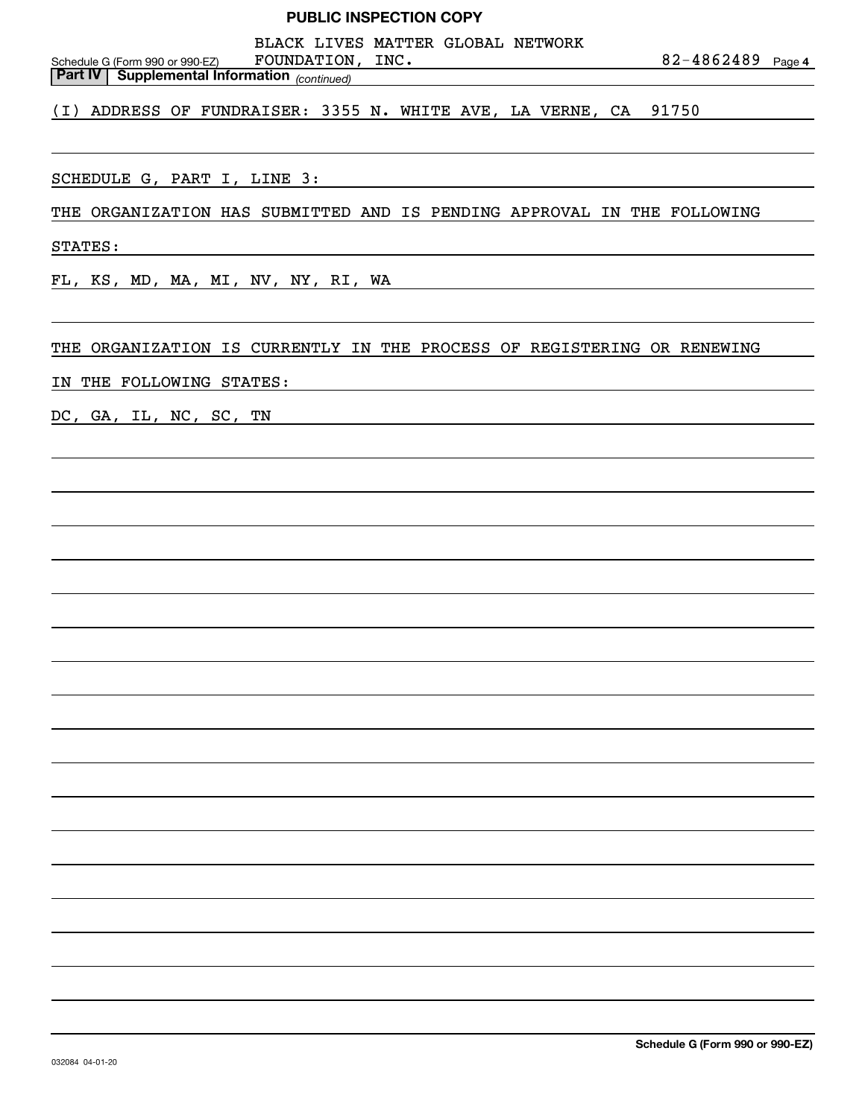**4**82-4862489 *(continued)* **Part IV Supplemental Information**  Schedule G (Form 990 or 990-EZ) SCHEDULE G, PART I, LINE 3: THE ORGANIZATION HAS SUBMITTED AND IS PENDING APPROVAL IN THE FOLLOWING STATES: FL, KS, MD, MA, MI, NV, NY, RI, WA THE ORGANIZATION IS CURRENTLY IN THE PROCESS OF REGISTERING OR RENEWING IN THE FOLLOWING STATES: DC, GA, IL, NC, SC, TN FOUNDATION, INC. (I) ADDRESS OF FUNDRAISER: 3355 N. WHITE AVE, LA VERNE, CA 91750 BLACK LIVES MATTER GLOBAL NETWORK **PUBLIC INSPECTION COPY**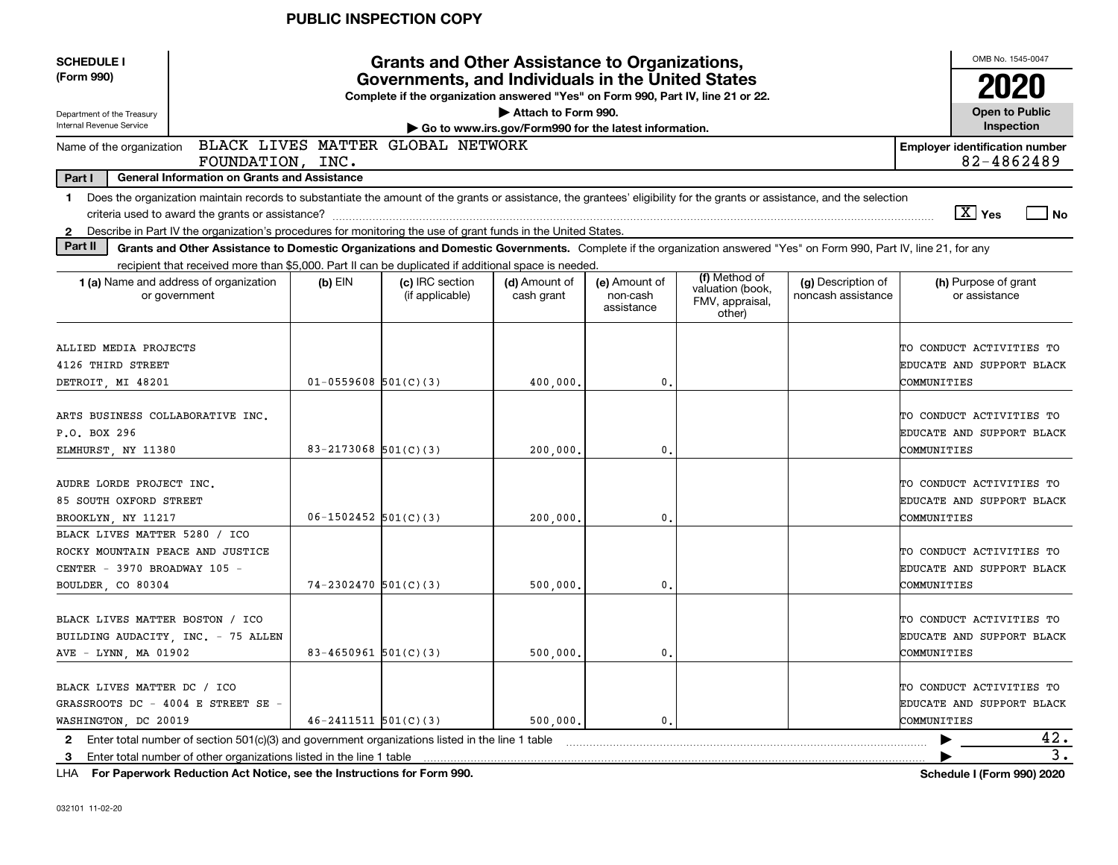| <b>SCHEDULE I</b>                |                                                                                                                                                                          |                            |                                                                                                                                                                                               | OMB No. 1545-0047                                     |                                         |                                                                |                                          |             |                                                     |                  |
|----------------------------------|--------------------------------------------------------------------------------------------------------------------------------------------------------------------------|----------------------------|-----------------------------------------------------------------------------------------------------------------------------------------------------------------------------------------------|-------------------------------------------------------|-----------------------------------------|----------------------------------------------------------------|------------------------------------------|-------------|-----------------------------------------------------|------------------|
| (Form 990)                       |                                                                                                                                                                          |                            | <b>Grants and Other Assistance to Organizations,</b><br>Governments, and Individuals in the United States<br>Complete if the organization answered "Yes" on Form 990, Part IV, line 21 or 22. |                                                       |                                         |                                                                |                                          |             | 2020                                                |                  |
| Department of the Treasury       |                                                                                                                                                                          |                            |                                                                                                                                                                                               | Attach to Form 990.                                   |                                         |                                                                |                                          |             | <b>Open to Public</b>                               |                  |
| Internal Revenue Service         |                                                                                                                                                                          |                            |                                                                                                                                                                                               | Go to www.irs.gov/Form990 for the latest information. |                                         |                                                                |                                          |             | Inspection                                          |                  |
| Name of the organization         | FOUNDATION, INC.                                                                                                                                                         |                            | BLACK LIVES MATTER GLOBAL NETWORK                                                                                                                                                             |                                                       |                                         |                                                                |                                          |             | <b>Employer identification number</b><br>82-4862489 |                  |
| Part I                           | <b>General Information on Grants and Assistance</b>                                                                                                                      |                            |                                                                                                                                                                                               |                                                       |                                         |                                                                |                                          |             |                                                     |                  |
| $\mathbf 1$                      | Does the organization maintain records to substantiate the amount of the grants or assistance, the grantees' eligibility for the grants or assistance, and the selection |                            |                                                                                                                                                                                               |                                                       |                                         |                                                                |                                          |             |                                                     |                  |
|                                  | criteria used to award the grants or assistance?                                                                                                                         |                            |                                                                                                                                                                                               |                                                       |                                         |                                                                |                                          |             | $\boxed{\text{X}}$ Yes                              | l No             |
| $\mathbf{2}$                     | Describe in Part IV the organization's procedures for monitoring the use of grant funds in the United States.                                                            |                            |                                                                                                                                                                                               |                                                       |                                         |                                                                |                                          |             |                                                     |                  |
| Part II                          | Grants and Other Assistance to Domestic Organizations and Domestic Governments. Complete if the organization answered "Yes" on Form 990, Part IV, line 21, for any       |                            |                                                                                                                                                                                               |                                                       |                                         |                                                                |                                          |             |                                                     |                  |
|                                  | recipient that received more than \$5,000. Part II can be duplicated if additional space is needed.                                                                      |                            |                                                                                                                                                                                               |                                                       |                                         |                                                                |                                          |             |                                                     |                  |
|                                  | 1 (a) Name and address of organization<br>or government                                                                                                                  | $(b)$ EIN                  | (c) IRC section<br>(if applicable)                                                                                                                                                            | (d) Amount of<br>cash grant                           | (e) Amount of<br>non-cash<br>assistance | (f) Method of<br>valuation (book,<br>FMV, appraisal,<br>other) | (g) Description of<br>noncash assistance |             | (h) Purpose of grant<br>or assistance               |                  |
| ALLIED MEDIA PROJECTS            |                                                                                                                                                                          |                            |                                                                                                                                                                                               |                                                       |                                         |                                                                |                                          |             | TO CONDUCT ACTIVITIES TO                            |                  |
| 4126 THIRD STREET                |                                                                                                                                                                          |                            |                                                                                                                                                                                               |                                                       |                                         |                                                                |                                          |             | EDUCATE AND SUPPORT BLACK                           |                  |
| DETROIT, MI 48201                |                                                                                                                                                                          | $01 - 0559608$ 501(C)(3)   |                                                                                                                                                                                               | 400,000                                               | $\mathbf{0}$ .                          |                                                                |                                          | COMMUNITIES |                                                     |                  |
|                                  |                                                                                                                                                                          |                            |                                                                                                                                                                                               |                                                       |                                         |                                                                |                                          |             |                                                     |                  |
| ARTS BUSINESS COLLABORATIVE INC. |                                                                                                                                                                          |                            |                                                                                                                                                                                               |                                                       |                                         |                                                                |                                          |             | TO CONDUCT ACTIVITIES TO                            |                  |
| P.O. BOX 296                     |                                                                                                                                                                          |                            |                                                                                                                                                                                               |                                                       |                                         |                                                                |                                          |             | EDUCATE AND SUPPORT BLACK                           |                  |
| ELMHURST, NY 11380               |                                                                                                                                                                          | 83-2173068 $501(C)(3)$     |                                                                                                                                                                                               | 200,000,                                              | 0.                                      |                                                                |                                          | COMMUNITIES |                                                     |                  |
|                                  |                                                                                                                                                                          |                            |                                                                                                                                                                                               |                                                       |                                         |                                                                |                                          |             |                                                     |                  |
| AUDRE LORDE PROJECT INC.         |                                                                                                                                                                          |                            |                                                                                                                                                                                               |                                                       |                                         |                                                                |                                          |             | TO CONDUCT ACTIVITIES TO                            |                  |
| 85 SOUTH OXFORD STREET           |                                                                                                                                                                          |                            |                                                                                                                                                                                               |                                                       |                                         |                                                                |                                          |             | EDUCATE AND SUPPORT BLACK                           |                  |
| BROOKLYN NY 11217                |                                                                                                                                                                          | $06 - 1502452$ 501(C)(3)   |                                                                                                                                                                                               | 200,000,                                              | $\mathbf{0}$ .                          |                                                                |                                          | COMMUNITIES |                                                     |                  |
| BLACK LIVES MATTER 5280 / ICO    |                                                                                                                                                                          |                            |                                                                                                                                                                                               |                                                       |                                         |                                                                |                                          |             |                                                     |                  |
| ROCKY MOUNTAIN PEACE AND JUSTICE |                                                                                                                                                                          |                            |                                                                                                                                                                                               |                                                       |                                         |                                                                |                                          |             | TO CONDUCT ACTIVITIES TO                            |                  |
| CENTER - 3970 BROADWAY 105 -     |                                                                                                                                                                          |                            |                                                                                                                                                                                               |                                                       |                                         |                                                                |                                          |             | EDUCATE AND SUPPORT BLACK                           |                  |
| BOULDER, CO 80304                |                                                                                                                                                                          | $74 - 2302470$ 501(C)(3)   |                                                                                                                                                                                               | 500,000                                               | 0.                                      |                                                                |                                          | COMMUNITIES |                                                     |                  |
|                                  |                                                                                                                                                                          |                            |                                                                                                                                                                                               |                                                       |                                         |                                                                |                                          |             |                                                     |                  |
| BLACK LIVES MATTER BOSTON / ICO  |                                                                                                                                                                          |                            |                                                                                                                                                                                               |                                                       |                                         |                                                                |                                          |             | TO CONDUCT ACTIVITIES TO                            |                  |
|                                  | BUILDING AUDACITY, INC. - 75 ALLEN                                                                                                                                       |                            |                                                                                                                                                                                               |                                                       |                                         |                                                                |                                          |             | EDUCATE AND SUPPORT BLACK                           |                  |
| AVE - LYNN, MA 01902             |                                                                                                                                                                          | 83-4650961 $501(C)(3)$     |                                                                                                                                                                                               | 500,000                                               | 0.                                      |                                                                |                                          | COMMUNITIES |                                                     |                  |
|                                  |                                                                                                                                                                          |                            |                                                                                                                                                                                               |                                                       |                                         |                                                                |                                          |             |                                                     |                  |
| BLACK LIVES MATTER DC / ICO      |                                                                                                                                                                          |                            |                                                                                                                                                                                               |                                                       |                                         |                                                                |                                          |             | TO CONDUCT ACTIVITIES TO                            |                  |
|                                  | GRASSROOTS DC - 4004 E STREET SE -                                                                                                                                       |                            |                                                                                                                                                                                               |                                                       |                                         |                                                                |                                          |             | EDUCATE AND SUPPORT BLACK                           |                  |
| WASHINGTON, DC 20019             |                                                                                                                                                                          | $46 - 2411511$ $501(C)(3)$ |                                                                                                                                                                                               | 500,000.                                              | 0.                                      |                                                                |                                          | COMMUNITIES |                                                     |                  |
| $\mathbf{2}$                     | Enter total number of section $501(c)(3)$ and government organizations listed in the line 1 table                                                                        |                            |                                                                                                                                                                                               |                                                       |                                         |                                                                |                                          |             |                                                     | 42.              |
| 3                                | Enter total number of other organizations listed in the line 1 table                                                                                                     |                            |                                                                                                                                                                                               |                                                       |                                         |                                                                |                                          |             |                                                     | $\overline{3}$ . |

**For Paperwork Reduction Act Notice, see the Instructions for Form 990. Schedule I (Form 990) 2020** LHA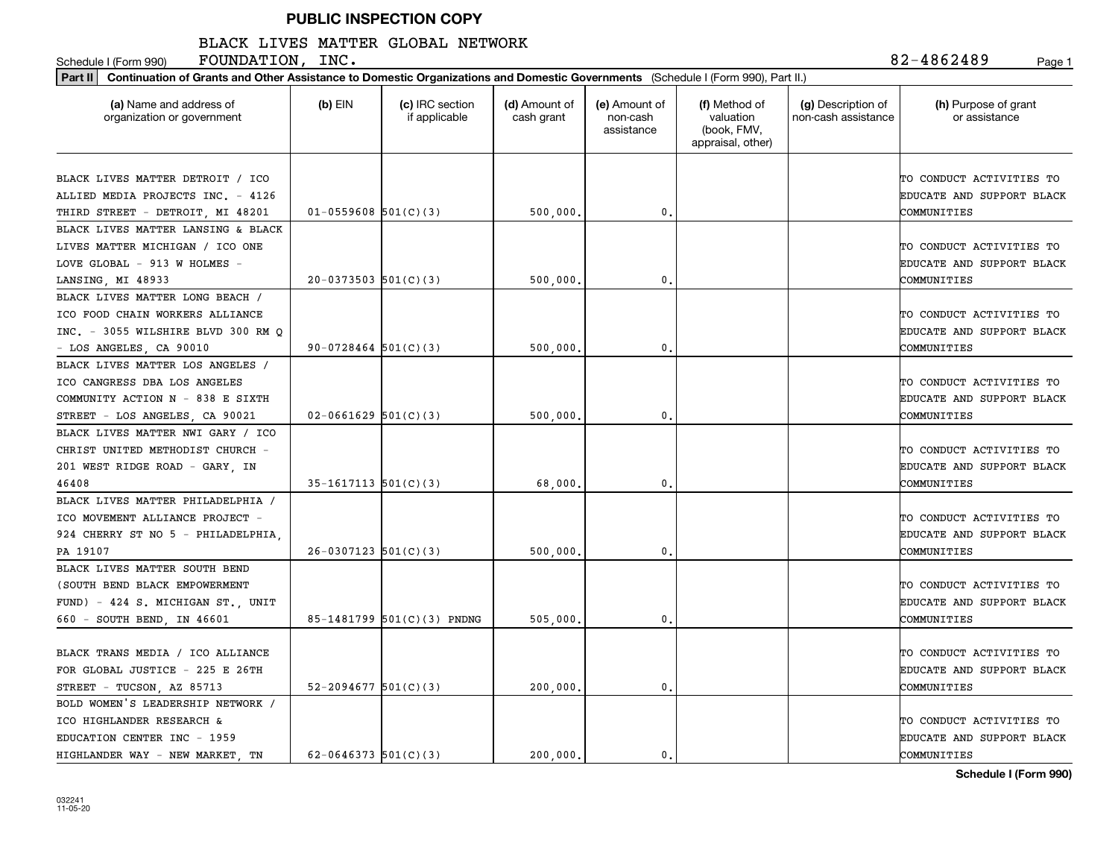#### BLACK LIVES MATTER GLOBAL NETWORK

Schedule I (Form 990) **FOUNDATION, INC .** 8 2-4 8 6 2 4 8 9 Page 1

| Continuation of Grants and Other Assistance to Domestic Organizations and Domestic Governments (Schedule I (Form 990), Part II.)<br>Part II |                            |                                  |                             |                                         |                                                                |                                           |                                                                      |  |  |
|---------------------------------------------------------------------------------------------------------------------------------------------|----------------------------|----------------------------------|-----------------------------|-----------------------------------------|----------------------------------------------------------------|-------------------------------------------|----------------------------------------------------------------------|--|--|
| (a) Name and address of<br>organization or government                                                                                       | $(b)$ EIN                  | (c) IRC section<br>if applicable | (d) Amount of<br>cash grant | (e) Amount of<br>non-cash<br>assistance | (f) Method of<br>valuation<br>(book, FMV,<br>appraisal, other) | (g) Description of<br>non-cash assistance | (h) Purpose of grant<br>or assistance                                |  |  |
| BLACK LIVES MATTER DETROIT / ICO<br>ALLIED MEDIA PROJECTS INC. - 4126<br>THIRD STREET - DETROIT, MI 48201                                   | $01 - 0559608$ 501(C)(3)   |                                  | 500,000.                    | 0.                                      |                                                                |                                           | TO CONDUCT ACTIVITIES TO<br>EDUCATE AND SUPPORT BLACK<br>COMMUNITIES |  |  |
| BLACK LIVES MATTER LANSING & BLACK<br>LIVES MATTER MICHIGAN / ICO ONE                                                                       |                            |                                  |                             |                                         |                                                                |                                           | TO CONDUCT ACTIVITIES TO                                             |  |  |
| LOVE GLOBAL - 913 W HOLMES -<br>LANSING, MI 48933                                                                                           | $20-0373503$ $501(C)(3)$   |                                  | 500,000                     | 0.                                      |                                                                |                                           | EDUCATE AND SUPPORT BLACK<br>COMMUNITIES                             |  |  |
| BLACK LIVES MATTER LONG BEACH /<br>ICO FOOD CHAIN WORKERS ALLIANCE<br>INC. - 3055 WILSHIRE BLVD 300 RM Q<br>- LOS ANGELES, CA 90010         | 90-0728464 $501(C)(3)$     |                                  | 500,000,                    | 0.                                      |                                                                |                                           | TO CONDUCT ACTIVITIES TO<br>EDUCATE AND SUPPORT BLACK<br>COMMUNITIES |  |  |
| BLACK LIVES MATTER LOS ANGELES /<br>ICO CANGRESS DBA LOS ANGELES<br>COMMUNITY ACTION N - 838 E SIXTH<br>STREET - LOS ANGELES, CA 90021      | $02 - 0661629$ 501(C)(3)   |                                  | 500,000                     | 0.                                      |                                                                |                                           | TO CONDUCT ACTIVITIES TO<br>EDUCATE AND SUPPORT BLACK<br>COMMUNITIES |  |  |
| BLACK LIVES MATTER NWI GARY / ICO<br>CHRIST UNITED METHODIST CHURCH -<br>201 WEST RIDGE ROAD - GARY, IN<br>46408                            | $35-1617113$ $501(C)(3)$   |                                  | 68,000                      | 0.                                      |                                                                |                                           | TO CONDUCT ACTIVITIES TO<br>EDUCATE AND SUPPORT BLACK<br>COMMUNITIES |  |  |
| BLACK LIVES MATTER PHILADELPHIA /<br>ICO MOVEMENT ALLIANCE PROJECT -<br>924 CHERRY ST NO 5 - PHILADELPHIA,<br>PA 19107                      | $26-0307123$ 501(C)(3)     |                                  | 500,000                     | 0.                                      |                                                                |                                           | TO CONDUCT ACTIVITIES TO<br>EDUCATE AND SUPPORT BLACK<br>COMMUNITIES |  |  |
| BLACK LIVES MATTER SOUTH BEND<br>(SOUTH BEND BLACK EMPOWERMENT<br>FUND) - 424 S. MICHIGAN ST., UNIT<br>660 - SOUTH BEND, IN 46601           |                            | 85-1481799 501(C)(3) PNDNG       | 505,000,                    | 0.                                      |                                                                |                                           | TO CONDUCT ACTIVITIES TO<br>EDUCATE AND SUPPORT BLACK<br>COMMUNITIES |  |  |
| BLACK TRANS MEDIA / ICO ALLIANCE<br>FOR GLOBAL JUSTICE - 225 E 26TH<br>STREET - TUCSON, AZ 85713                                            | $52 - 2094677$ $501(C)(3)$ |                                  | 200,000,                    | 0.                                      |                                                                |                                           | TO CONDUCT ACTIVITIES TO<br>EDUCATE AND SUPPORT BLACK<br>COMMUNITIES |  |  |
| BOLD WOMEN'S LEADERSHIP NETWORK /<br>ICO HIGHLANDER RESEARCH &<br>EDUCATION CENTER INC - 1959<br>HIGHLANDER WAY - NEW MARKET TN             | $62 - 0646373$ 501(C)(3)   |                                  | 200.000.                    | 0.                                      |                                                                |                                           | TO CONDUCT ACTIVITIES TO<br>EDUCATE AND SUPPORT BLACK<br>COMMUNITIES |  |  |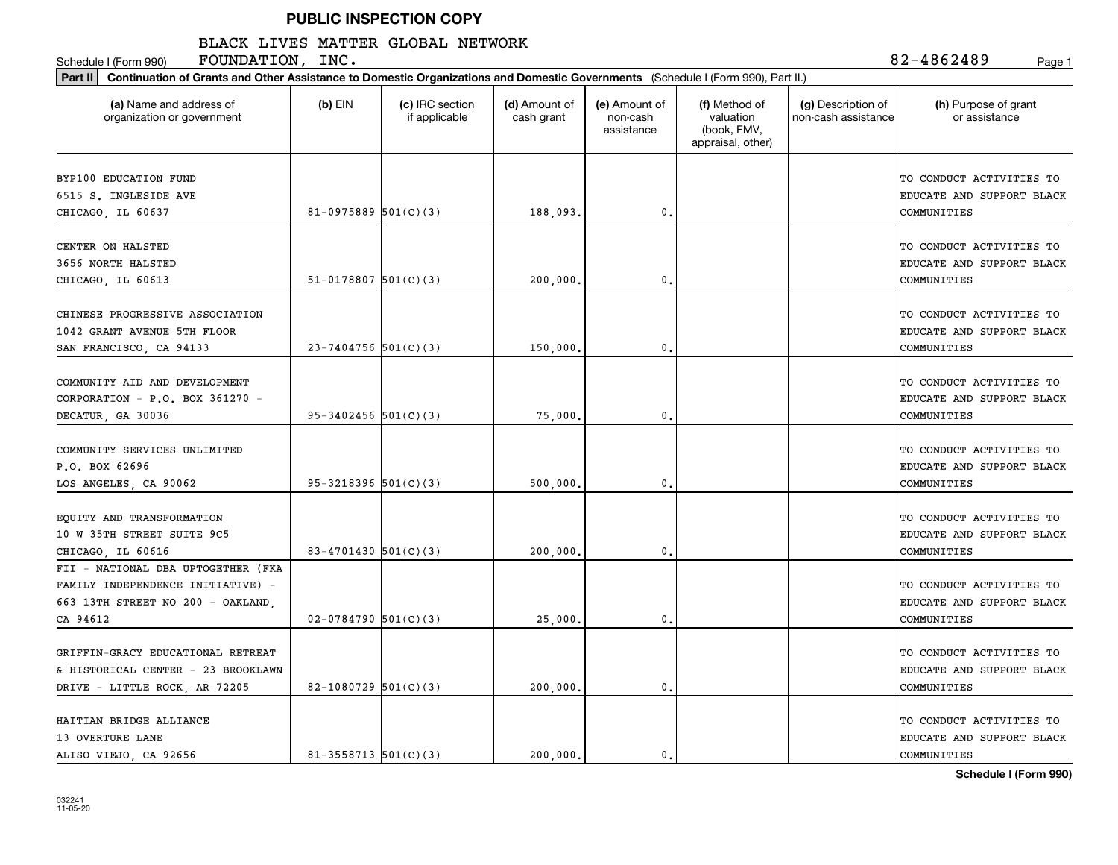## BLACK LIVES MATTER GLOBAL NETWORK

Schedule I (Form 990) **FOUNDATION, INC .** 8 2-4 8 6 2 4 8 9 Page 1

| (a) Name and address of<br>organization or government                                                                    | $(b)$ EIN                  | (c) IRC section<br>if applicable | (d) Amount of<br>cash grant | (e) Amount of<br>non-cash<br>assistance | (f) Method of<br>valuation<br>(book, FMV,<br>appraisal, other) | (g) Description of<br>non-cash assistance | (h) Purpose of grant<br>or assistance                                |
|--------------------------------------------------------------------------------------------------------------------------|----------------------------|----------------------------------|-----------------------------|-----------------------------------------|----------------------------------------------------------------|-------------------------------------------|----------------------------------------------------------------------|
| BYP100 EDUCATION FUND<br>6515 S. INGLESIDE AVE<br>CHICAGO, IL 60637                                                      | 81-0975889 $501(C)(3)$     |                                  | 188,093                     | $\mathbf{0}$                            |                                                                |                                           | TO CONDUCT ACTIVITIES TO<br>EDUCATE AND SUPPORT BLACK<br>COMMUNITIES |
| CENTER ON HALSTED<br>3656 NORTH HALSTED<br>CHICAGO, IL 60613                                                             | $51-0178807$ $501(C)(3)$   |                                  | 200,000                     | $\mathbf{0}$                            |                                                                |                                           | TO CONDUCT ACTIVITIES TO<br>EDUCATE AND SUPPORT BLACK<br>COMMUNITIES |
| CHINESE PROGRESSIVE ASSOCIATION<br>1042 GRANT AVENUE 5TH FLOOR<br>SAN FRANCISCO, CA 94133                                | $23 - 7404756$ 501(C)(3)   |                                  | 150,000                     | 0.                                      |                                                                |                                           | TO CONDUCT ACTIVITIES TO<br>EDUCATE AND SUPPORT BLACK<br>COMMUNITIES |
| COMMUNITY AID AND DEVELOPMENT<br>CORPORATION - P.O. BOX 361270 -<br>DECATUR, GA 30036                                    | $95 - 3402456$ $501(C)(3)$ |                                  | 75,000                      | 0.                                      |                                                                |                                           | TO CONDUCT ACTIVITIES TO<br>EDUCATE AND SUPPORT BLACK<br>COMMUNITIES |
| COMMUNITY SERVICES UNLIMITED<br>P.O. BOX 62696<br>LOS ANGELES, CA 90062                                                  | $95 - 3218396$ $501(C)(3)$ |                                  | 500,000                     | $\mathbf{0}$                            |                                                                |                                           | TO CONDUCT ACTIVITIES TO<br>EDUCATE AND SUPPORT BLACK<br>COMMUNITIES |
| EQUITY AND TRANSFORMATION<br>10 W 35TH STREET SUITE 9C5<br>CHICAGO, IL 60616                                             | 83-4701430 $501(C)(3)$     |                                  | 200,000                     | $\mathbf{0}$                            |                                                                |                                           | TO CONDUCT ACTIVITIES TO<br>EDUCATE AND SUPPORT BLACK<br>COMMUNITIES |
| FII - NATIONAL DBA UPTOGETHER (FKA<br>FAMILY INDEPENDENCE INITIATIVE) -<br>663 13TH STREET NO 200 - OAKLAND,<br>CA 94612 | $02 - 0784790$ 501(C)(3)   |                                  | 25,000                      | $\mathbf{0}$ .                          |                                                                |                                           | TO CONDUCT ACTIVITIES TO<br>EDUCATE AND SUPPORT BLACK<br>COMMUNITIES |
| GRIFFIN-GRACY EDUCATIONAL RETREAT<br>& HISTORICAL CENTER - 23 BROOKLAWN<br>DRIVE - LITTLE ROCK, AR 72205                 | 82-1080729 $501(C)(3)$     |                                  | 200,000                     | 0.                                      |                                                                |                                           | TO CONDUCT ACTIVITIES TO<br>EDUCATE AND SUPPORT BLACK<br>COMMUNITIES |
| HAITIAN BRIDGE ALLIANCE<br>13 OVERTURE LANE<br>ALISO VIEJO, CA 92656                                                     | $81 - 3558713$ $501(C)(3)$ |                                  | 200,000.                    | 0.                                      |                                                                |                                           | TO CONDUCT ACTIVITIES TO<br>EDUCATE AND SUPPORT BLACK<br>COMMUNITIES |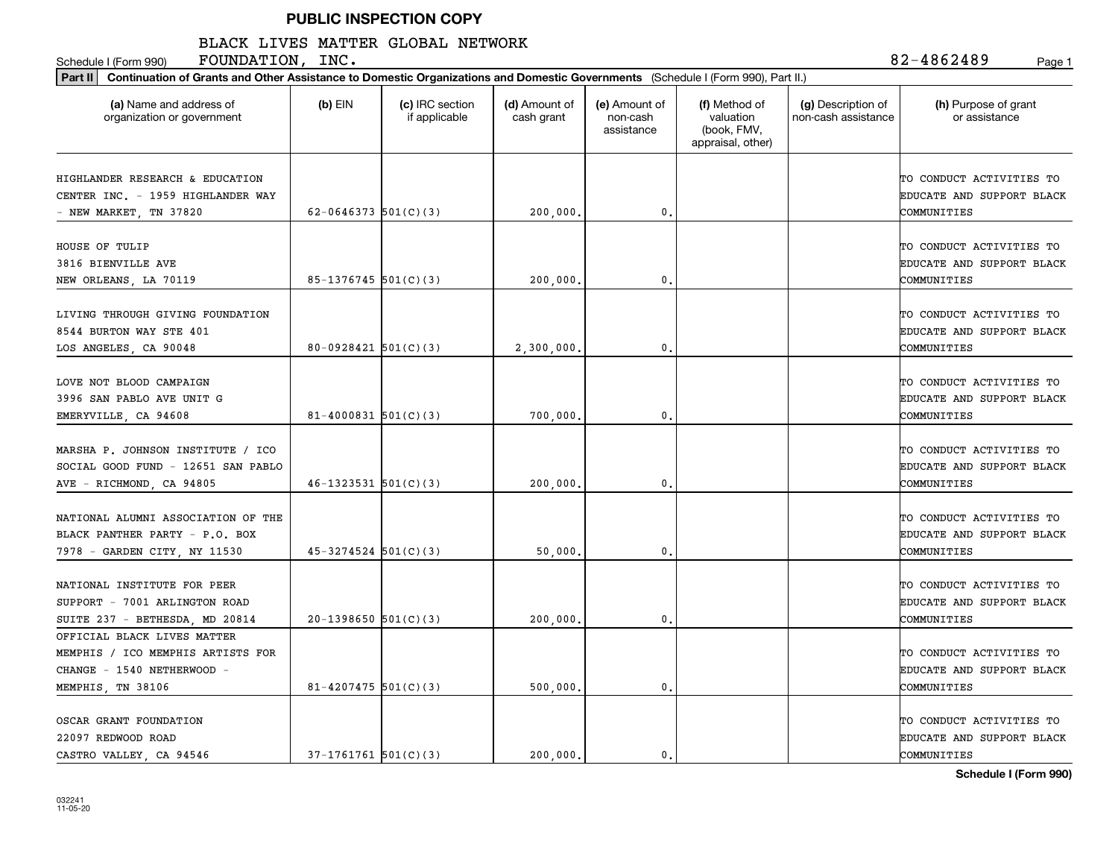## BLACK LIVES MATTER GLOBAL NETWORK

Schedule I (Form 990) **FOUNDATION, INC .** 8 2-4 8 6 2 4 8 9 Page 1

| Part II   Continuation of Grants and Other Assistance to Domestic Organizations and Domestic Governments (Schedule I (Form 990), Part II.) |                            |                                  |                             |                                         |                                                                |                                           |                                                                      |
|--------------------------------------------------------------------------------------------------------------------------------------------|----------------------------|----------------------------------|-----------------------------|-----------------------------------------|----------------------------------------------------------------|-------------------------------------------|----------------------------------------------------------------------|
| (a) Name and address of<br>organization or government                                                                                      | $(b)$ EIN                  | (c) IRC section<br>if applicable | (d) Amount of<br>cash grant | (e) Amount of<br>non-cash<br>assistance | (f) Method of<br>valuation<br>(book, FMV,<br>appraisal, other) | (g) Description of<br>non-cash assistance | (h) Purpose of grant<br>or assistance                                |
| HIGHLANDER RESEARCH & EDUCATION<br>CENTER INC. - 1959 HIGHLANDER WAY<br>- NEW MARKET, TN 37820                                             | 62-0646373 $501(C)(3)$     |                                  | 200,000                     | $\mathbf{0}$ .                          |                                                                |                                           | TO CONDUCT ACTIVITIES TO<br>EDUCATE AND SUPPORT BLACK<br>COMMUNITIES |
| HOUSE OF TULIP<br>3816 BIENVILLE AVE<br>NEW ORLEANS, LA 70119                                                                              | 85-1376745 501(C)(3)       |                                  | 200,000                     | 0.                                      |                                                                |                                           | TO CONDUCT ACTIVITIES TO<br>EDUCATE AND SUPPORT BLACK<br>COMMUNITIES |
| LIVING THROUGH GIVING FOUNDATION<br>8544 BURTON WAY STE 401<br>LOS ANGELES, CA 90048                                                       | $80-0928421$ 501(C)(3)     |                                  | 2,300,000                   | $\mathfrak{o}$ .                        |                                                                |                                           | TO CONDUCT ACTIVITIES TO<br>EDUCATE AND SUPPORT BLACK<br>COMMUNITIES |
| LOVE NOT BLOOD CAMPAIGN<br>3996 SAN PABLO AVE UNIT G<br>EMERYVILLE, CA 94608                                                               | 81-4000831 $501(C)(3)$     |                                  | 700,000                     | 0.                                      |                                                                |                                           | TO CONDUCT ACTIVITIES TO<br>EDUCATE AND SUPPORT BLACK<br>COMMUNITIES |
| MARSHA P. JOHNSON INSTITUTE / ICO<br>SOCIAL GOOD FUND - 12651 SAN PABLO<br>AVE - RICHMOND, CA 94805                                        | $46 - 1323531$ $501(C)(3)$ |                                  | 200,000                     | 0.                                      |                                                                |                                           | TO CONDUCT ACTIVITIES TO<br>EDUCATE AND SUPPORT BLACK<br>COMMUNITIES |
| NATIONAL ALUMNI ASSOCIATION OF THE<br>BLACK PANTHER PARTY - P.O. BOX<br>7978 - GARDEN CITY, NY 11530                                       | $45 - 3274524$ 501(C)(3)   |                                  | 50,000                      | 0.                                      |                                                                |                                           | TO CONDUCT ACTIVITIES TO<br>EDUCATE AND SUPPORT BLACK<br>COMMUNITIES |
| NATIONAL INSTITUTE FOR PEER<br>SUPPORT - 7001 ARLINGTON ROAD<br>SUITE 237 - BETHESDA, MD 20814                                             | $20-1398650$ 501(C)(3)     |                                  | 200,000                     | $\mathbf{0}$ .                          |                                                                |                                           | TO CONDUCT ACTIVITIES TO<br>EDUCATE AND SUPPORT BLACK<br>COMMUNITIES |
| OFFICIAL BLACK LIVES MATTER<br>MEMPHIS / ICO MEMPHIS ARTISTS FOR<br>CHANGE - 1540 NETHERWOOD -<br>MEMPHIS, TN 38106                        | $81 - 4207475$ 501(C)(3)   |                                  | 500,000,                    | $\mathfrak{o}$ .                        |                                                                |                                           | TO CONDUCT ACTIVITIES TO<br>EDUCATE AND SUPPORT BLACK<br>COMMUNITIES |
| OSCAR GRANT FOUNDATION<br>22097 REDWOOD ROAD<br>CASTRO VALLEY CA 94546                                                                     | $37-1761761$ $501(C)(3)$   |                                  | 200.000.                    | $\mathbf{0}$ .                          |                                                                |                                           | TO CONDUCT ACTIVITIES TO<br>EDUCATE AND SUPPORT BLACK<br>COMMUNITIES |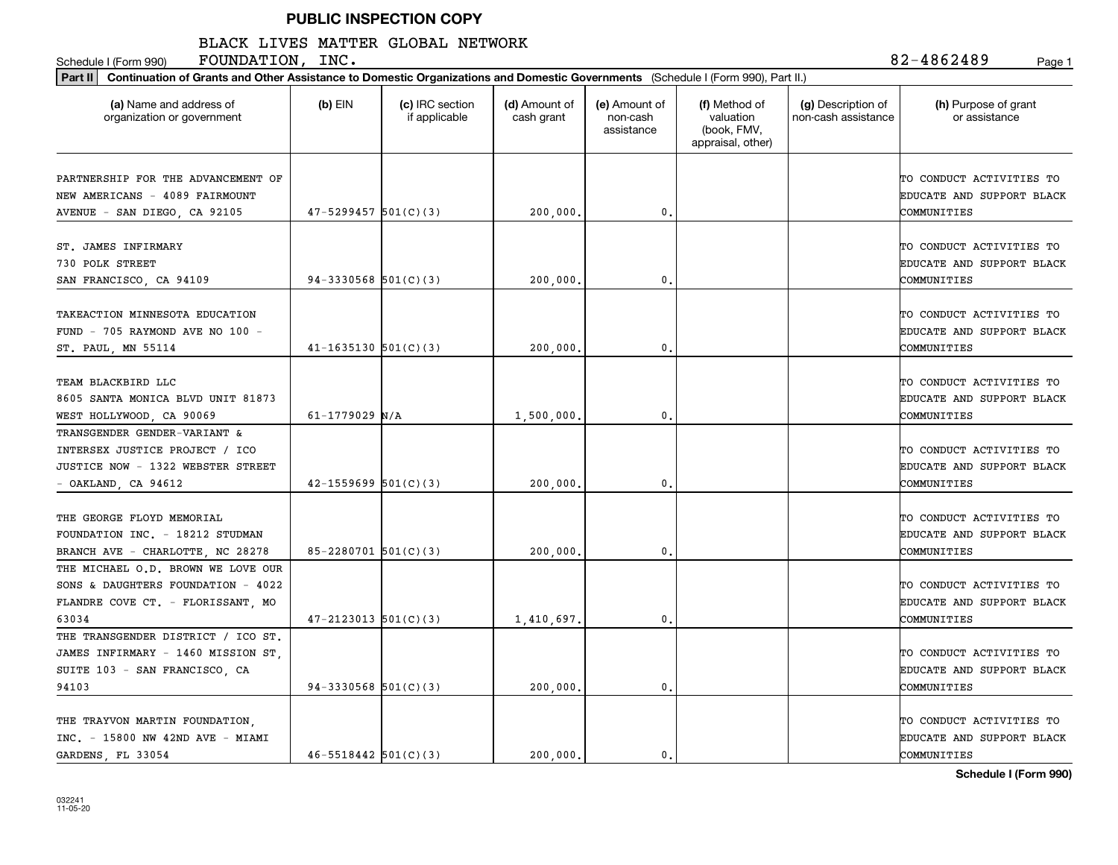#### BLACK LIVES MATTER GLOBAL NETWORK

Schedule I (Form 990) **FOUNDATION, INC .** 8 2-4 8 6 2 4 8 9 Page 1

| Part II   Continuation of Grants and Other Assistance to Domestic Organizations and Domestic Governments (Schedule I (Form 990), Part II.) |                            |                                  |                             |                                         |                                                                |                                           |                                                                      |
|--------------------------------------------------------------------------------------------------------------------------------------------|----------------------------|----------------------------------|-----------------------------|-----------------------------------------|----------------------------------------------------------------|-------------------------------------------|----------------------------------------------------------------------|
| (a) Name and address of<br>organization or government                                                                                      | $(b)$ EIN                  | (c) IRC section<br>if applicable | (d) Amount of<br>cash grant | (e) Amount of<br>non-cash<br>assistance | (f) Method of<br>valuation<br>(book, FMV,<br>appraisal, other) | (g) Description of<br>non-cash assistance | (h) Purpose of grant<br>or assistance                                |
| PARTNERSHIP FOR THE ADVANCEMENT OF<br>NEW AMERICANS - 4089 FAIRMOUNT<br>AVENUE - SAN DIEGO, CA 92105                                       | $47 - 5299457$ $501(C)(3)$ |                                  | 200,000                     | 0.                                      |                                                                |                                           | TO CONDUCT ACTIVITIES TO<br>EDUCATE AND SUPPORT BLACK<br>COMMUNITIES |
| ST. JAMES INFIRMARY<br>730 POLK STREET<br>SAN FRANCISCO, CA 94109                                                                          | 94-3330568 $501(C)(3)$     |                                  | 200,000                     | 0.                                      |                                                                |                                           | TO CONDUCT ACTIVITIES TO<br>EDUCATE AND SUPPORT BLACK<br>COMMUNITIES |
| TAKEACTION MINNESOTA EDUCATION<br>FUND - 705 RAYMOND AVE NO 100 -<br>ST. PAUL, MN 55114                                                    | $41 - 1635130$ $501(C)(3)$ |                                  | 200,000                     | 0.                                      |                                                                |                                           | TO CONDUCT ACTIVITIES TO<br>EDUCATE AND SUPPORT BLACK<br>COMMUNITIES |
| TEAM BLACKBIRD LLC<br>8605 SANTA MONICA BLVD UNIT 81873<br>WEST HOLLYWOOD, CA 90069                                                        | $61 - 1779029$ N/A         |                                  | 1,500,000                   | 0.                                      |                                                                |                                           | TO CONDUCT ACTIVITIES TO<br>EDUCATE AND SUPPORT BLACK<br>COMMUNITIES |
| TRANSGENDER GENDER-VARIANT &<br>INTERSEX JUSTICE PROJECT / ICO<br>JUSTICE NOW - 1322 WEBSTER STREET<br>- OAKLAND, CA 94612                 | $42 - 1559699$ $501(C)(3)$ |                                  | 200,000                     | 0.                                      |                                                                |                                           | TO CONDUCT ACTIVITIES TO<br>EDUCATE AND SUPPORT BLACK<br>COMMUNITIES |
| THE GEORGE FLOYD MEMORIAL<br>FOUNDATION INC. - 18212 STUDMAN<br>BRANCH AVE - CHARLOTTE, NC 28278                                           | $85 - 2280701$ 501(C)(3)   |                                  | 200,000                     | $\mathbf{0}$ .                          |                                                                |                                           | TO CONDUCT ACTIVITIES TO<br>EDUCATE AND SUPPORT BLACK<br>COMMUNITIES |
| THE MICHAEL O.D. BROWN WE LOVE OUR<br>SONS & DAUGHTERS FOUNDATION - 4022<br>FLANDRE COVE CT. - FLORISSANT, MO<br>63034                     | $47 - 2123013$ 501(C)(3)   |                                  | 1,410,697                   | 0.                                      |                                                                |                                           | TO CONDUCT ACTIVITIES TO<br>EDUCATE AND SUPPORT BLACK<br>COMMUNITIES |
| THE TRANSGENDER DISTRICT / ICO ST.<br>JAMES INFIRMARY - 1460 MISSION ST,<br>SUITE 103 - SAN FRANCISCO, CA<br>94103                         | $94-3330568$ $501(C)(3)$   |                                  | 200,000                     | $\mathbf{0}$ .                          |                                                                |                                           | TO CONDUCT ACTIVITIES TO<br>EDUCATE AND SUPPORT BLACK<br>COMMUNITIES |
| THE TRAYVON MARTIN FOUNDATION,<br>INC. - 15800 NW 42ND AVE - MIAMI<br>GARDENS, FL 33054                                                    | $46 - 5518442$ $501(C)(3)$ |                                  | 200,000                     | 0.                                      |                                                                |                                           | TO CONDUCT ACTIVITIES TO<br>EDUCATE AND SUPPORT BLACK<br>COMMUNITIES |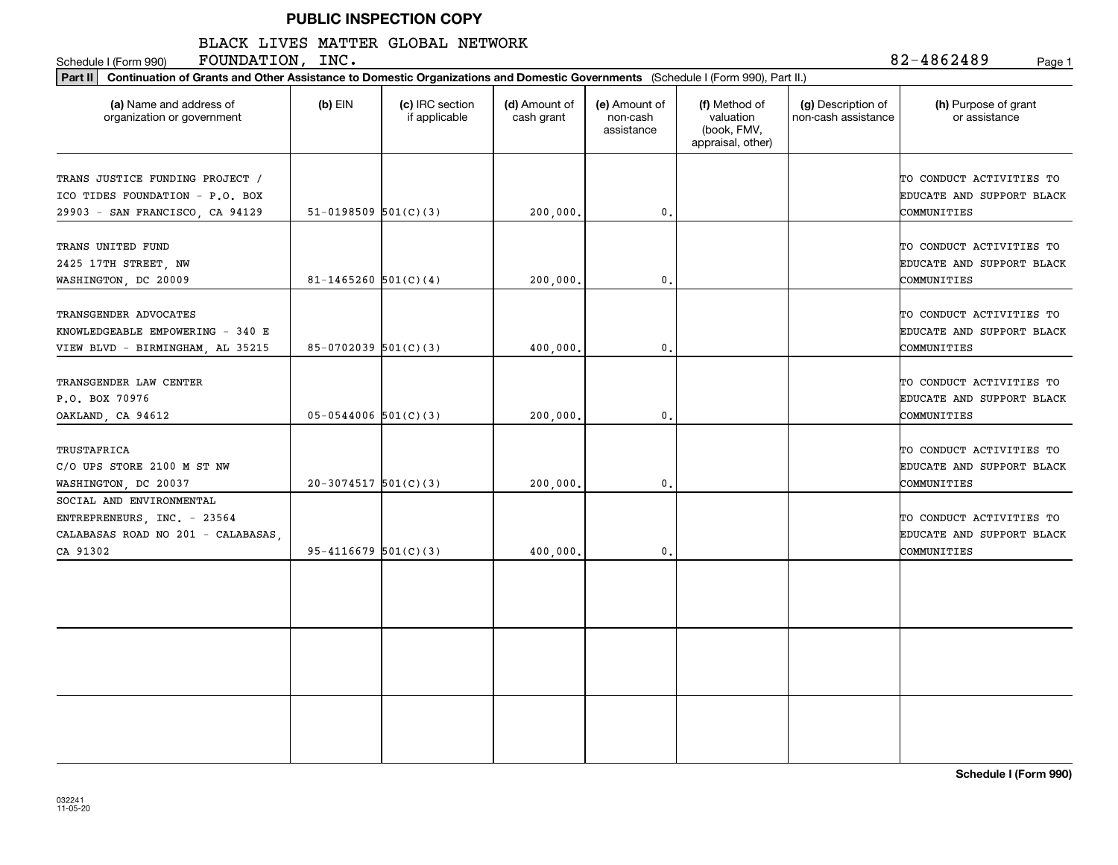## BLACK LIVES MATTER GLOBAL NETWORK

Schedule I (Form 990) Page 1 FOUNDATION, INC.

| (a) Name and address of<br>organization or government                                                     | $(b)$ EIN                  | (c) IRC section<br>if applicable | (d) Amount of<br>cash grant | (e) Amount of<br>non-cash<br>assistance | (f) Method of<br>valuation<br>(book, FMV,<br>appraisal, other) | (g) Description of<br>non-cash assistance | (h) Purpose of grant<br>or assistance                                |
|-----------------------------------------------------------------------------------------------------------|----------------------------|----------------------------------|-----------------------------|-----------------------------------------|----------------------------------------------------------------|-------------------------------------------|----------------------------------------------------------------------|
| TRANS JUSTICE FUNDING PROJECT /<br>ICO TIDES FOUNDATION - P.O. BOX                                        |                            |                                  |                             |                                         |                                                                |                                           | TO CONDUCT ACTIVITIES TO<br>EDUCATE AND SUPPORT BLACK                |
| 29903 - SAN FRANCISCO, CA 94129                                                                           | 51-0198509 $501(C)(3)$     |                                  | 200,000.                    | $\mathbf{0}$                            |                                                                |                                           | COMMUNITIES                                                          |
| TRANS UNITED FUND<br>2425 17TH STREET, NW<br>WASHINGTON, DC 20009                                         | $81 - 1465260$ 501(C)(4)   |                                  | 200,000.                    | $\mathbf{0}$                            |                                                                |                                           | TO CONDUCT ACTIVITIES TO<br>EDUCATE AND SUPPORT BLACK<br>COMMUNITIES |
| TRANSGENDER ADVOCATES<br>KNOWLEDGEABLE EMPOWERING - 340 E<br>VIEW BLVD - BIRMINGHAM, AL 35215             | $85-0702039$ 501(C)(3)     |                                  | 400,000.                    | $\mathbf{0}$ .                          |                                                                |                                           | TO CONDUCT ACTIVITIES TO<br>EDUCATE AND SUPPORT BLACK<br>COMMUNITIES |
| TRANSGENDER LAW CENTER<br>P.O. BOX 70976<br>OAKLAND, CA 94612                                             | $05-0544006$ 501(C)(3)     |                                  | 200,000                     | 0.                                      |                                                                |                                           | TO CONDUCT ACTIVITIES TO<br>EDUCATE AND SUPPORT BLACK<br>COMMUNITIES |
| <b>TRUSTAFRICA</b><br>C/O UPS STORE 2100 M ST NW<br>WASHINGTON, DC 20037                                  | $20-3074517$ 501(C)(3)     |                                  | 200,000.                    | $\mathbf{0}$ .                          |                                                                |                                           | TO CONDUCT ACTIVITIES TO<br>EDUCATE AND SUPPORT BLACK<br>COMMUNITIES |
| SOCIAL AND ENVIRONMENTAL<br>ENTREPRENEURS, INC. - 23564<br>CALABASAS ROAD NO 201 - CALABASAS,<br>CA 91302 | $95 - 4116679$ $501(C)(3)$ |                                  | 400,000                     | $\mathbf{0}$ .                          |                                                                |                                           | TO CONDUCT ACTIVITIES TO<br>EDUCATE AND SUPPORT BLACK<br>COMMUNITIES |
|                                                                                                           |                            |                                  |                             |                                         |                                                                |                                           |                                                                      |
|                                                                                                           |                            |                                  |                             |                                         |                                                                |                                           |                                                                      |
|                                                                                                           |                            |                                  |                             |                                         |                                                                |                                           |                                                                      |

82-4862489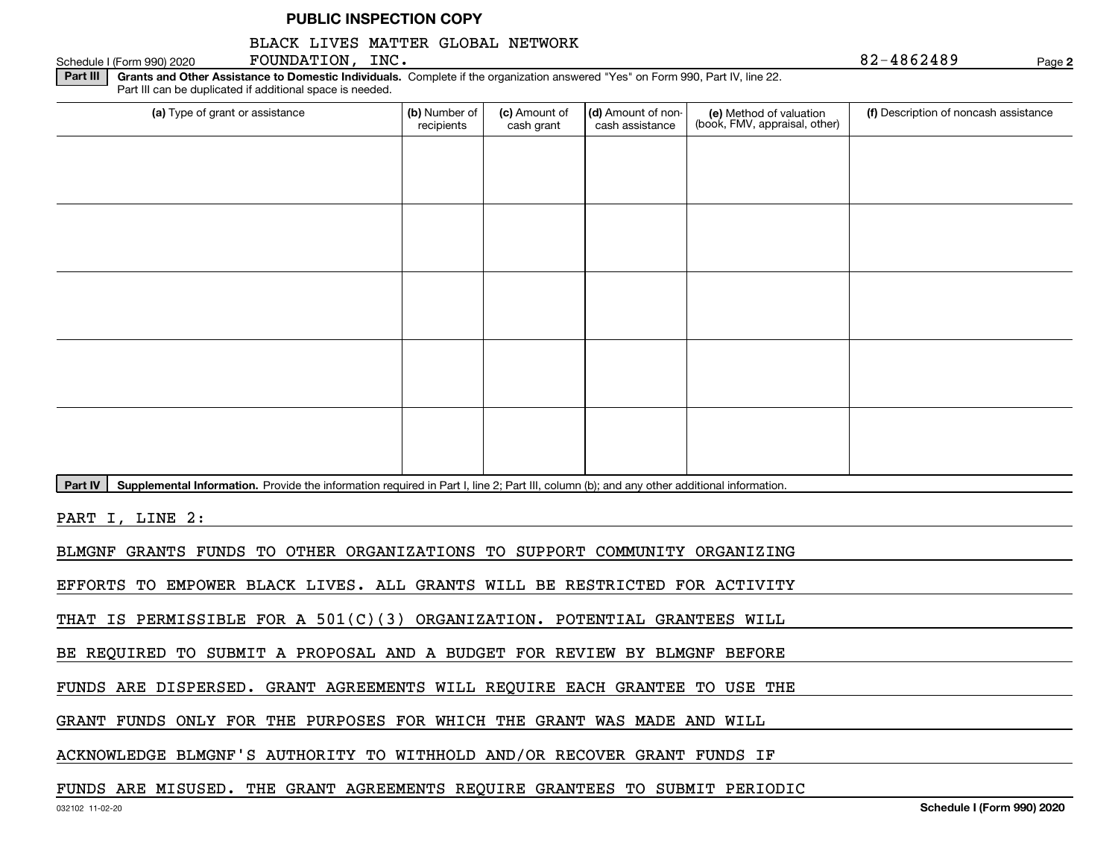#### BLACK LIVES MATTER GLOBAL NETWORK

**Part III** | Grants and Other Assistance to Domestic Individuals. Complete if the organization answered "Yes" on Form 990, Part IV, line 22. (a) Type of grant or assistance **Audity Commet Audio Commet Commet Commet Commet Commet Commet Commet Commet Comme** Schedule I (Form 990) 2020  ${\bf F}$ OUNDATION,  ${\bf inc.}$ Part III can be duplicated if additional space is needed. (e) Method of valuation (book, FMV, appraisal, other) recipients(c) Amount of cash grant (d) Amount of noncash assistance **(f)** Description of noncash assistance

**Part IV** | Supplemental Information. Provide the information required in Part I, line 2; Part III, column (b); and any other additional information.<br>

PART I, LINE 2:

BLMGNF GRANTS FUNDS TO OTHER ORGANIZATIONS TO SUPPORT COMMUNITY ORGANIZING

EFFORTS TO EMPOWER BLACK LIVES. ALL GRANTS WILL BE RESTRICTED FOR ACTIVITY

THAT IS PERMISSIBLE FOR A 501(C)(3) ORGANIZATION. POTENTIAL GRANTEES WILL

BE REQUIRED TO SUBMIT A PROPOSAL AND A BUDGET FOR REVIEW BY BLMGNF BEFORE

FUNDS ARE DISPERSED. GRANT AGREEMENTS WILL REQUIRE EACH GRANTEE TO USE THE

GRANT FUNDS ONLY FOR THE PURPOSES FOR WHICH THE GRANT WAS MADE AND WILL

ACKNOWLEDGE BLMGNF'S AUTHORITY TO WITHHOLD AND/OR RECOVER GRANT FUNDS IF

#### FUNDS ARE MISUSED. THE GRANT AGREEMENTS REQUIRE GRANTEES TO SUBMIT PERIODIC

**2**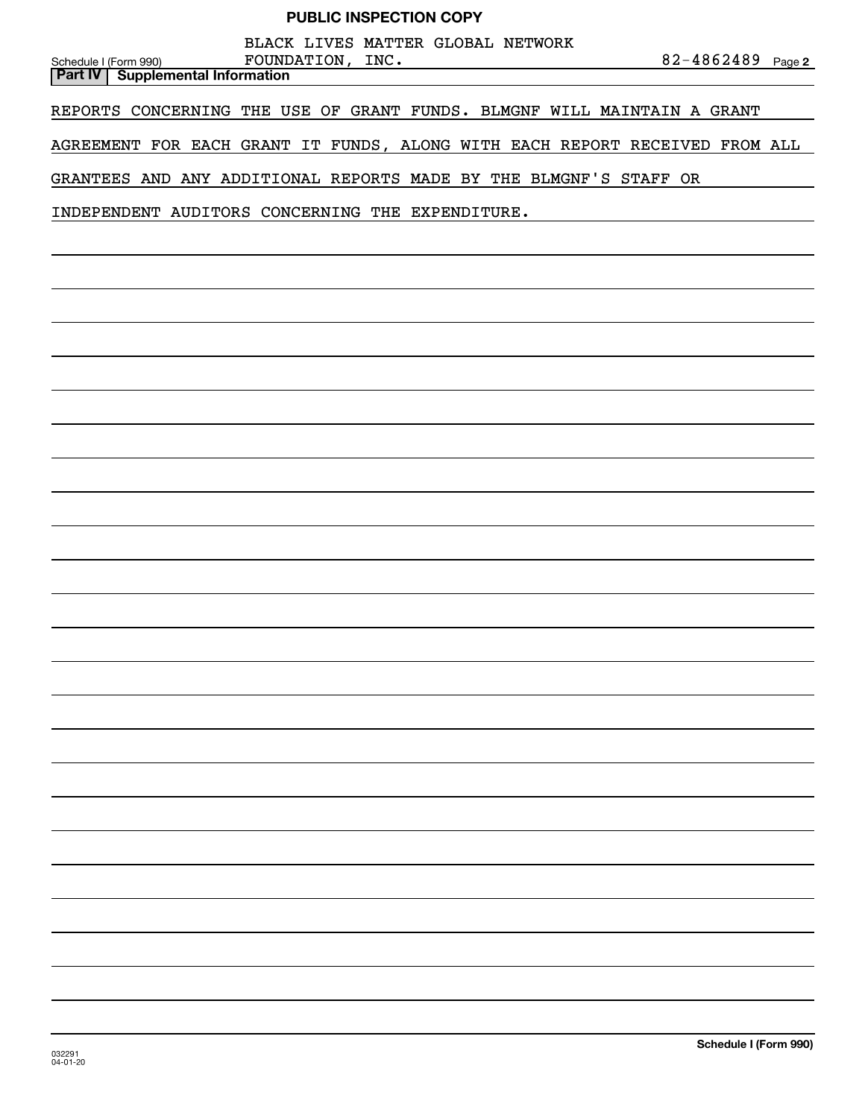| Schedule I (Form 990) |  | <b>Part IV   Supplemental Information</b>        | FOUNDATION, INC. |  | BLACK LIVES MATTER GLOBAL NETWORK |  |  |                                                                   | 82-4862489 Page 2                                                           |  |
|-----------------------|--|--------------------------------------------------|------------------|--|-----------------------------------|--|--|-------------------------------------------------------------------|-----------------------------------------------------------------------------|--|
|                       |  |                                                  |                  |  |                                   |  |  |                                                                   | REPORTS CONCERNING THE USE OF GRANT FUNDS. BLMGNF WILL MAINTAIN A GRANT     |  |
|                       |  |                                                  |                  |  |                                   |  |  |                                                                   | AGREEMENT FOR EACH GRANT IT FUNDS, ALONG WITH EACH REPORT RECEIVED FROM ALL |  |
|                       |  |                                                  |                  |  |                                   |  |  | GRANTEES AND ANY ADDITIONAL REPORTS MADE BY THE BLMGNF'S STAFF OR |                                                                             |  |
|                       |  | INDEPENDENT AUDITORS CONCERNING THE EXPENDITURE. |                  |  |                                   |  |  |                                                                   |                                                                             |  |
|                       |  |                                                  |                  |  |                                   |  |  |                                                                   |                                                                             |  |
|                       |  |                                                  |                  |  |                                   |  |  |                                                                   |                                                                             |  |
|                       |  |                                                  |                  |  |                                   |  |  |                                                                   |                                                                             |  |
|                       |  |                                                  |                  |  |                                   |  |  |                                                                   |                                                                             |  |
|                       |  |                                                  |                  |  |                                   |  |  |                                                                   |                                                                             |  |
|                       |  |                                                  |                  |  |                                   |  |  |                                                                   |                                                                             |  |
|                       |  |                                                  |                  |  |                                   |  |  |                                                                   |                                                                             |  |
|                       |  |                                                  |                  |  |                                   |  |  |                                                                   |                                                                             |  |
|                       |  |                                                  |                  |  |                                   |  |  |                                                                   |                                                                             |  |
|                       |  |                                                  |                  |  |                                   |  |  |                                                                   |                                                                             |  |
|                       |  |                                                  |                  |  |                                   |  |  |                                                                   |                                                                             |  |
|                       |  |                                                  |                  |  |                                   |  |  |                                                                   |                                                                             |  |
|                       |  |                                                  |                  |  |                                   |  |  |                                                                   |                                                                             |  |
|                       |  |                                                  |                  |  |                                   |  |  |                                                                   |                                                                             |  |
|                       |  |                                                  |                  |  |                                   |  |  |                                                                   |                                                                             |  |
|                       |  |                                                  |                  |  |                                   |  |  |                                                                   |                                                                             |  |
|                       |  |                                                  |                  |  |                                   |  |  |                                                                   |                                                                             |  |
|                       |  |                                                  |                  |  |                                   |  |  |                                                                   |                                                                             |  |
|                       |  |                                                  |                  |  |                                   |  |  |                                                                   |                                                                             |  |
|                       |  |                                                  |                  |  |                                   |  |  |                                                                   |                                                                             |  |
|                       |  |                                                  |                  |  |                                   |  |  |                                                                   |                                                                             |  |
|                       |  |                                                  |                  |  |                                   |  |  |                                                                   |                                                                             |  |
|                       |  |                                                  |                  |  |                                   |  |  |                                                                   |                                                                             |  |
|                       |  |                                                  |                  |  |                                   |  |  |                                                                   |                                                                             |  |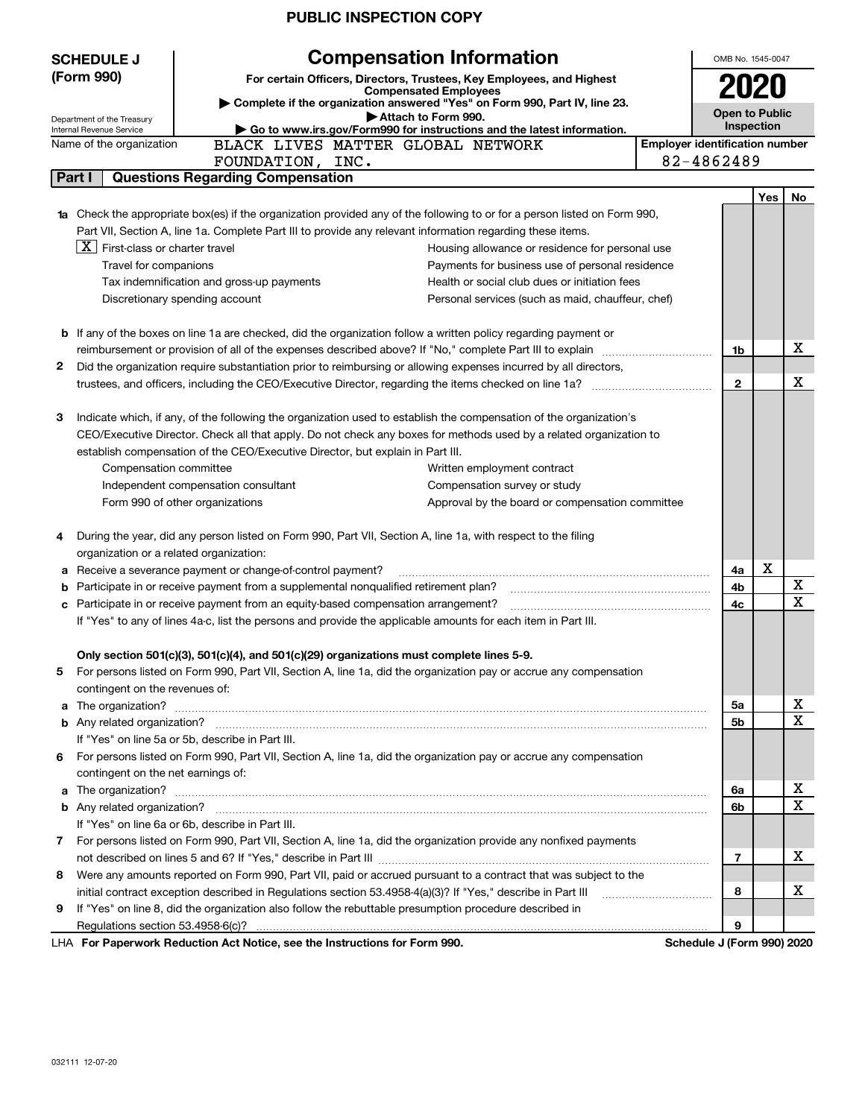| (Form 990)<br>For certain Officers, Directors, Trustees, Key Employees, and Highest<br><b>Compensated Employees</b><br>> Complete if the organization answered "Yes" on Form 990, Part IV, line 23.<br><b>Open to Public</b><br>Attach to Form 990.<br>Department of the Treasury<br>Inspection<br>Go to www.irs.gov/Form990 for instructions and the latest information.<br>Internal Revenue Service<br><b>Employer identification number</b><br>BLACK LIVES MATTER GLOBAL NETWORK<br>Name of the organization<br>82-4862489<br>FOUNDATION, INC.<br><b>Questions Regarding Compensation</b><br>Part I<br>Yes<br>No.<br>1a Check the appropriate box(es) if the organization provided any of the following to or for a person listed on Form 990,<br>Part VII, Section A, line 1a. Complete Part III to provide any relevant information regarding these items.<br>$X$ First-class or charter travel<br>Housing allowance or residence for personal use<br>Travel for companions<br>Payments for business use of personal residence<br>Tax indemnification and gross-up payments<br>Health or social club dues or initiation fees<br>Discretionary spending account<br>Personal services (such as maid, chauffeur, chef)<br><b>b</b> If any of the boxes on line 1a are checked, did the organization follow a written policy regarding payment or<br>х<br>1b<br>Did the organization require substantiation prior to reimbursing or allowing expenses incurred by all directors,<br>2<br>х<br>$\mathbf{2}$<br>Indicate which, if any, of the following the organization used to establish the compensation of the organization's<br>З<br>CEO/Executive Director. Check all that apply. Do not check any boxes for methods used by a related organization to<br>establish compensation of the CEO/Executive Director, but explain in Part III.<br>Compensation committee<br>Written employment contract<br>Independent compensation consultant<br>Compensation survey or study<br>Form 990 of other organizations<br>Approval by the board or compensation committee<br>During the year, did any person listed on Form 990, Part VII, Section A, line 1a, with respect to the filing<br>4<br>organization or a related organization:<br>X<br>Receive a severance payment or change-of-control payment?<br>4a<br>а<br>х<br>Participate in or receive payment from a supplemental nonqualified retirement plan?<br>4b<br>b<br>$\mathbf X$<br>Participate in or receive payment from an equity-based compensation arrangement?<br>4с<br>c<br>If "Yes" to any of lines 4a-c, list the persons and provide the applicable amounts for each item in Part III.<br>Only section 501(c)(3), 501(c)(4), and 501(c)(29) organizations must complete lines 5-9.<br>For persons listed on Form 990, Part VII, Section A, line 1a, did the organization pay or accrue any compensation<br>5<br>contingent on the revenues of:<br>x<br>The organization? <b>With the contract of the contract of the contract of the contract of the contract of the contract of the contract of the contract of the contract of the contract of the contract of the contract of the co</b><br>5a<br>a<br>X<br>5b<br>If "Yes" on line 5a or 5b, describe in Part III.<br>For persons listed on Form 990, Part VII, Section A, line 1a, did the organization pay or accrue any compensation<br>6<br>contingent on the net earnings of:<br>x<br>6a<br>a<br>X<br>6b<br>If "Yes" on line 6a or 6b, describe in Part III.<br>For persons listed on Form 990, Part VII, Section A, line 1a, did the organization provide any nonfixed payments<br>$\mathbf{7}$<br>х<br>7<br>Were any amounts reported on Form 990, Part VII, paid or accrued pursuant to a contract that was subject to the<br>8<br>x<br>8<br>If "Yes" on line 8, did the organization also follow the rebuttable presumption procedure described in<br>9<br>9<br>LHA For Paperwork Reduction Act Notice, see the Instructions for Form 990.<br>Schedule J (Form 990) 2020 | <b>SCHEDULE J</b> | <b>Compensation Information</b> | OMB No. 1545-0047 |  |  |  |
|-------------------------------------------------------------------------------------------------------------------------------------------------------------------------------------------------------------------------------------------------------------------------------------------------------------------------------------------------------------------------------------------------------------------------------------------------------------------------------------------------------------------------------------------------------------------------------------------------------------------------------------------------------------------------------------------------------------------------------------------------------------------------------------------------------------------------------------------------------------------------------------------------------------------------------------------------------------------------------------------------------------------------------------------------------------------------------------------------------------------------------------------------------------------------------------------------------------------------------------------------------------------------------------------------------------------------------------------------------------------------------------------------------------------------------------------------------------------------------------------------------------------------------------------------------------------------------------------------------------------------------------------------------------------------------------------------------------------------------------------------------------------------------------------------------------------------------------------------------------------------------------------------------------------------------------------------------------------------------------------------------------------------------------------------------------------------------------------------------------------------------------------------------------------------------------------------------------------------------------------------------------------------------------------------------------------------------------------------------------------------------------------------------------------------------------------------------------------------------------------------------------------------------------------------------------------------------------------------------------------------------------------------------------------------------------------------------------------------------------------------------------------------------------------------------------------------------------------------------------------------------------------------------------------------------------------------------------------------------------------------------------------------------------------------------------------------------------------------------------------------------------------------------------------------------------------------------------------------------------------------------------------------------------------------------------------------------------------------------------------------------------------------------------------------------------------------------------------------------------------------------------------------------------------------------------------------------------------------------------------------------------------------------------------------------------------------------------------------------------------------------------------------------------------------------------------------------------------------------------------------------------------------------------------------------------------------------------------------------------------------------|-------------------|---------------------------------|-------------------|--|--|--|
|                                                                                                                                                                                                                                                                                                                                                                                                                                                                                                                                                                                                                                                                                                                                                                                                                                                                                                                                                                                                                                                                                                                                                                                                                                                                                                                                                                                                                                                                                                                                                                                                                                                                                                                                                                                                                                                                                                                                                                                                                                                                                                                                                                                                                                                                                                                                                                                                                                                                                                                                                                                                                                                                                                                                                                                                                                                                                                                                                                                                                                                                                                                                                                                                                                                                                                                                                                                                                                                                                                                                                                                                                                                                                                                                                                                                                                                                                                                                                                                                       |                   |                                 |                   |  |  |  |
|                                                                                                                                                                                                                                                                                                                                                                                                                                                                                                                                                                                                                                                                                                                                                                                                                                                                                                                                                                                                                                                                                                                                                                                                                                                                                                                                                                                                                                                                                                                                                                                                                                                                                                                                                                                                                                                                                                                                                                                                                                                                                                                                                                                                                                                                                                                                                                                                                                                                                                                                                                                                                                                                                                                                                                                                                                                                                                                                                                                                                                                                                                                                                                                                                                                                                                                                                                                                                                                                                                                                                                                                                                                                                                                                                                                                                                                                                                                                                                                                       |                   |                                 |                   |  |  |  |
|                                                                                                                                                                                                                                                                                                                                                                                                                                                                                                                                                                                                                                                                                                                                                                                                                                                                                                                                                                                                                                                                                                                                                                                                                                                                                                                                                                                                                                                                                                                                                                                                                                                                                                                                                                                                                                                                                                                                                                                                                                                                                                                                                                                                                                                                                                                                                                                                                                                                                                                                                                                                                                                                                                                                                                                                                                                                                                                                                                                                                                                                                                                                                                                                                                                                                                                                                                                                                                                                                                                                                                                                                                                                                                                                                                                                                                                                                                                                                                                                       |                   |                                 |                   |  |  |  |
|                                                                                                                                                                                                                                                                                                                                                                                                                                                                                                                                                                                                                                                                                                                                                                                                                                                                                                                                                                                                                                                                                                                                                                                                                                                                                                                                                                                                                                                                                                                                                                                                                                                                                                                                                                                                                                                                                                                                                                                                                                                                                                                                                                                                                                                                                                                                                                                                                                                                                                                                                                                                                                                                                                                                                                                                                                                                                                                                                                                                                                                                                                                                                                                                                                                                                                                                                                                                                                                                                                                                                                                                                                                                                                                                                                                                                                                                                                                                                                                                       |                   |                                 |                   |  |  |  |
|                                                                                                                                                                                                                                                                                                                                                                                                                                                                                                                                                                                                                                                                                                                                                                                                                                                                                                                                                                                                                                                                                                                                                                                                                                                                                                                                                                                                                                                                                                                                                                                                                                                                                                                                                                                                                                                                                                                                                                                                                                                                                                                                                                                                                                                                                                                                                                                                                                                                                                                                                                                                                                                                                                                                                                                                                                                                                                                                                                                                                                                                                                                                                                                                                                                                                                                                                                                                                                                                                                                                                                                                                                                                                                                                                                                                                                                                                                                                                                                                       |                   |                                 |                   |  |  |  |
|                                                                                                                                                                                                                                                                                                                                                                                                                                                                                                                                                                                                                                                                                                                                                                                                                                                                                                                                                                                                                                                                                                                                                                                                                                                                                                                                                                                                                                                                                                                                                                                                                                                                                                                                                                                                                                                                                                                                                                                                                                                                                                                                                                                                                                                                                                                                                                                                                                                                                                                                                                                                                                                                                                                                                                                                                                                                                                                                                                                                                                                                                                                                                                                                                                                                                                                                                                                                                                                                                                                                                                                                                                                                                                                                                                                                                                                                                                                                                                                                       |                   |                                 |                   |  |  |  |
|                                                                                                                                                                                                                                                                                                                                                                                                                                                                                                                                                                                                                                                                                                                                                                                                                                                                                                                                                                                                                                                                                                                                                                                                                                                                                                                                                                                                                                                                                                                                                                                                                                                                                                                                                                                                                                                                                                                                                                                                                                                                                                                                                                                                                                                                                                                                                                                                                                                                                                                                                                                                                                                                                                                                                                                                                                                                                                                                                                                                                                                                                                                                                                                                                                                                                                                                                                                                                                                                                                                                                                                                                                                                                                                                                                                                                                                                                                                                                                                                       |                   |                                 |                   |  |  |  |
|                                                                                                                                                                                                                                                                                                                                                                                                                                                                                                                                                                                                                                                                                                                                                                                                                                                                                                                                                                                                                                                                                                                                                                                                                                                                                                                                                                                                                                                                                                                                                                                                                                                                                                                                                                                                                                                                                                                                                                                                                                                                                                                                                                                                                                                                                                                                                                                                                                                                                                                                                                                                                                                                                                                                                                                                                                                                                                                                                                                                                                                                                                                                                                                                                                                                                                                                                                                                                                                                                                                                                                                                                                                                                                                                                                                                                                                                                                                                                                                                       |                   |                                 |                   |  |  |  |
|                                                                                                                                                                                                                                                                                                                                                                                                                                                                                                                                                                                                                                                                                                                                                                                                                                                                                                                                                                                                                                                                                                                                                                                                                                                                                                                                                                                                                                                                                                                                                                                                                                                                                                                                                                                                                                                                                                                                                                                                                                                                                                                                                                                                                                                                                                                                                                                                                                                                                                                                                                                                                                                                                                                                                                                                                                                                                                                                                                                                                                                                                                                                                                                                                                                                                                                                                                                                                                                                                                                                                                                                                                                                                                                                                                                                                                                                                                                                                                                                       |                   |                                 |                   |  |  |  |
|                                                                                                                                                                                                                                                                                                                                                                                                                                                                                                                                                                                                                                                                                                                                                                                                                                                                                                                                                                                                                                                                                                                                                                                                                                                                                                                                                                                                                                                                                                                                                                                                                                                                                                                                                                                                                                                                                                                                                                                                                                                                                                                                                                                                                                                                                                                                                                                                                                                                                                                                                                                                                                                                                                                                                                                                                                                                                                                                                                                                                                                                                                                                                                                                                                                                                                                                                                                                                                                                                                                                                                                                                                                                                                                                                                                                                                                                                                                                                                                                       |                   |                                 |                   |  |  |  |
|                                                                                                                                                                                                                                                                                                                                                                                                                                                                                                                                                                                                                                                                                                                                                                                                                                                                                                                                                                                                                                                                                                                                                                                                                                                                                                                                                                                                                                                                                                                                                                                                                                                                                                                                                                                                                                                                                                                                                                                                                                                                                                                                                                                                                                                                                                                                                                                                                                                                                                                                                                                                                                                                                                                                                                                                                                                                                                                                                                                                                                                                                                                                                                                                                                                                                                                                                                                                                                                                                                                                                                                                                                                                                                                                                                                                                                                                                                                                                                                                       |                   |                                 |                   |  |  |  |
|                                                                                                                                                                                                                                                                                                                                                                                                                                                                                                                                                                                                                                                                                                                                                                                                                                                                                                                                                                                                                                                                                                                                                                                                                                                                                                                                                                                                                                                                                                                                                                                                                                                                                                                                                                                                                                                                                                                                                                                                                                                                                                                                                                                                                                                                                                                                                                                                                                                                                                                                                                                                                                                                                                                                                                                                                                                                                                                                                                                                                                                                                                                                                                                                                                                                                                                                                                                                                                                                                                                                                                                                                                                                                                                                                                                                                                                                                                                                                                                                       |                   |                                 |                   |  |  |  |
|                                                                                                                                                                                                                                                                                                                                                                                                                                                                                                                                                                                                                                                                                                                                                                                                                                                                                                                                                                                                                                                                                                                                                                                                                                                                                                                                                                                                                                                                                                                                                                                                                                                                                                                                                                                                                                                                                                                                                                                                                                                                                                                                                                                                                                                                                                                                                                                                                                                                                                                                                                                                                                                                                                                                                                                                                                                                                                                                                                                                                                                                                                                                                                                                                                                                                                                                                                                                                                                                                                                                                                                                                                                                                                                                                                                                                                                                                                                                                                                                       |                   |                                 |                   |  |  |  |
|                                                                                                                                                                                                                                                                                                                                                                                                                                                                                                                                                                                                                                                                                                                                                                                                                                                                                                                                                                                                                                                                                                                                                                                                                                                                                                                                                                                                                                                                                                                                                                                                                                                                                                                                                                                                                                                                                                                                                                                                                                                                                                                                                                                                                                                                                                                                                                                                                                                                                                                                                                                                                                                                                                                                                                                                                                                                                                                                                                                                                                                                                                                                                                                                                                                                                                                                                                                                                                                                                                                                                                                                                                                                                                                                                                                                                                                                                                                                                                                                       |                   |                                 |                   |  |  |  |
|                                                                                                                                                                                                                                                                                                                                                                                                                                                                                                                                                                                                                                                                                                                                                                                                                                                                                                                                                                                                                                                                                                                                                                                                                                                                                                                                                                                                                                                                                                                                                                                                                                                                                                                                                                                                                                                                                                                                                                                                                                                                                                                                                                                                                                                                                                                                                                                                                                                                                                                                                                                                                                                                                                                                                                                                                                                                                                                                                                                                                                                                                                                                                                                                                                                                                                                                                                                                                                                                                                                                                                                                                                                                                                                                                                                                                                                                                                                                                                                                       |                   |                                 |                   |  |  |  |
|                                                                                                                                                                                                                                                                                                                                                                                                                                                                                                                                                                                                                                                                                                                                                                                                                                                                                                                                                                                                                                                                                                                                                                                                                                                                                                                                                                                                                                                                                                                                                                                                                                                                                                                                                                                                                                                                                                                                                                                                                                                                                                                                                                                                                                                                                                                                                                                                                                                                                                                                                                                                                                                                                                                                                                                                                                                                                                                                                                                                                                                                                                                                                                                                                                                                                                                                                                                                                                                                                                                                                                                                                                                                                                                                                                                                                                                                                                                                                                                                       |                   |                                 |                   |  |  |  |
|                                                                                                                                                                                                                                                                                                                                                                                                                                                                                                                                                                                                                                                                                                                                                                                                                                                                                                                                                                                                                                                                                                                                                                                                                                                                                                                                                                                                                                                                                                                                                                                                                                                                                                                                                                                                                                                                                                                                                                                                                                                                                                                                                                                                                                                                                                                                                                                                                                                                                                                                                                                                                                                                                                                                                                                                                                                                                                                                                                                                                                                                                                                                                                                                                                                                                                                                                                                                                                                                                                                                                                                                                                                                                                                                                                                                                                                                                                                                                                                                       |                   |                                 |                   |  |  |  |
|                                                                                                                                                                                                                                                                                                                                                                                                                                                                                                                                                                                                                                                                                                                                                                                                                                                                                                                                                                                                                                                                                                                                                                                                                                                                                                                                                                                                                                                                                                                                                                                                                                                                                                                                                                                                                                                                                                                                                                                                                                                                                                                                                                                                                                                                                                                                                                                                                                                                                                                                                                                                                                                                                                                                                                                                                                                                                                                                                                                                                                                                                                                                                                                                                                                                                                                                                                                                                                                                                                                                                                                                                                                                                                                                                                                                                                                                                                                                                                                                       |                   |                                 |                   |  |  |  |
|                                                                                                                                                                                                                                                                                                                                                                                                                                                                                                                                                                                                                                                                                                                                                                                                                                                                                                                                                                                                                                                                                                                                                                                                                                                                                                                                                                                                                                                                                                                                                                                                                                                                                                                                                                                                                                                                                                                                                                                                                                                                                                                                                                                                                                                                                                                                                                                                                                                                                                                                                                                                                                                                                                                                                                                                                                                                                                                                                                                                                                                                                                                                                                                                                                                                                                                                                                                                                                                                                                                                                                                                                                                                                                                                                                                                                                                                                                                                                                                                       |                   |                                 |                   |  |  |  |
|                                                                                                                                                                                                                                                                                                                                                                                                                                                                                                                                                                                                                                                                                                                                                                                                                                                                                                                                                                                                                                                                                                                                                                                                                                                                                                                                                                                                                                                                                                                                                                                                                                                                                                                                                                                                                                                                                                                                                                                                                                                                                                                                                                                                                                                                                                                                                                                                                                                                                                                                                                                                                                                                                                                                                                                                                                                                                                                                                                                                                                                                                                                                                                                                                                                                                                                                                                                                                                                                                                                                                                                                                                                                                                                                                                                                                                                                                                                                                                                                       |                   |                                 |                   |  |  |  |
|                                                                                                                                                                                                                                                                                                                                                                                                                                                                                                                                                                                                                                                                                                                                                                                                                                                                                                                                                                                                                                                                                                                                                                                                                                                                                                                                                                                                                                                                                                                                                                                                                                                                                                                                                                                                                                                                                                                                                                                                                                                                                                                                                                                                                                                                                                                                                                                                                                                                                                                                                                                                                                                                                                                                                                                                                                                                                                                                                                                                                                                                                                                                                                                                                                                                                                                                                                                                                                                                                                                                                                                                                                                                                                                                                                                                                                                                                                                                                                                                       |                   |                                 |                   |  |  |  |
|                                                                                                                                                                                                                                                                                                                                                                                                                                                                                                                                                                                                                                                                                                                                                                                                                                                                                                                                                                                                                                                                                                                                                                                                                                                                                                                                                                                                                                                                                                                                                                                                                                                                                                                                                                                                                                                                                                                                                                                                                                                                                                                                                                                                                                                                                                                                                                                                                                                                                                                                                                                                                                                                                                                                                                                                                                                                                                                                                                                                                                                                                                                                                                                                                                                                                                                                                                                                                                                                                                                                                                                                                                                                                                                                                                                                                                                                                                                                                                                                       |                   |                                 |                   |  |  |  |
|                                                                                                                                                                                                                                                                                                                                                                                                                                                                                                                                                                                                                                                                                                                                                                                                                                                                                                                                                                                                                                                                                                                                                                                                                                                                                                                                                                                                                                                                                                                                                                                                                                                                                                                                                                                                                                                                                                                                                                                                                                                                                                                                                                                                                                                                                                                                                                                                                                                                                                                                                                                                                                                                                                                                                                                                                                                                                                                                                                                                                                                                                                                                                                                                                                                                                                                                                                                                                                                                                                                                                                                                                                                                                                                                                                                                                                                                                                                                                                                                       |                   |                                 |                   |  |  |  |
|                                                                                                                                                                                                                                                                                                                                                                                                                                                                                                                                                                                                                                                                                                                                                                                                                                                                                                                                                                                                                                                                                                                                                                                                                                                                                                                                                                                                                                                                                                                                                                                                                                                                                                                                                                                                                                                                                                                                                                                                                                                                                                                                                                                                                                                                                                                                                                                                                                                                                                                                                                                                                                                                                                                                                                                                                                                                                                                                                                                                                                                                                                                                                                                                                                                                                                                                                                                                                                                                                                                                                                                                                                                                                                                                                                                                                                                                                                                                                                                                       |                   |                                 |                   |  |  |  |
|                                                                                                                                                                                                                                                                                                                                                                                                                                                                                                                                                                                                                                                                                                                                                                                                                                                                                                                                                                                                                                                                                                                                                                                                                                                                                                                                                                                                                                                                                                                                                                                                                                                                                                                                                                                                                                                                                                                                                                                                                                                                                                                                                                                                                                                                                                                                                                                                                                                                                                                                                                                                                                                                                                                                                                                                                                                                                                                                                                                                                                                                                                                                                                                                                                                                                                                                                                                                                                                                                                                                                                                                                                                                                                                                                                                                                                                                                                                                                                                                       |                   |                                 |                   |  |  |  |
|                                                                                                                                                                                                                                                                                                                                                                                                                                                                                                                                                                                                                                                                                                                                                                                                                                                                                                                                                                                                                                                                                                                                                                                                                                                                                                                                                                                                                                                                                                                                                                                                                                                                                                                                                                                                                                                                                                                                                                                                                                                                                                                                                                                                                                                                                                                                                                                                                                                                                                                                                                                                                                                                                                                                                                                                                                                                                                                                                                                                                                                                                                                                                                                                                                                                                                                                                                                                                                                                                                                                                                                                                                                                                                                                                                                                                                                                                                                                                                                                       |                   |                                 |                   |  |  |  |
|                                                                                                                                                                                                                                                                                                                                                                                                                                                                                                                                                                                                                                                                                                                                                                                                                                                                                                                                                                                                                                                                                                                                                                                                                                                                                                                                                                                                                                                                                                                                                                                                                                                                                                                                                                                                                                                                                                                                                                                                                                                                                                                                                                                                                                                                                                                                                                                                                                                                                                                                                                                                                                                                                                                                                                                                                                                                                                                                                                                                                                                                                                                                                                                                                                                                                                                                                                                                                                                                                                                                                                                                                                                                                                                                                                                                                                                                                                                                                                                                       |                   |                                 |                   |  |  |  |
|                                                                                                                                                                                                                                                                                                                                                                                                                                                                                                                                                                                                                                                                                                                                                                                                                                                                                                                                                                                                                                                                                                                                                                                                                                                                                                                                                                                                                                                                                                                                                                                                                                                                                                                                                                                                                                                                                                                                                                                                                                                                                                                                                                                                                                                                                                                                                                                                                                                                                                                                                                                                                                                                                                                                                                                                                                                                                                                                                                                                                                                                                                                                                                                                                                                                                                                                                                                                                                                                                                                                                                                                                                                                                                                                                                                                                                                                                                                                                                                                       |                   |                                 |                   |  |  |  |
|                                                                                                                                                                                                                                                                                                                                                                                                                                                                                                                                                                                                                                                                                                                                                                                                                                                                                                                                                                                                                                                                                                                                                                                                                                                                                                                                                                                                                                                                                                                                                                                                                                                                                                                                                                                                                                                                                                                                                                                                                                                                                                                                                                                                                                                                                                                                                                                                                                                                                                                                                                                                                                                                                                                                                                                                                                                                                                                                                                                                                                                                                                                                                                                                                                                                                                                                                                                                                                                                                                                                                                                                                                                                                                                                                                                                                                                                                                                                                                                                       |                   |                                 |                   |  |  |  |
|                                                                                                                                                                                                                                                                                                                                                                                                                                                                                                                                                                                                                                                                                                                                                                                                                                                                                                                                                                                                                                                                                                                                                                                                                                                                                                                                                                                                                                                                                                                                                                                                                                                                                                                                                                                                                                                                                                                                                                                                                                                                                                                                                                                                                                                                                                                                                                                                                                                                                                                                                                                                                                                                                                                                                                                                                                                                                                                                                                                                                                                                                                                                                                                                                                                                                                                                                                                                                                                                                                                                                                                                                                                                                                                                                                                                                                                                                                                                                                                                       |                   |                                 |                   |  |  |  |
|                                                                                                                                                                                                                                                                                                                                                                                                                                                                                                                                                                                                                                                                                                                                                                                                                                                                                                                                                                                                                                                                                                                                                                                                                                                                                                                                                                                                                                                                                                                                                                                                                                                                                                                                                                                                                                                                                                                                                                                                                                                                                                                                                                                                                                                                                                                                                                                                                                                                                                                                                                                                                                                                                                                                                                                                                                                                                                                                                                                                                                                                                                                                                                                                                                                                                                                                                                                                                                                                                                                                                                                                                                                                                                                                                                                                                                                                                                                                                                                                       |                   |                                 |                   |  |  |  |
|                                                                                                                                                                                                                                                                                                                                                                                                                                                                                                                                                                                                                                                                                                                                                                                                                                                                                                                                                                                                                                                                                                                                                                                                                                                                                                                                                                                                                                                                                                                                                                                                                                                                                                                                                                                                                                                                                                                                                                                                                                                                                                                                                                                                                                                                                                                                                                                                                                                                                                                                                                                                                                                                                                                                                                                                                                                                                                                                                                                                                                                                                                                                                                                                                                                                                                                                                                                                                                                                                                                                                                                                                                                                                                                                                                                                                                                                                                                                                                                                       |                   |                                 |                   |  |  |  |
|                                                                                                                                                                                                                                                                                                                                                                                                                                                                                                                                                                                                                                                                                                                                                                                                                                                                                                                                                                                                                                                                                                                                                                                                                                                                                                                                                                                                                                                                                                                                                                                                                                                                                                                                                                                                                                                                                                                                                                                                                                                                                                                                                                                                                                                                                                                                                                                                                                                                                                                                                                                                                                                                                                                                                                                                                                                                                                                                                                                                                                                                                                                                                                                                                                                                                                                                                                                                                                                                                                                                                                                                                                                                                                                                                                                                                                                                                                                                                                                                       |                   |                                 |                   |  |  |  |
|                                                                                                                                                                                                                                                                                                                                                                                                                                                                                                                                                                                                                                                                                                                                                                                                                                                                                                                                                                                                                                                                                                                                                                                                                                                                                                                                                                                                                                                                                                                                                                                                                                                                                                                                                                                                                                                                                                                                                                                                                                                                                                                                                                                                                                                                                                                                                                                                                                                                                                                                                                                                                                                                                                                                                                                                                                                                                                                                                                                                                                                                                                                                                                                                                                                                                                                                                                                                                                                                                                                                                                                                                                                                                                                                                                                                                                                                                                                                                                                                       |                   |                                 |                   |  |  |  |
|                                                                                                                                                                                                                                                                                                                                                                                                                                                                                                                                                                                                                                                                                                                                                                                                                                                                                                                                                                                                                                                                                                                                                                                                                                                                                                                                                                                                                                                                                                                                                                                                                                                                                                                                                                                                                                                                                                                                                                                                                                                                                                                                                                                                                                                                                                                                                                                                                                                                                                                                                                                                                                                                                                                                                                                                                                                                                                                                                                                                                                                                                                                                                                                                                                                                                                                                                                                                                                                                                                                                                                                                                                                                                                                                                                                                                                                                                                                                                                                                       |                   |                                 |                   |  |  |  |
|                                                                                                                                                                                                                                                                                                                                                                                                                                                                                                                                                                                                                                                                                                                                                                                                                                                                                                                                                                                                                                                                                                                                                                                                                                                                                                                                                                                                                                                                                                                                                                                                                                                                                                                                                                                                                                                                                                                                                                                                                                                                                                                                                                                                                                                                                                                                                                                                                                                                                                                                                                                                                                                                                                                                                                                                                                                                                                                                                                                                                                                                                                                                                                                                                                                                                                                                                                                                                                                                                                                                                                                                                                                                                                                                                                                                                                                                                                                                                                                                       |                   |                                 |                   |  |  |  |
|                                                                                                                                                                                                                                                                                                                                                                                                                                                                                                                                                                                                                                                                                                                                                                                                                                                                                                                                                                                                                                                                                                                                                                                                                                                                                                                                                                                                                                                                                                                                                                                                                                                                                                                                                                                                                                                                                                                                                                                                                                                                                                                                                                                                                                                                                                                                                                                                                                                                                                                                                                                                                                                                                                                                                                                                                                                                                                                                                                                                                                                                                                                                                                                                                                                                                                                                                                                                                                                                                                                                                                                                                                                                                                                                                                                                                                                                                                                                                                                                       |                   |                                 |                   |  |  |  |
|                                                                                                                                                                                                                                                                                                                                                                                                                                                                                                                                                                                                                                                                                                                                                                                                                                                                                                                                                                                                                                                                                                                                                                                                                                                                                                                                                                                                                                                                                                                                                                                                                                                                                                                                                                                                                                                                                                                                                                                                                                                                                                                                                                                                                                                                                                                                                                                                                                                                                                                                                                                                                                                                                                                                                                                                                                                                                                                                                                                                                                                                                                                                                                                                                                                                                                                                                                                                                                                                                                                                                                                                                                                                                                                                                                                                                                                                                                                                                                                                       |                   |                                 |                   |  |  |  |
|                                                                                                                                                                                                                                                                                                                                                                                                                                                                                                                                                                                                                                                                                                                                                                                                                                                                                                                                                                                                                                                                                                                                                                                                                                                                                                                                                                                                                                                                                                                                                                                                                                                                                                                                                                                                                                                                                                                                                                                                                                                                                                                                                                                                                                                                                                                                                                                                                                                                                                                                                                                                                                                                                                                                                                                                                                                                                                                                                                                                                                                                                                                                                                                                                                                                                                                                                                                                                                                                                                                                                                                                                                                                                                                                                                                                                                                                                                                                                                                                       |                   |                                 |                   |  |  |  |
|                                                                                                                                                                                                                                                                                                                                                                                                                                                                                                                                                                                                                                                                                                                                                                                                                                                                                                                                                                                                                                                                                                                                                                                                                                                                                                                                                                                                                                                                                                                                                                                                                                                                                                                                                                                                                                                                                                                                                                                                                                                                                                                                                                                                                                                                                                                                                                                                                                                                                                                                                                                                                                                                                                                                                                                                                                                                                                                                                                                                                                                                                                                                                                                                                                                                                                                                                                                                                                                                                                                                                                                                                                                                                                                                                                                                                                                                                                                                                                                                       |                   |                                 |                   |  |  |  |
|                                                                                                                                                                                                                                                                                                                                                                                                                                                                                                                                                                                                                                                                                                                                                                                                                                                                                                                                                                                                                                                                                                                                                                                                                                                                                                                                                                                                                                                                                                                                                                                                                                                                                                                                                                                                                                                                                                                                                                                                                                                                                                                                                                                                                                                                                                                                                                                                                                                                                                                                                                                                                                                                                                                                                                                                                                                                                                                                                                                                                                                                                                                                                                                                                                                                                                                                                                                                                                                                                                                                                                                                                                                                                                                                                                                                                                                                                                                                                                                                       |                   |                                 |                   |  |  |  |
|                                                                                                                                                                                                                                                                                                                                                                                                                                                                                                                                                                                                                                                                                                                                                                                                                                                                                                                                                                                                                                                                                                                                                                                                                                                                                                                                                                                                                                                                                                                                                                                                                                                                                                                                                                                                                                                                                                                                                                                                                                                                                                                                                                                                                                                                                                                                                                                                                                                                                                                                                                                                                                                                                                                                                                                                                                                                                                                                                                                                                                                                                                                                                                                                                                                                                                                                                                                                                                                                                                                                                                                                                                                                                                                                                                                                                                                                                                                                                                                                       |                   |                                 |                   |  |  |  |
|                                                                                                                                                                                                                                                                                                                                                                                                                                                                                                                                                                                                                                                                                                                                                                                                                                                                                                                                                                                                                                                                                                                                                                                                                                                                                                                                                                                                                                                                                                                                                                                                                                                                                                                                                                                                                                                                                                                                                                                                                                                                                                                                                                                                                                                                                                                                                                                                                                                                                                                                                                                                                                                                                                                                                                                                                                                                                                                                                                                                                                                                                                                                                                                                                                                                                                                                                                                                                                                                                                                                                                                                                                                                                                                                                                                                                                                                                                                                                                                                       |                   |                                 |                   |  |  |  |
|                                                                                                                                                                                                                                                                                                                                                                                                                                                                                                                                                                                                                                                                                                                                                                                                                                                                                                                                                                                                                                                                                                                                                                                                                                                                                                                                                                                                                                                                                                                                                                                                                                                                                                                                                                                                                                                                                                                                                                                                                                                                                                                                                                                                                                                                                                                                                                                                                                                                                                                                                                                                                                                                                                                                                                                                                                                                                                                                                                                                                                                                                                                                                                                                                                                                                                                                                                                                                                                                                                                                                                                                                                                                                                                                                                                                                                                                                                                                                                                                       |                   |                                 |                   |  |  |  |
|                                                                                                                                                                                                                                                                                                                                                                                                                                                                                                                                                                                                                                                                                                                                                                                                                                                                                                                                                                                                                                                                                                                                                                                                                                                                                                                                                                                                                                                                                                                                                                                                                                                                                                                                                                                                                                                                                                                                                                                                                                                                                                                                                                                                                                                                                                                                                                                                                                                                                                                                                                                                                                                                                                                                                                                                                                                                                                                                                                                                                                                                                                                                                                                                                                                                                                                                                                                                                                                                                                                                                                                                                                                                                                                                                                                                                                                                                                                                                                                                       |                   |                                 |                   |  |  |  |
|                                                                                                                                                                                                                                                                                                                                                                                                                                                                                                                                                                                                                                                                                                                                                                                                                                                                                                                                                                                                                                                                                                                                                                                                                                                                                                                                                                                                                                                                                                                                                                                                                                                                                                                                                                                                                                                                                                                                                                                                                                                                                                                                                                                                                                                                                                                                                                                                                                                                                                                                                                                                                                                                                                                                                                                                                                                                                                                                                                                                                                                                                                                                                                                                                                                                                                                                                                                                                                                                                                                                                                                                                                                                                                                                                                                                                                                                                                                                                                                                       |                   |                                 |                   |  |  |  |
|                                                                                                                                                                                                                                                                                                                                                                                                                                                                                                                                                                                                                                                                                                                                                                                                                                                                                                                                                                                                                                                                                                                                                                                                                                                                                                                                                                                                                                                                                                                                                                                                                                                                                                                                                                                                                                                                                                                                                                                                                                                                                                                                                                                                                                                                                                                                                                                                                                                                                                                                                                                                                                                                                                                                                                                                                                                                                                                                                                                                                                                                                                                                                                                                                                                                                                                                                                                                                                                                                                                                                                                                                                                                                                                                                                                                                                                                                                                                                                                                       |                   |                                 |                   |  |  |  |
|                                                                                                                                                                                                                                                                                                                                                                                                                                                                                                                                                                                                                                                                                                                                                                                                                                                                                                                                                                                                                                                                                                                                                                                                                                                                                                                                                                                                                                                                                                                                                                                                                                                                                                                                                                                                                                                                                                                                                                                                                                                                                                                                                                                                                                                                                                                                                                                                                                                                                                                                                                                                                                                                                                                                                                                                                                                                                                                                                                                                                                                                                                                                                                                                                                                                                                                                                                                                                                                                                                                                                                                                                                                                                                                                                                                                                                                                                                                                                                                                       |                   |                                 |                   |  |  |  |
|                                                                                                                                                                                                                                                                                                                                                                                                                                                                                                                                                                                                                                                                                                                                                                                                                                                                                                                                                                                                                                                                                                                                                                                                                                                                                                                                                                                                                                                                                                                                                                                                                                                                                                                                                                                                                                                                                                                                                                                                                                                                                                                                                                                                                                                                                                                                                                                                                                                                                                                                                                                                                                                                                                                                                                                                                                                                                                                                                                                                                                                                                                                                                                                                                                                                                                                                                                                                                                                                                                                                                                                                                                                                                                                                                                                                                                                                                                                                                                                                       |                   |                                 |                   |  |  |  |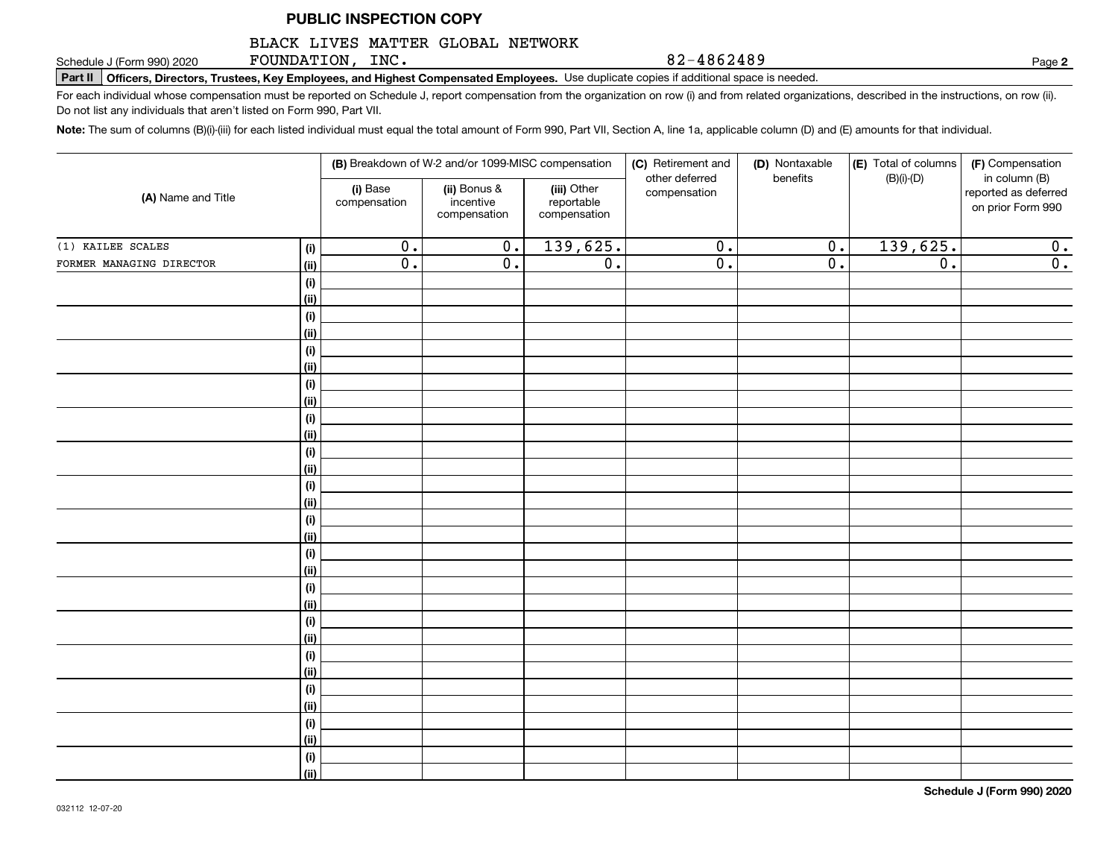#### BLACK LIVES MATTER GLOBAL NETWORK

FOUNDATION, INC.

Schedule J (Form 990) 2020 Page Page In The Schedule J (Form 990) 2020 Page Page Page USe and **Highest Compensated Employees.** Use duplicate copies if additional space is needed. Page USE **Page Page Page USE 2-4 8 5 2-4** 

For each individual whose compensation must be reported on Schedule J, report compensation from the organization on row (i) and from related organizations, described in the instructions, on row (ii). Do not list any individuals that aren't listed on Form 990, Part VII.

**Note:**  The sum of columns (B)(i)-(iii) for each listed individual must equal the total amount of Form 990, Part VII, Section A, line 1a, applicable column (D) and (E) amounts for that individual.

| (A) Name and Title       |             |                          | (B) Breakdown of W-2 and/or 1099-MISC compensation |                                           | (C) Retirement and<br>other deferred | (D) Nontaxable<br>benefits | (E) Total of columns<br>$(B)(i)-(D)$ | (F) Compensation<br>in column (B)         |
|--------------------------|-------------|--------------------------|----------------------------------------------------|-------------------------------------------|--------------------------------------|----------------------------|--------------------------------------|-------------------------------------------|
|                          |             | (i) Base<br>compensation | (ii) Bonus &<br>incentive<br>compensation          | (iii) Other<br>reportable<br>compensation | compensation                         |                            |                                      | reported as deferred<br>on prior Form 990 |
| (1) KAILEE SCALES        | (i)         | $\overline{0}$ .         | $\overline{0}$ .                                   | 139,625.                                  | $\overline{0}$ .                     | $\overline{0}$ .           | 139,625.                             | 0.                                        |
| FORMER MANAGING DIRECTOR | <u>(ii)</u> | $\overline{0}$ .         | $\overline{0}$ .                                   | $\overline{0}$ .                          | $\overline{0}$ .                     | $\overline{0}$ .           | $\overline{0}$ .                     | $\overline{0}$ .                          |
|                          | (i)         |                          |                                                    |                                           |                                      |                            |                                      |                                           |
|                          | <u>(ii)</u> |                          |                                                    |                                           |                                      |                            |                                      |                                           |
|                          | (i)         |                          |                                                    |                                           |                                      |                            |                                      |                                           |
|                          | (ii)        |                          |                                                    |                                           |                                      |                            |                                      |                                           |
|                          | (i)         |                          |                                                    |                                           |                                      |                            |                                      |                                           |
|                          | (ii)        |                          |                                                    |                                           |                                      |                            |                                      |                                           |
|                          | (i)         |                          |                                                    |                                           |                                      |                            |                                      |                                           |
|                          | (ii)        |                          |                                                    |                                           |                                      |                            |                                      |                                           |
|                          | (i)         |                          |                                                    |                                           |                                      |                            |                                      |                                           |
|                          | (ii)        |                          |                                                    |                                           |                                      |                            |                                      |                                           |
|                          | (i)         |                          |                                                    |                                           |                                      |                            |                                      |                                           |
|                          | (ii)        |                          |                                                    |                                           |                                      |                            |                                      |                                           |
|                          | (i)<br>(ii) |                          |                                                    |                                           |                                      |                            |                                      |                                           |
|                          | (i)         |                          |                                                    |                                           |                                      |                            |                                      |                                           |
|                          | (ii)        |                          |                                                    |                                           |                                      |                            |                                      |                                           |
|                          | (i)         |                          |                                                    |                                           |                                      |                            |                                      |                                           |
|                          | (ii)        |                          |                                                    |                                           |                                      |                            |                                      |                                           |
|                          | (i)         |                          |                                                    |                                           |                                      |                            |                                      |                                           |
|                          | (ii)        |                          |                                                    |                                           |                                      |                            |                                      |                                           |
|                          | (i)         |                          |                                                    |                                           |                                      |                            |                                      |                                           |
|                          | (ii)        |                          |                                                    |                                           |                                      |                            |                                      |                                           |
|                          | (i)         |                          |                                                    |                                           |                                      |                            |                                      |                                           |
|                          | (ii)        |                          |                                                    |                                           |                                      |                            |                                      |                                           |
|                          | (i)         |                          |                                                    |                                           |                                      |                            |                                      |                                           |
|                          | (ii)        |                          |                                                    |                                           |                                      |                            |                                      |                                           |
|                          | (i)         |                          |                                                    |                                           |                                      |                            |                                      |                                           |
|                          | (ii)        |                          |                                                    |                                           |                                      |                            |                                      |                                           |
|                          | (i)         |                          |                                                    |                                           |                                      |                            |                                      |                                           |
|                          | (ii)        |                          |                                                    |                                           |                                      |                            |                                      |                                           |

**2**

82-4862489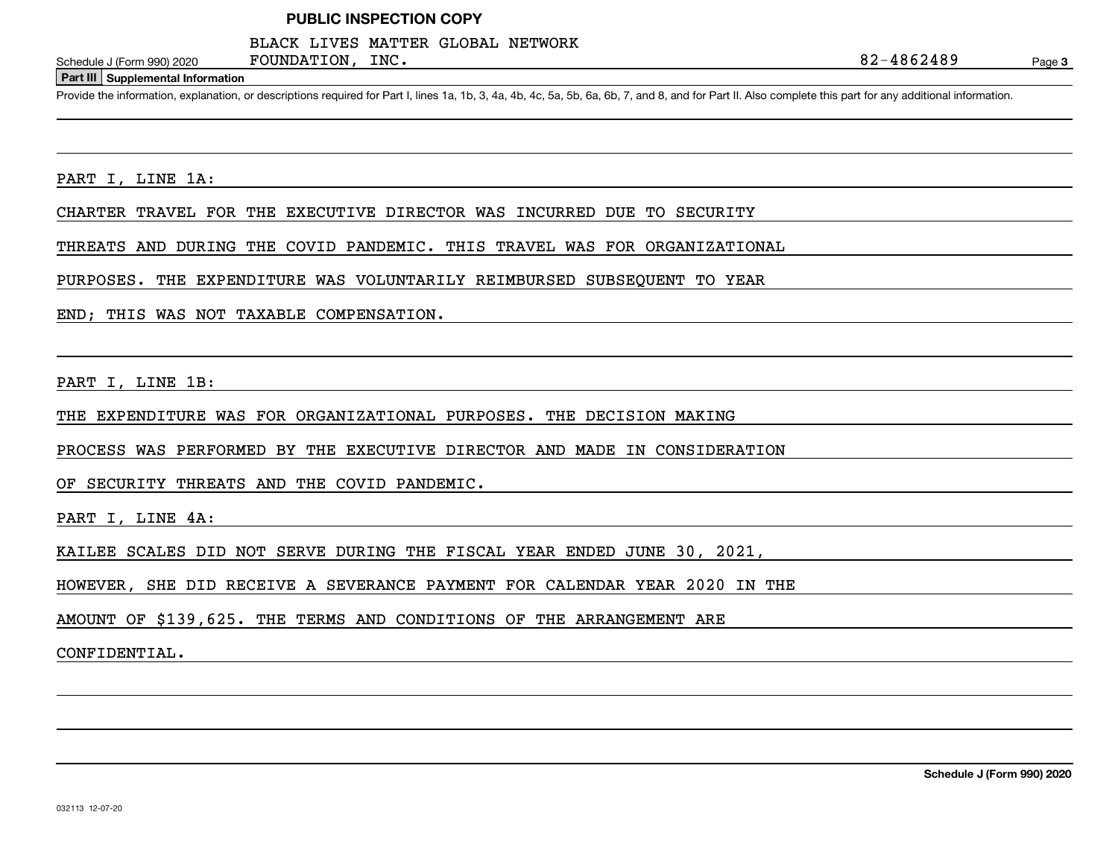FOUNDATION, INC.

#### BLACK LIVES MATTER GLOBAL NETWORK

Page 3

#### **Part III Supplemental Information**

Schedule J (Form 990) 2020 FOUNDATION, INC.<br>Part III Supplemental Information<br>Provide the information, explanation, or descriptions required for Part I, lines 1a, 1b, 3, 4a, 4b, 4c, 5a, 5b, 6a, 6b, 7, and 8, and for Part I

PART I, LINE 1A:

CHARTER TRAVEL FOR THE EXECUTIVE DIRECTOR WAS INCURRED DUE TO SECURITY

THREATS AND DURING THE COVID PANDEMIC. THIS TRAVEL WAS FOR ORGANIZATIONAL

PURPOSES. THE EXPENDITURE WAS VOLUNTARILY REIMBURSED SUBSEQUENT TO YEAR

END; THIS WAS NOT TAXABLE COMPENSATION.

PART I, LINE 1B:

THE EXPENDITURE WAS FOR ORGANIZATIONAL PURPOSES. THE DECISION MAKING

PROCESS WAS PERFORMED BY THE EXECUTIVE DIRECTOR AND MADE IN CONSIDERATION

OF SECURITY THREATS AND THE COVID PANDEMIC.

PART I, LINE 4A:

KAILEE SCALES DID NOT SERVE DURING THE FISCAL YEAR ENDED JUNE 30, 2021,

HOWEVER, SHE DID RECEIVE A SEVERANCE PAYMENT FOR CALENDAR YEAR 2020 IN THE

AMOUNT OF \$139,625. THE TERMS AND CONDITIONS OF THE ARRANGEMENT ARE

CONFIDENTIAL.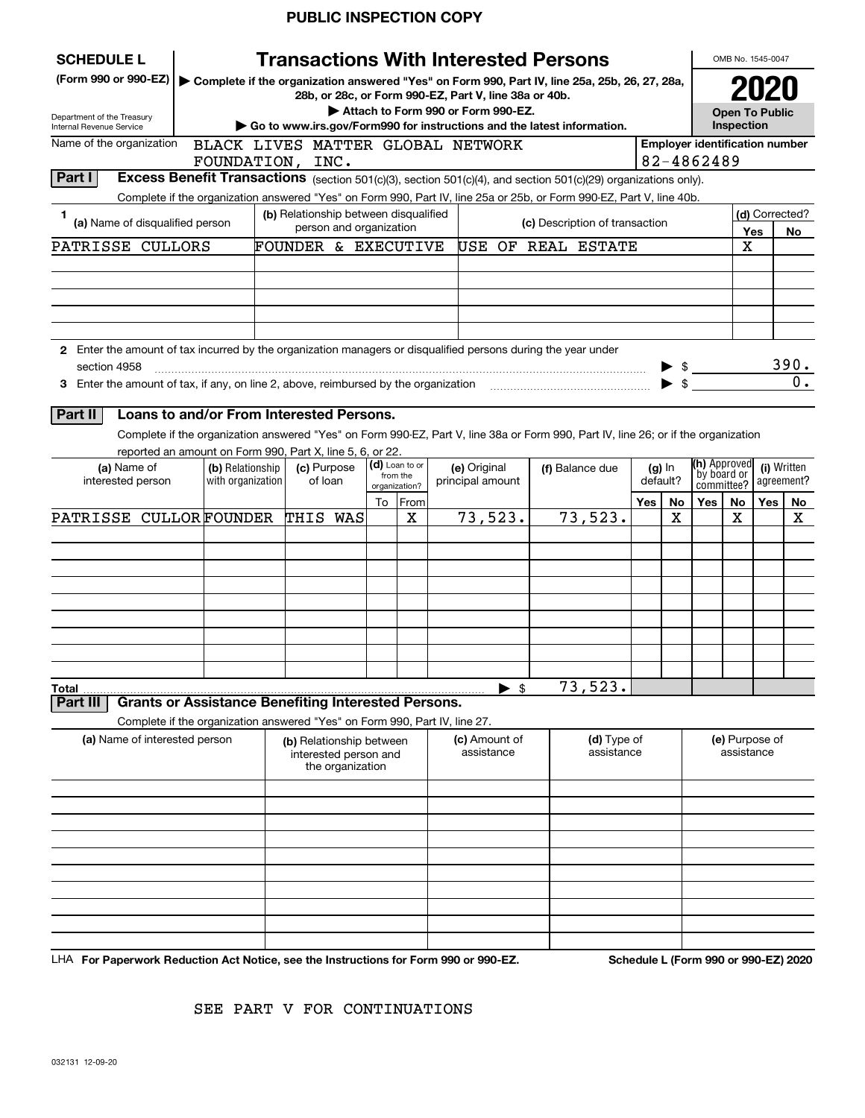| (Form 990 or 990-EZ)<br>Complete if the organization answered "Yes" on Form 990, Part IV, line 25a, 25b, 26, 27, 28a,<br>28b, or 28c, or Form 990-EZ, Part V, line 38a or 40b.<br>Attach to Form 990 or Form 990-EZ.<br><b>Open To Public</b><br>Department of the Treasury<br>Inspection<br>Go to www.irs.gov/Form990 for instructions and the latest information.<br>Name of the organization<br><b>Employer identification number</b><br>BLACK LIVES MATTER GLOBAL NETWORK<br>82-4862489<br>FOUNDATION, INC.<br>Part I<br>Excess Benefit Transactions (section 501(c)(3), section 501(c)(4), and section 501(c)(29) organizations only).<br>Complete if the organization answered "Yes" on Form 990, Part IV, line 25a or 25b, or Form 990-EZ, Part V, line 40b.<br>(b) Relationship between disqualified<br>(d) Corrected?<br>1<br>(a) Name of disqualified person<br>(c) Description of transaction<br>person and organization<br>No<br>Yes<br>PATRISSE CULLORS<br>USE OF REAL ESTATE<br>х<br>FOUNDER & EXECUTIVE<br>2 Enter the amount of tax incurred by the organization managers or disqualified persons during the year under<br>section 4958<br>$\blacktriangleright$ \$<br>Loans to and/or From Interested Persons.<br>Complete if the organization answered "Yes" on Form 990-EZ, Part V, line 38a or Form 990, Part IV, line 26; or if the organization<br>reported an amount on Form 990, Part X, line 5, 6, or 22.<br>(h) Approved<br>(d) Loan to or<br>(c) Purpose<br>(i) Written<br>(a) Name of<br>(b) Relationship<br>(e) Original<br>(f) Balance due<br>$(g)$ In<br>by board or<br>from the<br>with organization<br>of loan<br>principal amount<br>default?<br>agreement?<br>interested person<br>committee?<br>organization?<br><b>Yes</b><br>To From<br>Yes<br>Yes<br>No<br>No<br>No<br>73,523.<br>73,523.<br>PATRISSE CULLORFOUNDER<br>THIS WAS<br>X<br>х<br>х<br>х<br>73,523.<br>$\blacktriangleright$ \$<br>Total<br><b>Grants or Assistance Benefiting Interested Persons.</b><br>Part III<br>Complete if the organization answered "Yes" on Form 990, Part IV, line 27.<br>(a) Name of interested person<br>(d) Type of<br>(e) Purpose of<br>(c) Amount of<br>(b) Relationship between<br>assistance<br>assistance<br>assistance<br>interested person and<br>the organization | <b>SCHEDULE L</b>        |  |  | <b>Transactions With Interested Persons</b> |  |  | OMB No. 1545-0047 |  |
|----------------------------------------------------------------------------------------------------------------------------------------------------------------------------------------------------------------------------------------------------------------------------------------------------------------------------------------------------------------------------------------------------------------------------------------------------------------------------------------------------------------------------------------------------------------------------------------------------------------------------------------------------------------------------------------------------------------------------------------------------------------------------------------------------------------------------------------------------------------------------------------------------------------------------------------------------------------------------------------------------------------------------------------------------------------------------------------------------------------------------------------------------------------------------------------------------------------------------------------------------------------------------------------------------------------------------------------------------------------------------------------------------------------------------------------------------------------------------------------------------------------------------------------------------------------------------------------------------------------------------------------------------------------------------------------------------------------------------------------------------------------------------------------------------------------------------------------------------------------------------------------------------------------------------------------------------------------------------------------------------------------------------------------------------------------------------------------------------------------------------------------------------------------------------------------------------------------------------------------------------------------------------------------------------------|--------------------------|--|--|---------------------------------------------|--|--|-------------------|--|
| $\frac{390}{0}$ .                                                                                                                                                                                                                                                                                                                                                                                                                                                                                                                                                                                                                                                                                                                                                                                                                                                                                                                                                                                                                                                                                                                                                                                                                                                                                                                                                                                                                                                                                                                                                                                                                                                                                                                                                                                                                                                                                                                                                                                                                                                                                                                                                                                                                                                                                        |                          |  |  |                                             |  |  |                   |  |
|                                                                                                                                                                                                                                                                                                                                                                                                                                                                                                                                                                                                                                                                                                                                                                                                                                                                                                                                                                                                                                                                                                                                                                                                                                                                                                                                                                                                                                                                                                                                                                                                                                                                                                                                                                                                                                                                                                                                                                                                                                                                                                                                                                                                                                                                                                          |                          |  |  |                                             |  |  |                   |  |
|                                                                                                                                                                                                                                                                                                                                                                                                                                                                                                                                                                                                                                                                                                                                                                                                                                                                                                                                                                                                                                                                                                                                                                                                                                                                                                                                                                                                                                                                                                                                                                                                                                                                                                                                                                                                                                                                                                                                                                                                                                                                                                                                                                                                                                                                                                          | Internal Revenue Service |  |  |                                             |  |  |                   |  |
|                                                                                                                                                                                                                                                                                                                                                                                                                                                                                                                                                                                                                                                                                                                                                                                                                                                                                                                                                                                                                                                                                                                                                                                                                                                                                                                                                                                                                                                                                                                                                                                                                                                                                                                                                                                                                                                                                                                                                                                                                                                                                                                                                                                                                                                                                                          |                          |  |  |                                             |  |  |                   |  |
|                                                                                                                                                                                                                                                                                                                                                                                                                                                                                                                                                                                                                                                                                                                                                                                                                                                                                                                                                                                                                                                                                                                                                                                                                                                                                                                                                                                                                                                                                                                                                                                                                                                                                                                                                                                                                                                                                                                                                                                                                                                                                                                                                                                                                                                                                                          |                          |  |  |                                             |  |  |                   |  |
|                                                                                                                                                                                                                                                                                                                                                                                                                                                                                                                                                                                                                                                                                                                                                                                                                                                                                                                                                                                                                                                                                                                                                                                                                                                                                                                                                                                                                                                                                                                                                                                                                                                                                                                                                                                                                                                                                                                                                                                                                                                                                                                                                                                                                                                                                                          |                          |  |  |                                             |  |  |                   |  |
|                                                                                                                                                                                                                                                                                                                                                                                                                                                                                                                                                                                                                                                                                                                                                                                                                                                                                                                                                                                                                                                                                                                                                                                                                                                                                                                                                                                                                                                                                                                                                                                                                                                                                                                                                                                                                                                                                                                                                                                                                                                                                                                                                                                                                                                                                                          |                          |  |  |                                             |  |  |                   |  |
|                                                                                                                                                                                                                                                                                                                                                                                                                                                                                                                                                                                                                                                                                                                                                                                                                                                                                                                                                                                                                                                                                                                                                                                                                                                                                                                                                                                                                                                                                                                                                                                                                                                                                                                                                                                                                                                                                                                                                                                                                                                                                                                                                                                                                                                                                                          |                          |  |  |                                             |  |  |                   |  |
|                                                                                                                                                                                                                                                                                                                                                                                                                                                                                                                                                                                                                                                                                                                                                                                                                                                                                                                                                                                                                                                                                                                                                                                                                                                                                                                                                                                                                                                                                                                                                                                                                                                                                                                                                                                                                                                                                                                                                                                                                                                                                                                                                                                                                                                                                                          |                          |  |  |                                             |  |  |                   |  |
|                                                                                                                                                                                                                                                                                                                                                                                                                                                                                                                                                                                                                                                                                                                                                                                                                                                                                                                                                                                                                                                                                                                                                                                                                                                                                                                                                                                                                                                                                                                                                                                                                                                                                                                                                                                                                                                                                                                                                                                                                                                                                                                                                                                                                                                                                                          |                          |  |  |                                             |  |  |                   |  |
|                                                                                                                                                                                                                                                                                                                                                                                                                                                                                                                                                                                                                                                                                                                                                                                                                                                                                                                                                                                                                                                                                                                                                                                                                                                                                                                                                                                                                                                                                                                                                                                                                                                                                                                                                                                                                                                                                                                                                                                                                                                                                                                                                                                                                                                                                                          |                          |  |  |                                             |  |  |                   |  |
|                                                                                                                                                                                                                                                                                                                                                                                                                                                                                                                                                                                                                                                                                                                                                                                                                                                                                                                                                                                                                                                                                                                                                                                                                                                                                                                                                                                                                                                                                                                                                                                                                                                                                                                                                                                                                                                                                                                                                                                                                                                                                                                                                                                                                                                                                                          |                          |  |  |                                             |  |  |                   |  |
|                                                                                                                                                                                                                                                                                                                                                                                                                                                                                                                                                                                                                                                                                                                                                                                                                                                                                                                                                                                                                                                                                                                                                                                                                                                                                                                                                                                                                                                                                                                                                                                                                                                                                                                                                                                                                                                                                                                                                                                                                                                                                                                                                                                                                                                                                                          |                          |  |  |                                             |  |  |                   |  |
|                                                                                                                                                                                                                                                                                                                                                                                                                                                                                                                                                                                                                                                                                                                                                                                                                                                                                                                                                                                                                                                                                                                                                                                                                                                                                                                                                                                                                                                                                                                                                                                                                                                                                                                                                                                                                                                                                                                                                                                                                                                                                                                                                                                                                                                                                                          |                          |  |  |                                             |  |  |                   |  |
|                                                                                                                                                                                                                                                                                                                                                                                                                                                                                                                                                                                                                                                                                                                                                                                                                                                                                                                                                                                                                                                                                                                                                                                                                                                                                                                                                                                                                                                                                                                                                                                                                                                                                                                                                                                                                                                                                                                                                                                                                                                                                                                                                                                                                                                                                                          |                          |  |  |                                             |  |  |                   |  |
|                                                                                                                                                                                                                                                                                                                                                                                                                                                                                                                                                                                                                                                                                                                                                                                                                                                                                                                                                                                                                                                                                                                                                                                                                                                                                                                                                                                                                                                                                                                                                                                                                                                                                                                                                                                                                                                                                                                                                                                                                                                                                                                                                                                                                                                                                                          |                          |  |  |                                             |  |  |                   |  |
|                                                                                                                                                                                                                                                                                                                                                                                                                                                                                                                                                                                                                                                                                                                                                                                                                                                                                                                                                                                                                                                                                                                                                                                                                                                                                                                                                                                                                                                                                                                                                                                                                                                                                                                                                                                                                                                                                                                                                                                                                                                                                                                                                                                                                                                                                                          | Part II                  |  |  |                                             |  |  |                   |  |
|                                                                                                                                                                                                                                                                                                                                                                                                                                                                                                                                                                                                                                                                                                                                                                                                                                                                                                                                                                                                                                                                                                                                                                                                                                                                                                                                                                                                                                                                                                                                                                                                                                                                                                                                                                                                                                                                                                                                                                                                                                                                                                                                                                                                                                                                                                          |                          |  |  |                                             |  |  |                   |  |
|                                                                                                                                                                                                                                                                                                                                                                                                                                                                                                                                                                                                                                                                                                                                                                                                                                                                                                                                                                                                                                                                                                                                                                                                                                                                                                                                                                                                                                                                                                                                                                                                                                                                                                                                                                                                                                                                                                                                                                                                                                                                                                                                                                                                                                                                                                          |                          |  |  |                                             |  |  |                   |  |
|                                                                                                                                                                                                                                                                                                                                                                                                                                                                                                                                                                                                                                                                                                                                                                                                                                                                                                                                                                                                                                                                                                                                                                                                                                                                                                                                                                                                                                                                                                                                                                                                                                                                                                                                                                                                                                                                                                                                                                                                                                                                                                                                                                                                                                                                                                          |                          |  |  |                                             |  |  |                   |  |
|                                                                                                                                                                                                                                                                                                                                                                                                                                                                                                                                                                                                                                                                                                                                                                                                                                                                                                                                                                                                                                                                                                                                                                                                                                                                                                                                                                                                                                                                                                                                                                                                                                                                                                                                                                                                                                                                                                                                                                                                                                                                                                                                                                                                                                                                                                          |                          |  |  |                                             |  |  |                   |  |
|                                                                                                                                                                                                                                                                                                                                                                                                                                                                                                                                                                                                                                                                                                                                                                                                                                                                                                                                                                                                                                                                                                                                                                                                                                                                                                                                                                                                                                                                                                                                                                                                                                                                                                                                                                                                                                                                                                                                                                                                                                                                                                                                                                                                                                                                                                          |                          |  |  |                                             |  |  |                   |  |
|                                                                                                                                                                                                                                                                                                                                                                                                                                                                                                                                                                                                                                                                                                                                                                                                                                                                                                                                                                                                                                                                                                                                                                                                                                                                                                                                                                                                                                                                                                                                                                                                                                                                                                                                                                                                                                                                                                                                                                                                                                                                                                                                                                                                                                                                                                          |                          |  |  |                                             |  |  |                   |  |
|                                                                                                                                                                                                                                                                                                                                                                                                                                                                                                                                                                                                                                                                                                                                                                                                                                                                                                                                                                                                                                                                                                                                                                                                                                                                                                                                                                                                                                                                                                                                                                                                                                                                                                                                                                                                                                                                                                                                                                                                                                                                                                                                                                                                                                                                                                          |                          |  |  |                                             |  |  |                   |  |
|                                                                                                                                                                                                                                                                                                                                                                                                                                                                                                                                                                                                                                                                                                                                                                                                                                                                                                                                                                                                                                                                                                                                                                                                                                                                                                                                                                                                                                                                                                                                                                                                                                                                                                                                                                                                                                                                                                                                                                                                                                                                                                                                                                                                                                                                                                          |                          |  |  |                                             |  |  |                   |  |
|                                                                                                                                                                                                                                                                                                                                                                                                                                                                                                                                                                                                                                                                                                                                                                                                                                                                                                                                                                                                                                                                                                                                                                                                                                                                                                                                                                                                                                                                                                                                                                                                                                                                                                                                                                                                                                                                                                                                                                                                                                                                                                                                                                                                                                                                                                          |                          |  |  |                                             |  |  |                   |  |
|                                                                                                                                                                                                                                                                                                                                                                                                                                                                                                                                                                                                                                                                                                                                                                                                                                                                                                                                                                                                                                                                                                                                                                                                                                                                                                                                                                                                                                                                                                                                                                                                                                                                                                                                                                                                                                                                                                                                                                                                                                                                                                                                                                                                                                                                                                          |                          |  |  |                                             |  |  |                   |  |
|                                                                                                                                                                                                                                                                                                                                                                                                                                                                                                                                                                                                                                                                                                                                                                                                                                                                                                                                                                                                                                                                                                                                                                                                                                                                                                                                                                                                                                                                                                                                                                                                                                                                                                                                                                                                                                                                                                                                                                                                                                                                                                                                                                                                                                                                                                          |                          |  |  |                                             |  |  |                   |  |
|                                                                                                                                                                                                                                                                                                                                                                                                                                                                                                                                                                                                                                                                                                                                                                                                                                                                                                                                                                                                                                                                                                                                                                                                                                                                                                                                                                                                                                                                                                                                                                                                                                                                                                                                                                                                                                                                                                                                                                                                                                                                                                                                                                                                                                                                                                          |                          |  |  |                                             |  |  |                   |  |
|                                                                                                                                                                                                                                                                                                                                                                                                                                                                                                                                                                                                                                                                                                                                                                                                                                                                                                                                                                                                                                                                                                                                                                                                                                                                                                                                                                                                                                                                                                                                                                                                                                                                                                                                                                                                                                                                                                                                                                                                                                                                                                                                                                                                                                                                                                          |                          |  |  |                                             |  |  |                   |  |
|                                                                                                                                                                                                                                                                                                                                                                                                                                                                                                                                                                                                                                                                                                                                                                                                                                                                                                                                                                                                                                                                                                                                                                                                                                                                                                                                                                                                                                                                                                                                                                                                                                                                                                                                                                                                                                                                                                                                                                                                                                                                                                                                                                                                                                                                                                          |                          |  |  |                                             |  |  |                   |  |
|                                                                                                                                                                                                                                                                                                                                                                                                                                                                                                                                                                                                                                                                                                                                                                                                                                                                                                                                                                                                                                                                                                                                                                                                                                                                                                                                                                                                                                                                                                                                                                                                                                                                                                                                                                                                                                                                                                                                                                                                                                                                                                                                                                                                                                                                                                          |                          |  |  |                                             |  |  |                   |  |
|                                                                                                                                                                                                                                                                                                                                                                                                                                                                                                                                                                                                                                                                                                                                                                                                                                                                                                                                                                                                                                                                                                                                                                                                                                                                                                                                                                                                                                                                                                                                                                                                                                                                                                                                                                                                                                                                                                                                                                                                                                                                                                                                                                                                                                                                                                          |                          |  |  |                                             |  |  |                   |  |
|                                                                                                                                                                                                                                                                                                                                                                                                                                                                                                                                                                                                                                                                                                                                                                                                                                                                                                                                                                                                                                                                                                                                                                                                                                                                                                                                                                                                                                                                                                                                                                                                                                                                                                                                                                                                                                                                                                                                                                                                                                                                                                                                                                                                                                                                                                          |                          |  |  |                                             |  |  |                   |  |
|                                                                                                                                                                                                                                                                                                                                                                                                                                                                                                                                                                                                                                                                                                                                                                                                                                                                                                                                                                                                                                                                                                                                                                                                                                                                                                                                                                                                                                                                                                                                                                                                                                                                                                                                                                                                                                                                                                                                                                                                                                                                                                                                                                                                                                                                                                          |                          |  |  |                                             |  |  |                   |  |
|                                                                                                                                                                                                                                                                                                                                                                                                                                                                                                                                                                                                                                                                                                                                                                                                                                                                                                                                                                                                                                                                                                                                                                                                                                                                                                                                                                                                                                                                                                                                                                                                                                                                                                                                                                                                                                                                                                                                                                                                                                                                                                                                                                                                                                                                                                          |                          |  |  |                                             |  |  |                   |  |
|                                                                                                                                                                                                                                                                                                                                                                                                                                                                                                                                                                                                                                                                                                                                                                                                                                                                                                                                                                                                                                                                                                                                                                                                                                                                                                                                                                                                                                                                                                                                                                                                                                                                                                                                                                                                                                                                                                                                                                                                                                                                                                                                                                                                                                                                                                          |                          |  |  |                                             |  |  |                   |  |
|                                                                                                                                                                                                                                                                                                                                                                                                                                                                                                                                                                                                                                                                                                                                                                                                                                                                                                                                                                                                                                                                                                                                                                                                                                                                                                                                                                                                                                                                                                                                                                                                                                                                                                                                                                                                                                                                                                                                                                                                                                                                                                                                                                                                                                                                                                          |                          |  |  |                                             |  |  |                   |  |
|                                                                                                                                                                                                                                                                                                                                                                                                                                                                                                                                                                                                                                                                                                                                                                                                                                                                                                                                                                                                                                                                                                                                                                                                                                                                                                                                                                                                                                                                                                                                                                                                                                                                                                                                                                                                                                                                                                                                                                                                                                                                                                                                                                                                                                                                                                          |                          |  |  |                                             |  |  |                   |  |
|                                                                                                                                                                                                                                                                                                                                                                                                                                                                                                                                                                                                                                                                                                                                                                                                                                                                                                                                                                                                                                                                                                                                                                                                                                                                                                                                                                                                                                                                                                                                                                                                                                                                                                                                                                                                                                                                                                                                                                                                                                                                                                                                                                                                                                                                                                          |                          |  |  |                                             |  |  |                   |  |
|                                                                                                                                                                                                                                                                                                                                                                                                                                                                                                                                                                                                                                                                                                                                                                                                                                                                                                                                                                                                                                                                                                                                                                                                                                                                                                                                                                                                                                                                                                                                                                                                                                                                                                                                                                                                                                                                                                                                                                                                                                                                                                                                                                                                                                                                                                          |                          |  |  |                                             |  |  |                   |  |
|                                                                                                                                                                                                                                                                                                                                                                                                                                                                                                                                                                                                                                                                                                                                                                                                                                                                                                                                                                                                                                                                                                                                                                                                                                                                                                                                                                                                                                                                                                                                                                                                                                                                                                                                                                                                                                                                                                                                                                                                                                                                                                                                                                                                                                                                                                          |                          |  |  |                                             |  |  |                   |  |

LHA For Paperwork Reduction Act Notice, see the Instructions for Form 990 or 990-EZ. Schedule L (Form 990 or 990-EZ) 2020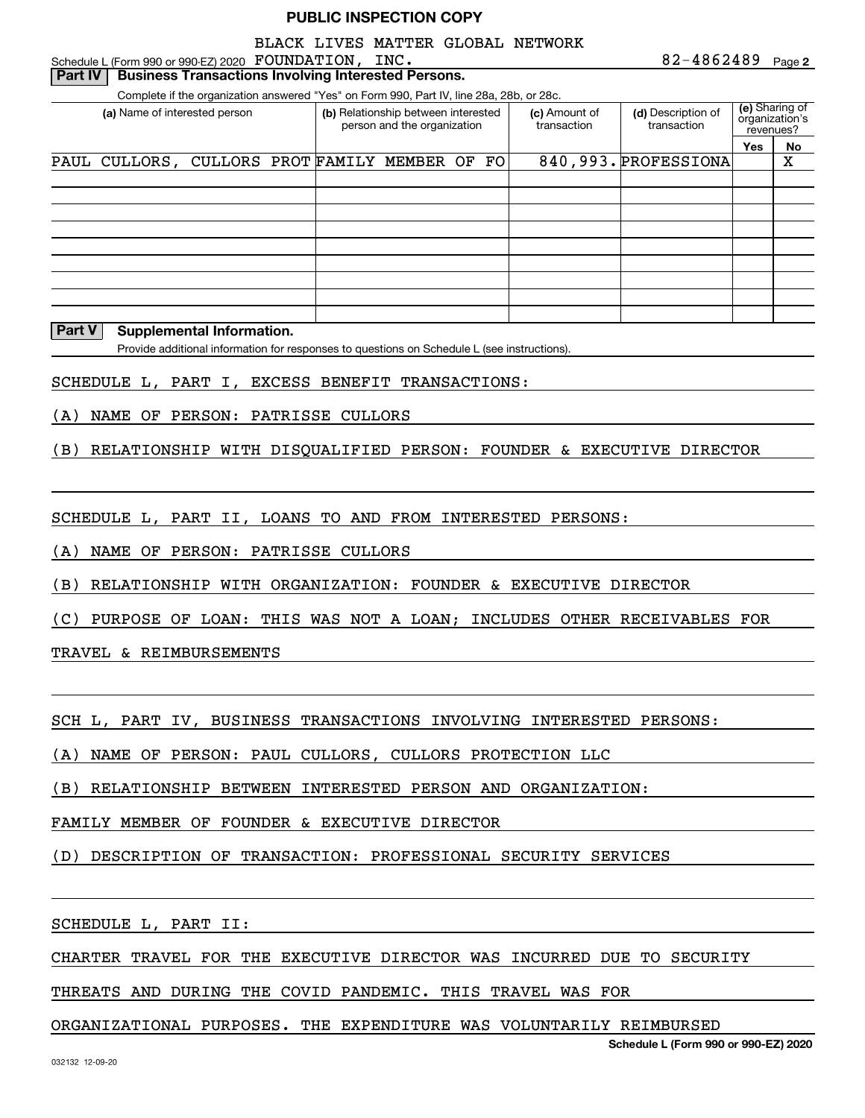#### Schedule L (Form 990 or 990-EZ) 2020 Page FOUNDATION, INC. BLACK LIVES MATTER GLOBAL NETWORK

**(e)**  Sharing of **(a)** Name of interested person **Relationship between interested (c)** Amount of **(d) (d) Yes No** Complete if the organization answered "Yes" on Form 990, Part IV, line 28a, 28b, or 28c. organization's revenues?person and the organization (c) Amount of transaction(d) Description of transaction**Part IV** Business Transactions Involving Interested Persons. PAUL CULLORS, CULLORS PROT FAMILY MEMBER OF FO 840,993. PROFESSIONA

#### **Part V Supplemental Information.**

Provide additional information for responses to questions on Schedule L (see instructions).

#### SCHEDULE L, PART I, EXCESS BENEFIT TRANSACTIONS:

(A) NAME OF PERSON: PATRISSE CULLORS

(B) RELATIONSHIP WITH DISQUALIFIED PERSON: FOUNDER & EXECUTIVE DIRECTOR

SCHEDULE L, PART II, LOANS TO AND FROM INTERESTED PERSONS:

(A) NAME OF PERSON: PATRISSE CULLORS

(B) RELATIONSHIP WITH ORGANIZATION: FOUNDER & EXECUTIVE DIRECTOR

(C) PURPOSE OF LOAN: THIS WAS NOT A LOAN; INCLUDES OTHER RECEIVABLES FOR

TRAVEL & REIMBURSEMENTS

SCH L, PART IV, BUSINESS TRANSACTIONS INVOLVING INTERESTED PERSONS:

(A) NAME OF PERSON: PAUL CULLORS, CULLORS PROTECTION LLC

(B) RELATIONSHIP BETWEEN INTERESTED PERSON AND ORGANIZATION:

FAMILY MEMBER OF FOUNDER & EXECUTIVE DIRECTOR

(D) DESCRIPTION OF TRANSACTION: PROFESSIONAL SECURITY SERVICES

SCHEDULE L, PART II:

CHARTER TRAVEL FOR THE EXECUTIVE DIRECTOR WAS INCURRED DUE TO SECURITY

THREATS AND DURING THE COVID PANDEMIC. THIS TRAVEL WAS FOR

#### ORGANIZATIONAL PURPOSES. THE EXPENDITURE WAS VOLUNTARILY REIMBURSED

**Schedule L (Form 990 or 990-EZ) 2020**

**2**82-4862489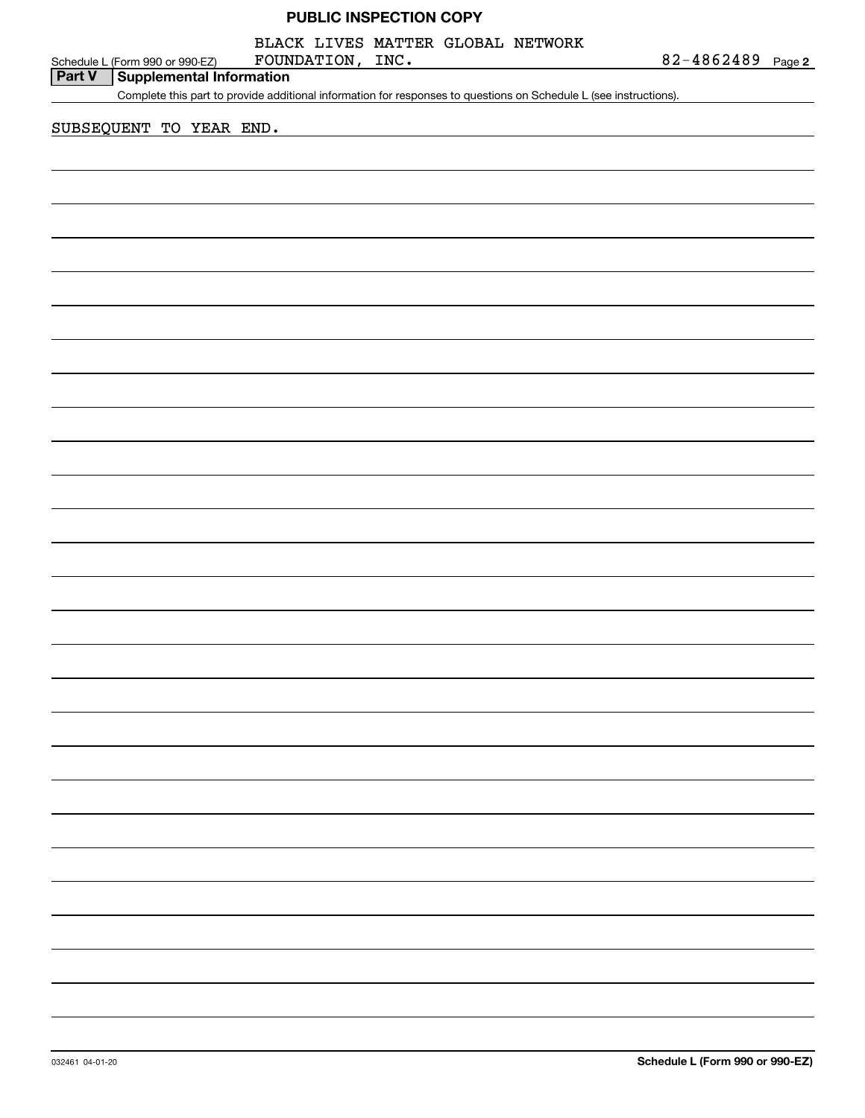| <b>PUBLIC INSPECTION COPY</b> |  |
|-------------------------------|--|
|-------------------------------|--|

BLACK LIVES MATTER GLOBAL NETWORK

|               | Schedule L (Form 990 or 990-EZ) | FOUNDATION, INC. | $82 - 4862489$ Page 2 |  |
|---------------|---------------------------------|------------------|-----------------------|--|
| <b>Part V</b> | Supplemental Information        |                  |                       |  |

Complete this part to provide additional information for responses to questions on Schedule L (see instructions).

SUBSEQUENT TO YEAR END.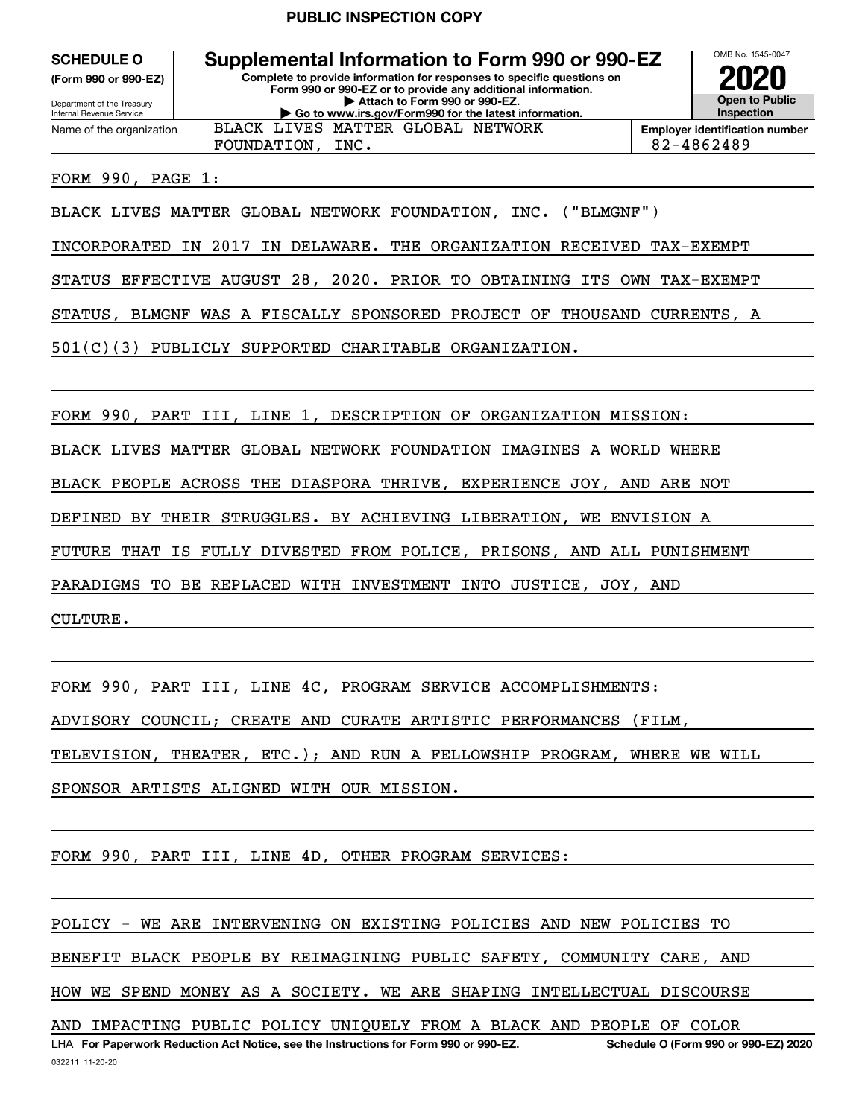**(Form 990 or 990-EZ)**

Department of the Treasury Internal Revenue Service Name of the organization

**Complete to provide information for responses to specific questions on Form 990 or 990-EZ or to provide any additional information. | Attach to Form 990 or 990-EZ. | Go to www.irs.gov/Form990 for the latest information. SCHEDULE O Supplemental Information to Form 990 or 990-EZ** FOUNDATION, INC. 82-4862489 BLACK LIVES MATTER GLOBAL NETWORK



FORM 990, PAGE 1:

BLACK LIVES MATTER GLOBAL NETWORK FOUNDATION, INC. ("BLMGNF")

INCORPORATED IN 2017 IN DELAWARE. THE ORGANIZATION RECEIVED TAX-EXEMPT

STATUS EFFECTIVE AUGUST 28, 2020. PRIOR TO OBTAINING ITS OWN TAX-EXEMPT

STATUS, BLMGNF WAS A FISCALLY SPONSORED PROJECT OF THOUSAND CURRENTS, A

501(C)(3) PUBLICLY SUPPORTED CHARITABLE ORGANIZATION.

FORM 990, PART III, LINE 1, DESCRIPTION OF ORGANIZATION MISSION:

BLACK LIVES MATTER GLOBAL NETWORK FOUNDATION IMAGINES A WORLD WHERE

BLACK PEOPLE ACROSS THE DIASPORA THRIVE, EXPERIENCE JOY, AND ARE NOT

DEFINED BY THEIR STRUGGLES. BY ACHIEVING LIBERATION, WE ENVISION A

FUTURE THAT IS FULLY DIVESTED FROM POLICE, PRISONS, AND ALL PUNISHMENT

PARADIGMS TO BE REPLACED WITH INVESTMENT INTO JUSTICE, JOY, AND

CULTURE.

FORM 990, PART III, LINE 4C, PROGRAM SERVICE ACCOMPLISHMENTS:

ADVISORY COUNCIL; CREATE AND CURATE ARTISTIC PERFORMANCES (FILM,

TELEVISION, THEATER, ETC.); AND RUN A FELLOWSHIP PROGRAM, WHERE WE WILL

SPONSOR ARTISTS ALIGNED WITH OUR MISSION.

FORM 990, PART III, LINE 4D, OTHER PROGRAM SERVICES:

LHA For Paperwork Reduction Act Notice, see the Instructions for Form 990 or 990-EZ. Schedule O (Form 990 or 990-EZ) 2020 POLICY - WE ARE INTERVENING ON EXISTING POLICIES AND NEW POLICIES TO BENEFIT BLACK PEOPLE BY REIMAGINING PUBLIC SAFETY, COMMUNITY CARE, AND HOW WE SPEND MONEY AS A SOCIETY. WE ARE SHAPING INTELLECTUAL DISCOURSE AND IMPACTING PUBLIC POLICY UNIQUELY FROM A BLACK AND PEOPLE OF COLOR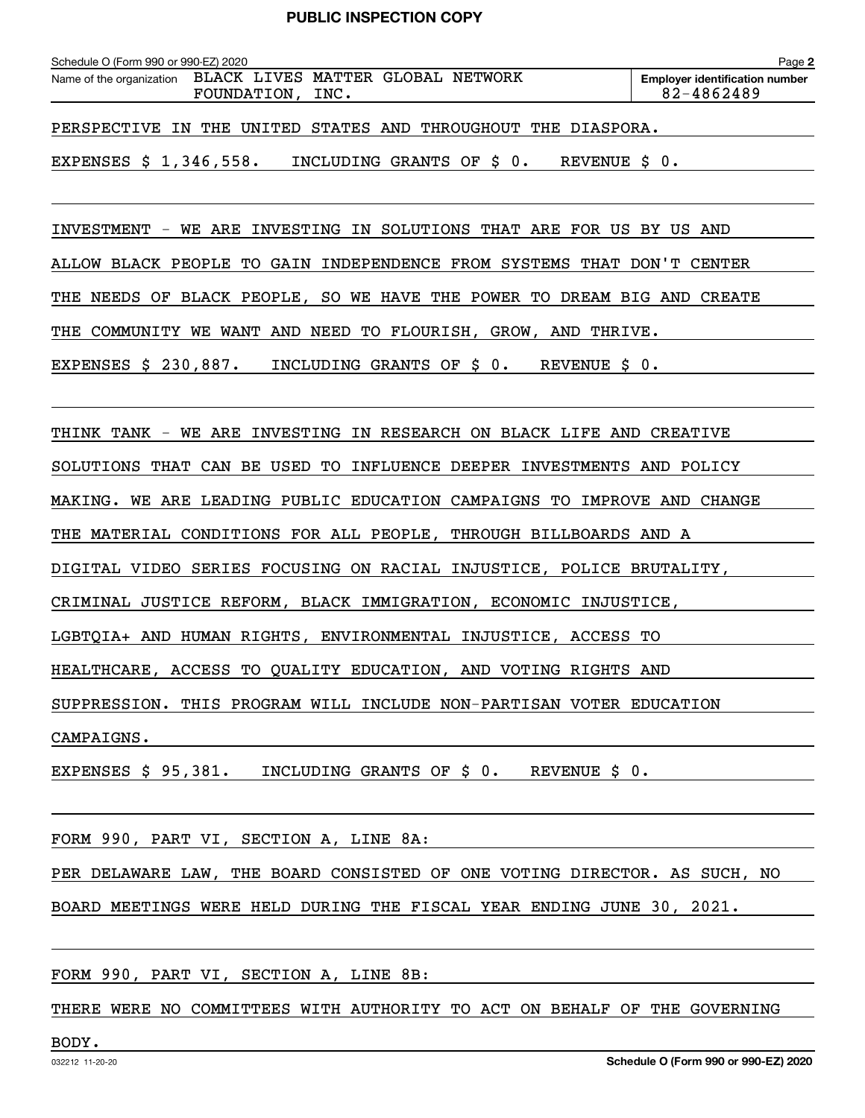| Schedule O (Form 990 or 990-EZ) 2020                          |                  |                           |  |               | Page 2                                              |
|---------------------------------------------------------------|------------------|---------------------------|--|---------------|-----------------------------------------------------|
| Name of the organization BLACK LIVES MATTER GLOBAL NETWORK    | FOUNDATION, INC. |                           |  |               | <b>Employer identification number</b><br>82-4862489 |
| PERSPECTIVE IN THE UNITED STATES AND THROUGHOUT THE DIASPORA. |                  |                           |  |               |                                                     |
| EXPENSES \$ 1,346,558.                                        |                  | INCLUDING GRANTS OF \$ 0. |  | REVENUE \$ 0. |                                                     |

INVESTMENT - WE ARE INVESTING IN SOLUTIONS THAT ARE FOR US BY US AND

ALLOW BLACK PEOPLE TO GAIN INDEPENDENCE FROM SYSTEMS THAT DON'T CENTER

THE NEEDS OF BLACK PEOPLE, SO WE HAVE THE POWER TO DREAM BIG AND CREATE

THE COMMUNITY WE WANT AND NEED TO FLOURISH, GROW, AND THRIVE.

EXPENSES \$ 230,887. INCLUDING GRANTS OF \$ 0. REVENUE \$ 0.

THINK TANK - WE ARE INVESTING IN RESEARCH ON BLACK LIFE AND CREATIVE

SOLUTIONS THAT CAN BE USED TO INFLUENCE DEEPER INVESTMENTS AND POLICY

MAKING. WE ARE LEADING PUBLIC EDUCATION CAMPAIGNS TO IMPROVE AND CHANGE

THE MATERIAL CONDITIONS FOR ALL PEOPLE, THROUGH BILLBOARDS AND A

DIGITAL VIDEO SERIES FOCUSING ON RACIAL INJUSTICE, POLICE BRUTALITY,

CRIMINAL JUSTICE REFORM, BLACK IMMIGRATION, ECONOMIC INJUSTICE,

LGBTQIA+ AND HUMAN RIGHTS, ENVIRONMENTAL INJUSTICE, ACCESS TO

HEALTHCARE, ACCESS TO QUALITY EDUCATION, AND VOTING RIGHTS AND

SUPPRESSION. THIS PROGRAM WILL INCLUDE NON-PARTISAN VOTER EDUCATION

CAMPAIGNS.

EXPENSES \$ 95,381. INCLUDING GRANTS OF \$ 0. REVENUE \$ 0.

FORM 990, PART VI, SECTION A, LINE 8A:

PER DELAWARE LAW, THE BOARD CONSISTED OF ONE VOTING DIRECTOR. AS SUCH, NO

BOARD MEETINGS WERE HELD DURING THE FISCAL YEAR ENDING JUNE 30, 2021.

#### FORM 990, PART VI, SECTION A, LINE 8B:

THERE WERE NO COMMITTEES WITH AUTHORITY TO ACT ON BEHALF OF THE GOVERNING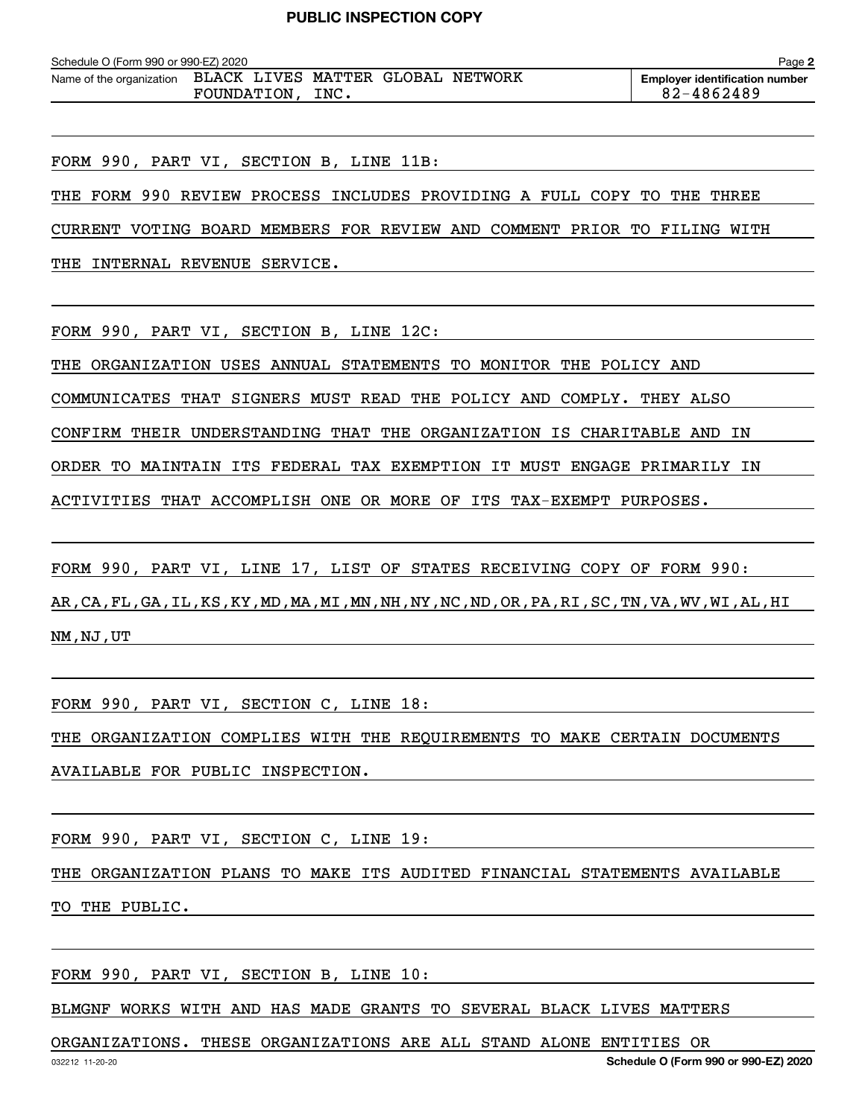| Schedule O (Form 990 or 990-EZ) 2020 |             |      |                                   | Page 2                                |
|--------------------------------------|-------------|------|-----------------------------------|---------------------------------------|
| Name of the organization             |             |      | BLACK LIVES MATTER GLOBAL NETWORK | <b>Employer identification number</b> |
|                                      | FOUNDATION, | INC. |                                   | 82-4862489                            |

FORM 990, PART VI, SECTION B, LINE 11B:

THE FORM 990 REVIEW PROCESS INCLUDES PROVIDING A FULL COPY TO THE THREE

CURRENT VOTING BOARD MEMBERS FOR REVIEW AND COMMENT PRIOR TO FILING WITH

THE INTERNAL REVENUE SERVICE.

FORM 990, PART VI, SECTION B, LINE 12C:

THE ORGANIZATION USES ANNUAL STATEMENTS TO MONITOR THE POLICY AND

COMMUNICATES THAT SIGNERS MUST READ THE POLICY AND COMPLY. THEY ALSO

CONFIRM THEIR UNDERSTANDING THAT THE ORGANIZATION IS CHARITABLE AND IN

ORDER TO MAINTAIN ITS FEDERAL TAX EXEMPTION IT MUST ENGAGE PRIMARILY IN

ACTIVITIES THAT ACCOMPLISH ONE OR MORE OF ITS TAX-EXEMPT PURPOSES.

FORM 990, PART VI, LINE 17, LIST OF STATES RECEIVING COPY OF FORM 990:

AR,CA,FL,GA,IL,KS,KY,MD,MA,MI,MN,NH,NY,NC,ND,OR,PA,RI,SC,TN,VA,WV,WI,AL,HI NM,NJ,UT

FORM 990, PART VI, SECTION C, LINE 18:

THE ORGANIZATION COMPLIES WITH THE REQUIREMENTS TO MAKE CERTAIN DOCUMENTS

AVAILABLE FOR PUBLIC INSPECTION.

FORM 990, PART VI, SECTION C, LINE 19:

THE ORGANIZATION PLANS TO MAKE ITS AUDITED FINANCIAL STATEMENTS AVAILABLE TO THE PUBLIC.

FORM 990, PART VI, SECTION B, LINE 10:

BLMGNF WORKS WITH AND HAS MADE GRANTS TO SEVERAL BLACK LIVES MATTERS

ORGANIZATIONS. THESE ORGANIZATIONS ARE ALL STAND ALONE ENTITIES OR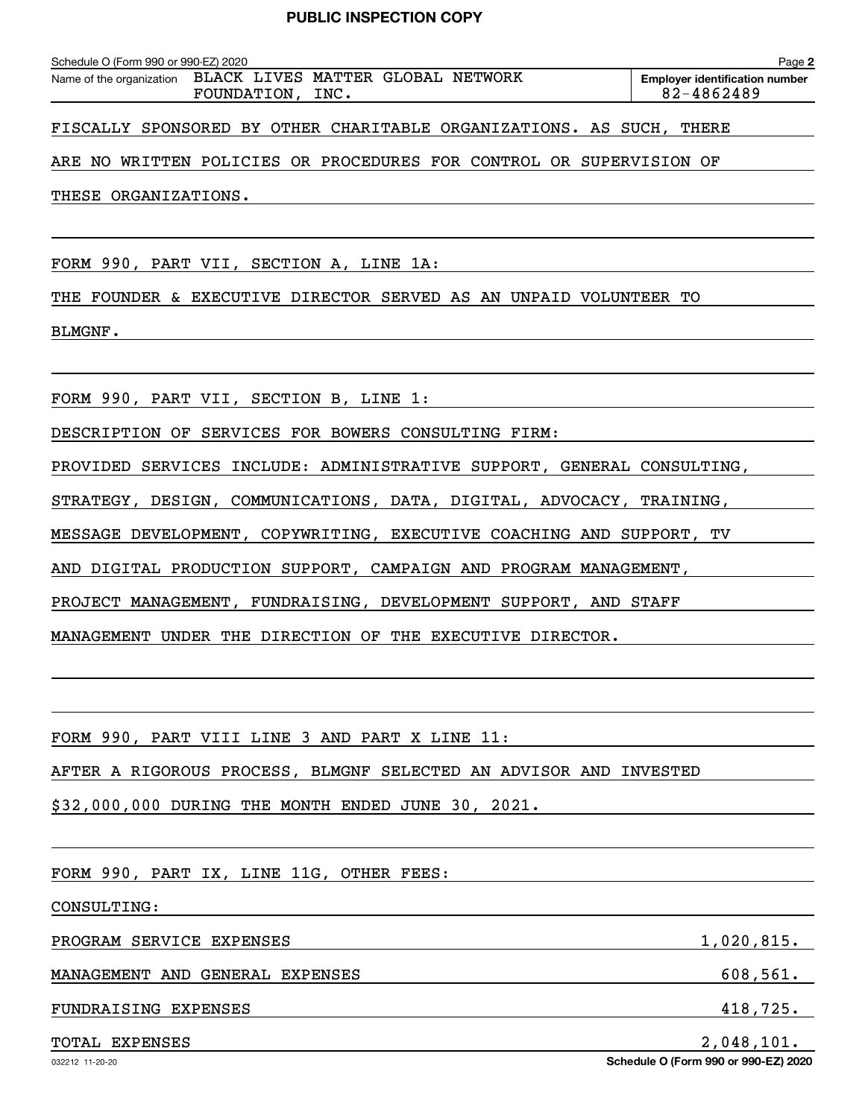|                                                               | Schedule O (Form 990 or 990-EZ) 2020 |                                   | Page 2                                |
|---------------------------------------------------------------|--------------------------------------|-----------------------------------|---------------------------------------|
| Name of the organization<br>82-4862489<br>INC.<br>FOUNDATION, |                                      | BLACK LIVES MATTER GLOBAL NETWORK | <b>Emplover identification number</b> |

FISCALLY SPONSORED BY OTHER CHARITABLE ORGANIZATIONS. AS SUCH, THERE

ARE NO WRITTEN POLICIES OR PROCEDURES FOR CONTROL OR SUPERVISION OF

THESE ORGANIZATIONS.

FORM 990, PART VII, SECTION A, LINE 1A:

THE FOUNDER & EXECUTIVE DIRECTOR SERVED AS AN UNPAID VOLUNTEER TO

BLMGNF.

FORM 990, PART VII, SECTION B, LINE 1:

DESCRIPTION OF SERVICES FOR BOWERS CONSULTING FIRM:

PROVIDED SERVICES INCLUDE: ADMINISTRATIVE SUPPORT, GENERAL CONSULTING,

STRATEGY, DESIGN, COMMUNICATIONS, DATA, DIGITAL, ADVOCACY, TRAINING,

MESSAGE DEVELOPMENT, COPYWRITING, EXECUTIVE COACHING AND SUPPORT, TV

AND DIGITAL PRODUCTION SUPPORT, CAMPAIGN AND PROGRAM MANAGEMENT,

PROJECT MANAGEMENT, FUNDRAISING, DEVELOPMENT SUPPORT, AND STAFF

MANAGEMENT UNDER THE DIRECTION OF THE EXECUTIVE DIRECTOR.

FORM 990, PART VIII LINE 3 AND PART X LINE 11:

AFTER A RIGOROUS PROCESS, BLMGNF SELECTED AN ADVISOR AND INVESTED

\$32,000,000 DURING THE MONTH ENDED JUNE 30, 2021.

FORM 990, PART IX, LINE 11G, OTHER FEES:

CONSULTING:

PROGRAM SERVICE EXPENSES 1,020,815.

MANAGEMENT AND GENERAL EXPENSES 608,561.

#### FUNDRAISING EXPENSES 418,725.

 $\verb|TOTAL EXPENSES|2.048.101.$ 

**Schedule O (Form 990 or 990-EZ) 2020**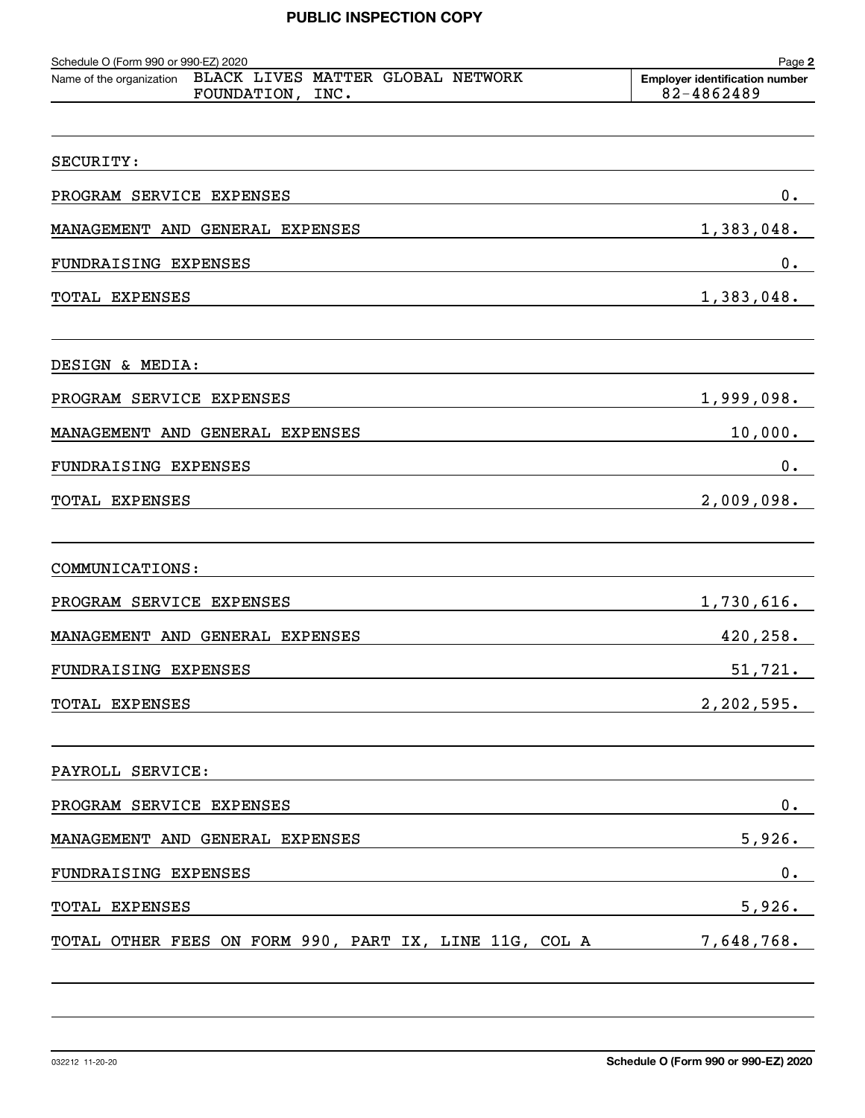| Schedule O (Form 990 or 990-EZ) 2020<br>BLACK LIVES MATTER GLOBAL NETWORK<br>Name of the organization | Page 2<br><b>Employer identification number</b> |
|-------------------------------------------------------------------------------------------------------|-------------------------------------------------|
| FOUNDATION, INC.                                                                                      | 82-4862489                                      |
| SECURITY:                                                                                             |                                                 |
| PROGRAM SERVICE EXPENSES                                                                              | 0.                                              |
| MANAGEMENT AND GENERAL EXPENSES                                                                       | 1,383,048.                                      |
| FUNDRAISING EXPENSES                                                                                  | 0.                                              |
| TOTAL EXPENSES                                                                                        | 1,383,048.                                      |
| DESIGN & MEDIA:                                                                                       |                                                 |
| PROGRAM SERVICE EXPENSES                                                                              | 1,999,098.                                      |
| MANAGEMENT AND GENERAL EXPENSES                                                                       | 10,000.                                         |
| FUNDRAISING EXPENSES                                                                                  | 0.                                              |
| TOTAL EXPENSES                                                                                        | 2,009,098.                                      |
|                                                                                                       |                                                 |
| COMMUNICATIONS:                                                                                       |                                                 |
| PROGRAM SERVICE EXPENSES                                                                              | 1,730,616.                                      |
| MANAGEMENT AND GENERAL EXPENSES                                                                       | 420,258.                                        |
| FUNDRAISING EXPENSES                                                                                  | 51,721.                                         |
| TOTAL EXPENSES                                                                                        | 2, 202, 595.                                    |
| PAYROLL SERVICE:                                                                                      |                                                 |
| PROGRAM SERVICE EXPENSES                                                                              | 0.                                              |
| MANAGEMENT AND GENERAL EXPENSES                                                                       | 5,926.                                          |
| FUNDRAISING EXPENSES                                                                                  | $\mathbf 0$ .                                   |
| TOTAL EXPENSES                                                                                        | 5,926.                                          |
| TOTAL OTHER FEES ON FORM 990, PART IX, LINE 11G, COL A                                                | 7,648,768.                                      |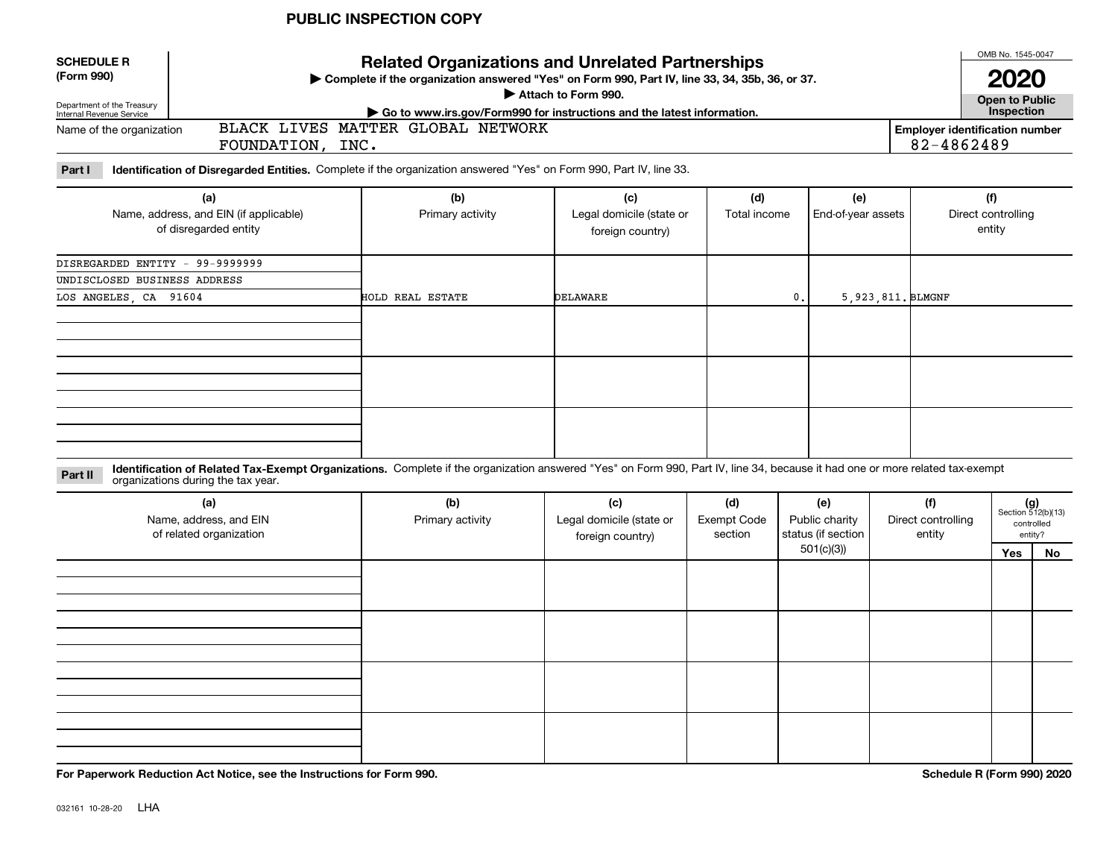| <b>SCHEDULE R</b><br>(Form 990)<br>Department of the Treasury<br>Internal Revenue Service                                                   | <b>Related Organizations and Unrelated Partnerships</b><br>▶ Complete if the organization answered "Yes" on Form 990, Part IV, line 33, 34, 35b, 36, or 37.<br>Attach to Form 990.<br>► Go to www.irs.gov/Form990 for instructions and the latest information. |                         |                                 |                     |                           |  |                           |  |  |  |
|---------------------------------------------------------------------------------------------------------------------------------------------|----------------------------------------------------------------------------------------------------------------------------------------------------------------------------------------------------------------------------------------------------------------|-------------------------|---------------------------------|---------------------|---------------------------|--|---------------------------|--|--|--|
| BLACK LIVES MATTER GLOBAL NETWORK<br>Name of the organization<br><b>Employer identification number</b><br>82-4862489<br>FOUNDATION,<br>INC. |                                                                                                                                                                                                                                                                |                         |                                 |                     |                           |  |                           |  |  |  |
| Part I<br>Identification of Disregarded Entities. Complete if the organization answered "Yes" on Form 990, Part IV, line 33.                |                                                                                                                                                                                                                                                                |                         |                                 |                     |                           |  |                           |  |  |  |
|                                                                                                                                             | (a)<br>Name, address, and EIN (if applicable)                                                                                                                                                                                                                  | (b)<br>Primary activity | (c)<br>Legal domicile (state or | (d)<br>Total income | (e)<br>End-of-year assets |  | (f)<br>Direct controlling |  |  |  |

| Name, address, and EIN (if applicable)<br>of disregarded entity | Primary activity | Legal domicile (state or<br>foreign country) | Total income   | End-of-year assets  | Direct controlling<br>entity |
|-----------------------------------------------------------------|------------------|----------------------------------------------|----------------|---------------------|------------------------------|
| DISREGARDED ENTITY - 99-9999999                                 |                  |                                              |                |                     |                              |
| UNDISCLOSED BUSINESS ADDRESS                                    |                  |                                              |                |                     |                              |
| LOS ANGELES, CA 91604                                           | HOLD REAL ESTATE | DELAWARE                                     | $\mathbf{0}$ . | 5, 923, 811. BLMGNF |                              |
|                                                                 |                  |                                              |                |                     |                              |
|                                                                 |                  |                                              |                |                     |                              |
|                                                                 |                  |                                              |                |                     |                              |

**Identification of Related Tax-Exempt Organizations.** Complete if the organization answered "Yes" on Form 990, Part IV, line 34, because it had one or more related tax-exempt **Part II** organizations during the tax year.

| (a)<br>Name, address, and EIN<br>of related organization | (b)<br>Primary activity | (c)<br>Legal domicile (state or<br>foreign country) | (d)<br><b>Exempt Code</b><br>section | (e)<br>Public charity<br>status (if section | (f)<br>Direct controlling<br>entity | $(g)$<br>Section 512(b)(13)<br>entity? | controlled |
|----------------------------------------------------------|-------------------------|-----------------------------------------------------|--------------------------------------|---------------------------------------------|-------------------------------------|----------------------------------------|------------|
|                                                          |                         |                                                     |                                      | 501(c)(3)                                   |                                     | Yes                                    | No         |
|                                                          |                         |                                                     |                                      |                                             |                                     |                                        |            |
|                                                          |                         |                                                     |                                      |                                             |                                     |                                        |            |
|                                                          |                         |                                                     |                                      |                                             |                                     |                                        |            |
|                                                          |                         |                                                     |                                      |                                             |                                     |                                        |            |
|                                                          |                         |                                                     |                                      |                                             |                                     |                                        |            |
|                                                          |                         |                                                     |                                      |                                             |                                     |                                        |            |
|                                                          |                         |                                                     |                                      |                                             |                                     |                                        |            |
|                                                          |                         |                                                     |                                      |                                             |                                     |                                        |            |
|                                                          |                         |                                                     |                                      |                                             |                                     |                                        |            |
|                                                          |                         |                                                     |                                      |                                             |                                     |                                        |            |

**For Paperwork Reduction Act Notice, see the Instructions for Form 990. Schedule R (Form 990) 2020**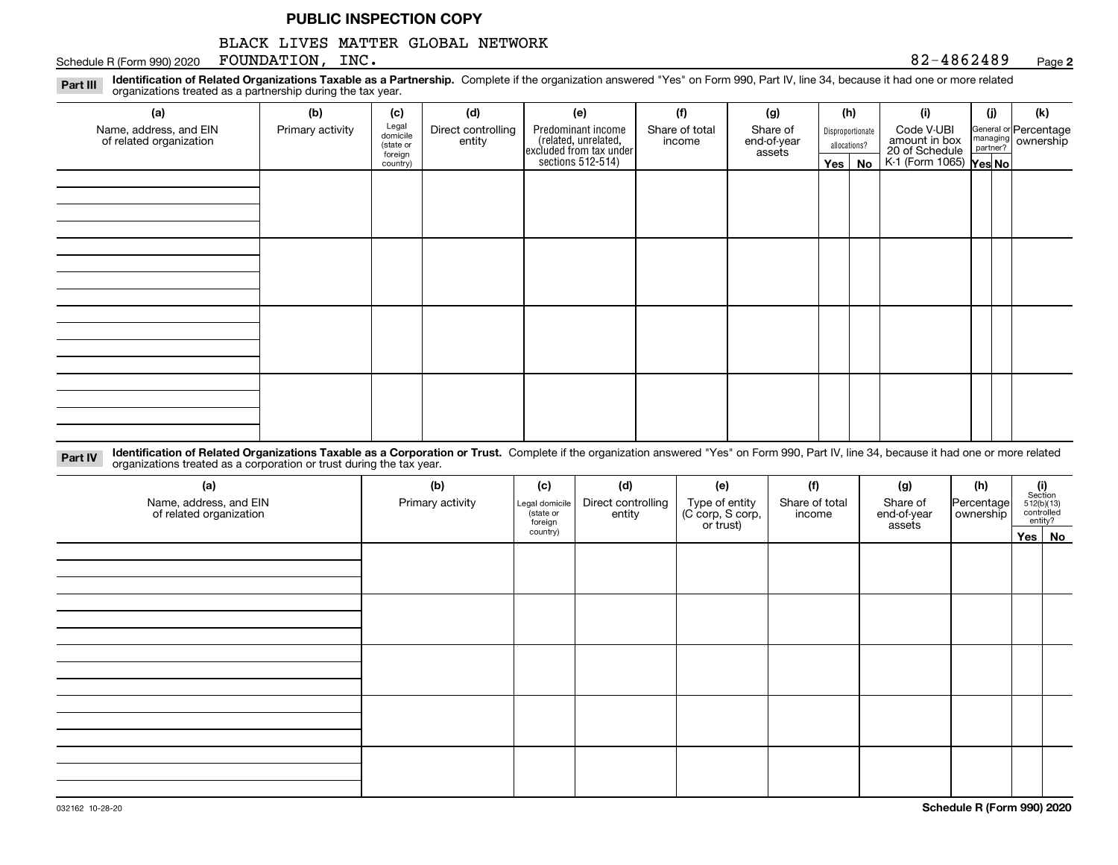## BLACK LIVES MATTER GLOBAL NETWORK

Schedule R (Form 990) 2020 Page FOUNDATION, INC. 82-4862489

#### **2**

**Identification of Related Organizations Taxable as a Partnership.** Complete if the organization answered "Yes" on Form 990, Part IV, line 34, because it had one or more related **Part III** organizations treated as a partnership during the tax year.

| (a)<br>Name, address, and EIN<br>of related organization | (b)<br>Primary activity | (c)<br>Legal<br>domicile<br>(state or<br>foreign<br>country) | (d)<br>Direct controlling<br>entity | (e)<br>Predominant income<br>(related, unrelated,<br>excluded from tax under<br>sections 512-514) | (f)<br>Share of total<br>income | (g)<br>Share of<br>end-of-year<br>assets | (h)<br>$Yes \mid$ | Disproportionate<br>allocations?<br>No | (i)<br>Code V-UBI<br>amount in box<br>20 of Schedule<br>K-1 (Form 1065) <b>Yes No</b> | (j) | (k)<br>General or Percentage<br>managing<br>partner?<br>partner? |
|----------------------------------------------------------|-------------------------|--------------------------------------------------------------|-------------------------------------|---------------------------------------------------------------------------------------------------|---------------------------------|------------------------------------------|-------------------|----------------------------------------|---------------------------------------------------------------------------------------|-----|------------------------------------------------------------------|
|                                                          |                         |                                                              |                                     |                                                                                                   |                                 |                                          |                   |                                        |                                                                                       |     |                                                                  |
|                                                          |                         |                                                              |                                     |                                                                                                   |                                 |                                          |                   |                                        |                                                                                       |     |                                                                  |
|                                                          |                         |                                                              |                                     |                                                                                                   |                                 |                                          |                   |                                        |                                                                                       |     |                                                                  |
|                                                          |                         |                                                              |                                     |                                                                                                   |                                 |                                          |                   |                                        |                                                                                       |     |                                                                  |

**Identification of Related Organizations Taxable as a Corporation or Trust.** Complete if the organization answered "Yes" on Form 990, Part IV, line 34, because it had one or more related **Part IV** organizations treated as a corporation or trust during the tax year.

| (a)<br>Name, address, and EIN<br>of related organization | (b)<br>Primary activity | (c)<br>Legal domicile<br>(state or<br>foreign | (d)<br>Direct controlling<br>entity | (e)<br>Type of entity<br>(C corp, S corp,<br>or trust) | (f)<br>Share of total<br>income | (g)<br>Share of<br>end-of-year<br>assets | (h)<br>Percentage<br>ownership | $\begin{array}{c} \textbf{(i)}\\ \text{Section}\\ 512 \text{(b)} \text{(13)}\\ \text{controlled}\end{array}$<br>entity? |
|----------------------------------------------------------|-------------------------|-----------------------------------------------|-------------------------------------|--------------------------------------------------------|---------------------------------|------------------------------------------|--------------------------------|-------------------------------------------------------------------------------------------------------------------------|
|                                                          |                         | country)                                      |                                     |                                                        |                                 |                                          |                                | Yes   No                                                                                                                |
|                                                          |                         |                                               |                                     |                                                        |                                 |                                          |                                |                                                                                                                         |
|                                                          |                         |                                               |                                     |                                                        |                                 |                                          |                                |                                                                                                                         |
|                                                          |                         |                                               |                                     |                                                        |                                 |                                          |                                |                                                                                                                         |
|                                                          |                         |                                               |                                     |                                                        |                                 |                                          |                                |                                                                                                                         |
|                                                          |                         |                                               |                                     |                                                        |                                 |                                          |                                |                                                                                                                         |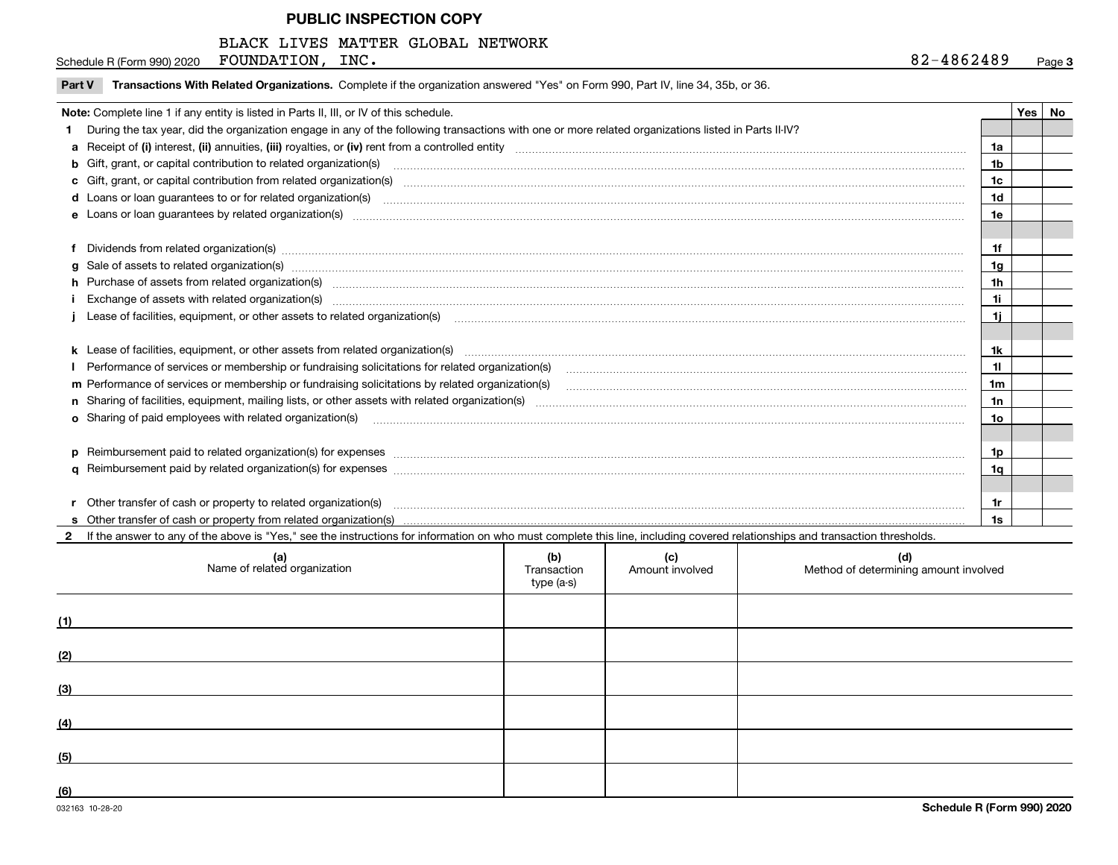#### BLACK LIVES MATTER GLOBAL NETWORK

Schedule R (Form 990) 2020 Page FOUNDATION, INC. 82-4862489

 $\overline{\phantom{a}}$ 

| Note: Complete line 1 if any entity is listed in Parts II, III, or IV of this schedule.                                                                                                                                        |                | Yes | No |
|--------------------------------------------------------------------------------------------------------------------------------------------------------------------------------------------------------------------------------|----------------|-----|----|
| 1 During the tax year, did the organization engage in any of the following transactions with one or more related organizations listed in Parts II-IV?                                                                          |                |     |    |
|                                                                                                                                                                                                                                | 1a             |     |    |
| <b>b</b> Gift, grant, or capital contribution to related organization(s)                                                                                                                                                       | 1b             |     |    |
| c Gift, grant, or capital contribution from related organization(s) CONCO CONCORDIAL CONSERVITION CONTROVERSITY                                                                                                                | 1c             |     |    |
| d Loans or loan guarantees to or for related organization(s) mature material content to construct the content of the content of the content of the content of the content of the content of the content of the content of the  | 1 <sub>d</sub> |     |    |
| e Loans or loan quarantees by related organization(s)                                                                                                                                                                          | 1e             |     |    |
|                                                                                                                                                                                                                                |                |     |    |
| f Dividends from related organization(s) manufactured contains and contained and contained contained and contained and contained and contained and contained and contained and contained and contained and contained and conta | 1f             |     |    |
|                                                                                                                                                                                                                                | 1a             |     |    |
| h Purchase of assets from related organization(s) www.assettion.com/www.assettion.com/www.assettion.com/www.assettion.com/www.assettion.com/www.assettion.com/www.assettion.com/www.assettion.com/www.assettion.com/www.assett | 1h             |     |    |
| Exchange of assets with related organization(s) www.assettion.com/www.assettion.com/www.assettion.com/www.assettion.com/www.assettion.com/www.assettion.com/www.assettion.com/www.assettion.com/www.assettion.com/www.assettio | 1i             |     |    |
| Lease of facilities, equipment, or other assets to related organization(s) использованно положенно положенно по                                                                                                                | 1i.            |     |    |
|                                                                                                                                                                                                                                |                |     |    |
| k Lease of facilities, equipment, or other assets from related organization(s) manufaction content and content to the content of the content of facilities, equipment, or other assets from related organization(s) manufactio | 1k             |     |    |
| Performance of services or membership or fundraising solicitations for related organization(s)                                                                                                                                 | 11             |     |    |
| m Performance of services or membership or fundraising solicitations by related organization(s)                                                                                                                                | 1 <sub>m</sub> |     |    |
|                                                                                                                                                                                                                                | 1n             |     |    |
| <b>o</b> Sharing of paid employees with related organization(s)                                                                                                                                                                | 1o             |     |    |
|                                                                                                                                                                                                                                |                |     |    |
|                                                                                                                                                                                                                                | 1p             |     |    |
|                                                                                                                                                                                                                                | 1q             |     |    |
|                                                                                                                                                                                                                                |                |     |    |
| r Other transfer of cash or property to related organization(s)                                                                                                                                                                | 1r             |     |    |
|                                                                                                                                                                                                                                | 1s             |     |    |

|     | (a)<br>Name of related organization | (b)<br>Transaction<br>type (a-s) | (c)<br>Amount involved | (d)<br>Method of determining amount involved |
|-----|-------------------------------------|----------------------------------|------------------------|----------------------------------------------|
| (1) |                                     |                                  |                        |                                              |
| (2) |                                     |                                  |                        |                                              |
| (3) |                                     |                                  |                        |                                              |
| (4) |                                     |                                  |                        |                                              |
| (5) |                                     |                                  |                        |                                              |
| (6) |                                     |                                  |                        |                                              |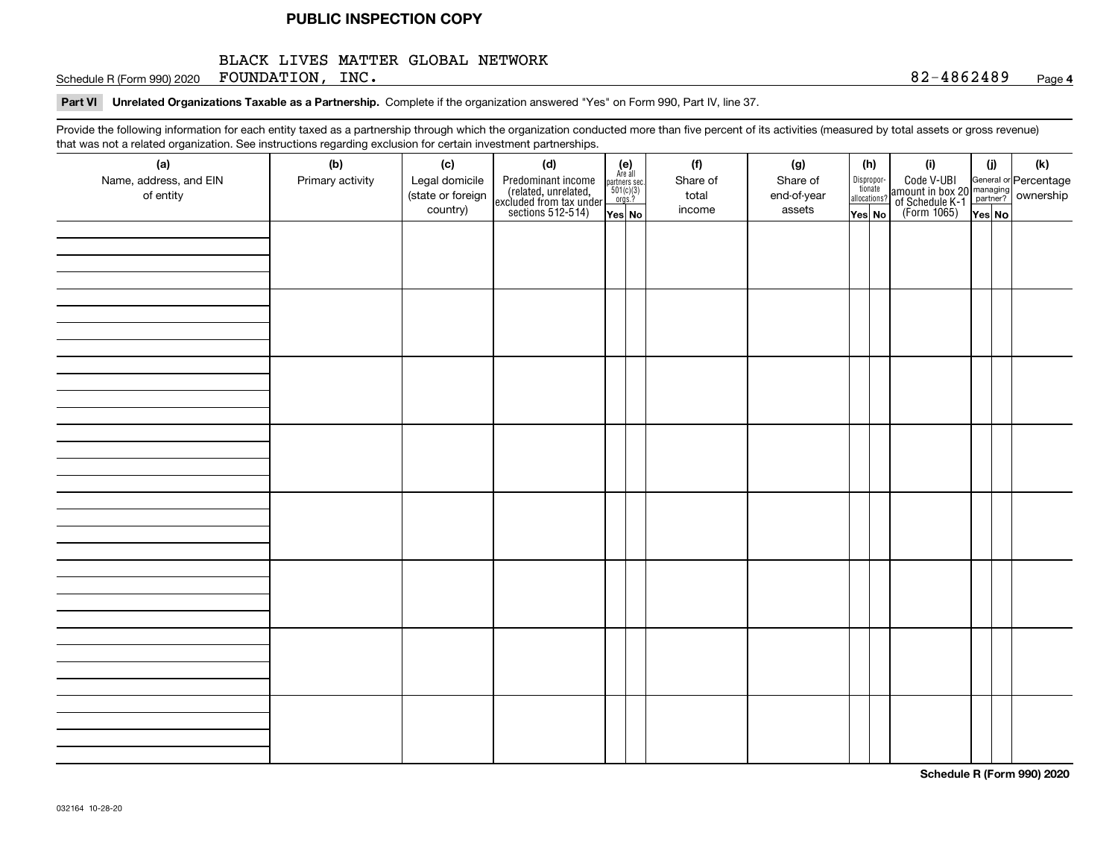#### BLACK LIVES MATTER GLOBAL NETWORK

Schedule R (Form 990) 2020 Page FOUNDATION, INC. 82-4862489

#### **4**

# **Part VI Unrelated Organizations Taxable as a Partnership.**  Complete if the organization answered "Yes" on Form 990, Part IV, line 37.

Provide the following information for each entity taxed as a partnership through which the organization conducted more than five percent of its activities (measured by total assets or gross revenue) that was not a related organization. See instructions regarding exclusion for certain investment partnerships.

| ັ                      | ັ<br>ັ           |                   |                                                                                            |                                                                                             |          |             |                                       |                                                                                                                                       |       |     |
|------------------------|------------------|-------------------|--------------------------------------------------------------------------------------------|---------------------------------------------------------------------------------------------|----------|-------------|---------------------------------------|---------------------------------------------------------------------------------------------------------------------------------------|-------|-----|
| (a)                    | (b)              | (c)               | (d)                                                                                        | (e)<br>Are all                                                                              | (f)      | (g)         | (h)                                   | (i)                                                                                                                                   | (i)   | (k) |
| Name, address, and EIN | Primary activity | Legal domicile    |                                                                                            | $\begin{array}{c}\n\text{partners} \text{ sec.} \\ 501(c)(3) \\ \text{orgs.?}\n\end{array}$ | Share of | Share of    | Dispropor-<br>tionate<br>allocations? |                                                                                                                                       |       |     |
| of entity              |                  | (state or foreign | Predominant income<br>(related, unrelated,<br>excluded from tax under<br>sections 512-514) |                                                                                             | total    | end-of-year |                                       | Code V-UBI<br>  amount in box 20 managing<br>  of Schedule K-1 partner? ownership<br>  of Schedule K-1 partner? ownership<br>  Yes No |       |     |
|                        |                  | country)          |                                                                                            | Yes No                                                                                      | income   | assets      | Yes No                                |                                                                                                                                       | YesNO |     |
|                        |                  |                   |                                                                                            |                                                                                             |          |             |                                       |                                                                                                                                       |       |     |
|                        |                  |                   |                                                                                            |                                                                                             |          |             |                                       |                                                                                                                                       |       |     |
|                        |                  |                   |                                                                                            |                                                                                             |          |             |                                       |                                                                                                                                       |       |     |
|                        |                  |                   |                                                                                            |                                                                                             |          |             |                                       |                                                                                                                                       |       |     |
|                        |                  |                   |                                                                                            |                                                                                             |          |             |                                       |                                                                                                                                       |       |     |
|                        |                  |                   |                                                                                            |                                                                                             |          |             |                                       |                                                                                                                                       |       |     |
|                        |                  |                   |                                                                                            |                                                                                             |          |             |                                       |                                                                                                                                       |       |     |
|                        |                  |                   |                                                                                            |                                                                                             |          |             |                                       |                                                                                                                                       |       |     |
|                        |                  |                   |                                                                                            |                                                                                             |          |             |                                       |                                                                                                                                       |       |     |
|                        |                  |                   |                                                                                            |                                                                                             |          |             |                                       |                                                                                                                                       |       |     |
|                        |                  |                   |                                                                                            |                                                                                             |          |             |                                       |                                                                                                                                       |       |     |
|                        |                  |                   |                                                                                            |                                                                                             |          |             |                                       |                                                                                                                                       |       |     |
|                        |                  |                   |                                                                                            |                                                                                             |          |             |                                       |                                                                                                                                       |       |     |
|                        |                  |                   |                                                                                            |                                                                                             |          |             |                                       |                                                                                                                                       |       |     |
|                        |                  |                   |                                                                                            |                                                                                             |          |             |                                       |                                                                                                                                       |       |     |
|                        |                  |                   |                                                                                            |                                                                                             |          |             |                                       |                                                                                                                                       |       |     |
|                        |                  |                   |                                                                                            |                                                                                             |          |             |                                       |                                                                                                                                       |       |     |
|                        |                  |                   |                                                                                            |                                                                                             |          |             |                                       |                                                                                                                                       |       |     |
|                        |                  |                   |                                                                                            |                                                                                             |          |             |                                       |                                                                                                                                       |       |     |
|                        |                  |                   |                                                                                            |                                                                                             |          |             |                                       |                                                                                                                                       |       |     |
|                        |                  |                   |                                                                                            |                                                                                             |          |             |                                       |                                                                                                                                       |       |     |
|                        |                  |                   |                                                                                            |                                                                                             |          |             |                                       |                                                                                                                                       |       |     |
|                        |                  |                   |                                                                                            |                                                                                             |          |             |                                       |                                                                                                                                       |       |     |
|                        |                  |                   |                                                                                            |                                                                                             |          |             |                                       |                                                                                                                                       |       |     |
|                        |                  |                   |                                                                                            |                                                                                             |          |             |                                       |                                                                                                                                       |       |     |
|                        |                  |                   |                                                                                            |                                                                                             |          |             |                                       |                                                                                                                                       |       |     |
|                        |                  |                   |                                                                                            |                                                                                             |          |             |                                       |                                                                                                                                       |       |     |
|                        |                  |                   |                                                                                            |                                                                                             |          |             |                                       |                                                                                                                                       |       |     |
|                        |                  |                   |                                                                                            |                                                                                             |          |             |                                       |                                                                                                                                       |       |     |
|                        |                  |                   |                                                                                            |                                                                                             |          |             |                                       |                                                                                                                                       |       |     |
|                        |                  |                   |                                                                                            |                                                                                             |          |             |                                       |                                                                                                                                       |       |     |
|                        |                  |                   |                                                                                            |                                                                                             |          |             |                                       |                                                                                                                                       |       |     |
|                        |                  |                   |                                                                                            |                                                                                             |          |             |                                       |                                                                                                                                       |       |     |
|                        |                  |                   |                                                                                            |                                                                                             |          |             |                                       |                                                                                                                                       |       |     |
|                        |                  |                   |                                                                                            |                                                                                             |          |             |                                       |                                                                                                                                       |       |     |
|                        |                  |                   |                                                                                            |                                                                                             |          |             |                                       |                                                                                                                                       |       |     |